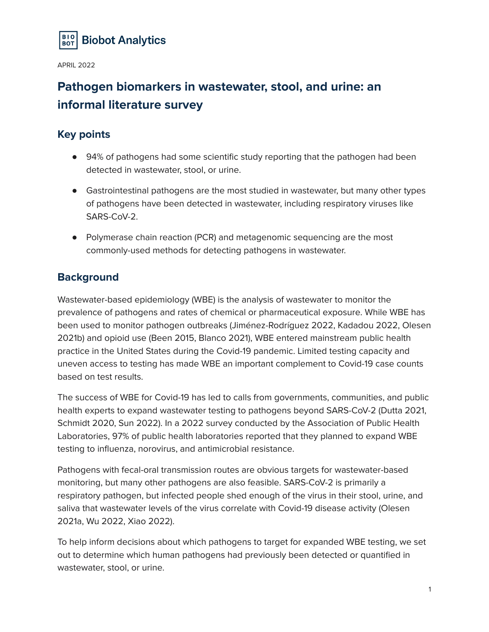

# **Pathogen biomarkers in wastewater, stool, and urine: an informal literature survey**

## **Key points**

- 94% of pathogens had some scientific study reporting that the pathogen had been detected in wastewater, stool, or urine.
- Gastrointestinal pathogens are the most studied in wastewater, but many other types of pathogens have been detected in wastewater, including respiratory viruses like SARS-CoV-2.
- Polymerase chain reaction (PCR) and metagenomic sequencing are the most commonly-used methods for detecting pathogens in wastewater.

## **Background**

Wastewater-based epidemiology (WBE) is the analysis of wastewater to monitor the prevalence of pathogens and rates of chemical or pharmaceutical exposure. While WBE has been used to monitor pathogen outbreaks (Jiménez-Rodríguez 2022, Kadadou 2022, Olesen 2021b) and opioid use (Been 2015, Blanco 2021), WBE entered mainstream public health practice in the United States during the Covid-19 pandemic. Limited testing capacity and uneven access to testing has made WBE an important complement to Covid-19 case counts based on test results.

The success of WBE for Covid-19 has led to calls from governments, communities, and public health experts to expand wastewater testing to pathogens beyond SARS-CoV-2 (Dutta 2021, Schmidt 2020, Sun 2022). In a 2022 survey conducted by the Association of Public Health Laboratories, 97% of public health laboratories reported that they planned to expand WBE testing to influenza, norovirus, and antimicrobial resistance.

Pathogens with fecal-oral transmission routes are obvious targets for wastewater-based monitoring, but many other pathogens are also feasible. SARS-CoV-2 is primarily a respiratory pathogen, but infected people shed enough of the virus in their stool, urine, and saliva that wastewater levels of the virus correlate with Covid-19 disease activity (Olesen 2021a, Wu 2022, Xiao 2022).

To help inform decisions about which pathogens to target for expanded WBE testing, we set out to determine which human pathogens had previously been detected or quantified in wastewater, stool, or urine.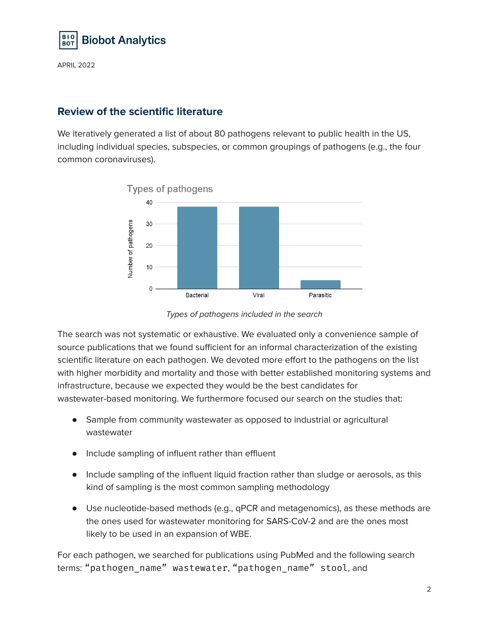

## **Review of the scientific literature**

We iteratively generated a list of about 80 pathogens relevant to public health in the US, including individual species, subspecies, or common groupings of pathogens (e.g., the four common coronaviruses).



Types of pathogens included in the search

The search was not systematic or exhaustive. We evaluated only a convenience sample of source publications that we found sufficient for an informal characterization of the existing scientific literature on each pathogen. We devoted more effort to the pathogens on the list with higher morbidity and mortality and those with better established monitoring systems and infrastructure, because we expected they would be the best candidates for wastewater-based monitoring. We furthermore focused our search on the studies that:

- Sample from community wastewater as opposed to industrial or agricultural wastewater
- Include sampling of influent rather than effluent
- Include sampling of the influent liquid fraction rather than sludge or aerosols, as this kind of sampling is the most common sampling methodology
- Use nucleotide-based methods (e.g., qPCR and metagenomics), as these methods are the ones used for wastewater monitoring for SARS-CoV-2 and are the ones most likely to be used in an expansion of WBE.

For each pathogen, we searched for publications using PubMed and the following search terms: "pathogen\_name" wastewater, "pathogen\_name" stool, and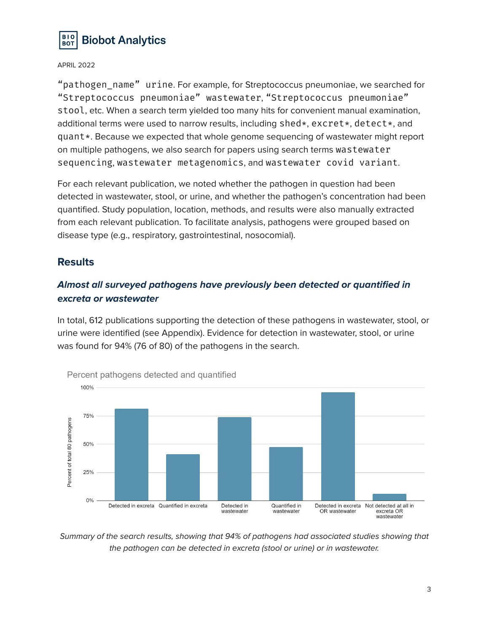

"pathogen name" urine. For example, for Streptococcus pneumoniae, we searched for "Streptococcus pneumoniae" wastewater, "Streptococcus pneumoniae" stool, etc. When a search term yielded too many hits for convenient manual examination, additional terms were used to narrow results, including shed\*, excret\*, detect\*, and quant\*. Because we expected that whole genome sequencing of wastewater might report on multiple pathogens, we also search for papers using search terms wastewater sequencing, wastewater metagenomics, and wastewater covid variant.

For each relevant publication, we noted whether the pathogen in question had been detected in wastewater, stool, or urine, and whether the pathogen's concentration had been quantified. Study population, location, methods, and results were also manually extracted from each relevant publication. To facilitate analysis, pathogens were grouped based on disease type (e.g., respiratory, gastrointestinal, nosocomial).

#### **Results**

#### **Almost all surveyed pathogens have previously been detected or quantified in excreta or wastewater**

In total, 612 publications supporting the detection of these pathogens in wastewater, stool, or urine were identified (see Appendix). Evidence for detection in wastewater, stool, or urine was found for 94% (76 of 80) of the pathogens in the search.



Summary of the search results, showing that 94% of pathogens had associated studies showing that the pathogen can be detected in excreta (stool or urine) or in wastewater.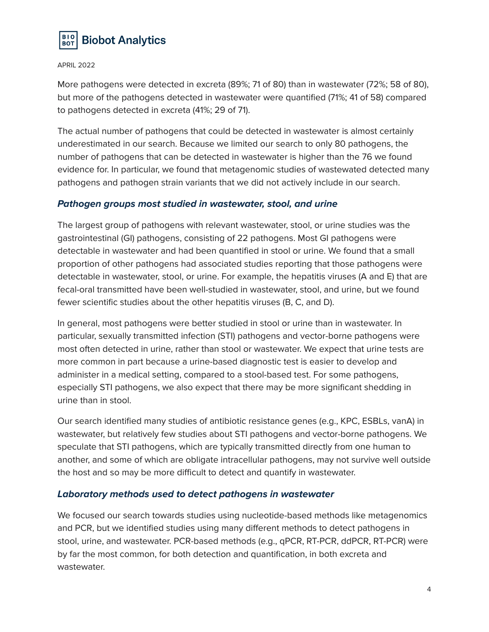

More pathogens were detected in excreta (89%; 71 of 80) than in wastewater (72%; 58 of 80), but more of the pathogens detected in wastewater were quantified (71%; 41 of 58) compared to pathogens detected in excreta (41%; 29 of 71).

The actual number of pathogens that could be detected in wastewater is almost certainly underestimated in our search. Because we limited our search to only 80 pathogens, the number of pathogens that can be detected in wastewater is higher than the 76 we found evidence for. In particular, we found that metagenomic studies of wastewated detected many pathogens and pathogen strain variants that we did not actively include in our search.

#### **Pathogen groups most studied in wastewater, stool, and urine**

The largest group of pathogens with relevant wastewater, stool, or urine studies was the gastrointestinal (GI) pathogens, consisting of 22 pathogens. Most GI pathogens were detectable in wastewater and had been quantified in stool or urine. We found that a small proportion of other pathogens had associated studies reporting that those pathogens were detectable in wastewater, stool, or urine. For example, the hepatitis viruses (A and E) that are fecal-oral transmitted have been well-studied in wastewater, stool, and urine, but we found fewer scientific studies about the other hepatitis viruses (B, C, and D).

In general, most pathogens were better studied in stool or urine than in wastewater. In particular, sexually transmitted infection (STI) pathogens and vector-borne pathogens were most often detected in urine, rather than stool or wastewater. We expect that urine tests are more common in part because a urine-based diagnostic test is easier to develop and administer in a medical setting, compared to a stool-based test. For some pathogens, especially STI pathogens, we also expect that there may be more significant shedding in urine than in stool.

Our search identified many studies of antibiotic resistance genes (e.g., KPC, ESBLs, vanA) in wastewater, but relatively few studies about STI pathogens and vector-borne pathogens. We speculate that STI pathogens, which are typically transmitted directly from one human to another, and some of which are obligate intracellular pathogens, may not survive well outside the host and so may be more difficult to detect and quantify in wastewater.

#### **Laboratory methods used to detect pathogens in wastewater**

We focused our search towards studies using nucleotide-based methods like metagenomics and PCR, but we identified studies using many different methods to detect pathogens in stool, urine, and wastewater. PCR-based methods (e.g., qPCR, RT-PCR, ddPCR, RT-PCR) were by far the most common, for both detection and quantification, in both excreta and wastewater.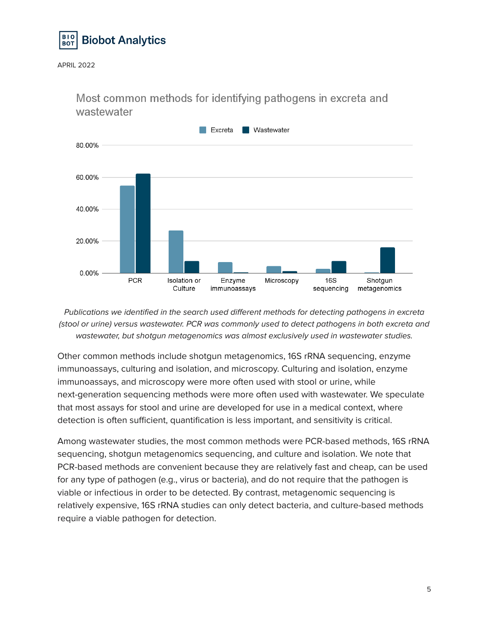



Most common methods for identifying pathogens in excreta and wastewater

Publications we identified in the search used different methods for detecting pathogens in excreta (stool or urine) versus wastewater. PCR was commonly used to detect pathogens in both excreta and wastewater, but shotgun metagenomics was almost exclusively used in wastewater studies.

Other common methods include shotgun metagenomics, 16S rRNA sequencing, enzyme immunoassays, culturing and isolation, and microscopy. Culturing and isolation, enzyme immunoassays, and microscopy were more often used with stool or urine, while next-generation sequencing methods were more often used with wastewater. We speculate that most assays for stool and urine are developed for use in a medical context, where detection is often sufficient, quantification is less important, and sensitivity is critical.

Among wastewater studies, the most common methods were PCR-based methods, 16S rRNA sequencing, shotgun metagenomics sequencing, and culture and isolation. We note that PCR-based methods are convenient because they are relatively fast and cheap, can be used for any type of pathogen (e.g., virus or bacteria), and do not require that the pathogen is viable or infectious in order to be detected. By contrast, metagenomic sequencing is relatively expensive, 16S rRNA studies can only detect bacteria, and culture-based methods require a viable pathogen for detection.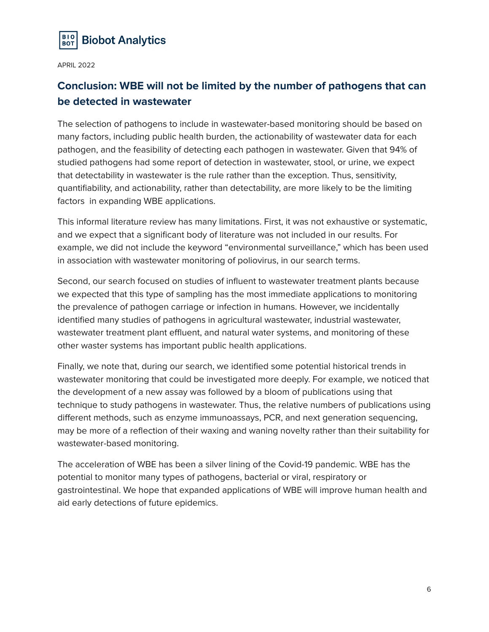

## **Conclusion: WBE will not be limited by the number of pathogens that can be detected in wastewater**

The selection of pathogens to include in wastewater-based monitoring should be based on many factors, including public health burden, the actionability of wastewater data for each pathogen, and the feasibility of detecting each pathogen in wastewater. Given that 94% of studied pathogens had some report of detection in wastewater, stool, or urine, we expect that detectability in wastewater is the rule rather than the exception. Thus, sensitivity, quantifiability, and actionability, rather than detectability, are more likely to be the limiting factors in expanding WBE applications.

This informal literature review has many limitations. First, it was not exhaustive or systematic, and we expect that a significant body of literature was not included in our results. For example, we did not include the keyword "environmental surveillance," which has been used in association with wastewater monitoring of poliovirus, in our search terms.

Second, our search focused on studies of influent to wastewater treatment plants because we expected that this type of sampling has the most immediate applications to monitoring the prevalence of pathogen carriage or infection in humans. However, we incidentally identified many studies of pathogens in agricultural wastewater, industrial wastewater, wastewater treatment plant effluent, and natural water systems, and monitoring of these other waster systems has important public health applications.

Finally, we note that, during our search, we identified some potential historical trends in wastewater monitoring that could be investigated more deeply. For example, we noticed that the development of a new assay was followed by a bloom of publications using that technique to study pathogens in wastewater. Thus, the relative numbers of publications using different methods, such as enzyme immunoassays, PCR, and next generation sequencing, may be more of a reflection of their waxing and waning novelty rather than their suitability for wastewater-based monitoring.

The acceleration of WBE has been a silver lining of the Covid-19 pandemic. WBE has the potential to monitor many types of pathogens, bacterial or viral, respiratory or gastrointestinal. We hope that expanded applications of WBE will improve human health and aid early detections of future epidemics.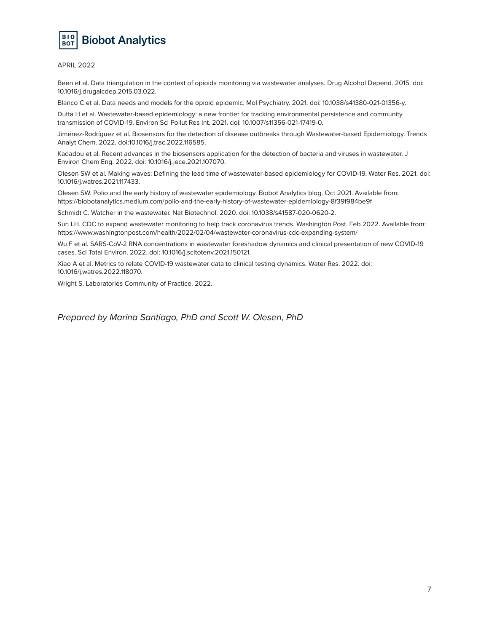

Been et al. Data triangulation in the context of opioids monitoring via wastewater analyses. Drug Alcohol Depend. 2015. doi: 10.1016/j.drugalcdep.2015.03.022.

Blanco C et al. Data needs and models for the opioid epidemic. Mol Psychiatry. 2021. doi: 10.1038/s41380-021-01356-y.

Dutta H et al. Wastewater-based epidemiology: a new frontier for tracking environmental persistence and community transmission of COVID-19. Environ Sci Pollut Res Int. 2021. doi: 10.1007/s11356-021-17419-0.

Jiménez-Rodríguez et al. Biosensors for the detection of disease outbreaks through Wastewater-based Epidemiology. Trends Analyt Chem. 2022. doi:10.1016/j.trac.2022.116585.

Kadadou et al. Recent advances in the biosensors application for the detection of bacteria and viruses in wastewater. J Environ Chem Eng. 2022. doi: 10.1016/j.jece.2021.107070.

Olesen SW et al. Making waves: Defining the lead time of wastewater-based epidemiology for COVID-19. Water Res. 2021. doi: 10.1016/j.watres.2021.117433.

Olesen SW. Polio and the early history of wastewater epidemiology. Biobot Analytics blog. Oct 2021. Available from: https://biobotanalytics.medium.com/polio-and-the-early-history-of-wastewater-epidemiology-8f39f984be9f

Schmidt C. Watcher in the wastewater. Nat Biotechnol. 2020. doi: 10.1038/s41587-020-0620-2.

Sun LH. CDC to expand wastewater monitoring to help track coronavirus trends. Washington Post. Feb 2022. Available from: https://www.washingtonpost.com/health/2022/02/04/wastewater-coronavirus-cdc-expanding-system/

Wu F et al. SARS-CoV-2 RNA concentrations in wastewater foreshadow dynamics and clinical presentation of new COVID-19 cases. Sci Total Environ. 2022. doi: 10.1016/j.scitotenv.2021.150121.

Xiao A et al. Metrics to relate COVID-19 wastewater data to clinical testing dynamics. Water Res. 2022. doi: 10.1016/j.watres.2022.118070.

Wright S. Laboratories Community of Practice. 2022.

Prepared by Marina Santiago, PhD and Scott W. Olesen, PhD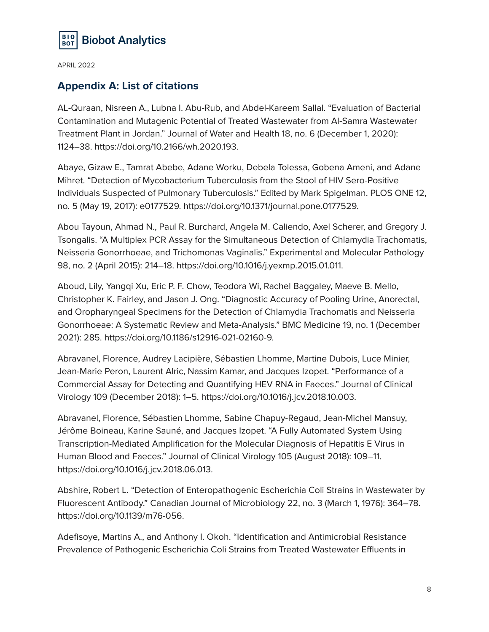

#### **Appendix A: List of citations**

AL-Quraan, Nisreen A., Lubna I. Abu-Rub, and Abdel-Kareem Sallal. "Evaluation of Bacterial Contamination and Mutagenic Potential of Treated Wastewater from Al-Samra Wastewater Treatment Plant in Jordan." Journal of Water and Health 18, no. 6 (December 1, 2020): 1124–38. https://doi.org/10.2166/wh.2020.193.

Abaye, Gizaw E., Tamrat Abebe, Adane Worku, Debela Tolessa, Gobena Ameni, and Adane Mihret. "Detection of Mycobacterium Tuberculosis from the Stool of HIV Sero-Positive Individuals Suspected of Pulmonary Tuberculosis." Edited by Mark Spigelman. PLOS ONE 12, no. 5 (May 19, 2017): e0177529. https://doi.org/10.1371/journal.pone.0177529.

Abou Tayoun, Ahmad N., Paul R. Burchard, Angela M. Caliendo, Axel Scherer, and Gregory J. Tsongalis. "A Multiplex PCR Assay for the Simultaneous Detection of Chlamydia Trachomatis, Neisseria Gonorrhoeae, and Trichomonas Vaginalis." Experimental and Molecular Pathology 98, no. 2 (April 2015): 214–18. https://doi.org/10.1016/j.yexmp.2015.01.011.

Aboud, Lily, Yangqi Xu, Eric P. F. Chow, Teodora Wi, Rachel Baggaley, Maeve B. Mello, Christopher K. Fairley, and Jason J. Ong. "Diagnostic Accuracy of Pooling Urine, Anorectal, and Oropharyngeal Specimens for the Detection of Chlamydia Trachomatis and Neisseria Gonorrhoeae: A Systematic Review and Meta-Analysis." BMC Medicine 19, no. 1 (December 2021): 285. https://doi.org/10.1186/s12916-021-02160-9.

Abravanel, Florence, Audrey Lacipière, Sébastien Lhomme, Martine Dubois, Luce Minier, Jean-Marie Peron, Laurent Alric, Nassim Kamar, and Jacques Izopet. "Performance of a Commercial Assay for Detecting and Quantifying HEV RNA in Faeces." Journal of Clinical Virology 109 (December 2018): 1–5. https://doi.org/10.1016/j.jcv.2018.10.003.

Abravanel, Florence, Sébastien Lhomme, Sabine Chapuy-Regaud, Jean-Michel Mansuy, Jérôme Boineau, Karine Sauné, and Jacques Izopet. "A Fully Automated System Using Transcription-Mediated Amplification for the Molecular Diagnosis of Hepatitis E Virus in Human Blood and Faeces." Journal of Clinical Virology 105 (August 2018): 109–11. https://doi.org/10.1016/j.jcv.2018.06.013.

Abshire, Robert L. "Detection of Enteropathogenic Escherichia Coli Strains in Wastewater by Fluorescent Antibody." Canadian Journal of Microbiology 22, no. 3 (March 1, 1976): 364–78. https://doi.org/10.1139/m76-056.

Adefisoye, Martins A., and Anthony I. Okoh. "Identification and Antimicrobial Resistance Prevalence of Pathogenic Escherichia Coli Strains from Treated Wastewater Effluents in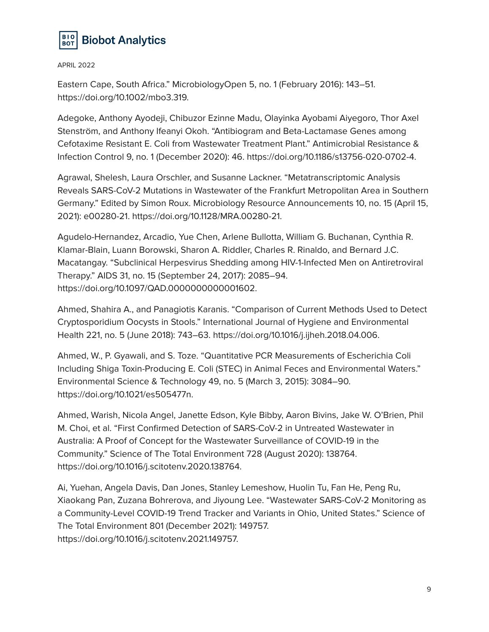

Eastern Cape, South Africa." MicrobiologyOpen 5, no. 1 (February 2016): 143–51. https://doi.org/10.1002/mbo3.319.

Adegoke, Anthony Ayodeji, Chibuzor Ezinne Madu, Olayinka Ayobami Aiyegoro, Thor Axel Stenström, and Anthony Ifeanyi Okoh. "Antibiogram and Beta-Lactamase Genes among Cefotaxime Resistant E. Coli from Wastewater Treatment Plant." Antimicrobial Resistance & Infection Control 9, no. 1 (December 2020): 46. https://doi.org/10.1186/s13756-020-0702-4.

Agrawal, Shelesh, Laura Orschler, and Susanne Lackner. "Metatranscriptomic Analysis Reveals SARS-CoV-2 Mutations in Wastewater of the Frankfurt Metropolitan Area in Southern Germany." Edited by Simon Roux. Microbiology Resource Announcements 10, no. 15 (April 15, 2021): e00280-21. https://doi.org/10.1128/MRA.00280-21.

Agudelo-Hernandez, Arcadio, Yue Chen, Arlene Bullotta, William G. Buchanan, Cynthia R. Klamar-Blain, Luann Borowski, Sharon A. Riddler, Charles R. Rinaldo, and Bernard J.C. Macatangay. "Subclinical Herpesvirus Shedding among HIV-1-Infected Men on Antiretroviral Therapy." AIDS 31, no. 15 (September 24, 2017): 2085–94. https://doi.org/10.1097/QAD.0000000000001602.

Ahmed, Shahira A., and Panagiotis Karanis. "Comparison of Current Methods Used to Detect Cryptosporidium Oocysts in Stools." International Journal of Hygiene and Environmental Health 221, no. 5 (June 2018): 743–63. https://doi.org/10.1016/j.ijheh.2018.04.006.

Ahmed, W., P. Gyawali, and S. Toze. "Quantitative PCR Measurements of Escherichia Coli Including Shiga Toxin-Producing E. Coli (STEC) in Animal Feces and Environmental Waters." Environmental Science & Technology 49, no. 5 (March 3, 2015): 3084–90. https://doi.org/10.1021/es505477n.

Ahmed, Warish, Nicola Angel, Janette Edson, Kyle Bibby, Aaron Bivins, Jake W. O'Brien, Phil M. Choi, et al. "First Confirmed Detection of SARS-CoV-2 in Untreated Wastewater in Australia: A Proof of Concept for the Wastewater Surveillance of COVID-19 in the Community." Science of The Total Environment 728 (August 2020): 138764. https://doi.org/10.1016/j.scitotenv.2020.138764.

Ai, Yuehan, Angela Davis, Dan Jones, Stanley Lemeshow, Huolin Tu, Fan He, Peng Ru, Xiaokang Pan, Zuzana Bohrerova, and Jiyoung Lee. "Wastewater SARS-CoV-2 Monitoring as a Community-Level COVID-19 Trend Tracker and Variants in Ohio, United States." Science of The Total Environment 801 (December 2021): 149757. https://doi.org/10.1016/j.scitotenv.2021.149757.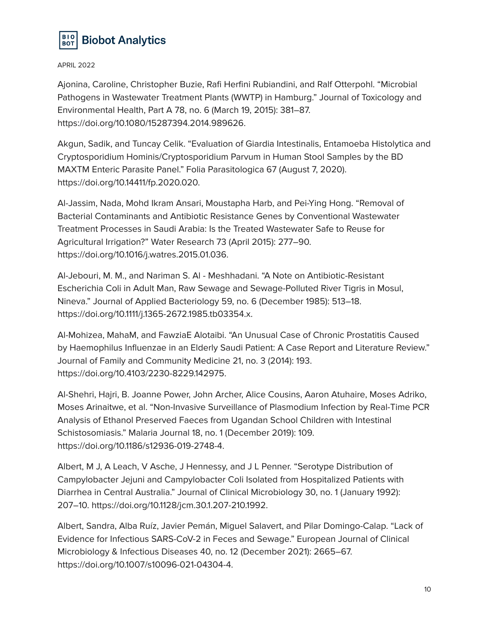

Ajonina, Caroline, Christopher Buzie, Rafi Herfini Rubiandini, and Ralf Otterpohl. "Microbial Pathogens in Wastewater Treatment Plants (WWTP) in Hamburg." Journal of Toxicology and Environmental Health, Part A 78, no. 6 (March 19, 2015): 381–87. https://doi.org/10.1080/15287394.2014.989626.

Akgun, Sadik, and Tuncay Celik. "Evaluation of Giardia Intestinalis, Entamoeba Histolytica and Cryptosporidium Hominis/Cryptosporidium Parvum in Human Stool Samples by the BD MAXTM Enteric Parasite Panel." Folia Parasitologica 67 (August 7, 2020). https://doi.org/10.14411/fp.2020.020.

Al-Jassim, Nada, Mohd Ikram Ansari, Moustapha Harb, and Pei-Ying Hong. "Removal of Bacterial Contaminants and Antibiotic Resistance Genes by Conventional Wastewater Treatment Processes in Saudi Arabia: Is the Treated Wastewater Safe to Reuse for Agricultural Irrigation?" Water Research 73 (April 2015): 277–90. https://doi.org/10.1016/j.watres.2015.01.036.

Al-Jebouri, M. M., and Nariman S. Al - Meshhadani. "A Note on Antibiotic-Resistant Escherichia Coli in Adult Man, Raw Sewage and Sewage-Polluted River Tigris in Mosul, Nineva." Journal of Applied Bacteriology 59, no. 6 (December 1985): 513–18. https://doi.org/10.1111/j.1365-2672.1985.tb03354.x.

Al-Mohizea, MahaM, and FawziaE Alotaibi. "An Unusual Case of Chronic Prostatitis Caused by Haemophilus Influenzae in an Elderly Saudi Patient: A Case Report and Literature Review." Journal of Family and Community Medicine 21, no. 3 (2014): 193. https://doi.org/10.4103/2230-8229.142975.

Al-Shehri, Hajri, B. Joanne Power, John Archer, Alice Cousins, Aaron Atuhaire, Moses Adriko, Moses Arinaitwe, et al. "Non-Invasive Surveillance of Plasmodium Infection by Real-Time PCR Analysis of Ethanol Preserved Faeces from Ugandan School Children with Intestinal Schistosomiasis." Malaria Journal 18, no. 1 (December 2019): 109. https://doi.org/10.1186/s12936-019-2748-4.

Albert, M J, A Leach, V Asche, J Hennessy, and J L Penner. "Serotype Distribution of Campylobacter Jejuni and Campylobacter Coli Isolated from Hospitalized Patients with Diarrhea in Central Australia." Journal of Clinical Microbiology 30, no. 1 (January 1992): 207–10. https://doi.org/10.1128/jcm.30.1.207-210.1992.

Albert, Sandra, Alba Ruíz, Javier Pemán, Miguel Salavert, and Pilar Domingo-Calap. "Lack of Evidence for Infectious SARS-CoV-2 in Feces and Sewage." European Journal of Clinical Microbiology & Infectious Diseases 40, no. 12 (December 2021): 2665–67. https://doi.org/10.1007/s10096-021-04304-4.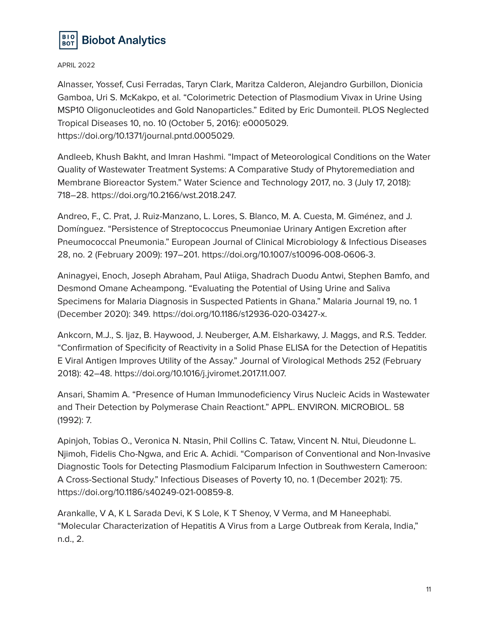

Alnasser, Yossef, Cusi Ferradas, Taryn Clark, Maritza Calderon, Alejandro Gurbillon, Dionicia Gamboa, Uri S. McKakpo, et al. "Colorimetric Detection of Plasmodium Vivax in Urine Using MSP10 Oligonucleotides and Gold Nanoparticles." Edited by Eric Dumonteil. PLOS Neglected Tropical Diseases 10, no. 10 (October 5, 2016): e0005029. https://doi.org/10.1371/journal.pntd.0005029.

Andleeb, Khush Bakht, and Imran Hashmi. "Impact of Meteorological Conditions on the Water Quality of Wastewater Treatment Systems: A Comparative Study of Phytoremediation and Membrane Bioreactor System." Water Science and Technology 2017, no. 3 (July 17, 2018): 718–28. https://doi.org/10.2166/wst.2018.247.

Andreo, F., C. Prat, J. Ruiz-Manzano, L. Lores, S. Blanco, M. A. Cuesta, M. Giménez, and J. Domínguez. "Persistence of Streptococcus Pneumoniae Urinary Antigen Excretion after Pneumococcal Pneumonia." European Journal of Clinical Microbiology & Infectious Diseases 28, no. 2 (February 2009): 197–201. https://doi.org/10.1007/s10096-008-0606-3.

Aninagyei, Enoch, Joseph Abraham, Paul Atiiga, Shadrach Duodu Antwi, Stephen Bamfo, and Desmond Omane Acheampong. "Evaluating the Potential of Using Urine and Saliva Specimens for Malaria Diagnosis in Suspected Patients in Ghana." Malaria Journal 19, no. 1 (December 2020): 349. https://doi.org/10.1186/s12936-020-03427-x.

Ankcorn, M.J., S. Ijaz, B. Haywood, J. Neuberger, A.M. Elsharkawy, J. Maggs, and R.S. Tedder. "Confirmation of Specificity of Reactivity in a Solid Phase ELISA for the Detection of Hepatitis E Viral Antigen Improves Utility of the Assay." Journal of Virological Methods 252 (February 2018): 42–48. https://doi.org/10.1016/j.jviromet.2017.11.007.

Ansari, Shamim A. "Presence of Human Immunodeficiency Virus Nucleic Acids in Wastewater and Their Detection by Polymerase Chain Reactiont." APPL. ENVIRON. MICROBIOL. 58 (1992): 7.

Apinjoh, Tobias O., Veronica N. Ntasin, Phil Collins C. Tataw, Vincent N. Ntui, Dieudonne L. Njimoh, Fidelis Cho-Ngwa, and Eric A. Achidi. "Comparison of Conventional and Non-Invasive Diagnostic Tools for Detecting Plasmodium Falciparum Infection in Southwestern Cameroon: A Cross-Sectional Study." Infectious Diseases of Poverty 10, no. 1 (December 2021): 75. https://doi.org/10.1186/s40249-021-00859-8.

Arankalle, V A, K L Sarada Devi, K S Lole, K T Shenoy, V Verma, and M Haneephabi. "Molecular Characterization of Hepatitis A Virus from a Large Outbreak from Kerala, India," n.d., 2.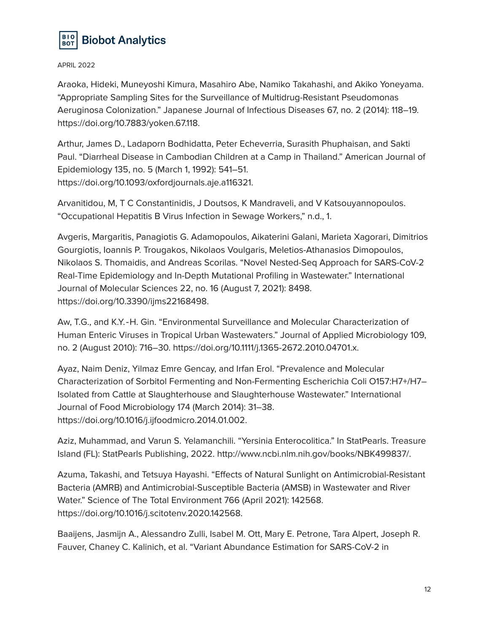

Araoka, Hideki, Muneyoshi Kimura, Masahiro Abe, Namiko Takahashi, and Akiko Yoneyama. "Appropriate Sampling Sites for the Surveillance of Multidrug-Resistant Pseudomonas Aeruginosa Colonization." Japanese Journal of Infectious Diseases 67, no. 2 (2014): 118–19. https://doi.org/10.7883/yoken.67.118.

Arthur, James D., Ladaporn Bodhidatta, Peter Echeverria, Surasith Phuphaisan, and Sakti Paul. "Diarrheal Disease in Cambodian Children at a Camp in Thailand." American Journal of Epidemiology 135, no. 5 (March 1, 1992): 541–51. https://doi.org/10.1093/oxfordjournals.aje.a116321.

Arvanitidou, M, T C Constantinidis, J Doutsos, K Mandraveli, and V Katsouyannopoulos. "Occupational Hepatitis B Virus Infection in Sewage Workers," n.d., 1.

Avgeris, Margaritis, Panagiotis G. Adamopoulos, Aikaterini Galani, Marieta Xagorari, Dimitrios Gourgiotis, Ioannis P. Trougakos, Nikolaos Voulgaris, Meletios-Athanasios Dimopoulos, Nikolaos S. Thomaidis, and Andreas Scorilas. "Novel Nested-Seq Approach for SARS-CoV-2 Real-Time Epidemiology and In-Depth Mutational Profiling in Wastewater." International Journal of Molecular Sciences 22, no. 16 (August 7, 2021): 8498. https://doi.org/10.3390/ijms22168498.

Aw, T.G., and K.Y.‐H. Gin. "Environmental Surveillance and Molecular Characterization of Human Enteric Viruses in Tropical Urban Wastewaters." Journal of Applied Microbiology 109, no. 2 (August 2010): 716–30. https://doi.org/10.1111/j.1365-2672.2010.04701.x.

Ayaz, Naim Deniz, Yilmaz Emre Gencay, and Irfan Erol. "Prevalence and Molecular Characterization of Sorbitol Fermenting and Non-Fermenting Escherichia Coli O157:H7+/H7– Isolated from Cattle at Slaughterhouse and Slaughterhouse Wastewater." International Journal of Food Microbiology 174 (March 2014): 31–38. https://doi.org/10.1016/j.ijfoodmicro.2014.01.002.

Aziz, Muhammad, and Varun S. Yelamanchili. "Yersinia Enterocolitica." In StatPearls. Treasure Island (FL): StatPearls Publishing, 2022. http://www.ncbi.nlm.nih.gov/books/NBK499837/.

Azuma, Takashi, and Tetsuya Hayashi. "Effects of Natural Sunlight on Antimicrobial-Resistant Bacteria (AMRB) and Antimicrobial-Susceptible Bacteria (AMSB) in Wastewater and River Water." Science of The Total Environment 766 (April 2021): 142568. https://doi.org/10.1016/j.scitotenv.2020.142568.

Baaijens, Jasmijn A., Alessandro Zulli, Isabel M. Ott, Mary E. Petrone, Tara Alpert, Joseph R. Fauver, Chaney C. Kalinich, et al. "Variant Abundance Estimation for SARS-CoV-2 in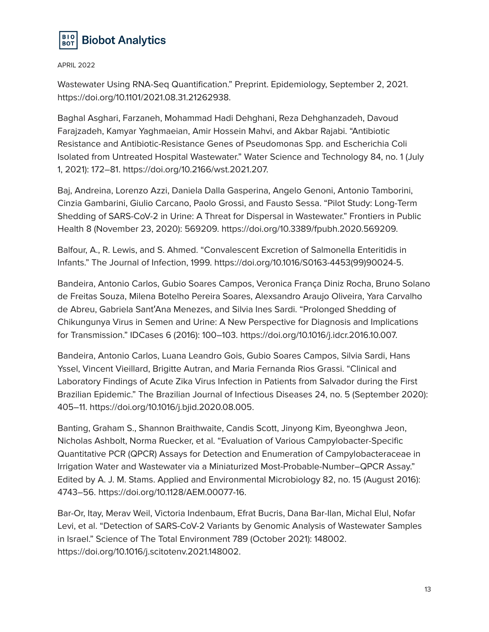

Wastewater Using RNA-Seq Quantification." Preprint. Epidemiology, September 2, 2021. https://doi.org/10.1101/2021.08.31.21262938.

Baghal Asghari, Farzaneh, Mohammad Hadi Dehghani, Reza Dehghanzadeh, Davoud Farajzadeh, Kamyar Yaghmaeian, Amir Hossein Mahvi, and Akbar Rajabi. "Antibiotic Resistance and Antibiotic-Resistance Genes of Pseudomonas Spp. and Escherichia Coli Isolated from Untreated Hospital Wastewater." Water Science and Technology 84, no. 1 (July 1, 2021): 172–81. https://doi.org/10.2166/wst.2021.207.

Baj, Andreina, Lorenzo Azzi, Daniela Dalla Gasperina, Angelo Genoni, Antonio Tamborini, Cinzia Gambarini, Giulio Carcano, Paolo Grossi, and Fausto Sessa. "Pilot Study: Long-Term Shedding of SARS-CoV-2 in Urine: A Threat for Dispersal in Wastewater." Frontiers in Public Health 8 (November 23, 2020): 569209. https://doi.org/10.3389/fpubh.2020.569209.

Balfour, A., R. Lewis, and S. Ahmed. "Convalescent Excretion of Salmonella Enteritidis in Infants." The Journal of Infection, 1999. https://doi.org/10.1016/S0163-4453(99)90024-5.

Bandeira, Antonio Carlos, Gubio Soares Campos, Veronica França Diniz Rocha, Bruno Solano de Freitas Souza, Milena Botelho Pereira Soares, Alexsandro Araujo Oliveira, Yara Carvalho de Abreu, Gabriela Sant′Ana Menezes, and Silvia Ines Sardi. "Prolonged Shedding of Chikungunya Virus in Semen and Urine: A New Perspective for Diagnosis and Implications for Transmission." IDCases 6 (2016): 100–103. https://doi.org/10.1016/j.idcr.2016.10.007.

Bandeira, Antonio Carlos, Luana Leandro Gois, Gubio Soares Campos, Silvia Sardi, Hans Yssel, Vincent Vieillard, Brigitte Autran, and Maria Fernanda Rios Grassi. "Clinical and Laboratory Findings of Acute Zika Virus Infection in Patients from Salvador during the First Brazilian Epidemic." The Brazilian Journal of Infectious Diseases 24, no. 5 (September 2020): 405–11. https://doi.org/10.1016/j.bjid.2020.08.005.

Banting, Graham S., Shannon Braithwaite, Candis Scott, Jinyong Kim, Byeonghwa Jeon, Nicholas Ashbolt, Norma Ruecker, et al. "Evaluation of Various Campylobacter-Specific Quantitative PCR (QPCR) Assays for Detection and Enumeration of Campylobacteraceae in Irrigation Water and Wastewater via a Miniaturized Most-Probable-Number–QPCR Assay." Edited by A. J. M. Stams. Applied and Environmental Microbiology 82, no. 15 (August 2016): 4743–56. https://doi.org/10.1128/AEM.00077-16.

Bar-Or, Itay, Merav Weil, Victoria Indenbaum, Efrat Bucris, Dana Bar-Ilan, Michal Elul, Nofar Levi, et al. "Detection of SARS-CoV-2 Variants by Genomic Analysis of Wastewater Samples in Israel." Science of The Total Environment 789 (October 2021): 148002. https://doi.org/10.1016/j.scitotenv.2021.148002.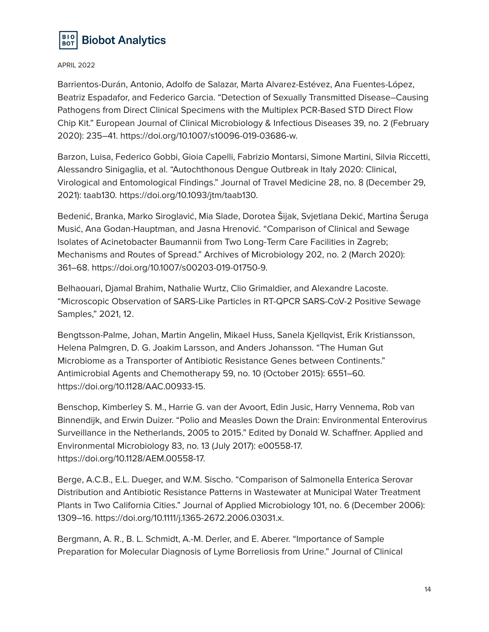

Barrientos-Durán, Antonio, Adolfo de Salazar, Marta Alvarez-Estévez, Ana Fuentes-López, Beatriz Espadafor, and Federico Garcia. "Detection of Sexually Transmitted Disease–Causing Pathogens from Direct Clinical Specimens with the Multiplex PCR-Based STD Direct Flow Chip Kit." European Journal of Clinical Microbiology & Infectious Diseases 39, no. 2 (February 2020): 235–41. https://doi.org/10.1007/s10096-019-03686-w.

Barzon, Luisa, Federico Gobbi, Gioia Capelli, Fabrizio Montarsi, Simone Martini, Silvia Riccetti, Alessandro Sinigaglia, et al. "Autochthonous Dengue Outbreak in Italy 2020: Clinical, Virological and Entomological Findings." Journal of Travel Medicine 28, no. 8 (December 29, 2021): taab130. https://doi.org/10.1093/jtm/taab130.

Bedenić, Branka, Marko Siroglavić, Mia Slade, Dorotea Šijak, Svjetlana Dekić, Martina Šeruga Musić, Ana Godan-Hauptman, and Jasna Hrenović. "Comparison of Clinical and Sewage Isolates of Acinetobacter Baumannii from Two Long-Term Care Facilities in Zagreb; Mechanisms and Routes of Spread." Archives of Microbiology 202, no. 2 (March 2020): 361–68. https://doi.org/10.1007/s00203-019-01750-9.

Belhaouari, Djamal Brahim, Nathalie Wurtz, Clio Grimaldier, and Alexandre Lacoste. "Microscopic Observation of SARS-Like Particles in RT-QPCR SARS-CoV-2 Positive Sewage Samples," 2021, 12.

Bengtsson-Palme, Johan, Martin Angelin, Mikael Huss, Sanela Kjellqvist, Erik Kristiansson, Helena Palmgren, D. G. Joakim Larsson, and Anders Johansson. "The Human Gut Microbiome as a Transporter of Antibiotic Resistance Genes between Continents." Antimicrobial Agents and Chemotherapy 59, no. 10 (October 2015): 6551–60. https://doi.org/10.1128/AAC.00933-15.

Benschop, Kimberley S. M., Harrie G. van der Avoort, Edin Jusic, Harry Vennema, Rob van Binnendijk, and Erwin Duizer. "Polio and Measles Down the Drain: Environmental Enterovirus Surveillance in the Netherlands, 2005 to 2015." Edited by Donald W. Schaffner. Applied and Environmental Microbiology 83, no. 13 (July 2017): e00558-17. https://doi.org/10.1128/AEM.00558-17.

Berge, A.C.B., E.L. Dueger, and W.M. Sischo. "Comparison of Salmonella Enterica Serovar Distribution and Antibiotic Resistance Patterns in Wastewater at Municipal Water Treatment Plants in Two California Cities." Journal of Applied Microbiology 101, no. 6 (December 2006): 1309–16. https://doi.org/10.1111/j.1365-2672.2006.03031.x.

Bergmann, A. R., B. L. Schmidt, A.-M. Derler, and E. Aberer. "Importance of Sample Preparation for Molecular Diagnosis of Lyme Borreliosis from Urine." Journal of Clinical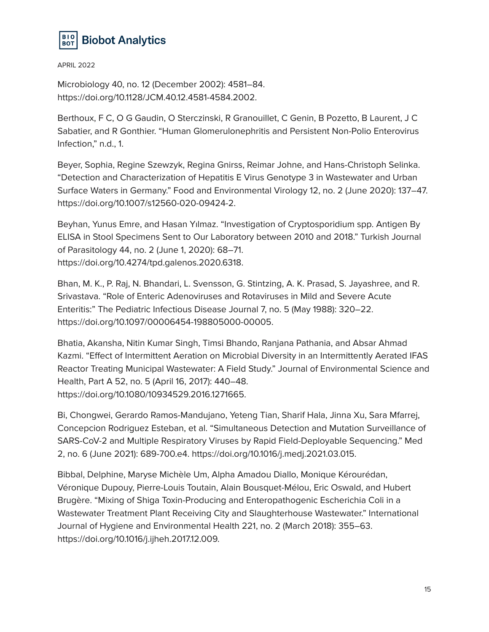

Microbiology 40, no. 12 (December 2002): 4581–84. https://doi.org/10.1128/JCM.40.12.4581-4584.2002.

Berthoux, F C, O G Gaudin, O Sterczinski, R Granouillet, C Genin, B Pozetto, B Laurent, J C Sabatier, and R Gonthier. "Human Glomerulonephritis and Persistent Non-Polio Enterovirus Infection," n.d., 1.

Beyer, Sophia, Regine Szewzyk, Regina Gnirss, Reimar Johne, and Hans-Christoph Selinka. "Detection and Characterization of Hepatitis E Virus Genotype 3 in Wastewater and Urban Surface Waters in Germany." Food and Environmental Virology 12, no. 2 (June 2020): 137–47. https://doi.org/10.1007/s12560-020-09424-2.

Beyhan, Yunus Emre, and Hasan Yılmaz. "Investigation of Cryptosporidium spp. Antigen By ELISA in Stool Specimens Sent to Our Laboratory between 2010 and 2018." Turkish Journal of Parasitology 44, no. 2 (June 1, 2020): 68–71. https://doi.org/10.4274/tpd.galenos.2020.6318.

Bhan, M. K., P. Raj, N. Bhandari, L. Svensson, G. Stintzing, A. K. Prasad, S. Jayashree, and R. Srivastava. "Role of Enteric Adenoviruses and Rotaviruses in Mild and Severe Acute Enteritis:" The Pediatric Infectious Disease Journal 7, no. 5 (May 1988): 320–22. https://doi.org/10.1097/00006454-198805000-00005.

Bhatia, Akansha, Nitin Kumar Singh, Timsi Bhando, Ranjana Pathania, and Absar Ahmad Kazmi. "Effect of Intermittent Aeration on Microbial Diversity in an Intermittently Aerated IFAS Reactor Treating Municipal Wastewater: A Field Study." Journal of Environmental Science and Health, Part A 52, no. 5 (April 16, 2017): 440–48. https://doi.org/10.1080/10934529.2016.1271665.

Bi, Chongwei, Gerardo Ramos-Mandujano, Yeteng Tian, Sharif Hala, Jinna Xu, Sara Mfarrej, Concepcion Rodriguez Esteban, et al. "Simultaneous Detection and Mutation Surveillance of SARS-CoV-2 and Multiple Respiratory Viruses by Rapid Field-Deployable Sequencing." Med 2, no. 6 (June 2021): 689-700.e4. https://doi.org/10.1016/j.medj.2021.03.015.

Bibbal, Delphine, Maryse Michèle Um, Alpha Amadou Diallo, Monique Kérourédan, Véronique Dupouy, Pierre-Louis Toutain, Alain Bousquet-Mélou, Eric Oswald, and Hubert Brugère. "Mixing of Shiga Toxin-Producing and Enteropathogenic Escherichia Coli in a Wastewater Treatment Plant Receiving City and Slaughterhouse Wastewater." International Journal of Hygiene and Environmental Health 221, no. 2 (March 2018): 355–63. https://doi.org/10.1016/j.ijheh.2017.12.009.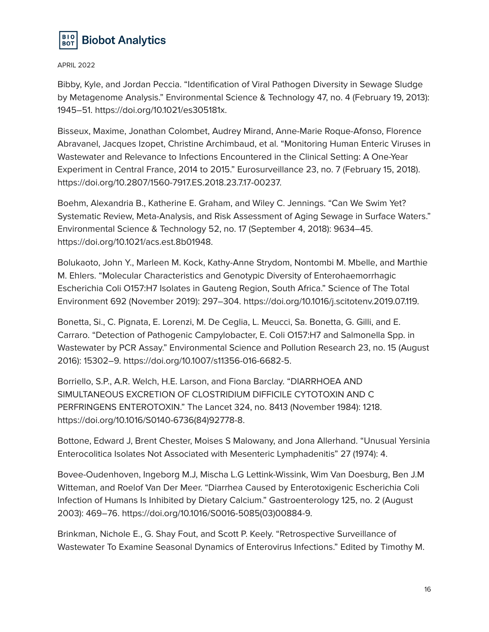

Bibby, Kyle, and Jordan Peccia. "Identification of Viral Pathogen Diversity in Sewage Sludge by Metagenome Analysis." Environmental Science & Technology 47, no. 4 (February 19, 2013): 1945–51. https://doi.org/10.1021/es305181x.

Bisseux, Maxime, Jonathan Colombet, Audrey Mirand, Anne-Marie Roque-Afonso, Florence Abravanel, Jacques Izopet, Christine Archimbaud, et al. "Monitoring Human Enteric Viruses in Wastewater and Relevance to Infections Encountered in the Clinical Setting: A One-Year Experiment in Central France, 2014 to 2015." Eurosurveillance 23, no. 7 (February 15, 2018). https://doi.org/10.2807/1560-7917.ES.2018.23.7.17-00237.

Boehm, Alexandria B., Katherine E. Graham, and Wiley C. Jennings. "Can We Swim Yet? Systematic Review, Meta-Analysis, and Risk Assessment of Aging Sewage in Surface Waters." Environmental Science & Technology 52, no. 17 (September 4, 2018): 9634–45. https://doi.org/10.1021/acs.est.8b01948.

Bolukaoto, John Y., Marleen M. Kock, Kathy-Anne Strydom, Nontombi M. Mbelle, and Marthie M. Ehlers. "Molecular Characteristics and Genotypic Diversity of Enterohaemorrhagic Escherichia Coli O157:H7 Isolates in Gauteng Region, South Africa." Science of The Total Environment 692 (November 2019): 297–304. https://doi.org/10.1016/j.scitotenv.2019.07.119.

Bonetta, Si., C. Pignata, E. Lorenzi, M. De Ceglia, L. Meucci, Sa. Bonetta, G. Gilli, and E. Carraro. "Detection of Pathogenic Campylobacter, E. Coli O157:H7 and Salmonella Spp. in Wastewater by PCR Assay." Environmental Science and Pollution Research 23, no. 15 (August 2016): 15302–9. https://doi.org/10.1007/s11356-016-6682-5.

Borriello, S.P., A.R. Welch, H.E. Larson, and Fiona Barclay. "DIARRHOEA AND SIMULTANEOUS EXCRETION OF CLOSTRIDIUM DIFFICILE CYTOTOXIN AND C PERFRINGENS ENTEROTOXIN." The Lancet 324, no. 8413 (November 1984): 1218. https://doi.org/10.1016/S0140-6736(84)92778-8.

Bottone, Edward J, Brent Chester, Moises S Malowany, and Jona Allerhand. "Unusual Yersinia Enterocolitica Isolates Not Associated with Mesenteric Lymphadenitis" 27 (1974): 4.

Bovee-Oudenhoven, Ingeborg M.J, Mischa L.G Lettink-Wissink, Wim Van Doesburg, Ben J.M Witteman, and Roelof Van Der Meer. "Diarrhea Caused by Enterotoxigenic Escherichia Coli Infection of Humans Is Inhibited by Dietary Calcium." Gastroenterology 125, no. 2 (August 2003): 469–76. https://doi.org/10.1016/S0016-5085(03)00884-9.

Brinkman, Nichole E., G. Shay Fout, and Scott P. Keely. "Retrospective Surveillance of Wastewater To Examine Seasonal Dynamics of Enterovirus Infections." Edited by Timothy M.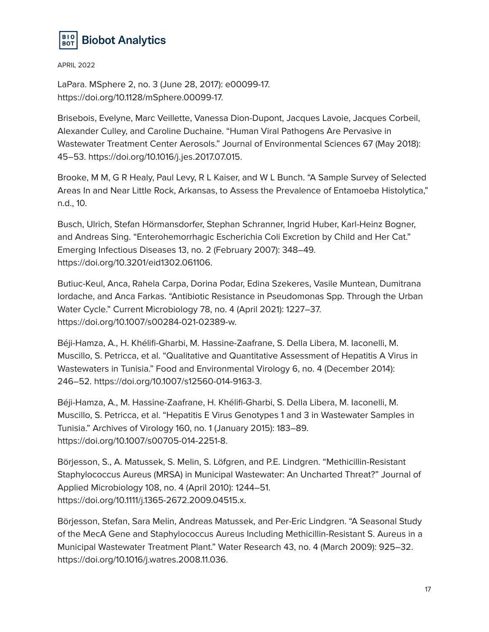

LaPara. MSphere 2, no. 3 (June 28, 2017): e00099-17. https://doi.org/10.1128/mSphere.00099-17.

Brisebois, Evelyne, Marc Veillette, Vanessa Dion-Dupont, Jacques Lavoie, Jacques Corbeil, Alexander Culley, and Caroline Duchaine. "Human Viral Pathogens Are Pervasive in Wastewater Treatment Center Aerosols." Journal of Environmental Sciences 67 (May 2018): 45–53. https://doi.org/10.1016/j.jes.2017.07.015.

Brooke, M M, G R Healy, Paul Levy, R L Kaiser, and W L Bunch. "A Sample Survey of Selected Areas In and Near Little Rock, Arkansas, to Assess the Prevalence of Entamoeba Histolytica," n.d., 10.

Busch, Ulrich, Stefan Hörmansdorfer, Stephan Schranner, Ingrid Huber, Karl-Heinz Bogner, and Andreas Sing. "Enterohemorrhagic Escherichia Coli Excretion by Child and Her Cat." Emerging Infectious Diseases 13, no. 2 (February 2007): 348–49. https://doi.org/10.3201/eid1302.061106.

Butiuc-Keul, Anca, Rahela Carpa, Dorina Podar, Edina Szekeres, Vasile Muntean, Dumitrana Iordache, and Anca Farkas. "Antibiotic Resistance in Pseudomonas Spp. Through the Urban Water Cycle." Current Microbiology 78, no. 4 (April 2021): 1227–37. https://doi.org/10.1007/s00284-021-02389-w.

Béji-Hamza, A., H. Khélifi-Gharbi, M. Hassine-Zaafrane, S. Della Libera, M. Iaconelli, M. Muscillo, S. Petricca, et al. "Qualitative and Quantitative Assessment of Hepatitis A Virus in Wastewaters in Tunisia." Food and Environmental Virology 6, no. 4 (December 2014): 246–52. https://doi.org/10.1007/s12560-014-9163-3.

Béji-Hamza, A., M. Hassine-Zaafrane, H. Khélifi-Gharbi, S. Della Libera, M. Iaconelli, M. Muscillo, S. Petricca, et al. "Hepatitis E Virus Genotypes 1 and 3 in Wastewater Samples in Tunisia." Archives of Virology 160, no. 1 (January 2015): 183–89. https://doi.org/10.1007/s00705-014-2251-8.

Börjesson, S., A. Matussek, S. Melin, S. Löfgren, and P.E. Lindgren. "Methicillin-Resistant Staphylococcus Aureus (MRSA) in Municipal Wastewater: An Uncharted Threat?" Journal of Applied Microbiology 108, no. 4 (April 2010): 1244–51. https://doi.org/10.1111/j.1365-2672.2009.04515.x.

Börjesson, Stefan, Sara Melin, Andreas Matussek, and Per-Eric Lindgren. "A Seasonal Study of the MecA Gene and Staphylococcus Aureus Including Methicillin-Resistant S. Aureus in a Municipal Wastewater Treatment Plant." Water Research 43, no. 4 (March 2009): 925–32. https://doi.org/10.1016/j.watres.2008.11.036.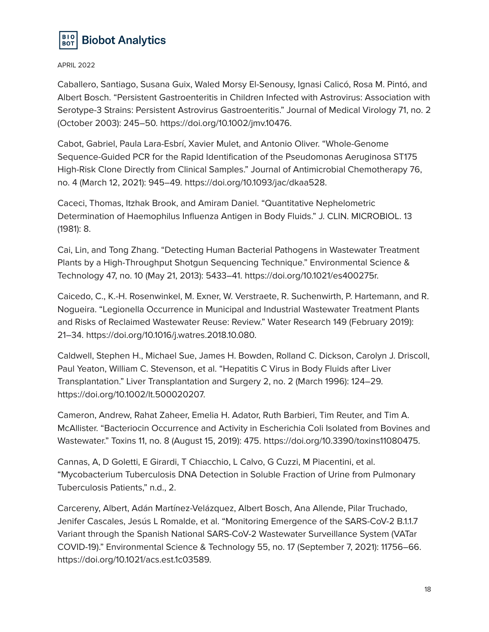

Caballero, Santiago, Susana Guix, Waled Morsy El-Senousy, Ignasi Calicó, Rosa M. Pintó, and Albert Bosch. "Persistent Gastroenteritis in Children Infected with Astrovirus: Association with Serotype-3 Strains: Persistent Astrovirus Gastroenteritis." Journal of Medical Virology 71, no. 2 (October 2003): 245–50. https://doi.org/10.1002/jmv.10476.

Cabot, Gabriel, Paula Lara-Esbrí, Xavier Mulet, and Antonio Oliver. "Whole-Genome Sequence-Guided PCR for the Rapid Identification of the Pseudomonas Aeruginosa ST175 High-Risk Clone Directly from Clinical Samples." Journal of Antimicrobial Chemotherapy 76, no. 4 (March 12, 2021): 945–49. https://doi.org/10.1093/jac/dkaa528.

Caceci, Thomas, Itzhak Brook, and Amiram Daniel. "Quantitative Nephelometric Determination of Haemophilus Influenza Antigen in Body Fluids." J. CLIN. MICROBIOL. 13 (1981): 8.

Cai, Lin, and Tong Zhang. "Detecting Human Bacterial Pathogens in Wastewater Treatment Plants by a High-Throughput Shotgun Sequencing Technique." Environmental Science & Technology 47, no. 10 (May 21, 2013): 5433–41. https://doi.org/10.1021/es400275r.

Caicedo, C., K.-H. Rosenwinkel, M. Exner, W. Verstraete, R. Suchenwirth, P. Hartemann, and R. Nogueira. "Legionella Occurrence in Municipal and Industrial Wastewater Treatment Plants and Risks of Reclaimed Wastewater Reuse: Review." Water Research 149 (February 2019): 21–34. https://doi.org/10.1016/j.watres.2018.10.080.

Caldwell, Stephen H., Michael Sue, James H. Bowden, Rolland C. Dickson, Carolyn J. Driscoll, Paul Yeaton, William C. Stevenson, et al. "Hepatitis C Virus in Body Fluids after Liver Transplantation." Liver Transplantation and Surgery 2, no. 2 (March 1996): 124–29. https://doi.org/10.1002/lt.500020207.

Cameron, Andrew, Rahat Zaheer, Emelia H. Adator, Ruth Barbieri, Tim Reuter, and Tim A. McAllister. "Bacteriocin Occurrence and Activity in Escherichia Coli Isolated from Bovines and Wastewater." Toxins 11, no. 8 (August 15, 2019): 475. https://doi.org/10.3390/toxins11080475.

Cannas, A, D Goletti, E Girardi, T Chiacchio, L Calvo, G Cuzzi, M Piacentini, et al. "Mycobacterium Tuberculosis DNA Detection in Soluble Fraction of Urine from Pulmonary Tuberculosis Patients," n.d., 2.

Carcereny, Albert, Adán Martínez-Velázquez, Albert Bosch, Ana Allende, Pilar Truchado, Jenifer Cascales, Jesús L Romalde, et al. "Monitoring Emergence of the SARS-CoV-2 B.1.1.7 Variant through the Spanish National SARS-CoV-2 Wastewater Surveillance System (VATar COVID-19)." Environmental Science & Technology 55, no. 17 (September 7, 2021): 11756–66. https://doi.org/10.1021/acs.est.1c03589.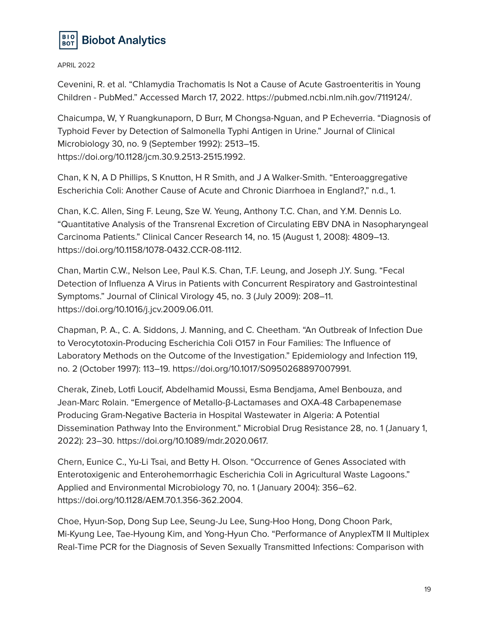

Cevenini, R. et al. "Chlamydia Trachomatis Is Not a Cause of Acute Gastroenteritis in Young Children - PubMed." Accessed March 17, 2022. https://pubmed.ncbi.nlm.nih.gov/7119124/.

Chaicumpa, W, Y Ruangkunaporn, D Burr, M Chongsa-Nguan, and P Echeverria. "Diagnosis of Typhoid Fever by Detection of Salmonella Typhi Antigen in Urine." Journal of Clinical Microbiology 30, no. 9 (September 1992): 2513–15. https://doi.org/10.1128/jcm.30.9.2513-2515.1992.

Chan, K N, A D Phillips, S Knutton, H R Smith, and J A Walker-Smith. "Enteroaggregative Escherichia Coli: Another Cause of Acute and Chronic Diarrhoea in England?," n.d., 1.

Chan, K.C. Allen, Sing F. Leung, Sze W. Yeung, Anthony T.C. Chan, and Y.M. Dennis Lo. "Quantitative Analysis of the Transrenal Excretion of Circulating EBV DNA in Nasopharyngeal Carcinoma Patients." Clinical Cancer Research 14, no. 15 (August 1, 2008): 4809–13. https://doi.org/10.1158/1078-0432.CCR-08-1112.

Chan, Martin C.W., Nelson Lee, Paul K.S. Chan, T.F. Leung, and Joseph J.Y. Sung. "Fecal Detection of Influenza A Virus in Patients with Concurrent Respiratory and Gastrointestinal Symptoms." Journal of Clinical Virology 45, no. 3 (July 2009): 208–11. https://doi.org/10.1016/j.jcv.2009.06.011.

Chapman, P. A., C. A. Siddons, J. Manning, and C. Cheetham. "An Outbreak of Infection Due to Verocytotoxin-Producing Escherichia Coli O157 in Four Families: The Influence of Laboratory Methods on the Outcome of the Investigation." Epidemiology and Infection 119, no. 2 (October 1997): 113–19. https://doi.org/10.1017/S0950268897007991.

Cherak, Zineb, Lotfi Loucif, Abdelhamid Moussi, Esma Bendjama, Amel Benbouza, and Jean-Marc Rolain. "Emergence of Metallo-β-Lactamases and OXA-48 Carbapenemase Producing Gram-Negative Bacteria in Hospital Wastewater in Algeria: A Potential Dissemination Pathway Into the Environment." Microbial Drug Resistance 28, no. 1 (January 1, 2022): 23–30. https://doi.org/10.1089/mdr.2020.0617.

Chern, Eunice C., Yu-Li Tsai, and Betty H. Olson. "Occurrence of Genes Associated with Enterotoxigenic and Enterohemorrhagic Escherichia Coli in Agricultural Waste Lagoons." Applied and Environmental Microbiology 70, no. 1 (January 2004): 356–62. https://doi.org/10.1128/AEM.70.1.356-362.2004.

Choe, Hyun-Sop, Dong Sup Lee, Seung-Ju Lee, Sung-Hoo Hong, Dong Choon Park, Mi-Kyung Lee, Tae-Hyoung Kim, and Yong-Hyun Cho. "Performance of AnyplexTM II Multiplex Real-Time PCR for the Diagnosis of Seven Sexually Transmitted Infections: Comparison with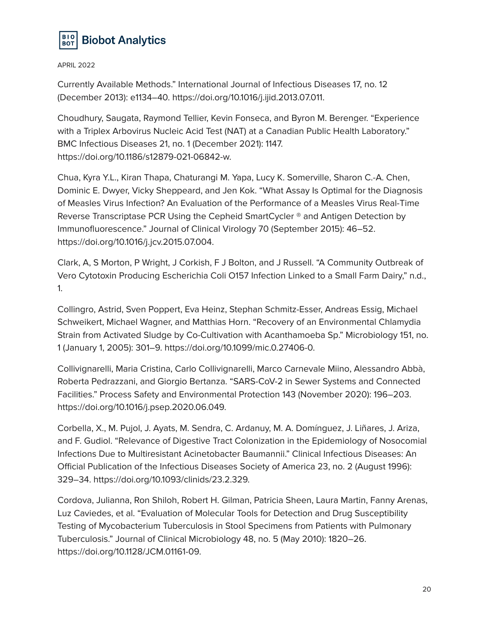

Currently Available Methods." International Journal of Infectious Diseases 17, no. 12 (December 2013): e1134–40. https://doi.org/10.1016/j.ijid.2013.07.011.

Choudhury, Saugata, Raymond Tellier, Kevin Fonseca, and Byron M. Berenger. "Experience with a Triplex Arbovirus Nucleic Acid Test (NAT) at a Canadian Public Health Laboratory." BMC Infectious Diseases 21, no. 1 (December 2021): 1147. https://doi.org/10.1186/s12879-021-06842-w.

Chua, Kyra Y.L., Kiran Thapa, Chaturangi M. Yapa, Lucy K. Somerville, Sharon C.-A. Chen, Dominic E. Dwyer, Vicky Sheppeard, and Jen Kok. "What Assay Is Optimal for the Diagnosis of Measles Virus Infection? An Evaluation of the Performance of a Measles Virus Real-Time Reverse Transcriptase PCR Using the Cepheid SmartCycler ® and Antigen Detection by Immunofluorescence." Journal of Clinical Virology 70 (September 2015): 46–52. https://doi.org/10.1016/j.jcv.2015.07.004.

Clark, A, S Morton, P Wright, J Corkish, F J Bolton, and J Russell. "A Community Outbreak of Vero Cytotoxin Producing Escherichia Coli O157 Infection Linked to a Small Farm Dairy," n.d., 1.

Collingro, Astrid, Sven Poppert, Eva Heinz, Stephan Schmitz-Esser, Andreas Essig, Michael Schweikert, Michael Wagner, and Matthias Horn. "Recovery of an Environmental Chlamydia Strain from Activated Sludge by Co-Cultivation with Acanthamoeba Sp." Microbiology 151, no. 1 (January 1, 2005): 301–9. https://doi.org/10.1099/mic.0.27406-0.

Collivignarelli, Maria Cristina, Carlo Collivignarelli, Marco Carnevale Miino, Alessandro Abbà, Roberta Pedrazzani, and Giorgio Bertanza. "SARS-CoV-2 in Sewer Systems and Connected Facilities." Process Safety and Environmental Protection 143 (November 2020): 196–203. https://doi.org/10.1016/j.psep.2020.06.049.

Corbella, X., M. Pujol, J. Ayats, M. Sendra, C. Ardanuy, M. A. Domínguez, J. Liñares, J. Ariza, and F. Gudiol. "Relevance of Digestive Tract Colonization in the Epidemiology of Nosocomial Infections Due to Multiresistant Acinetobacter Baumannii." Clinical Infectious Diseases: An Official Publication of the Infectious Diseases Society of America 23, no. 2 (August 1996): 329–34. https://doi.org/10.1093/clinids/23.2.329.

Cordova, Julianna, Ron Shiloh, Robert H. Gilman, Patricia Sheen, Laura Martin, Fanny Arenas, Luz Caviedes, et al. "Evaluation of Molecular Tools for Detection and Drug Susceptibility Testing of Mycobacterium Tuberculosis in Stool Specimens from Patients with Pulmonary Tuberculosis." Journal of Clinical Microbiology 48, no. 5 (May 2010): 1820–26. https://doi.org/10.1128/JCM.01161-09.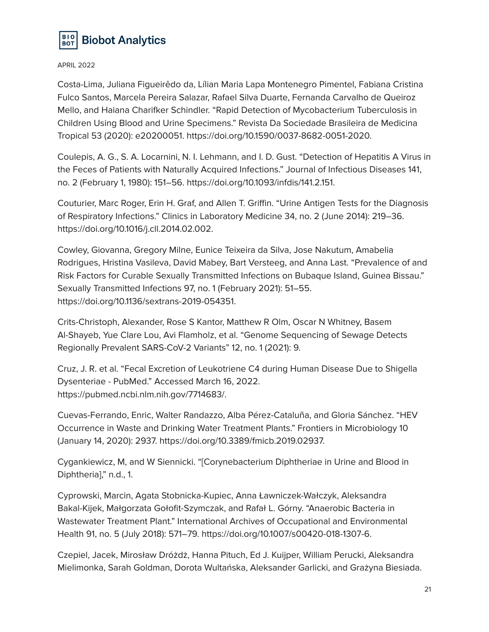

Costa-Lima, Juliana Figueirêdo da, Lílian Maria Lapa Montenegro Pimentel, Fabiana Cristina Fulco Santos, Marcela Pereira Salazar, Rafael Silva Duarte, Fernanda Carvalho de Queiroz Mello, and Haiana Charifker Schindler. "Rapid Detection of Mycobacterium Tuberculosis in Children Using Blood and Urine Specimens." Revista Da Sociedade Brasileira de Medicina Tropical 53 (2020): e20200051. https://doi.org/10.1590/0037-8682-0051-2020.

Coulepis, A. G., S. A. Locarnini, N. I. Lehmann, and I. D. Gust. "Detection of Hepatitis A Virus in the Feces of Patients with Naturally Acquired Infections." Journal of Infectious Diseases 141, no. 2 (February 1, 1980): 151–56. https://doi.org/10.1093/infdis/141.2.151.

Couturier, Marc Roger, Erin H. Graf, and Allen T. Griffin. "Urine Antigen Tests for the Diagnosis of Respiratory Infections." Clinics in Laboratory Medicine 34, no. 2 (June 2014): 219–36. https://doi.org/10.1016/j.cll.2014.02.002.

Cowley, Giovanna, Gregory Milne, Eunice Teixeira da Silva, Jose Nakutum, Amabelia Rodrigues, Hristina Vasileva, David Mabey, Bart Versteeg, and Anna Last. "Prevalence of and Risk Factors for Curable Sexually Transmitted Infections on Bubaque Island, Guinea Bissau." Sexually Transmitted Infections 97, no. 1 (February 2021): 51–55. https://doi.org/10.1136/sextrans-2019-054351.

Crits-Christoph, Alexander, Rose S Kantor, Matthew R Olm, Oscar N Whitney, Basem Al-Shayeb, Yue Clare Lou, Avi Flamholz, et al. "Genome Sequencing of Sewage Detects Regionally Prevalent SARS-CoV-2 Variants" 12, no. 1 (2021): 9.

Cruz, J. R. et al. "Fecal Excretion of Leukotriene C4 during Human Disease Due to Shigella Dysenteriae - PubMed." Accessed March 16, 2022. https://pubmed.ncbi.nlm.nih.gov/7714683/.

Cuevas-Ferrando, Enric, Walter Randazzo, Alba Pérez-Cataluña, and Gloria Sánchez. "HEV Occurrence in Waste and Drinking Water Treatment Plants." Frontiers in Microbiology 10 (January 14, 2020): 2937. https://doi.org/10.3389/fmicb.2019.02937.

Cygankiewicz, M, and W Siennicki. "[Corynebacterium Diphtheriae in Urine and Blood in Diphtheria]," n.d., 1.

Cyprowski, Marcin, Agata Stobnicka-Kupiec, Anna Ławniczek-Wałczyk, Aleksandra Bakal-Kijek, Małgorzata Gołofit-Szymczak, and Rafał L. Górny. "Anaerobic Bacteria in Wastewater Treatment Plant." International Archives of Occupational and Environmental Health 91, no. 5 (July 2018): 571–79. https://doi.org/10.1007/s00420-018-1307-6.

Czepiel, Jacek, Mirosław Dróżdż, Hanna Pituch, Ed J. Kuijper, William Perucki, Aleksandra Mielimonka, Sarah Goldman, Dorota Wultańska, Aleksander Garlicki, and Grażyna Biesiada.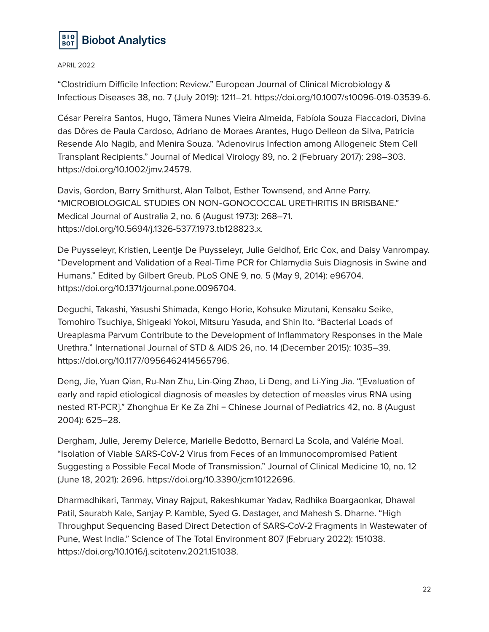

"Clostridium Difficile Infection: Review." European Journal of Clinical Microbiology & Infectious Diseases 38, no. 7 (July 2019): 1211–21. https://doi.org/10.1007/s10096-019-03539-6.

César Pereira Santos, Hugo, Tâmera Nunes Vieira Almeida, Fabíola Souza Fiaccadori, Divina das Dôres de Paula Cardoso, Adriano de Moraes Arantes, Hugo Delleon da Silva, Patricia Resende Alo Nagib, and Menira Souza. "Adenovirus Infection among Allogeneic Stem Cell Transplant Recipients." Journal of Medical Virology 89, no. 2 (February 2017): 298–303. https://doi.org/10.1002/jmv.24579.

Davis, Gordon, Barry Smithurst, Alan Talbot, Esther Townsend, and Anne Parry. "MICROBIOLOGICAL STUDIES ON NON‐GONOCOCCAL URETHRITIS IN BRISBANE." Medical Journal of Australia 2, no. 6 (August 1973): 268–71. https://doi.org/10.5694/j.1326-5377.1973.tb128823.x.

De Puysseleyr, Kristien, Leentje De Puysseleyr, Julie Geldhof, Eric Cox, and Daisy Vanrompay. "Development and Validation of a Real-Time PCR for Chlamydia Suis Diagnosis in Swine and Humans." Edited by Gilbert Greub. PLoS ONE 9, no. 5 (May 9, 2014): e96704. https://doi.org/10.1371/journal.pone.0096704.

Deguchi, Takashi, Yasushi Shimada, Kengo Horie, Kohsuke Mizutani, Kensaku Seike, Tomohiro Tsuchiya, Shigeaki Yokoi, Mitsuru Yasuda, and Shin Ito. "Bacterial Loads of Ureaplasma Parvum Contribute to the Development of Inflammatory Responses in the Male Urethra." International Journal of STD & AIDS 26, no. 14 (December 2015): 1035–39. https://doi.org/10.1177/0956462414565796.

Deng, Jie, Yuan Qian, Ru-Nan Zhu, Lin-Qing Zhao, Li Deng, and Li-Ying Jia. "[Evaluation of early and rapid etiological diagnosis of measles by detection of measles virus RNA using nested RT-PCR]." Zhonghua Er Ke Za Zhi = Chinese Journal of Pediatrics 42, no. 8 (August 2004): 625–28.

Dergham, Julie, Jeremy Delerce, Marielle Bedotto, Bernard La Scola, and Valérie Moal. "Isolation of Viable SARS-CoV-2 Virus from Feces of an Immunocompromised Patient Suggesting a Possible Fecal Mode of Transmission." Journal of Clinical Medicine 10, no. 12 (June 18, 2021): 2696. https://doi.org/10.3390/jcm10122696.

Dharmadhikari, Tanmay, Vinay Rajput, Rakeshkumar Yadav, Radhika Boargaonkar, Dhawal Patil, Saurabh Kale, Sanjay P. Kamble, Syed G. Dastager, and Mahesh S. Dharne. "High Throughput Sequencing Based Direct Detection of SARS-CoV-2 Fragments in Wastewater of Pune, West India." Science of The Total Environment 807 (February 2022): 151038. https://doi.org/10.1016/j.scitotenv.2021.151038.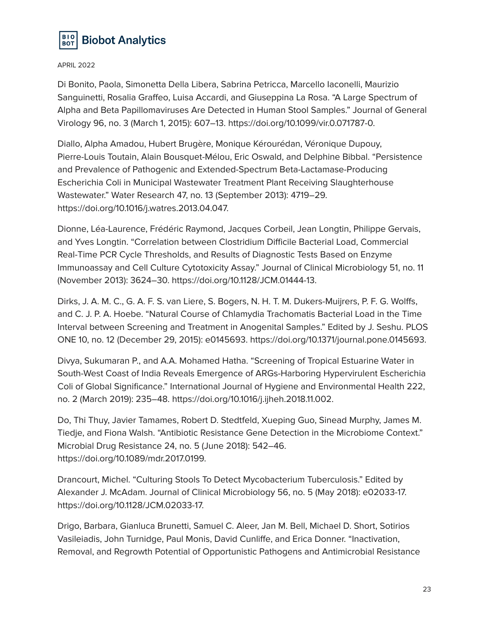

Di Bonito, Paola, Simonetta Della Libera, Sabrina Petricca, Marcello Iaconelli, Maurizio Sanguinetti, Rosalia Graffeo, Luisa Accardi, and Giuseppina La Rosa. "A Large Spectrum of Alpha and Beta Papillomaviruses Are Detected in Human Stool Samples." Journal of General Virology 96, no. 3 (March 1, 2015): 607–13. https://doi.org/10.1099/vir.0.071787-0.

Diallo, Alpha Amadou, Hubert Brugère, Monique Kérourédan, Véronique Dupouy, Pierre-Louis Toutain, Alain Bousquet-Mélou, Eric Oswald, and Delphine Bibbal. "Persistence and Prevalence of Pathogenic and Extended-Spectrum Beta-Lactamase-Producing Escherichia Coli in Municipal Wastewater Treatment Plant Receiving Slaughterhouse Wastewater." Water Research 47, no. 13 (September 2013): 4719–29. https://doi.org/10.1016/j.watres.2013.04.047.

Dionne, Léa-Laurence, Frédéric Raymond, Jacques Corbeil, Jean Longtin, Philippe Gervais, and Yves Longtin. "Correlation between Clostridium Difficile Bacterial Load, Commercial Real-Time PCR Cycle Thresholds, and Results of Diagnostic Tests Based on Enzyme Immunoassay and Cell Culture Cytotoxicity Assay." Journal of Clinical Microbiology 51, no. 11 (November 2013): 3624–30. https://doi.org/10.1128/JCM.01444-13.

Dirks, J. A. M. C., G. A. F. S. van Liere, S. Bogers, N. H. T. M. Dukers-Muijrers, P. F. G. Wolffs, and C. J. P. A. Hoebe. "Natural Course of Chlamydia Trachomatis Bacterial Load in the Time Interval between Screening and Treatment in Anogenital Samples." Edited by J. Seshu. PLOS ONE 10, no. 12 (December 29, 2015): e0145693. https://doi.org/10.1371/journal.pone.0145693.

Divya, Sukumaran P., and A.A. Mohamed Hatha. "Screening of Tropical Estuarine Water in South-West Coast of India Reveals Emergence of ARGs-Harboring Hypervirulent Escherichia Coli of Global Significance." International Journal of Hygiene and Environmental Health 222, no. 2 (March 2019): 235–48. https://doi.org/10.1016/j.ijheh.2018.11.002.

Do, Thi Thuy, Javier Tamames, Robert D. Stedtfeld, Xueping Guo, Sinead Murphy, James M. Tiedje, and Fiona Walsh. "Antibiotic Resistance Gene Detection in the Microbiome Context." Microbial Drug Resistance 24, no. 5 (June 2018): 542–46. https://doi.org/10.1089/mdr.2017.0199.

Drancourt, Michel. "Culturing Stools To Detect Mycobacterium Tuberculosis." Edited by Alexander J. McAdam. Journal of Clinical Microbiology 56, no. 5 (May 2018): e02033-17. https://doi.org/10.1128/JCM.02033-17.

Drigo, Barbara, Gianluca Brunetti, Samuel C. Aleer, Jan M. Bell, Michael D. Short, Sotirios Vasileiadis, John Turnidge, Paul Monis, David Cunliffe, and Erica Donner. "Inactivation, Removal, and Regrowth Potential of Opportunistic Pathogens and Antimicrobial Resistance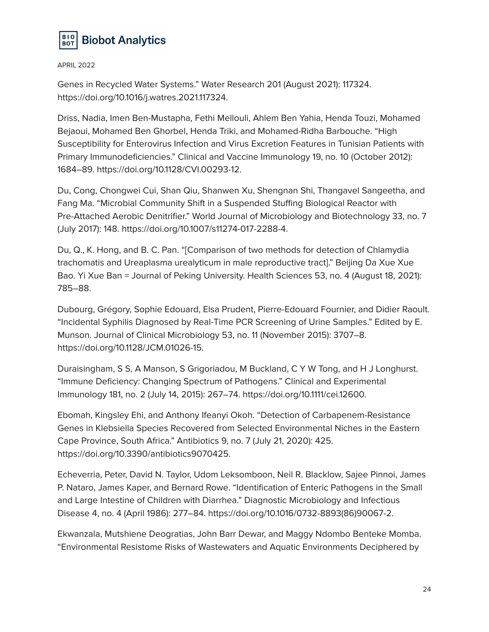

Genes in Recycled Water Systems." Water Research 201 (August 2021): 117324. https://doi.org/10.1016/j.watres.2021.117324.

Driss, Nadia, Imen Ben-Mustapha, Fethi Mellouli, Ahlem Ben Yahia, Henda Touzi, Mohamed Bejaoui, Mohamed Ben Ghorbel, Henda Triki, and Mohamed-Ridha Barbouche. "High Susceptibility for Enterovirus Infection and Virus Excretion Features in Tunisian Patients with Primary Immunodeficiencies." Clinical and Vaccine Immunology 19, no. 10 (October 2012): 1684–89. https://doi.org/10.1128/CVI.00293-12.

Du, Cong, Chongwei Cui, Shan Qiu, Shanwen Xu, Shengnan Shi, Thangavel Sangeetha, and Fang Ma. "Microbial Community Shift in a Suspended Stuffing Biological Reactor with Pre-Attached Aerobic Denitrifier." World Journal of Microbiology and Biotechnology 33, no. 7 (July 2017): 148. https://doi.org/10.1007/s11274-017-2288-4.

Du, Q., K. Hong, and B. C. Pan. "[Comparison of two methods for detection of Chlamydia trachomatis and Ureaplasma urealyticum in male reproductive tract]." Beijing Da Xue Xue Bao. Yi Xue Ban = Journal of Peking University. Health Sciences 53, no. 4 (August 18, 2021): 785–88.

Dubourg, Grégory, Sophie Edouard, Elsa Prudent, Pierre-Edouard Fournier, and Didier Raoult. "Incidental Syphilis Diagnosed by Real-Time PCR Screening of Urine Samples." Edited by E. Munson. Journal of Clinical Microbiology 53, no. 11 (November 2015): 3707–8. https://doi.org/10.1128/JCM.01026-15.

Duraisingham, S S, A Manson, S Grigoriadou, M Buckland, C Y W Tong, and H J Longhurst. "Immune Deficiency: Changing Spectrum of Pathogens." Clinical and Experimental Immunology 181, no. 2 (July 14, 2015): 267–74. https://doi.org/10.1111/cei.12600.

Ebomah, Kingsley Ehi, and Anthony Ifeanyi Okoh. "Detection of Carbapenem-Resistance Genes in Klebsiella Species Recovered from Selected Environmental Niches in the Eastern Cape Province, South Africa." Antibiotics 9, no. 7 (July 21, 2020): 425. https://doi.org/10.3390/antibiotics9070425.

Echeverria, Peter, David N. Taylor, Udom Leksomboon, Neil R. Blacklow, Sajee Pinnoi, James P. Nataro, James Kaper, and Bernard Rowe. "Identification of Enteric Pathogens in the Small and Large Intestine of Children with Diarrhea." Diagnostic Microbiology and Infectious Disease 4, no. 4 (April 1986): 277–84. https://doi.org/10.1016/0732-8893(86)90067-2.

Ekwanzala, Mutshiene Deogratias, John Barr Dewar, and Maggy Ndombo Benteke Momba. "Environmental Resistome Risks of Wastewaters and Aquatic Environments Deciphered by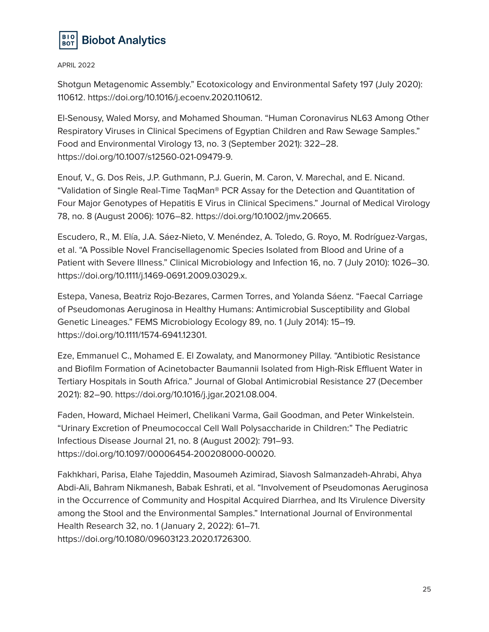

Shotgun Metagenomic Assembly." Ecotoxicology and Environmental Safety 197 (July 2020): 110612. https://doi.org/10.1016/j.ecoenv.2020.110612.

El-Senousy, Waled Morsy, and Mohamed Shouman. "Human Coronavirus NL63 Among Other Respiratory Viruses in Clinical Specimens of Egyptian Children and Raw Sewage Samples." Food and Environmental Virology 13, no. 3 (September 2021): 322–28. https://doi.org/10.1007/s12560-021-09479-9.

Enouf, V., G. Dos Reis, J.P. Guthmann, P.J. Guerin, M. Caron, V. Marechal, and E. Nicand. "Validation of Single Real-Time TaqMan® PCR Assay for the Detection and Quantitation of Four Major Genotypes of Hepatitis E Virus in Clinical Specimens." Journal of Medical Virology 78, no. 8 (August 2006): 1076–82. https://doi.org/10.1002/jmv.20665.

Escudero, R., M. Elía, J.A. Sáez-Nieto, V. Menéndez, A. Toledo, G. Royo, M. Rodríguez-Vargas, et al. "A Possible Novel Francisellagenomic Species Isolated from Blood and Urine of a Patient with Severe Illness." Clinical Microbiology and Infection 16, no. 7 (July 2010): 1026–30. https://doi.org/10.1111/j.1469-0691.2009.03029.x.

Estepa, Vanesa, Beatriz Rojo-Bezares, Carmen Torres, and Yolanda Sáenz. "Faecal Carriage of Pseudomonas Aeruginosa in Healthy Humans: Antimicrobial Susceptibility and Global Genetic Lineages." FEMS Microbiology Ecology 89, no. 1 (July 2014): 15–19. https://doi.org/10.1111/1574-6941.12301.

Eze, Emmanuel C., Mohamed E. El Zowalaty, and Manormoney Pillay. "Antibiotic Resistance and Biofilm Formation of Acinetobacter Baumannii Isolated from High-Risk Effluent Water in Tertiary Hospitals in South Africa." Journal of Global Antimicrobial Resistance 27 (December 2021): 82–90. https://doi.org/10.1016/j.jgar.2021.08.004.

Faden, Howard, Michael Heimerl, Chelikani Varma, Gail Goodman, and Peter Winkelstein. "Urinary Excretion of Pneumococcal Cell Wall Polysaccharide in Children:" The Pediatric Infectious Disease Journal 21, no. 8 (August 2002): 791–93. https://doi.org/10.1097/00006454-200208000-00020.

Fakhkhari, Parisa, Elahe Tajeddin, Masoumeh Azimirad, Siavosh Salmanzadeh-Ahrabi, Ahya Abdi-Ali, Bahram Nikmanesh, Babak Eshrati, et al. "Involvement of Pseudomonas Aeruginosa in the Occurrence of Community and Hospital Acquired Diarrhea, and Its Virulence Diversity among the Stool and the Environmental Samples." International Journal of Environmental Health Research 32, no. 1 (January 2, 2022): 61–71. https://doi.org/10.1080/09603123.2020.1726300.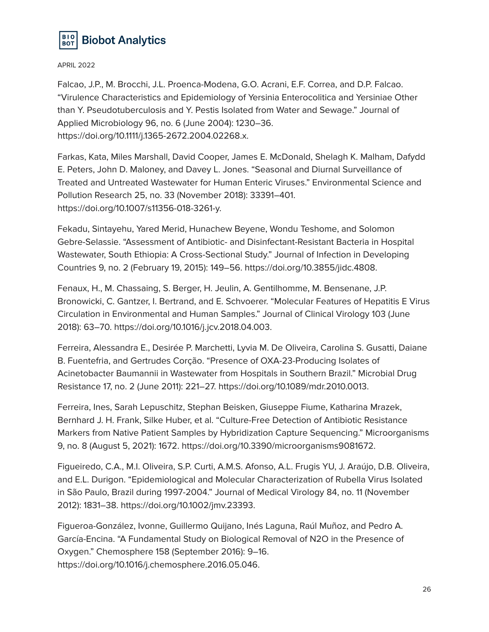

Falcao, J.P., M. Brocchi, J.L. Proenca-Modena, G.O. Acrani, E.F. Correa, and D.P. Falcao. "Virulence Characteristics and Epidemiology of Yersinia Enterocolitica and Yersiniae Other than Y. Pseudotuberculosis and Y. Pestis Isolated from Water and Sewage." Journal of Applied Microbiology 96, no. 6 (June 2004): 1230–36. https://doi.org/10.1111/j.1365-2672.2004.02268.x.

Farkas, Kata, Miles Marshall, David Cooper, James E. McDonald, Shelagh K. Malham, Dafydd E. Peters, John D. Maloney, and Davey L. Jones. "Seasonal and Diurnal Surveillance of Treated and Untreated Wastewater for Human Enteric Viruses." Environmental Science and Pollution Research 25, no. 33 (November 2018): 33391–401. https://doi.org/10.1007/s11356-018-3261-y.

Fekadu, Sintayehu, Yared Merid, Hunachew Beyene, Wondu Teshome, and Solomon Gebre-Selassie. "Assessment of Antibiotic- and Disinfectant-Resistant Bacteria in Hospital Wastewater, South Ethiopia: A Cross-Sectional Study." Journal of Infection in Developing Countries 9, no. 2 (February 19, 2015): 149–56. https://doi.org/10.3855/jidc.4808.

Fenaux, H., M. Chassaing, S. Berger, H. Jeulin, A. Gentilhomme, M. Bensenane, J.P. Bronowicki, C. Gantzer, I. Bertrand, and E. Schvoerer. "Molecular Features of Hepatitis E Virus Circulation in Environmental and Human Samples." Journal of Clinical Virology 103 (June 2018): 63–70. https://doi.org/10.1016/j.jcv.2018.04.003.

Ferreira, Alessandra E., Desirée P. Marchetti, Lyvia M. De Oliveira, Carolina S. Gusatti, Daiane B. Fuentefria, and Gertrudes Corção. "Presence of OXA-23-Producing Isolates of Acinetobacter Baumannii in Wastewater from Hospitals in Southern Brazil." Microbial Drug Resistance 17, no. 2 (June 2011): 221–27. https://doi.org/10.1089/mdr.2010.0013.

Ferreira, Ines, Sarah Lepuschitz, Stephan Beisken, Giuseppe Fiume, Katharina Mrazek, Bernhard J. H. Frank, Silke Huber, et al. "Culture-Free Detection of Antibiotic Resistance Markers from Native Patient Samples by Hybridization Capture Sequencing." Microorganisms 9, no. 8 (August 5, 2021): 1672. https://doi.org/10.3390/microorganisms9081672.

Figueiredo, C.A., M.I. Oliveira, S.P. Curti, A.M.S. Afonso, A.L. Frugis YU, J. Araújo, D.B. Oliveira, and E.L. Durigon. "Epidemiological and Molecular Characterization of Rubella Virus Isolated in São Paulo, Brazil during 1997-2004." Journal of Medical Virology 84, no. 11 (November 2012): 1831–38. https://doi.org/10.1002/jmv.23393.

Figueroa-González, Ivonne, Guillermo Quijano, Inés Laguna, Raúl Muñoz, and Pedro A. García-Encina. "A Fundamental Study on Biological Removal of N2O in the Presence of Oxygen." Chemosphere 158 (September 2016): 9–16. https://doi.org/10.1016/j.chemosphere.2016.05.046.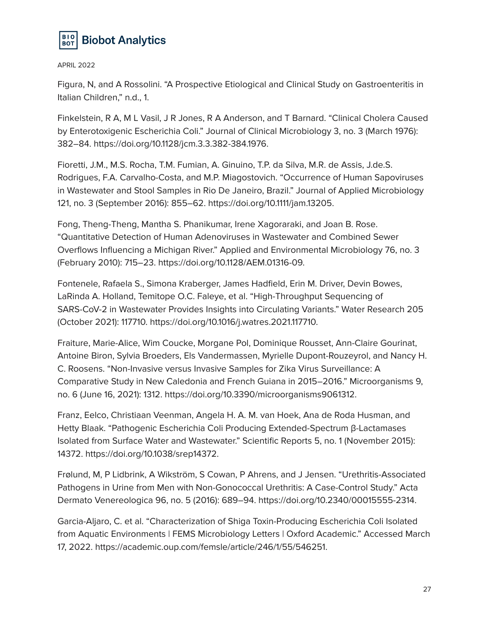

Figura, N, and A Rossolini. "A Prospective Etiological and Clinical Study on Gastroenteritis in Italian Children," n.d., 1.

Finkelstein, R A, M L Vasil, J R Jones, R A Anderson, and T Barnard. "Clinical Cholera Caused by Enterotoxigenic Escherichia Coli." Journal of Clinical Microbiology 3, no. 3 (March 1976): 382–84. https://doi.org/10.1128/jcm.3.3.382-384.1976.

Fioretti, J.M., M.S. Rocha, T.M. Fumian, A. Ginuino, T.P. da Silva, M.R. de Assis, J.de.S. Rodrigues, F.A. Carvalho-Costa, and M.P. Miagostovich. "Occurrence of Human Sapoviruses in Wastewater and Stool Samples in Rio De Janeiro, Brazil." Journal of Applied Microbiology 121, no. 3 (September 2016): 855–62. https://doi.org/10.1111/jam.13205.

Fong, Theng-Theng, Mantha S. Phanikumar, Irene Xagoraraki, and Joan B. Rose. "Quantitative Detection of Human Adenoviruses in Wastewater and Combined Sewer Overflows Influencing a Michigan River." Applied and Environmental Microbiology 76, no. 3 (February 2010): 715–23. https://doi.org/10.1128/AEM.01316-09.

Fontenele, Rafaela S., Simona Kraberger, James Hadfield, Erin M. Driver, Devin Bowes, LaRinda A. Holland, Temitope O.C. Faleye, et al. "High-Throughput Sequencing of SARS-CoV-2 in Wastewater Provides Insights into Circulating Variants." Water Research 205 (October 2021): 117710. https://doi.org/10.1016/j.watres.2021.117710.

Fraiture, Marie-Alice, Wim Coucke, Morgane Pol, Dominique Rousset, Ann-Claire Gourinat, Antoine Biron, Sylvia Broeders, Els Vandermassen, Myrielle Dupont-Rouzeyrol, and Nancy H. C. Roosens. "Non-Invasive versus Invasive Samples for Zika Virus Surveillance: A Comparative Study in New Caledonia and French Guiana in 2015–2016." Microorganisms 9, no. 6 (June 16, 2021): 1312. https://doi.org/10.3390/microorganisms9061312.

Franz, Eelco, Christiaan Veenman, Angela H. A. M. van Hoek, Ana de Roda Husman, and Hetty Blaak. "Pathogenic Escherichia Coli Producing Extended-Spectrum β-Lactamases Isolated from Surface Water and Wastewater." Scientific Reports 5, no. 1 (November 2015): 14372. https://doi.org/10.1038/srep14372.

Frølund, M, P Lidbrink, A Wikström, S Cowan, P Ahrens, and J Jensen. "Urethritis-Associated Pathogens in Urine from Men with Non-Gonococcal Urethritis: A Case-Control Study." Acta Dermato Venereologica 96, no. 5 (2016): 689–94. https://doi.org/10.2340/00015555-2314.

Garcia-Aljaro, C. et al. "Characterization of Shiga Toxin-Producing Escherichia Coli Isolated from Aquatic Environments | FEMS Microbiology Letters | Oxford Academic." Accessed March 17, 2022. https://academic.oup.com/femsle/article/246/1/55/546251.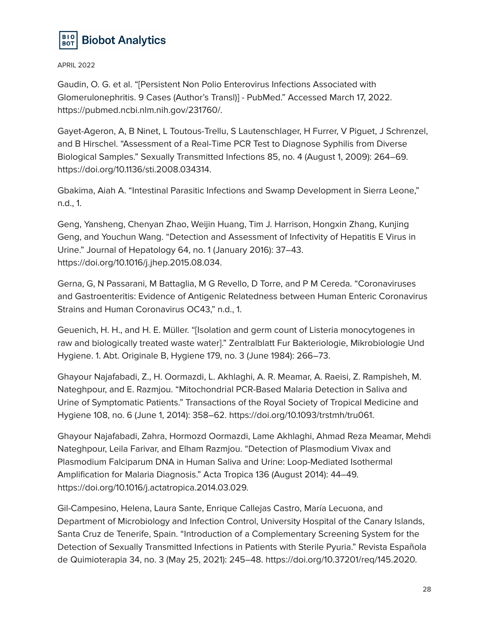

Gaudin, O. G. et al. "[Persistent Non Polio Enterovirus Infections Associated with Glomerulonephritis. 9 Cases (Author's Transl)] - PubMed." Accessed March 17, 2022. https://pubmed.ncbi.nlm.nih.gov/231760/.

Gayet-Ageron, A, B Ninet, L Toutous-Trellu, S Lautenschlager, H Furrer, V Piguet, J Schrenzel, and B Hirschel. "Assessment of a Real-Time PCR Test to Diagnose Syphilis from Diverse Biological Samples." Sexually Transmitted Infections 85, no. 4 (August 1, 2009): 264–69. https://doi.org/10.1136/sti.2008.034314.

Gbakima, Aiah A. "Intestinal Parasitic Infections and Swamp Development in Sierra Leone," n.d., 1.

Geng, Yansheng, Chenyan Zhao, Weijin Huang, Tim J. Harrison, Hongxin Zhang, Kunjing Geng, and Youchun Wang. "Detection and Assessment of Infectivity of Hepatitis E Virus in Urine." Journal of Hepatology 64, no. 1 (January 2016): 37–43. https://doi.org/10.1016/j.jhep.2015.08.034.

Gerna, G, N Passarani, M Battaglia, M G Revello, D Torre, and P M Cereda. "Coronaviruses and Gastroenteritis: Evidence of Antigenic Relatedness between Human Enteric Coronavirus Strains and Human Coronavirus OC43," n.d., 1.

Geuenich, H. H., and H. E. Müller. "[Isolation and germ count of Listeria monocytogenes in raw and biologically treated waste water]." Zentralblatt Fur Bakteriologie, Mikrobiologie Und Hygiene. 1. Abt. Originale B, Hygiene 179, no. 3 (June 1984): 266–73.

Ghayour Najafabadi, Z., H. Oormazdi, L. Akhlaghi, A. R. Meamar, A. Raeisi, Z. Rampisheh, M. Nateghpour, and E. Razmjou. "Mitochondrial PCR-Based Malaria Detection in Saliva and Urine of Symptomatic Patients." Transactions of the Royal Society of Tropical Medicine and Hygiene 108, no. 6 (June 1, 2014): 358–62. https://doi.org/10.1093/trstmh/tru061.

Ghayour Najafabadi, Zahra, Hormozd Oormazdi, Lame Akhlaghi, Ahmad Reza Meamar, Mehdi Nateghpour, Leila Farivar, and Elham Razmjou. "Detection of Plasmodium Vivax and Plasmodium Falciparum DNA in Human Saliva and Urine: Loop-Mediated Isothermal Amplification for Malaria Diagnosis." Acta Tropica 136 (August 2014): 44–49. https://doi.org/10.1016/j.actatropica.2014.03.029.

Gil-Campesino, Helena, Laura Sante, Enrique Callejas Castro, María Lecuona, and Department of Microbiology and Infection Control, University Hospital of the Canary Islands, Santa Cruz de Tenerife, Spain. "Introduction of a Complementary Screening System for the Detection of Sexually Transmitted Infections in Patients with Sterile Pyuria." Revista Española de Quimioterapia 34, no. 3 (May 25, 2021): 245–48. https://doi.org/10.37201/req/145.2020.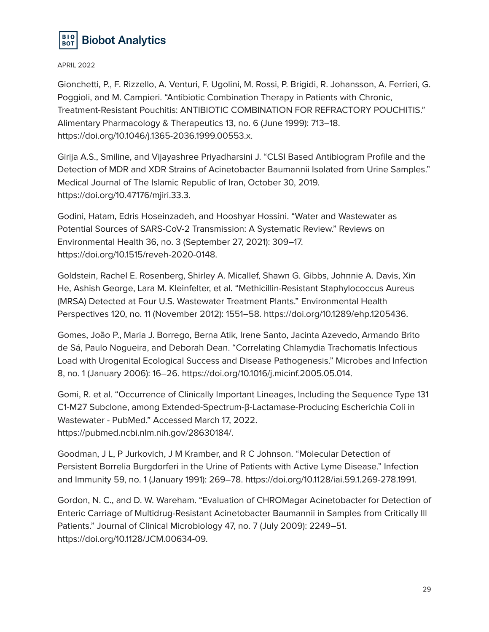

Gionchetti, P., F. Rizzello, A. Venturi, F. Ugolini, M. Rossi, P. Brigidi, R. Johansson, A. Ferrieri, G. Poggioli, and M. Campieri. "Antibiotic Combination Therapy in Patients with Chronic, Treatment-Resistant Pouchitis: ANTIBIOTIC COMBINATION FOR REFRACTORY POUCHITIS." Alimentary Pharmacology & Therapeutics 13, no. 6 (June 1999): 713–18. https://doi.org/10.1046/j.1365-2036.1999.00553.x.

Girija A.S., Smiline, and Vijayashree Priyadharsini J. "CLSI Based Antibiogram Profile and the Detection of MDR and XDR Strains of Acinetobacter Baumannii Isolated from Urine Samples." Medical Journal of The Islamic Republic of Iran, October 30, 2019. https://doi.org/10.47176/mjiri.33.3.

Godini, Hatam, Edris Hoseinzadeh, and Hooshyar Hossini. "Water and Wastewater as Potential Sources of SARS-CoV-2 Transmission: A Systematic Review." Reviews on Environmental Health 36, no. 3 (September 27, 2021): 309–17. https://doi.org/10.1515/reveh-2020-0148.

Goldstein, Rachel E. Rosenberg, Shirley A. Micallef, Shawn G. Gibbs, Johnnie A. Davis, Xin He, Ashish George, Lara M. Kleinfelter, et al. "Methicillin-Resistant Staphylococcus Aureus (MRSA) Detected at Four U.S. Wastewater Treatment Plants." Environmental Health Perspectives 120, no. 11 (November 2012): 1551–58. https://doi.org/10.1289/ehp.1205436.

Gomes, João P., Maria J. Borrego, Berna Atik, Irene Santo, Jacinta Azevedo, Armando Brito de Sá, Paulo Nogueira, and Deborah Dean. "Correlating Chlamydia Trachomatis Infectious Load with Urogenital Ecological Success and Disease Pathogenesis." Microbes and Infection 8, no. 1 (January 2006): 16–26. https://doi.org/10.1016/j.micinf.2005.05.014.

Gomi, R. et al. "Occurrence of Clinically Important Lineages, Including the Sequence Type 131 C1-M27 Subclone, among Extended-Spectrum-β-Lactamase-Producing Escherichia Coli in Wastewater - PubMed." Accessed March 17, 2022. https://pubmed.ncbi.nlm.nih.gov/28630184/.

Goodman, J L, P Jurkovich, J M Kramber, and R C Johnson. "Molecular Detection of Persistent Borrelia Burgdorferi in the Urine of Patients with Active Lyme Disease." Infection and Immunity 59, no. 1 (January 1991): 269–78. https://doi.org/10.1128/iai.59.1.269-278.1991.

Gordon, N. C., and D. W. Wareham. "Evaluation of CHROMagar Acinetobacter for Detection of Enteric Carriage of Multidrug-Resistant Acinetobacter Baumannii in Samples from Critically Ill Patients." Journal of Clinical Microbiology 47, no. 7 (July 2009): 2249–51. https://doi.org/10.1128/JCM.00634-09.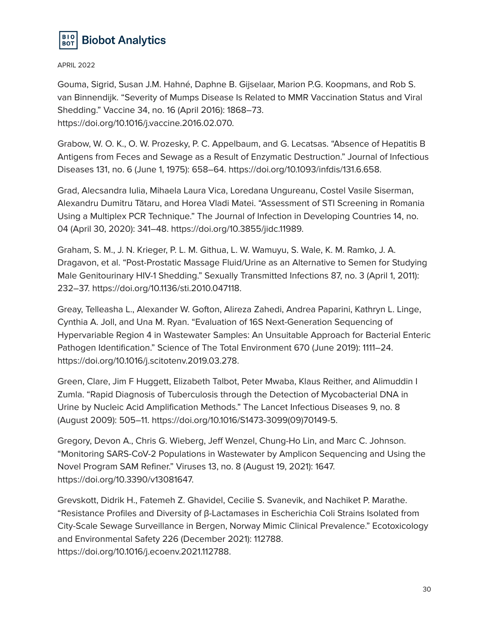

Gouma, Sigrid, Susan J.M. Hahné, Daphne B. Gijselaar, Marion P.G. Koopmans, and Rob S. van Binnendijk. "Severity of Mumps Disease Is Related to MMR Vaccination Status and Viral Shedding." Vaccine 34, no. 16 (April 2016): 1868–73. https://doi.org/10.1016/j.vaccine.2016.02.070.

Grabow, W. O. K., O. W. Prozesky, P. C. Appelbaum, and G. Lecatsas. "Absence of Hepatitis B Antigens from Feces and Sewage as a Result of Enzymatic Destruction." Journal of Infectious Diseases 131, no. 6 (June 1, 1975): 658–64. https://doi.org/10.1093/infdis/131.6.658.

Grad, Alecsandra Iulia, Mihaela Laura Vica, Loredana Ungureanu, Costel Vasile Siserman, Alexandru Dumitru Tătaru, and Horea Vladi Matei. "Assessment of STI Screening in Romania Using a Multiplex PCR Technique." The Journal of Infection in Developing Countries 14, no. 04 (April 30, 2020): 341–48. https://doi.org/10.3855/jidc.11989.

Graham, S. M., J. N. Krieger, P. L. M. Githua, L. W. Wamuyu, S. Wale, K. M. Ramko, J. A. Dragavon, et al. "Post-Prostatic Massage Fluid/Urine as an Alternative to Semen for Studying Male Genitourinary HIV-1 Shedding." Sexually Transmitted Infections 87, no. 3 (April 1, 2011): 232–37. https://doi.org/10.1136/sti.2010.047118.

Greay, Telleasha L., Alexander W. Gofton, Alireza Zahedi, Andrea Paparini, Kathryn L. Linge, Cynthia A. Joll, and Una M. Ryan. "Evaluation of 16S Next-Generation Sequencing of Hypervariable Region 4 in Wastewater Samples: An Unsuitable Approach for Bacterial Enteric Pathogen Identification." Science of The Total Environment 670 (June 2019): 1111–24. https://doi.org/10.1016/j.scitotenv.2019.03.278.

Green, Clare, Jim F Huggett, Elizabeth Talbot, Peter Mwaba, Klaus Reither, and Alimuddin I Zumla. "Rapid Diagnosis of Tuberculosis through the Detection of Mycobacterial DNA in Urine by Nucleic Acid Amplification Methods." The Lancet Infectious Diseases 9, no. 8 (August 2009): 505–11. https://doi.org/10.1016/S1473-3099(09)70149-5.

Gregory, Devon A., Chris G. Wieberg, Jeff Wenzel, Chung-Ho Lin, and Marc C. Johnson. "Monitoring SARS-CoV-2 Populations in Wastewater by Amplicon Sequencing and Using the Novel Program SAM Refiner." Viruses 13, no. 8 (August 19, 2021): 1647. https://doi.org/10.3390/v13081647.

Grevskott, Didrik H., Fatemeh Z. Ghavidel, Cecilie S. Svanevik, and Nachiket P. Marathe. "Resistance Profiles and Diversity of β-Lactamases in Escherichia Coli Strains Isolated from City-Scale Sewage Surveillance in Bergen, Norway Mimic Clinical Prevalence." Ecotoxicology and Environmental Safety 226 (December 2021): 112788. https://doi.org/10.1016/j.ecoenv.2021.112788.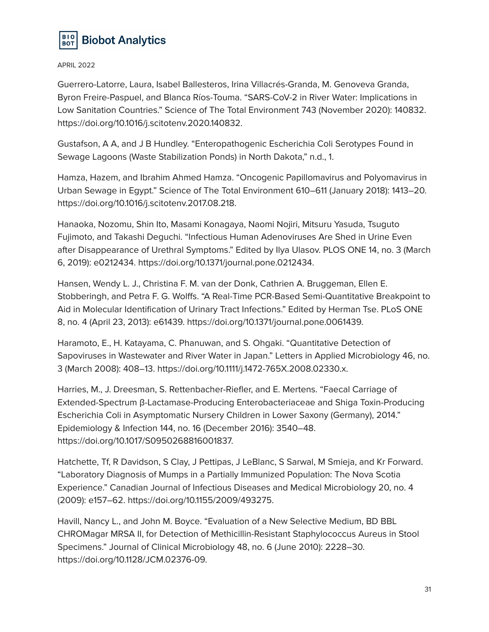

Guerrero-Latorre, Laura, Isabel Ballesteros, Irina Villacrés-Granda, M. Genoveva Granda, Byron Freire-Paspuel, and Blanca Ríos-Touma. "SARS-CoV-2 in River Water: Implications in Low Sanitation Countries." Science of The Total Environment 743 (November 2020): 140832. https://doi.org/10.1016/j.scitotenv.2020.140832.

Gustafson, A A, and J B Hundley. "Enteropathogenic Escherichia Coli Serotypes Found in Sewage Lagoons (Waste Stabilization Ponds) in North Dakota," n.d., 1.

Hamza, Hazem, and Ibrahim Ahmed Hamza. "Oncogenic Papillomavirus and Polyomavirus in Urban Sewage in Egypt." Science of The Total Environment 610–611 (January 2018): 1413–20. https://doi.org/10.1016/j.scitotenv.2017.08.218.

Hanaoka, Nozomu, Shin Ito, Masami Konagaya, Naomi Nojiri, Mitsuru Yasuda, Tsuguto Fujimoto, and Takashi Deguchi. "Infectious Human Adenoviruses Are Shed in Urine Even after Disappearance of Urethral Symptoms." Edited by Ilya Ulasov. PLOS ONE 14, no. 3 (March 6, 2019): e0212434. https://doi.org/10.1371/journal.pone.0212434.

Hansen, Wendy L. J., Christina F. M. van der Donk, Cathrien A. Bruggeman, Ellen E. Stobberingh, and Petra F. G. Wolffs. "A Real-Time PCR-Based Semi-Quantitative Breakpoint to Aid in Molecular Identification of Urinary Tract Infections." Edited by Herman Tse. PLoS ONE 8, no. 4 (April 23, 2013): e61439. https://doi.org/10.1371/journal.pone.0061439.

Haramoto, E., H. Katayama, C. Phanuwan, and S. Ohgaki. "Quantitative Detection of Sapoviruses in Wastewater and River Water in Japan." Letters in Applied Microbiology 46, no. 3 (March 2008): 408–13. https://doi.org/10.1111/j.1472-765X.2008.02330.x.

Harries, M., J. Dreesman, S. Rettenbacher-Riefler, and E. Mertens. "Faecal Carriage of Extended-Spectrum β-Lactamase-Producing Enterobacteriaceae and Shiga Toxin-Producing Escherichia Coli in Asymptomatic Nursery Children in Lower Saxony (Germany), 2014." Epidemiology & Infection 144, no. 16 (December 2016): 3540–48. https://doi.org/10.1017/S0950268816001837.

Hatchette, Tf, R Davidson, S Clay, J Pettipas, J LeBlanc, S Sarwal, M Smieja, and Kr Forward. "Laboratory Diagnosis of Mumps in a Partially Immunized Population: The Nova Scotia Experience." Canadian Journal of Infectious Diseases and Medical Microbiology 20, no. 4 (2009): e157–62. https://doi.org/10.1155/2009/493275.

Havill, Nancy L., and John M. Boyce. "Evaluation of a New Selective Medium, BD BBL CHROMagar MRSA II, for Detection of Methicillin-Resistant Staphylococcus Aureus in Stool Specimens." Journal of Clinical Microbiology 48, no. 6 (June 2010): 2228–30. https://doi.org/10.1128/JCM.02376-09.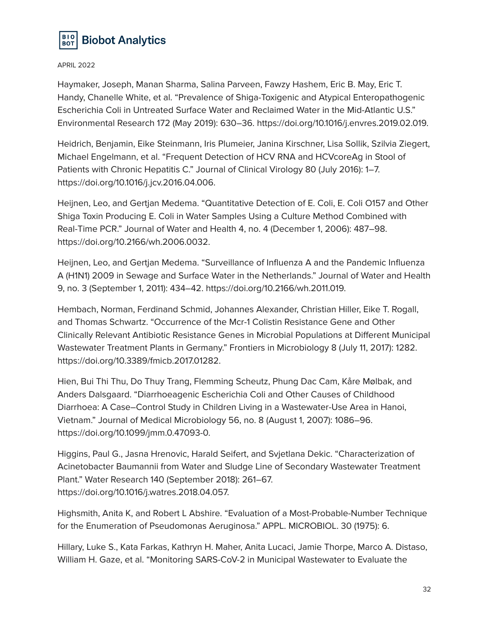

Haymaker, Joseph, Manan Sharma, Salina Parveen, Fawzy Hashem, Eric B. May, Eric T. Handy, Chanelle White, et al. "Prevalence of Shiga-Toxigenic and Atypical Enteropathogenic Escherichia Coli in Untreated Surface Water and Reclaimed Water in the Mid-Atlantic U.S." Environmental Research 172 (May 2019): 630–36. https://doi.org/10.1016/j.envres.2019.02.019.

Heidrich, Benjamin, Eike Steinmann, Iris Plumeier, Janina Kirschner, Lisa Sollik, Szilvia Ziegert, Michael Engelmann, et al. "Frequent Detection of HCV RNA and HCVcoreAg in Stool of Patients with Chronic Hepatitis C." Journal of Clinical Virology 80 (July 2016): 1–7. https://doi.org/10.1016/j.jcv.2016.04.006.

Heijnen, Leo, and Gertjan Medema. "Quantitative Detection of E. Coli, E. Coli O157 and Other Shiga Toxin Producing E. Coli in Water Samples Using a Culture Method Combined with Real-Time PCR." Journal of Water and Health 4, no. 4 (December 1, 2006): 487–98. https://doi.org/10.2166/wh.2006.0032.

Heijnen, Leo, and Gertjan Medema. "Surveillance of Influenza A and the Pandemic Influenza A (H1N1) 2009 in Sewage and Surface Water in the Netherlands." Journal of Water and Health 9, no. 3 (September 1, 2011): 434–42. https://doi.org/10.2166/wh.2011.019.

Hembach, Norman, Ferdinand Schmid, Johannes Alexander, Christian Hiller, Eike T. Rogall, and Thomas Schwartz. "Occurrence of the Mcr-1 Colistin Resistance Gene and Other Clinically Relevant Antibiotic Resistance Genes in Microbial Populations at Different Municipal Wastewater Treatment Plants in Germany." Frontiers in Microbiology 8 (July 11, 2017): 1282. https://doi.org/10.3389/fmicb.2017.01282.

Hien, Bui Thi Thu, Do Thuy Trang, Flemming Scheutz, Phung Dac Cam, Kåre Mølbak, and Anders Dalsgaard. "Diarrhoeagenic Escherichia Coli and Other Causes of Childhood Diarrhoea: A Case–Control Study in Children Living in a Wastewater-Use Area in Hanoi, Vietnam." Journal of Medical Microbiology 56, no. 8 (August 1, 2007): 1086–96. https://doi.org/10.1099/jmm.0.47093-0.

Higgins, Paul G., Jasna Hrenovic, Harald Seifert, and Svjetlana Dekic. "Characterization of Acinetobacter Baumannii from Water and Sludge Line of Secondary Wastewater Treatment Plant." Water Research 140 (September 2018): 261–67. https://doi.org/10.1016/j.watres.2018.04.057.

Highsmith, Anita K, and Robert L Abshire. "Evaluation of a Most-Probable-Number Technique for the Enumeration of Pseudomonas Aeruginosa." APPL. MICROBIOL. 30 (1975): 6.

Hillary, Luke S., Kata Farkas, Kathryn H. Maher, Anita Lucaci, Jamie Thorpe, Marco A. Distaso, William H. Gaze, et al. "Monitoring SARS-CoV-2 in Municipal Wastewater to Evaluate the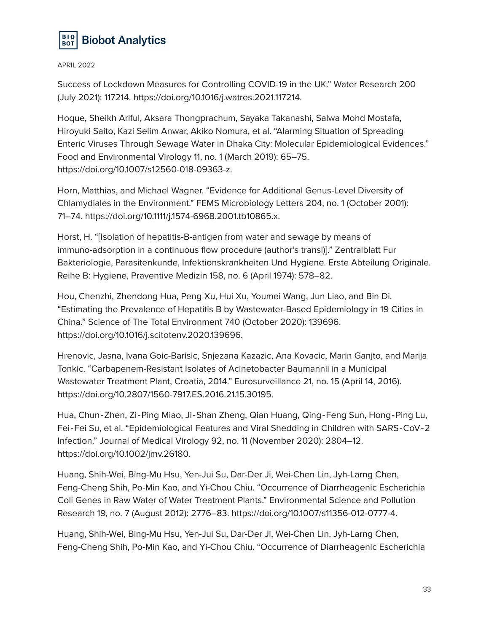

Success of Lockdown Measures for Controlling COVID-19 in the UK." Water Research 200 (July 2021): 117214. https://doi.org/10.1016/j.watres.2021.117214.

Hoque, Sheikh Ariful, Aksara Thongprachum, Sayaka Takanashi, Salwa Mohd Mostafa, Hiroyuki Saito, Kazi Selim Anwar, Akiko Nomura, et al. "Alarming Situation of Spreading Enteric Viruses Through Sewage Water in Dhaka City: Molecular Epidemiological Evidences." Food and Environmental Virology 11, no. 1 (March 2019): 65–75. https://doi.org/10.1007/s12560-018-09363-z.

Horn, Matthias, and Michael Wagner. "Evidence for Additional Genus-Level Diversity of Chlamydiales in the Environment." FEMS Microbiology Letters 204, no. 1 (October 2001): 71–74. https://doi.org/10.1111/j.1574-6968.2001.tb10865.x.

Horst, H. "[Isolation of hepatitis-B-antigen from water and sewage by means of immuno-adsorption in a continuous flow procedure (author's transl)]." Zentralblatt Fur Bakteriologie, Parasitenkunde, Infektionskrankheiten Und Hygiene. Erste Abteilung Originale. Reihe B: Hygiene, Praventive Medizin 158, no. 6 (April 1974): 578–82.

Hou, Chenzhi, Zhendong Hua, Peng Xu, Hui Xu, Youmei Wang, Jun Liao, and Bin Di. "Estimating the Prevalence of Hepatitis B by Wastewater-Based Epidemiology in 19 Cities in China." Science of The Total Environment 740 (October 2020): 139696. https://doi.org/10.1016/j.scitotenv.2020.139696.

Hrenovic, Jasna, Ivana Goic-Barisic, Snjezana Kazazic, Ana Kovacic, Marin Ganjto, and Marija Tonkic. "Carbapenem-Resistant Isolates of Acinetobacter Baumannii in a Municipal Wastewater Treatment Plant, Croatia, 2014." Eurosurveillance 21, no. 15 (April 14, 2016). https://doi.org/10.2807/1560-7917.ES.2016.21.15.30195.

Hua, Chun‐Zhen, Zi‐Ping Miao, Ji‐Shan Zheng, Qian Huang, Qing‐Feng Sun, Hong‐Ping Lu, Fei‐Fei Su, et al. "Epidemiological Features and Viral Shedding in Children with SARS‐CoV‐2 Infection." Journal of Medical Virology 92, no. 11 (November 2020): 2804–12. https://doi.org/10.1002/jmv.26180.

Huang, Shih-Wei, Bing-Mu Hsu, Yen-Jui Su, Dar-Der Ji, Wei-Chen Lin, Jyh-Larng Chen, Feng-Cheng Shih, Po-Min Kao, and Yi-Chou Chiu. "Occurrence of Diarrheagenic Escherichia Coli Genes in Raw Water of Water Treatment Plants." Environmental Science and Pollution Research 19, no. 7 (August 2012): 2776–83. https://doi.org/10.1007/s11356-012-0777-4.

Huang, Shih-Wei, Bing-Mu Hsu, Yen-Jui Su, Dar-Der Ji, Wei-Chen Lin, Jyh-Larng Chen, Feng-Cheng Shih, Po-Min Kao, and Yi-Chou Chiu. "Occurrence of Diarrheagenic Escherichia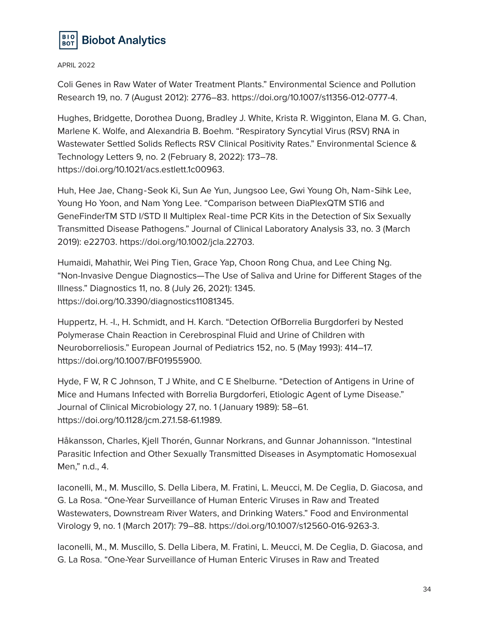

Coli Genes in Raw Water of Water Treatment Plants." Environmental Science and Pollution Research 19, no. 7 (August 2012): 2776–83. https://doi.org/10.1007/s11356-012-0777-4.

Hughes, Bridgette, Dorothea Duong, Bradley J. White, Krista R. Wigginton, Elana M. G. Chan, Marlene K. Wolfe, and Alexandria B. Boehm. "Respiratory Syncytial Virus (RSV) RNA in Wastewater Settled Solids Reflects RSV Clinical Positivity Rates." Environmental Science & Technology Letters 9, no. 2 (February 8, 2022): 173–78. https://doi.org/10.1021/acs.estlett.1c00963.

Huh, Hee Jae, Chang‐Seok Ki, Sun Ae Yun, Jungsoo Lee, Gwi Young Oh, Nam‐Sihk Lee, Young Ho Yoon, and Nam Yong Lee. "Comparison between DiaPlexQTM STI6 and GeneFinderTM STD I/STD II Multiplex Real‐time PCR Kits in the Detection of Six Sexually Transmitted Disease Pathogens." Journal of Clinical Laboratory Analysis 33, no. 3 (March 2019): e22703. https://doi.org/10.1002/jcla.22703.

Humaidi, Mahathir, Wei Ping Tien, Grace Yap, Choon Rong Chua, and Lee Ching Ng. "Non-Invasive Dengue Diagnostics—The Use of Saliva and Urine for Different Stages of the Illness." Diagnostics 11, no. 8 (July 26, 2021): 1345. https://doi.org/10.3390/diagnostics11081345.

Huppertz, H. -I., H. Schmidt, and H. Karch. "Detection OfBorrelia Burgdorferi by Nested Polymerase Chain Reaction in Cerebrospinal Fluid and Urine of Children with Neuroborreliosis." European Journal of Pediatrics 152, no. 5 (May 1993): 414–17. https://doi.org/10.1007/BF01955900.

Hyde, F W, R C Johnson, T J White, and C E Shelburne. "Detection of Antigens in Urine of Mice and Humans Infected with Borrelia Burgdorferi, Etiologic Agent of Lyme Disease." Journal of Clinical Microbiology 27, no. 1 (January 1989): 58–61. https://doi.org/10.1128/jcm.27.1.58-61.1989.

Håkansson, Charles, Kjell Thorén, Gunnar Norkrans, and Gunnar Johannisson. "Intestinal Parasitic Infection and Other Sexually Transmitted Diseases in Asymptomatic Homosexual Men," n.d., 4.

Iaconelli, M., M. Muscillo, S. Della Libera, M. Fratini, L. Meucci, M. De Ceglia, D. Giacosa, and G. La Rosa. "One-Year Surveillance of Human Enteric Viruses in Raw and Treated Wastewaters, Downstream River Waters, and Drinking Waters." Food and Environmental Virology 9, no. 1 (March 2017): 79–88. https://doi.org/10.1007/s12560-016-9263-3.

Iaconelli, M., M. Muscillo, S. Della Libera, M. Fratini, L. Meucci, M. De Ceglia, D. Giacosa, and G. La Rosa. "One-Year Surveillance of Human Enteric Viruses in Raw and Treated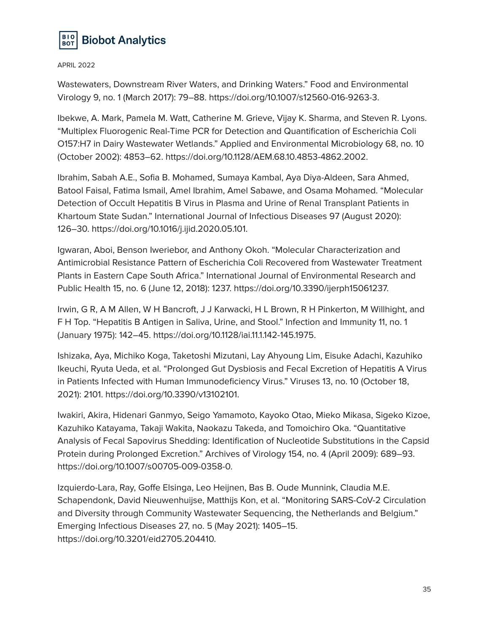

Wastewaters, Downstream River Waters, and Drinking Waters." Food and Environmental Virology 9, no. 1 (March 2017): 79–88. https://doi.org/10.1007/s12560-016-9263-3.

Ibekwe, A. Mark, Pamela M. Watt, Catherine M. Grieve, Vijay K. Sharma, and Steven R. Lyons. "Multiplex Fluorogenic Real-Time PCR for Detection and Quantification of Escherichia Coli O157:H7 in Dairy Wastewater Wetlands." Applied and Environmental Microbiology 68, no. 10 (October 2002): 4853–62. https://doi.org/10.1128/AEM.68.10.4853-4862.2002.

Ibrahim, Sabah A.E., Sofia B. Mohamed, Sumaya Kambal, Aya Diya-Aldeen, Sara Ahmed, Batool Faisal, Fatima Ismail, Amel Ibrahim, Amel Sabawe, and Osama Mohamed. "Molecular Detection of Occult Hepatitis B Virus in Plasma and Urine of Renal Transplant Patients in Khartoum State Sudan." International Journal of Infectious Diseases 97 (August 2020): 126–30. https://doi.org/10.1016/j.ijid.2020.05.101.

Igwaran, Aboi, Benson Iweriebor, and Anthony Okoh. "Molecular Characterization and Antimicrobial Resistance Pattern of Escherichia Coli Recovered from Wastewater Treatment Plants in Eastern Cape South Africa." International Journal of Environmental Research and Public Health 15, no. 6 (June 12, 2018): 1237. https://doi.org/10.3390/ijerph15061237.

Irwin, G R, A M Allen, W H Bancroft, J J Karwacki, H L Brown, R H Pinkerton, M Willhight, and F H Top. "Hepatitis B Antigen in Saliva, Urine, and Stool." Infection and Immunity 11, no. 1 (January 1975): 142–45. https://doi.org/10.1128/iai.11.1.142-145.1975.

Ishizaka, Aya, Michiko Koga, Taketoshi Mizutani, Lay Ahyoung Lim, Eisuke Adachi, Kazuhiko Ikeuchi, Ryuta Ueda, et al. "Prolonged Gut Dysbiosis and Fecal Excretion of Hepatitis A Virus in Patients Infected with Human Immunodeficiency Virus." Viruses 13, no. 10 (October 18, 2021): 2101. https://doi.org/10.3390/v13102101.

Iwakiri, Akira, Hidenari Ganmyo, Seigo Yamamoto, Kayoko Otao, Mieko Mikasa, Sigeko Kizoe, Kazuhiko Katayama, Takaji Wakita, Naokazu Takeda, and Tomoichiro Oka. "Quantitative Analysis of Fecal Sapovirus Shedding: Identification of Nucleotide Substitutions in the Capsid Protein during Prolonged Excretion." Archives of Virology 154, no. 4 (April 2009): 689–93. https://doi.org/10.1007/s00705-009-0358-0.

Izquierdo-Lara, Ray, Goffe Elsinga, Leo Heijnen, Bas B. Oude Munnink, Claudia M.E. Schapendonk, David Nieuwenhuijse, Matthijs Kon, et al. "Monitoring SARS-CoV-2 Circulation and Diversity through Community Wastewater Sequencing, the Netherlands and Belgium." Emerging Infectious Diseases 27, no. 5 (May 2021): 1405–15. https://doi.org/10.3201/eid2705.204410.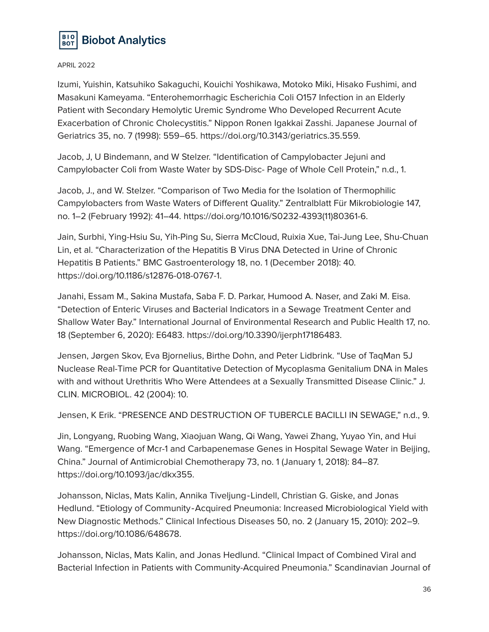

Izumi, Yuishin, Katsuhiko Sakaguchi, Kouichi Yoshikawa, Motoko Miki, Hisako Fushimi, and Masakuni Kameyama. "Enterohemorrhagic Escherichia Coli O157 Infection in an Elderly Patient with Secondary Hemolytic Uremic Syndrome Who Developed Recurrent Acute Exacerbation of Chronic Cholecystitis." Nippon Ronen Igakkai Zasshi. Japanese Journal of Geriatrics 35, no. 7 (1998): 559–65. https://doi.org/10.3143/geriatrics.35.559.

Jacob, J, U Bindemann, and W Stelzer. "Identification of Campylobacter Jejuni and Campylobacter Coli from Waste Water by SDS-Disc- Page of Whole Cell Protein," n.d., 1.

Jacob, J., and W. Stelzer. "Comparison of Two Media for the Isolation of Thermophilic Campylobacters from Waste Waters of Different Quality." Zentralblatt Für Mikrobiologie 147, no. 1–2 (February 1992): 41–44. https://doi.org/10.1016/S0232-4393(11)80361-6.

Jain, Surbhi, Ying-Hsiu Su, Yih-Ping Su, Sierra McCloud, Ruixia Xue, Tai-Jung Lee, Shu-Chuan Lin, et al. "Characterization of the Hepatitis B Virus DNA Detected in Urine of Chronic Hepatitis B Patients." BMC Gastroenterology 18, no. 1 (December 2018): 40. https://doi.org/10.1186/s12876-018-0767-1.

Janahi, Essam M., Sakina Mustafa, Saba F. D. Parkar, Humood A. Naser, and Zaki M. Eisa. "Detection of Enteric Viruses and Bacterial Indicators in a Sewage Treatment Center and Shallow Water Bay." International Journal of Environmental Research and Public Health 17, no. 18 (September 6, 2020): E6483. https://doi.org/10.3390/ijerph17186483.

Jensen, Jørgen Skov, Eva Bjornelius, Birthe Dohn, and Peter Lidbrink. "Use of TaqMan 5Ј Nuclease Real-Time PCR for Quantitative Detection of Mycoplasma Genitalium DNA in Males with and without Urethritis Who Were Attendees at a Sexually Transmitted Disease Clinic." J. CLIN. MICROBIOL. 42 (2004): 10.

Jensen, K Erik. "PRESENCE AND DESTRUCTION OF TUBERCLE BACILLI IN SEWAGE," n.d., 9.

Jin, Longyang, Ruobing Wang, Xiaojuan Wang, Qi Wang, Yawei Zhang, Yuyao Yin, and Hui Wang. "Emergence of Mcr-1 and Carbapenemase Genes in Hospital Sewage Water in Beijing, China." Journal of Antimicrobial Chemotherapy 73, no. 1 (January 1, 2018): 84–87. https://doi.org/10.1093/jac/dkx355.

Johansson, Niclas, Mats Kalin, Annika Tiveljung‐Lindell, Christian G. Giske, and Jonas Hedlund. "Etiology of Community‐Acquired Pneumonia: Increased Microbiological Yield with New Diagnostic Methods." Clinical Infectious Diseases 50, no. 2 (January 15, 2010): 202–9. https://doi.org/10.1086/648678.

Johansson, Niclas, Mats Kalin, and Jonas Hedlund. "Clinical Impact of Combined Viral and Bacterial Infection in Patients with Community-Acquired Pneumonia." Scandinavian Journal of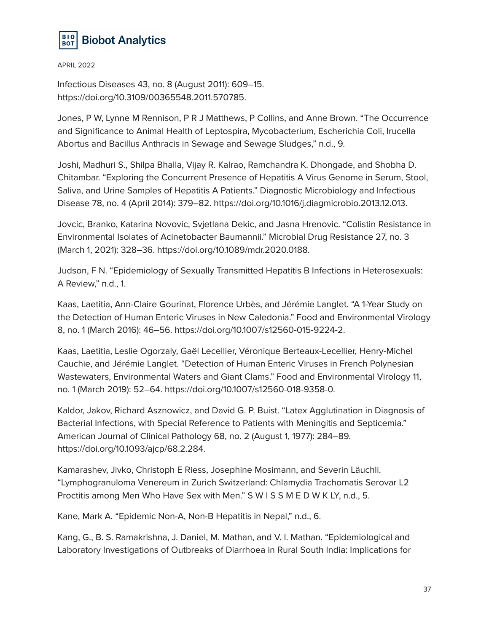

Infectious Diseases 43, no. 8 (August 2011): 609–15. https://doi.org/10.3109/00365548.2011.570785.

Jones, P W, Lynne M Rennison, P R J Matthews, P Collins, and Anne Brown. "The Occurrence and Significance to Animal Health of Leptospira, Mycobacterium, Escherichia Coli, Irucella Abortus and Bacillus Anthracis in Sewage and Sewage Sludges," n.d., 9.

Joshi, Madhuri S., Shilpa Bhalla, Vijay R. Kalrao, Ramchandra K. Dhongade, and Shobha D. Chitambar. "Exploring the Concurrent Presence of Hepatitis A Virus Genome in Serum, Stool, Saliva, and Urine Samples of Hepatitis A Patients." Diagnostic Microbiology and Infectious Disease 78, no. 4 (April 2014): 379–82. https://doi.org/10.1016/j.diagmicrobio.2013.12.013.

Jovcic, Branko, Katarina Novovic, Svjetlana Dekic, and Jasna Hrenovic. "Colistin Resistance in Environmental Isolates of Acinetobacter Baumannii." Microbial Drug Resistance 27, no. 3 (March 1, 2021): 328–36. https://doi.org/10.1089/mdr.2020.0188.

Judson, F N. "Epidemiology of Sexually Transmitted Hepatitis B Infections in Heterosexuals: A Review," n.d., 1.

Kaas, Laetitia, Ann-Claire Gourinat, Florence Urbès, and Jérémie Langlet. "A 1-Year Study on the Detection of Human Enteric Viruses in New Caledonia." Food and Environmental Virology 8, no. 1 (March 2016): 46–56. https://doi.org/10.1007/s12560-015-9224-2.

Kaas, Laetitia, Leslie Ogorzaly, Gaël Lecellier, Véronique Berteaux-Lecellier, Henry-Michel Cauchie, and Jérémie Langlet. "Detection of Human Enteric Viruses in French Polynesian Wastewaters, Environmental Waters and Giant Clams." Food and Environmental Virology 11, no. 1 (March 2019): 52–64. https://doi.org/10.1007/s12560-018-9358-0.

Kaldor, Jakov, Richard Asznowicz, and David G. P. Buist. "Latex Agglutination in Diagnosis of Bacterial Infections, with Special Reference to Patients with Meningitis and Septicemia." American Journal of Clinical Pathology 68, no. 2 (August 1, 1977): 284–89. https://doi.org/10.1093/ajcp/68.2.284.

Kamarashev, Jivko, Christoph E Riess, Josephine Mosimann, and Severin Läuchli. "Lymphogranuloma Venereum in Zurich Switzerland: Chlamydia Trachomatis Serovar L2 Proctitis among Men Who Have Sex with Men." S W I S S M E D W K LY, n.d., 5.

Kane, Mark A. "Epidemic Non-A, Non-B Hepatitis in Nepal," n.d., 6.

Kang, G., B. S. Ramakrishna, J. Daniel, M. Mathan, and V. I. Mathan. "Epidemiological and Laboratory Investigations of Outbreaks of Diarrhoea in Rural South India: Implications for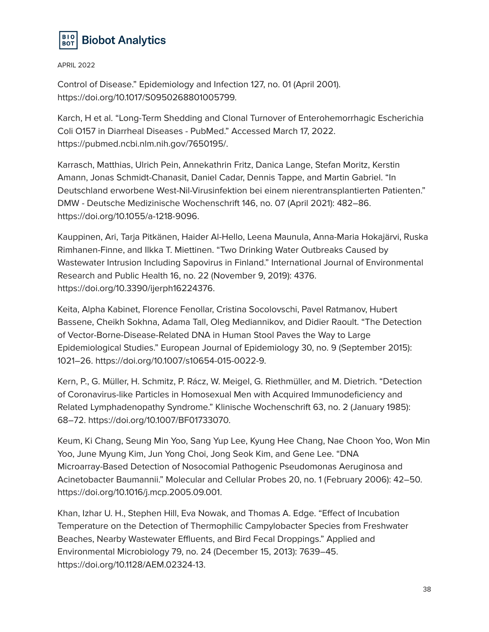

Control of Disease." Epidemiology and Infection 127, no. 01 (April 2001). https://doi.org/10.1017/S0950268801005799.

Karch, H et al. "Long-Term Shedding and Clonal Turnover of Enterohemorrhagic Escherichia Coli O157 in Diarrheal Diseases - PubMed." Accessed March 17, 2022. https://pubmed.ncbi.nlm.nih.gov/7650195/.

Karrasch, Matthias, Ulrich Pein, Annekathrin Fritz, Danica Lange, Stefan Moritz, Kerstin Amann, Jonas Schmidt-Chanasit, Daniel Cadar, Dennis Tappe, and Martin Gabriel. "In Deutschland erworbene West-Nil-Virusinfektion bei einem nierentransplantierten Patienten." DMW - Deutsche Medizinische Wochenschrift 146, no. 07 (April 2021): 482–86. https://doi.org/10.1055/a-1218-9096.

Kauppinen, Ari, Tarja Pitkänen, Haider Al-Hello, Leena Maunula, Anna-Maria Hokajärvi, Ruska Rimhanen-Finne, and Ilkka T. Miettinen. "Two Drinking Water Outbreaks Caused by Wastewater Intrusion Including Sapovirus in Finland." International Journal of Environmental Research and Public Health 16, no. 22 (November 9, 2019): 4376. https://doi.org/10.3390/ijerph16224376.

Keita, Alpha Kabinet, Florence Fenollar, Cristina Socolovschi, Pavel Ratmanov, Hubert Bassene, Cheikh Sokhna, Adama Tall, Oleg Mediannikov, and Didier Raoult. "The Detection of Vector-Borne-Disease-Related DNA in Human Stool Paves the Way to Large Epidemiological Studies." European Journal of Epidemiology 30, no. 9 (September 2015): 1021–26. https://doi.org/10.1007/s10654-015-0022-9.

Kern, P., G. Müller, H. Schmitz, P. Rácz, W. Meigel, G. Riethmüller, and M. Dietrich. "Detection of Coronavirus-like Particles in Homosexual Men with Acquired Immunodeficiency and Related Lymphadenopathy Syndrome." Klinische Wochenschrift 63, no. 2 (January 1985): 68–72. https://doi.org/10.1007/BF01733070.

Keum, Ki Chang, Seung Min Yoo, Sang Yup Lee, Kyung Hee Chang, Nae Choon Yoo, Won Min Yoo, June Myung Kim, Jun Yong Choi, Jong Seok Kim, and Gene Lee. "DNA Microarray-Based Detection of Nosocomial Pathogenic Pseudomonas Aeruginosa and Acinetobacter Baumannii." Molecular and Cellular Probes 20, no. 1 (February 2006): 42–50. https://doi.org/10.1016/j.mcp.2005.09.001.

Khan, Izhar U. H., Stephen Hill, Eva Nowak, and Thomas A. Edge. "Effect of Incubation Temperature on the Detection of Thermophilic Campylobacter Species from Freshwater Beaches, Nearby Wastewater Effluents, and Bird Fecal Droppings." Applied and Environmental Microbiology 79, no. 24 (December 15, 2013): 7639–45. https://doi.org/10.1128/AEM.02324-13.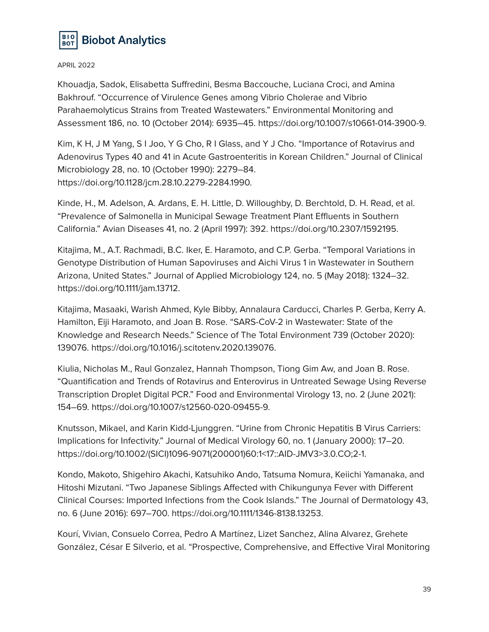

Khouadja, Sadok, Elisabetta Suffredini, Besma Baccouche, Luciana Croci, and Amina Bakhrouf. "Occurrence of Virulence Genes among Vibrio Cholerae and Vibrio Parahaemolyticus Strains from Treated Wastewaters." Environmental Monitoring and Assessment 186, no. 10 (October 2014): 6935–45. https://doi.org/10.1007/s10661-014-3900-9.

Kim, K H, J M Yang, S I Joo, Y G Cho, R I Glass, and Y J Cho. "Importance of Rotavirus and Adenovirus Types 40 and 41 in Acute Gastroenteritis in Korean Children." Journal of Clinical Microbiology 28, no. 10 (October 1990): 2279–84. https://doi.org/10.1128/jcm.28.10.2279-2284.1990.

Kinde, H., M. Adelson, A. Ardans, E. H. Little, D. Willoughby, D. Berchtold, D. H. Read, et al. "Prevalence of Salmonella in Municipal Sewage Treatment Plant Effluents in Southern California." Avian Diseases 41, no. 2 (April 1997): 392. https://doi.org/10.2307/1592195.

Kitajima, M., A.T. Rachmadi, B.C. Iker, E. Haramoto, and C.P. Gerba. "Temporal Variations in Genotype Distribution of Human Sapoviruses and Aichi Virus 1 in Wastewater in Southern Arizona, United States." Journal of Applied Microbiology 124, no. 5 (May 2018): 1324–32. https://doi.org/10.1111/jam.13712.

Kitajima, Masaaki, Warish Ahmed, Kyle Bibby, Annalaura Carducci, Charles P. Gerba, Kerry A. Hamilton, Eiji Haramoto, and Joan B. Rose. "SARS-CoV-2 in Wastewater: State of the Knowledge and Research Needs." Science of The Total Environment 739 (October 2020): 139076. https://doi.org/10.1016/j.scitotenv.2020.139076.

Kiulia, Nicholas M., Raul Gonzalez, Hannah Thompson, Tiong Gim Aw, and Joan B. Rose. "Quantification and Trends of Rotavirus and Enterovirus in Untreated Sewage Using Reverse Transcription Droplet Digital PCR." Food and Environmental Virology 13, no. 2 (June 2021): 154–69. https://doi.org/10.1007/s12560-020-09455-9.

Knutsson, Mikael, and Karin Kidd-Ljunggren. "Urine from Chronic Hepatitis B Virus Carriers: Implications for Infectivity." Journal of Medical Virology 60, no. 1 (January 2000): 17–20. https://doi.org/10.1002/(SICI)1096-9071(200001)60:1<17::AID-JMV3>3.0.CO;2-1.

Kondo, Makoto, Shigehiro Akachi, Katsuhiko Ando, Tatsuma Nomura, Keiichi Yamanaka, and Hitoshi Mizutani. "Two Japanese Siblings Affected with Chikungunya Fever with Different Clinical Courses: Imported Infections from the Cook Islands." The Journal of Dermatology 43, no. 6 (June 2016): 697–700. https://doi.org/10.1111/1346-8138.13253.

Kourí, Vivian, Consuelo Correa, Pedro A Martínez, Lizet Sanchez, Alina Alvarez, Grehete González, César E Silverio, et al. "Prospective, Comprehensive, and Effective Viral Monitoring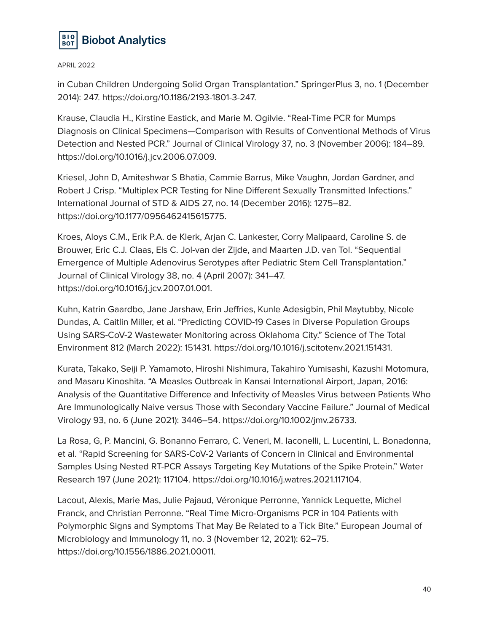

in Cuban Children Undergoing Solid Organ Transplantation." SpringerPlus 3, no. 1 (December 2014): 247. https://doi.org/10.1186/2193-1801-3-247.

Krause, Claudia H., Kirstine Eastick, and Marie M. Ogilvie. "Real-Time PCR for Mumps Diagnosis on Clinical Specimens—Comparison with Results of Conventional Methods of Virus Detection and Nested PCR." Journal of Clinical Virology 37, no. 3 (November 2006): 184–89. https://doi.org/10.1016/j.jcv.2006.07.009.

Kriesel, John D, Amiteshwar S Bhatia, Cammie Barrus, Mike Vaughn, Jordan Gardner, and Robert J Crisp. "Multiplex PCR Testing for Nine Different Sexually Transmitted Infections." International Journal of STD & AIDS 27, no. 14 (December 2016): 1275–82. https://doi.org/10.1177/0956462415615775.

Kroes, Aloys C.M., Erik P.A. de Klerk, Arjan C. Lankester, Corry Malipaard, Caroline S. de Brouwer, Eric C.J. Claas, Els C. Jol-van der Zijde, and Maarten J.D. van Tol. "Sequential Emergence of Multiple Adenovirus Serotypes after Pediatric Stem Cell Transplantation." Journal of Clinical Virology 38, no. 4 (April 2007): 341–47. https://doi.org/10.1016/j.jcv.2007.01.001.

Kuhn, Katrin Gaardbo, Jane Jarshaw, Erin Jeffries, Kunle Adesigbin, Phil Maytubby, Nicole Dundas, A. Caitlin Miller, et al. "Predicting COVID-19 Cases in Diverse Population Groups Using SARS-CoV-2 Wastewater Monitoring across Oklahoma City." Science of The Total Environment 812 (March 2022): 151431. https://doi.org/10.1016/j.scitotenv.2021.151431.

Kurata, Takako, Seiji P. Yamamoto, Hiroshi Nishimura, Takahiro Yumisashi, Kazushi Motomura, and Masaru Kinoshita. "A Measles Outbreak in Kansai International Airport, Japan, 2016: Analysis of the Quantitative Difference and Infectivity of Measles Virus between Patients Who Are Immunologically Naive versus Those with Secondary Vaccine Failure." Journal of Medical Virology 93, no. 6 (June 2021): 3446–54. https://doi.org/10.1002/jmv.26733.

La Rosa, G, P. Mancini, G. Bonanno Ferraro, C. Veneri, M. Iaconelli, L. Lucentini, L. Bonadonna, et al. "Rapid Screening for SARS-CoV-2 Variants of Concern in Clinical and Environmental Samples Using Nested RT-PCR Assays Targeting Key Mutations of the Spike Protein." Water Research 197 (June 2021): 117104. https://doi.org/10.1016/j.watres.2021.117104.

Lacout, Alexis, Marie Mas, Julie Pajaud, Véronique Perronne, Yannick Lequette, Michel Franck, and Christian Perronne. "Real Time Micro-Organisms PCR in 104 Patients with Polymorphic Signs and Symptoms That May Be Related to a Tick Bite." European Journal of Microbiology and Immunology 11, no. 3 (November 12, 2021): 62–75. https://doi.org/10.1556/1886.2021.00011.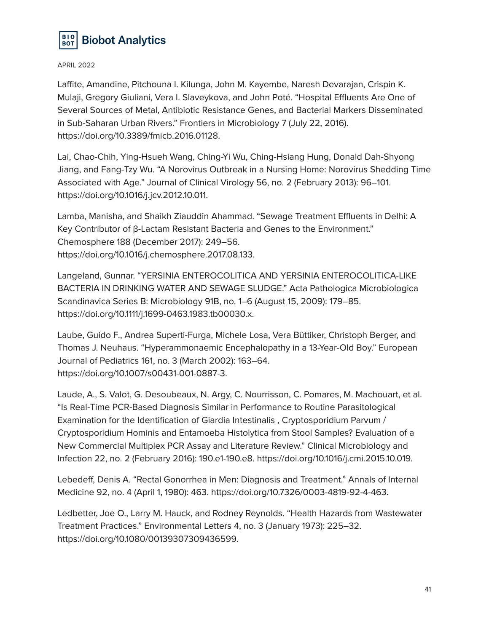

Laffite, Amandine, Pitchouna I. Kilunga, John M. Kayembe, Naresh Devarajan, Crispin K. Mulaji, Gregory Giuliani, Vera I. Slaveykova, and John Poté. "Hospital Effluents Are One of Several Sources of Metal, Antibiotic Resistance Genes, and Bacterial Markers Disseminated in Sub-Saharan Urban Rivers." Frontiers in Microbiology 7 (July 22, 2016). https://doi.org/10.3389/fmicb.2016.01128.

Lai, Chao-Chih, Ying-Hsueh Wang, Ching-Yi Wu, Ching-Hsiang Hung, Donald Dah-Shyong Jiang, and Fang-Tzy Wu. "A Norovirus Outbreak in a Nursing Home: Norovirus Shedding Time Associated with Age." Journal of Clinical Virology 56, no. 2 (February 2013): 96–101. https://doi.org/10.1016/j.jcv.2012.10.011.

Lamba, Manisha, and Shaikh Ziauddin Ahammad. "Sewage Treatment Effluents in Delhi: A Key Contributor of β-Lactam Resistant Bacteria and Genes to the Environment." Chemosphere 188 (December 2017): 249–56. https://doi.org/10.1016/j.chemosphere.2017.08.133.

Langeland, Gunnar. "YERSINIA ENTEROCOLITICA AND YERSINIA ENTEROCOLITICA-LIKE BACTERIA IN DRINKING WATER AND SEWAGE SLUDGE." Acta Pathologica Microbiologica Scandinavica Series B: Microbiology 91B, no. 1–6 (August 15, 2009): 179–85. https://doi.org/10.1111/j.1699-0463.1983.tb00030.x.

Laube, Guido F., Andrea Superti-Furga, Michele Losa, Vera Büttiker, Christoph Berger, and Thomas J. Neuhaus. "Hyperammonaemic Encephalopathy in a 13-Year-Old Boy." European Journal of Pediatrics 161, no. 3 (March 2002): 163–64. https://doi.org/10.1007/s00431-001-0887-3.

Laude, A., S. Valot, G. Desoubeaux, N. Argy, C. Nourrisson, C. Pomares, M. Machouart, et al. "Is Real-Time PCR-Based Diagnosis Similar in Performance to Routine Parasitological Examination for the Identification of Giardia Intestinalis , Cryptosporidium Parvum / Cryptosporidium Hominis and Entamoeba Histolytica from Stool Samples? Evaluation of a New Commercial Multiplex PCR Assay and Literature Review." Clinical Microbiology and Infection 22, no. 2 (February 2016): 190.e1-190.e8. https://doi.org/10.1016/j.cmi.2015.10.019.

Lebedeff, Denis A. "Rectal Gonorrhea in Men: Diagnosis and Treatment." Annals of Internal Medicine 92, no. 4 (April 1, 1980): 463. https://doi.org/10.7326/0003-4819-92-4-463.

Ledbetter, Joe O., Larry M. Hauck, and Rodney Reynolds. "Health Hazards from Wastewater Treatment Practices." Environmental Letters 4, no. 3 (January 1973): 225–32. https://doi.org/10.1080/00139307309436599.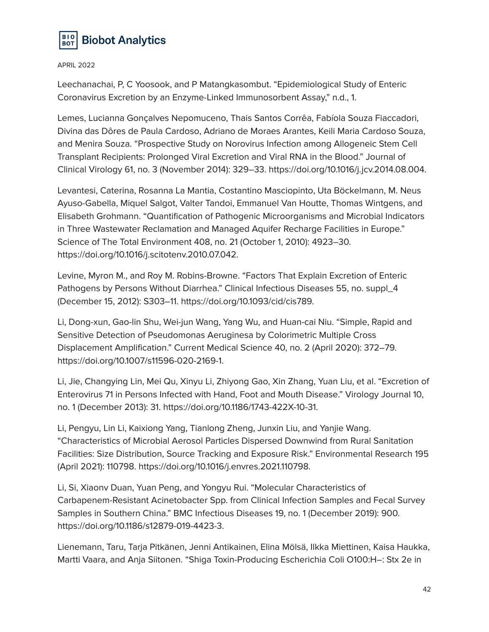

Leechanachai, P, C Yoosook, and P Matangkasombut. "Epidemiological Study of Enteric Coronavirus Excretion by an Enzyme-Linked Immunosorbent Assay," n.d., 1.

Lemes, Lucianna Gonçalves Nepomuceno, Thais Santos Corrêa, Fabíola Souza Fiaccadori, Divina das Dôres de Paula Cardoso, Adriano de Moraes Arantes, Keili Maria Cardoso Souza, and Menira Souza. "Prospective Study on Norovirus Infection among Allogeneic Stem Cell Transplant Recipients: Prolonged Viral Excretion and Viral RNA in the Blood." Journal of Clinical Virology 61, no. 3 (November 2014): 329–33. https://doi.org/10.1016/j.jcv.2014.08.004.

Levantesi, Caterina, Rosanna La Mantia, Costantino Masciopinto, Uta Böckelmann, M. Neus Ayuso-Gabella, Miquel Salgot, Valter Tandoi, Emmanuel Van Houtte, Thomas Wintgens, and Elisabeth Grohmann. "Quantification of Pathogenic Microorganisms and Microbial Indicators in Three Wastewater Reclamation and Managed Aquifer Recharge Facilities in Europe." Science of The Total Environment 408, no. 21 (October 1, 2010): 4923–30. https://doi.org/10.1016/j.scitotenv.2010.07.042.

Levine, Myron M., and Roy M. Robins-Browne. "Factors That Explain Excretion of Enteric Pathogens by Persons Without Diarrhea." Clinical Infectious Diseases 55, no. suppl\_4 (December 15, 2012): S303–11. https://doi.org/10.1093/cid/cis789.

Li, Dong-xun, Gao-lin Shu, Wei-jun Wang, Yang Wu, and Huan-cai Niu. "Simple, Rapid and Sensitive Detection of Pseudomonas Aeruginesa by Colorimetric Multiple Cross Displacement Amplification." Current Medical Science 40, no. 2 (April 2020): 372–79. https://doi.org/10.1007/s11596-020-2169-1.

Li, Jie, Changying Lin, Mei Qu, Xinyu Li, Zhiyong Gao, Xin Zhang, Yuan Liu, et al. "Excretion of Enterovirus 71 in Persons Infected with Hand, Foot and Mouth Disease." Virology Journal 10, no. 1 (December 2013): 31. https://doi.org/10.1186/1743-422X-10-31.

Li, Pengyu, Lin Li, Kaixiong Yang, Tianlong Zheng, Junxin Liu, and Yanjie Wang. "Characteristics of Microbial Aerosol Particles Dispersed Downwind from Rural Sanitation Facilities: Size Distribution, Source Tracking and Exposure Risk." Environmental Research 195 (April 2021): 110798. https://doi.org/10.1016/j.envres.2021.110798.

Li, Si, Xiaonv Duan, Yuan Peng, and Yongyu Rui. "Molecular Characteristics of Carbapenem-Resistant Acinetobacter Spp. from Clinical Infection Samples and Fecal Survey Samples in Southern China." BMC Infectious Diseases 19, no. 1 (December 2019): 900. https://doi.org/10.1186/s12879-019-4423-3.

Lienemann, Taru, Tarja Pitkänen, Jenni Antikainen, Elina Mölsä, Ilkka Miettinen, Kaisa Haukka, Martti Vaara, and Anja Siitonen. "Shiga Toxin-Producing Escherichia Coli O100:H–: Stx 2e in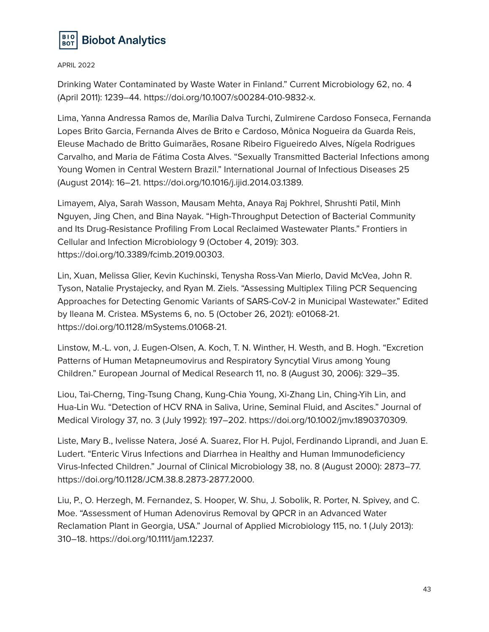

Drinking Water Contaminated by Waste Water in Finland." Current Microbiology 62, no. 4 (April 2011): 1239–44. https://doi.org/10.1007/s00284-010-9832-x.

Lima, Yanna Andressa Ramos de, Marília Dalva Turchi, Zulmirene Cardoso Fonseca, Fernanda Lopes Brito Garcia, Fernanda Alves de Brito e Cardoso, Mônica Nogueira da Guarda Reis, Eleuse Machado de Britto Guimarães, Rosane Ribeiro Figueiredo Alves, Nígela Rodrigues Carvalho, and Maria de Fátima Costa Alves. "Sexually Transmitted Bacterial Infections among Young Women in Central Western Brazil." International Journal of Infectious Diseases 25 (August 2014): 16–21. https://doi.org/10.1016/j.ijid.2014.03.1389.

Limayem, Alya, Sarah Wasson, Mausam Mehta, Anaya Raj Pokhrel, Shrushti Patil, Minh Nguyen, Jing Chen, and Bina Nayak. "High-Throughput Detection of Bacterial Community and Its Drug-Resistance Profiling From Local Reclaimed Wastewater Plants." Frontiers in Cellular and Infection Microbiology 9 (October 4, 2019): 303. https://doi.org/10.3389/fcimb.2019.00303.

Lin, Xuan, Melissa Glier, Kevin Kuchinski, Tenysha Ross-Van Mierlo, David McVea, John R. Tyson, Natalie Prystajecky, and Ryan M. Ziels. "Assessing Multiplex Tiling PCR Sequencing Approaches for Detecting Genomic Variants of SARS-CoV-2 in Municipal Wastewater." Edited by Ileana M. Cristea. MSystems 6, no. 5 (October 26, 2021): e01068-21. https://doi.org/10.1128/mSystems.01068-21.

Linstow, M.-L. von, J. Eugen-Olsen, A. Koch, T. N. Winther, H. Westh, and B. Hogh. "Excretion Patterns of Human Metapneumovirus and Respiratory Syncytial Virus among Young Children." European Journal of Medical Research 11, no. 8 (August 30, 2006): 329–35.

Liou, Tai-Cherng, Ting-Tsung Chang, Kung-Chia Young, Xi-Zhang Lin, Ching-Yih Lin, and Hua-Lin Wu. "Detection of HCV RNA in Saliva, Urine, Seminal Fluid, and Ascites." Journal of Medical Virology 37, no. 3 (July 1992): 197–202. https://doi.org/10.1002/jmv.1890370309.

Liste, Mary B., Ivelisse Natera, José A. Suarez, Flor H. Pujol, Ferdinando Liprandi, and Juan E. Ludert. "Enteric Virus Infections and Diarrhea in Healthy and Human Immunodeficiency Virus-Infected Children." Journal of Clinical Microbiology 38, no. 8 (August 2000): 2873–77. https://doi.org/10.1128/JCM.38.8.2873-2877.2000.

Liu, P., O. Herzegh, M. Fernandez, S. Hooper, W. Shu, J. Sobolik, R. Porter, N. Spivey, and C. Moe. "Assessment of Human Adenovirus Removal by QPCR in an Advanced Water Reclamation Plant in Georgia, USA." Journal of Applied Microbiology 115, no. 1 (July 2013): 310–18. https://doi.org/10.1111/jam.12237.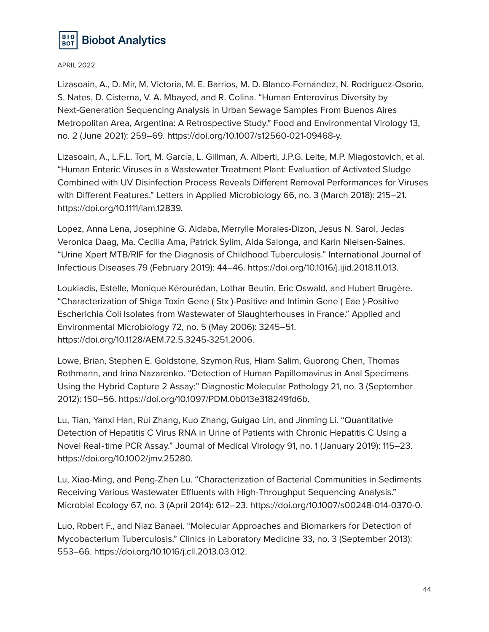

Lizasoain, A., D. Mir, M. Victoria, M. E. Barrios, M. D. Blanco-Fernández, N. Rodríguez-Osorio, S. Nates, D. Cisterna, V. A. Mbayed, and R. Colina. "Human Enterovirus Diversity by Next-Generation Sequencing Analysis in Urban Sewage Samples From Buenos Aires Metropolitan Area, Argentina: A Retrospective Study." Food and Environmental Virology 13, no. 2 (June 2021): 259–69. https://doi.org/10.1007/s12560-021-09468-y.

Lizasoain, A., L.F.L. Tort, M. García, L. Gillman, A. Alberti, J.P.G. Leite, M.P. Miagostovich, et al. "Human Enteric Viruses in a Wastewater Treatment Plant: Evaluation of Activated Sludge Combined with UV Disinfection Process Reveals Different Removal Performances for Viruses with Different Features." Letters in Applied Microbiology 66, no. 3 (March 2018): 215–21. https://doi.org/10.1111/lam.12839.

Lopez, Anna Lena, Josephine G. Aldaba, Merrylle Morales-Dizon, Jesus N. Sarol, Jedas Veronica Daag, Ma. Cecilia Ama, Patrick Sylim, Aida Salonga, and Karin Nielsen-Saines. "Urine Xpert MTB/RIF for the Diagnosis of Childhood Tuberculosis." International Journal of Infectious Diseases 79 (February 2019): 44–46. https://doi.org/10.1016/j.ijid.2018.11.013.

Loukiadis, Estelle, Monique Kérourédan, Lothar Beutin, Eric Oswald, and Hubert Brugère. "Characterization of Shiga Toxin Gene ( Stx )-Positive and Intimin Gene ( Eae )-Positive Escherichia Coli Isolates from Wastewater of Slaughterhouses in France." Applied and Environmental Microbiology 72, no. 5 (May 2006): 3245–51. https://doi.org/10.1128/AEM.72.5.3245-3251.2006.

Lowe, Brian, Stephen E. Goldstone, Szymon Rus, Hiam Salim, Guorong Chen, Thomas Rothmann, and Irina Nazarenko. "Detection of Human Papillomavirus in Anal Specimens Using the Hybrid Capture 2 Assay:" Diagnostic Molecular Pathology 21, no. 3 (September 2012): 150–56. https://doi.org/10.1097/PDM.0b013e318249fd6b.

Lu, Tian, Yanxi Han, Rui Zhang, Kuo Zhang, Guigao Lin, and Jinming Li. "Quantitative Detection of Hepatitis C Virus RNA in Urine of Patients with Chronic Hepatitis C Using a Novel Real‐time PCR Assay." Journal of Medical Virology 91, no. 1 (January 2019): 115–23. https://doi.org/10.1002/jmv.25280.

Lu, Xiao-Ming, and Peng-Zhen Lu. "Characterization of Bacterial Communities in Sediments Receiving Various Wastewater Effluents with High-Throughput Sequencing Analysis." Microbial Ecology 67, no. 3 (April 2014): 612–23. https://doi.org/10.1007/s00248-014-0370-0.

Luo, Robert F., and Niaz Banaei. "Molecular Approaches and Biomarkers for Detection of Mycobacterium Tuberculosis." Clinics in Laboratory Medicine 33, no. 3 (September 2013): 553–66. https://doi.org/10.1016/j.cll.2013.03.012.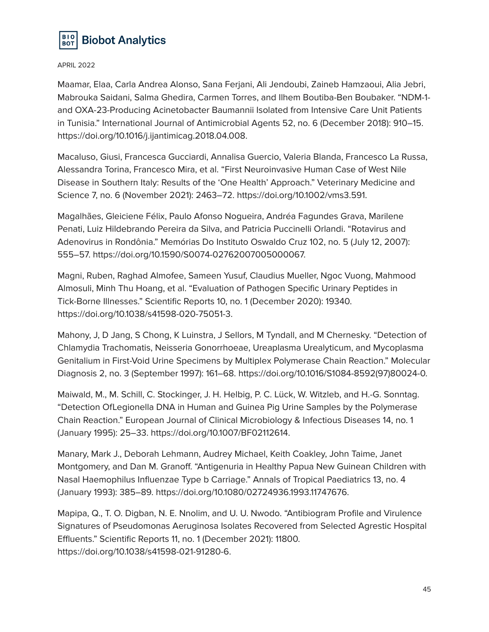

Maamar, Elaa, Carla Andrea Alonso, Sana Ferjani, Ali Jendoubi, Zaineb Hamzaoui, Alia Jebri, Mabrouka Saidani, Salma Ghedira, Carmen Torres, and Ilhem Boutiba-Ben Boubaker. "NDM-1 and OXA-23-Producing Acinetobacter Baumannii Isolated from Intensive Care Unit Patients in Tunisia." International Journal of Antimicrobial Agents 52, no. 6 (December 2018): 910–15. https://doi.org/10.1016/j.ijantimicag.2018.04.008.

Macaluso, Giusi, Francesca Gucciardi, Annalisa Guercio, Valeria Blanda, Francesco La Russa, Alessandra Torina, Francesco Mira, et al. "First Neuroinvasive Human Case of West Nile Disease in Southern Italy: Results of the 'One Health' Approach." Veterinary Medicine and Science 7, no. 6 (November 2021): 2463–72. https://doi.org/10.1002/vms3.591.

Magalhães, Gleiciene Félix, Paulo Afonso Nogueira, Andréa Fagundes Grava, Marilene Penati, Luiz Hildebrando Pereira da Silva, and Patricia Puccinelli Orlandi. "Rotavirus and Adenovirus in Rondônia." Memórias Do Instituto Oswaldo Cruz 102, no. 5 (July 12, 2007): 555–57. https://doi.org/10.1590/S0074-02762007005000067.

Magni, Ruben, Raghad Almofee, Sameen Yusuf, Claudius Mueller, Ngoc Vuong, Mahmood Almosuli, Minh Thu Hoang, et al. "Evaluation of Pathogen Specific Urinary Peptides in Tick-Borne Illnesses." Scientific Reports 10, no. 1 (December 2020): 19340. https://doi.org/10.1038/s41598-020-75051-3.

Mahony, J, D Jang, S Chong, K Luinstra, J Sellors, M Tyndall, and M Chernesky. "Detection of Chlamydia Trachomatis, Neisseria Gonorrhoeae, Ureaplasma Urealyticum, and Mycoplasma Genitalium in First-Void Urine Specimens by Multiplex Polymerase Chain Reaction." Molecular Diagnosis 2, no. 3 (September 1997): 161–68. https://doi.org/10.1016/S1084-8592(97)80024-0.

Maiwald, M., M. Schill, C. Stockinger, J. H. Helbig, P. C. Lück, W. Witzleb, and H.-G. Sonntag. "Detection OfLegionella DNA in Human and Guinea Pig Urine Samples by the Polymerase Chain Reaction." European Journal of Clinical Microbiology & Infectious Diseases 14, no. 1 (January 1995): 25–33. https://doi.org/10.1007/BF02112614.

Manary, Mark J., Deborah Lehmann, Audrey Michael, Keith Coakley, John Taime, Janet Montgomery, and Dan M. Granoff. "Antigenuria in Healthy Papua New Guinean Children with Nasal Haemophilus Influenzae Type b Carriage." Annals of Tropical Paediatrics 13, no. 4 (January 1993): 385–89. https://doi.org/10.1080/02724936.1993.11747676.

Mapipa, Q., T. O. Digban, N. E. Nnolim, and U. U. Nwodo. "Antibiogram Profile and Virulence Signatures of Pseudomonas Aeruginosa Isolates Recovered from Selected Agrestic Hospital Effluents." Scientific Reports 11, no. 1 (December 2021): 11800. https://doi.org/10.1038/s41598-021-91280-6.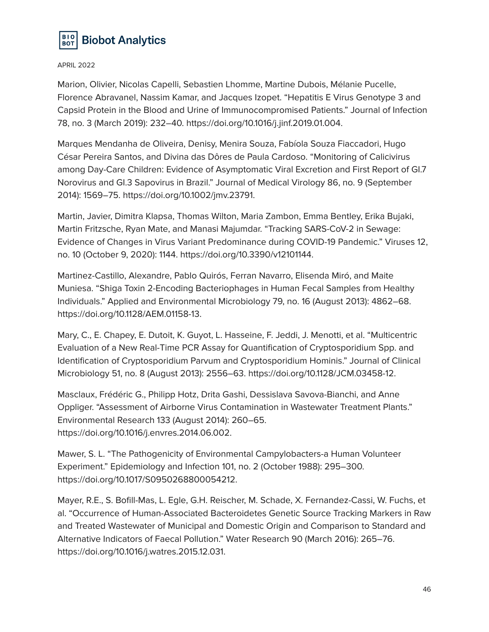

Marion, Olivier, Nicolas Capelli, Sebastien Lhomme, Martine Dubois, Mélanie Pucelle, Florence Abravanel, Nassim Kamar, and Jacques Izopet. "Hepatitis E Virus Genotype 3 and Capsid Protein in the Blood and Urine of Immunocompromised Patients." Journal of Infection 78, no. 3 (March 2019): 232–40. https://doi.org/10.1016/j.jinf.2019.01.004.

Marques Mendanha de Oliveira, Denisy, Menira Souza, Fabíola Souza Fiaccadori, Hugo César Pereira Santos, and Divina das Dôres de Paula Cardoso. "Monitoring of Calicivirus among Day-Care Children: Evidence of Asymptomatic Viral Excretion and First Report of GI.7 Norovirus and GI.3 Sapovirus in Brazil." Journal of Medical Virology 86, no. 9 (September 2014): 1569–75. https://doi.org/10.1002/jmv.23791.

Martin, Javier, Dimitra Klapsa, Thomas Wilton, Maria Zambon, Emma Bentley, Erika Bujaki, Martin Fritzsche, Ryan Mate, and Manasi Majumdar. "Tracking SARS-CoV-2 in Sewage: Evidence of Changes in Virus Variant Predominance during COVID-19 Pandemic." Viruses 12, no. 10 (October 9, 2020): 1144. https://doi.org/10.3390/v12101144.

Martinez-Castillo, Alexandre, Pablo Quirós, Ferran Navarro, Elisenda Miró, and Maite Muniesa. "Shiga Toxin 2-Encoding Bacteriophages in Human Fecal Samples from Healthy Individuals." Applied and Environmental Microbiology 79, no. 16 (August 2013): 4862–68. https://doi.org/10.1128/AEM.01158-13.

Mary, C., E. Chapey, E. Dutoit, K. Guyot, L. Hasseine, F. Jeddi, J. Menotti, et al. "Multicentric Evaluation of a New Real-Time PCR Assay for Quantification of Cryptosporidium Spp. and Identification of Cryptosporidium Parvum and Cryptosporidium Hominis." Journal of Clinical Microbiology 51, no. 8 (August 2013): 2556–63. https://doi.org/10.1128/JCM.03458-12.

Masclaux, Frédéric G., Philipp Hotz, Drita Gashi, Dessislava Savova-Bianchi, and Anne Oppliger. "Assessment of Airborne Virus Contamination in Wastewater Treatment Plants." Environmental Research 133 (August 2014): 260–65. https://doi.org/10.1016/j.envres.2014.06.002.

Mawer, S. L. "The Pathogenicity of Environmental Campylobacters-a Human Volunteer Experiment." Epidemiology and Infection 101, no. 2 (October 1988): 295–300. https://doi.org/10.1017/S0950268800054212.

Mayer, R.E., S. Bofill-Mas, L. Egle, G.H. Reischer, M. Schade, X. Fernandez-Cassi, W. Fuchs, et al. "Occurrence of Human-Associated Bacteroidetes Genetic Source Tracking Markers in Raw and Treated Wastewater of Municipal and Domestic Origin and Comparison to Standard and Alternative Indicators of Faecal Pollution." Water Research 90 (March 2016): 265–76. https://doi.org/10.1016/j.watres.2015.12.031.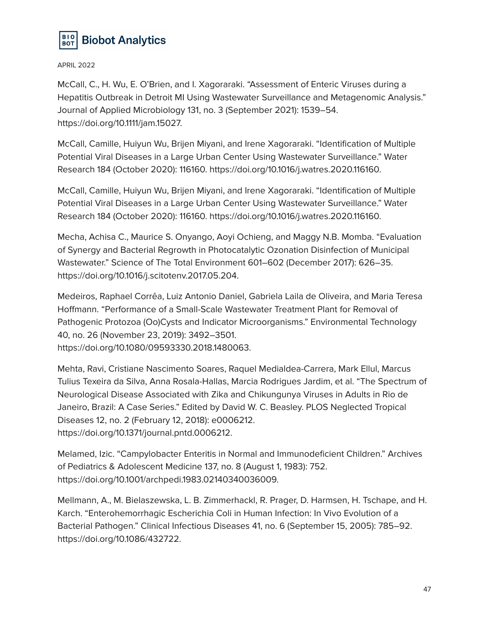

McCall, C., H. Wu, E. O'Brien, and I. Xagoraraki. "Assessment of Enteric Viruses during a Hepatitis Outbreak in Detroit MI Using Wastewater Surveillance and Metagenomic Analysis." Journal of Applied Microbiology 131, no. 3 (September 2021): 1539–54. https://doi.org/10.1111/jam.15027.

McCall, Camille, Huiyun Wu, Brijen Miyani, and Irene Xagoraraki. "Identification of Multiple Potential Viral Diseases in a Large Urban Center Using Wastewater Surveillance." Water Research 184 (October 2020): 116160. https://doi.org/10.1016/j.watres.2020.116160.

McCall, Camille, Huiyun Wu, Brijen Miyani, and Irene Xagoraraki. "Identification of Multiple Potential Viral Diseases in a Large Urban Center Using Wastewater Surveillance." Water Research 184 (October 2020): 116160. https://doi.org/10.1016/j.watres.2020.116160.

Mecha, Achisa C., Maurice S. Onyango, Aoyi Ochieng, and Maggy N.B. Momba. "Evaluation of Synergy and Bacterial Regrowth in Photocatalytic Ozonation Disinfection of Municipal Wastewater." Science of The Total Environment 601–602 (December 2017): 626–35. https://doi.org/10.1016/j.scitotenv.2017.05.204.

Medeiros, Raphael Corrêa, Luiz Antonio Daniel, Gabriela Laila de Oliveira, and Maria Teresa Hoffmann. "Performance of a Small-Scale Wastewater Treatment Plant for Removal of Pathogenic Protozoa (Oo)Cysts and Indicator Microorganisms." Environmental Technology 40, no. 26 (November 23, 2019): 3492–3501. https://doi.org/10.1080/09593330.2018.1480063.

Mehta, Ravi, Cristiane Nascimento Soares, Raquel Medialdea-Carrera, Mark Ellul, Marcus Tulius Texeira da Silva, Anna Rosala-Hallas, Marcia Rodrigues Jardim, et al. "The Spectrum of Neurological Disease Associated with Zika and Chikungunya Viruses in Adults in Rio de Janeiro, Brazil: A Case Series." Edited by David W. C. Beasley. PLOS Neglected Tropical Diseases 12, no. 2 (February 12, 2018): e0006212. https://doi.org/10.1371/journal.pntd.0006212.

Melamed, Izic. "Campylobacter Enteritis in Normal and Immunodeficient Children." Archives of Pediatrics & Adolescent Medicine 137, no. 8 (August 1, 1983): 752. https://doi.org/10.1001/archpedi.1983.02140340036009.

Mellmann, A., M. Bielaszewska, L. B. Zimmerhackl, R. Prager, D. Harmsen, H. Tschape, and H. Karch. "Enterohemorrhagic Escherichia Coli in Human Infection: In Vivo Evolution of a Bacterial Pathogen." Clinical Infectious Diseases 41, no. 6 (September 15, 2005): 785–92. https://doi.org/10.1086/432722.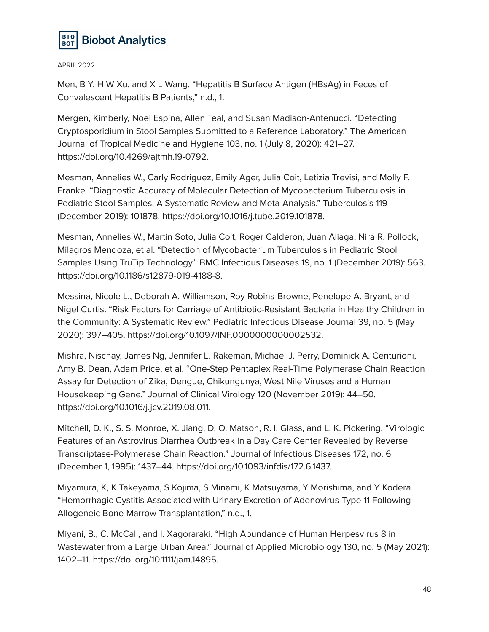

Men, B Y, H W Xu, and X L Wang. "Hepatitis B Surface Antigen (HBsAg) in Feces of Convalescent Hepatitis B Patients," n.d., 1.

Mergen, Kimberly, Noel Espina, Allen Teal, and Susan Madison-Antenucci. "Detecting Cryptosporidium in Stool Samples Submitted to a Reference Laboratory." The American Journal of Tropical Medicine and Hygiene 103, no. 1 (July 8, 2020): 421–27. https://doi.org/10.4269/ajtmh.19-0792.

Mesman, Annelies W., Carly Rodriguez, Emily Ager, Julia Coit, Letizia Trevisi, and Molly F. Franke. "Diagnostic Accuracy of Molecular Detection of Mycobacterium Tuberculosis in Pediatric Stool Samples: A Systematic Review and Meta-Analysis." Tuberculosis 119 (December 2019): 101878. https://doi.org/10.1016/j.tube.2019.101878.

Mesman, Annelies W., Martin Soto, Julia Coit, Roger Calderon, Juan Aliaga, Nira R. Pollock, Milagros Mendoza, et al. "Detection of Mycobacterium Tuberculosis in Pediatric Stool Samples Using TruTip Technology." BMC Infectious Diseases 19, no. 1 (December 2019): 563. https://doi.org/10.1186/s12879-019-4188-8.

Messina, Nicole L., Deborah A. Williamson, Roy Robins-Browne, Penelope A. Bryant, and Nigel Curtis. "Risk Factors for Carriage of Antibiotic-Resistant Bacteria in Healthy Children in the Community: A Systematic Review." Pediatric Infectious Disease Journal 39, no. 5 (May 2020): 397–405. https://doi.org/10.1097/INF.0000000000002532.

Mishra, Nischay, James Ng, Jennifer L. Rakeman, Michael J. Perry, Dominick A. Centurioni, Amy B. Dean, Adam Price, et al. "One-Step Pentaplex Real-Time Polymerase Chain Reaction Assay for Detection of Zika, Dengue, Chikungunya, West Nile Viruses and a Human Housekeeping Gene." Journal of Clinical Virology 120 (November 2019): 44–50. https://doi.org/10.1016/j.jcv.2019.08.011.

Mitchell, D. K., S. S. Monroe, X. Jiang, D. O. Matson, R. I. Glass, and L. K. Pickering. "Virologic Features of an Astrovirus Diarrhea Outbreak in a Day Care Center Revealed by Reverse Transcriptase-Polymerase Chain Reaction." Journal of Infectious Diseases 172, no. 6 (December 1, 1995): 1437–44. https://doi.org/10.1093/infdis/172.6.1437.

Miyamura, K, K Takeyama, S Kojima, S Minami, K Matsuyama, Y Morishima, and Y Kodera. "Hemorrhagic Cystitis Associated with Urinary Excretion of Adenovirus Type 11 Following Allogeneic Bone Marrow Transplantation," n.d., 1.

Miyani, B., C. McCall, and I. Xagoraraki. "High Abundance of Human Herpesvirus 8 in Wastewater from a Large Urban Area." Journal of Applied Microbiology 130, no. 5 (May 2021): 1402–11. https://doi.org/10.1111/jam.14895.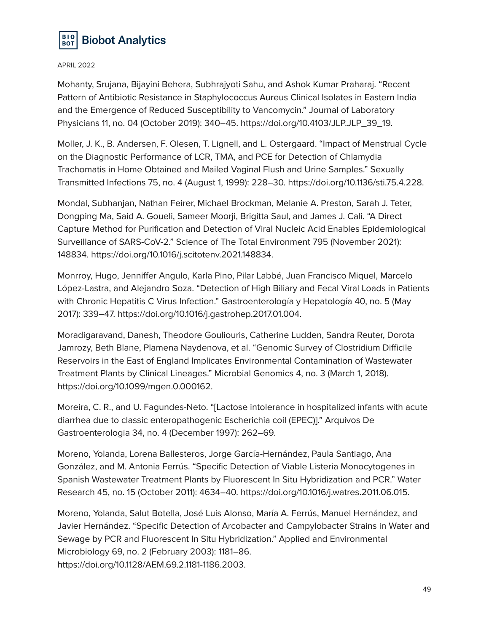

Mohanty, Srujana, Bijayini Behera, Subhrajyoti Sahu, and Ashok Kumar Praharaj. "Recent Pattern of Antibiotic Resistance in Staphylococcus Aureus Clinical Isolates in Eastern India and the Emergence of Reduced Susceptibility to Vancomycin." Journal of Laboratory Physicians 11, no. 04 (October 2019): 340–45. https://doi.org/10.4103/JLP.JLP\_39\_19.

Moller, J. K., B. Andersen, F. Olesen, T. Lignell, and L. Ostergaard. "Impact of Menstrual Cycle on the Diagnostic Performance of LCR, TMA, and PCE for Detection of Chlamydia Trachomatis in Home Obtained and Mailed Vaginal Flush and Urine Samples." Sexually Transmitted Infections 75, no. 4 (August 1, 1999): 228–30. https://doi.org/10.1136/sti.75.4.228.

Mondal, Subhanjan, Nathan Feirer, Michael Brockman, Melanie A. Preston, Sarah J. Teter, Dongping Ma, Said A. Goueli, Sameer Moorji, Brigitta Saul, and James J. Cali. "A Direct Capture Method for Purification and Detection of Viral Nucleic Acid Enables Epidemiological Surveillance of SARS-CoV-2." Science of The Total Environment 795 (November 2021): 148834. https://doi.org/10.1016/j.scitotenv.2021.148834.

Monrroy, Hugo, Jenniffer Angulo, Karla Pino, Pilar Labbé, Juan Francisco Miquel, Marcelo López-Lastra, and Alejandro Soza. "Detection of High Biliary and Fecal Viral Loads in Patients with Chronic Hepatitis C Virus Infection." Gastroenterología y Hepatología 40, no. 5 (May 2017): 339–47. https://doi.org/10.1016/j.gastrohep.2017.01.004.

Moradigaravand, Danesh, Theodore Gouliouris, Catherine Ludden, Sandra Reuter, Dorota Jamrozy, Beth Blane, Plamena Naydenova, et al. "Genomic Survey of Clostridium Difficile Reservoirs in the East of England Implicates Environmental Contamination of Wastewater Treatment Plants by Clinical Lineages." Microbial Genomics 4, no. 3 (March 1, 2018). https://doi.org/10.1099/mgen.0.000162.

Moreira, C. R., and U. Fagundes-Neto. "[Lactose intolerance in hospitalized infants with acute diarrhea due to classic enteropathogenic Escherichia coil (EPEC)]." Arquivos De Gastroenterologia 34, no. 4 (December 1997): 262–69.

Moreno, Yolanda, Lorena Ballesteros, Jorge García-Hernández, Paula Santiago, Ana González, and M. Antonia Ferrús. "Specific Detection of Viable Listeria Monocytogenes in Spanish Wastewater Treatment Plants by Fluorescent In Situ Hybridization and PCR." Water Research 45, no. 15 (October 2011): 4634–40. https://doi.org/10.1016/j.watres.2011.06.015.

Moreno, Yolanda, Salut Botella, José Luis Alonso, María A. Ferrús, Manuel Hernández, and Javier Hernández. "Specific Detection of Arcobacter and Campylobacter Strains in Water and Sewage by PCR and Fluorescent In Situ Hybridization." Applied and Environmental Microbiology 69, no. 2 (February 2003): 1181–86. https://doi.org/10.1128/AEM.69.2.1181-1186.2003.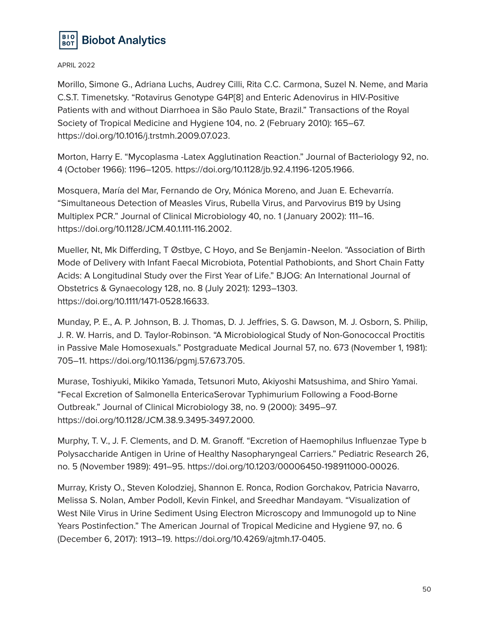

Morillo, Simone G., Adriana Luchs, Audrey Cilli, Rita C.C. Carmona, Suzel N. Neme, and Maria C.S.T. Timenetsky. "Rotavirus Genotype G4P[8] and Enteric Adenovirus in HIV-Positive Patients with and without Diarrhoea in São Paulo State, Brazil." Transactions of the Royal Society of Tropical Medicine and Hygiene 104, no. 2 (February 2010): 165–67. https://doi.org/10.1016/j.trstmh.2009.07.023.

Morton, Harry E. "Mycoplasma -Latex Agglutination Reaction." Journal of Bacteriology 92, no. 4 (October 1966): 1196–1205. https://doi.org/10.1128/jb.92.4.1196-1205.1966.

Mosquera, María del Mar, Fernando de Ory, Mónica Moreno, and Juan E. Echevarría. "Simultaneous Detection of Measles Virus, Rubella Virus, and Parvovirus B19 by Using Multiplex PCR." Journal of Clinical Microbiology 40, no. 1 (January 2002): 111–16. https://doi.org/10.1128/JCM.40.1.111-116.2002.

Mueller, Nt, Mk Differding, T Østbye, C Hoyo, and Se Benjamin‐Neelon. "Association of Birth Mode of Delivery with Infant Faecal Microbiota, Potential Pathobionts, and Short Chain Fatty Acids: A Longitudinal Study over the First Year of Life." BJOG: An International Journal of Obstetrics & Gynaecology 128, no. 8 (July 2021): 1293–1303. https://doi.org/10.1111/1471-0528.16633.

Munday, P. E., A. P. Johnson, B. J. Thomas, D. J. Jeffries, S. G. Dawson, M. J. Osborn, S. Philip, J. R. W. Harris, and D. Taylor-Robinson. "A Microbiological Study of Non-Gonococcal Proctitis in Passive Male Homosexuals." Postgraduate Medical Journal 57, no. 673 (November 1, 1981): 705–11. https://doi.org/10.1136/pgmj.57.673.705.

Murase, Toshiyuki, Mikiko Yamada, Tetsunori Muto, Akiyoshi Matsushima, and Shiro Yamai. "Fecal Excretion of Salmonella EntericaSerovar Typhimurium Following a Food-Borne Outbreak." Journal of Clinical Microbiology 38, no. 9 (2000): 3495–97. https://doi.org/10.1128/JCM.38.9.3495-3497.2000.

Murphy, T. V., J. F. Clements, and D. M. Granoff. "Excretion of Haemophilus Influenzae Type b Polysaccharide Antigen in Urine of Healthy Nasopharyngeal Carriers." Pediatric Research 26, no. 5 (November 1989): 491–95. https://doi.org/10.1203/00006450-198911000-00026.

Murray, Kristy O., Steven Kolodziej, Shannon E. Ronca, Rodion Gorchakov, Patricia Navarro, Melissa S. Nolan, Amber Podoll, Kevin Finkel, and Sreedhar Mandayam. "Visualization of West Nile Virus in Urine Sediment Using Electron Microscopy and Immunogold up to Nine Years Postinfection." The American Journal of Tropical Medicine and Hygiene 97, no. 6 (December 6, 2017): 1913–19. https://doi.org/10.4269/ajtmh.17-0405.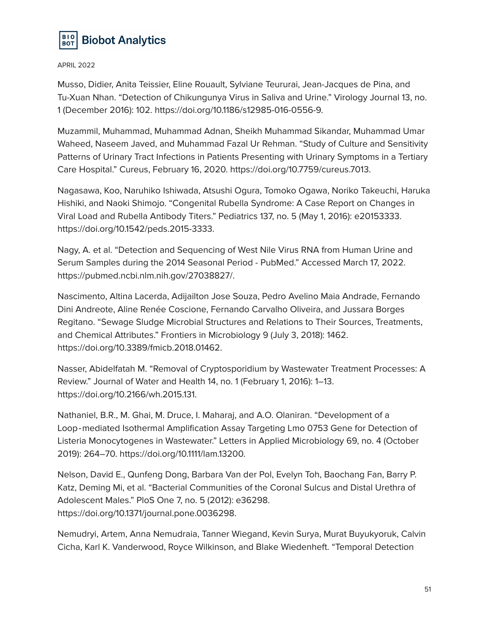

Musso, Didier, Anita Teissier, Eline Rouault, Sylviane Teururai, Jean-Jacques de Pina, and Tu-Xuan Nhan. "Detection of Chikungunya Virus in Saliva and Urine." Virology Journal 13, no. 1 (December 2016): 102. https://doi.org/10.1186/s12985-016-0556-9.

Muzammil, Muhammad, Muhammad Adnan, Sheikh Muhammad Sikandar, Muhammad Umar Waheed, Naseem Javed, and Muhammad Fazal Ur Rehman. "Study of Culture and Sensitivity Patterns of Urinary Tract Infections in Patients Presenting with Urinary Symptoms in a Tertiary Care Hospital." Cureus, February 16, 2020. https://doi.org/10.7759/cureus.7013.

Nagasawa, Koo, Naruhiko Ishiwada, Atsushi Ogura, Tomoko Ogawa, Noriko Takeuchi, Haruka Hishiki, and Naoki Shimojo. "Congenital Rubella Syndrome: A Case Report on Changes in Viral Load and Rubella Antibody Titers." Pediatrics 137, no. 5 (May 1, 2016): e20153333. https://doi.org/10.1542/peds.2015-3333.

Nagy, A. et al. "Detection and Sequencing of West Nile Virus RNA from Human Urine and Serum Samples during the 2014 Seasonal Period - PubMed." Accessed March 17, 2022. https://pubmed.ncbi.nlm.nih.gov/27038827/.

Nascimento, Altina Lacerda, Adijailton Jose Souza, Pedro Avelino Maia Andrade, Fernando Dini Andreote, Aline Renée Coscione, Fernando Carvalho Oliveira, and Jussara Borges Regitano. "Sewage Sludge Microbial Structures and Relations to Their Sources, Treatments, and Chemical Attributes." Frontiers in Microbiology 9 (July 3, 2018): 1462. https://doi.org/10.3389/fmicb.2018.01462.

Nasser, Abidelfatah M. "Removal of Cryptosporidium by Wastewater Treatment Processes: A Review." Journal of Water and Health 14, no. 1 (February 1, 2016): 1–13. https://doi.org/10.2166/wh.2015.131.

Nathaniel, B.R., M. Ghai, M. Druce, I. Maharaj, and A.O. Olaniran. "Development of a Loop‐mediated Isothermal Amplification Assay Targeting Lmo 0753 Gene for Detection of Listeria Monocytogenes in Wastewater." Letters in Applied Microbiology 69, no. 4 (October 2019): 264–70. https://doi.org/10.1111/lam.13200.

Nelson, David E., Qunfeng Dong, Barbara Van der Pol, Evelyn Toh, Baochang Fan, Barry P. Katz, Deming Mi, et al. "Bacterial Communities of the Coronal Sulcus and Distal Urethra of Adolescent Males." PloS One 7, no. 5 (2012): e36298. https://doi.org/10.1371/journal.pone.0036298.

Nemudryi, Artem, Anna Nemudraia, Tanner Wiegand, Kevin Surya, Murat Buyukyoruk, Calvin Cicha, Karl K. Vanderwood, Royce Wilkinson, and Blake Wiedenheft. "Temporal Detection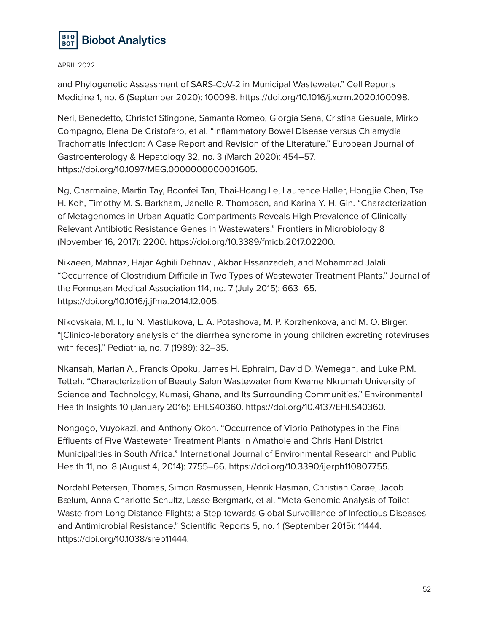

and Phylogenetic Assessment of SARS-CoV-2 in Municipal Wastewater." Cell Reports Medicine 1, no. 6 (September 2020): 100098. https://doi.org/10.1016/j.xcrm.2020.100098.

Neri, Benedetto, Christof Stingone, Samanta Romeo, Giorgia Sena, Cristina Gesuale, Mirko Compagno, Elena De Cristofaro, et al. "Inflammatory Bowel Disease versus Chlamydia Trachomatis Infection: A Case Report and Revision of the Literature." European Journal of Gastroenterology & Hepatology 32, no. 3 (March 2020): 454–57. https://doi.org/10.1097/MEG.0000000000001605.

Ng, Charmaine, Martin Tay, Boonfei Tan, Thai-Hoang Le, Laurence Haller, Hongjie Chen, Tse H. Koh, Timothy M. S. Barkham, Janelle R. Thompson, and Karina Y.-H. Gin. "Characterization of Metagenomes in Urban Aquatic Compartments Reveals High Prevalence of Clinically Relevant Antibiotic Resistance Genes in Wastewaters." Frontiers in Microbiology 8 (November 16, 2017): 2200. https://doi.org/10.3389/fmicb.2017.02200.

Nikaeen, Mahnaz, Hajar Aghili Dehnavi, Akbar Hssanzadeh, and Mohammad Jalali. "Occurrence of Clostridium Difficile in Two Types of Wastewater Treatment Plants." Journal of the Formosan Medical Association 114, no. 7 (July 2015): 663–65. https://doi.org/10.1016/j.jfma.2014.12.005.

Nikovskaia, M. I., Iu N. Mastiukova, L. A. Potashova, M. P. Korzhenkova, and M. O. Birger. "[Clinico-laboratory analysis of the diarrhea syndrome in young children excreting rotaviruses with feces]." Pediatriia, no. 7 (1989): 32–35.

Nkansah, Marian A., Francis Opoku, James H. Ephraim, David D. Wemegah, and Luke P.M. Tetteh. "Characterization of Beauty Salon Wastewater from Kwame Nkrumah University of Science and Technology, Kumasi, Ghana, and Its Surrounding Communities." Environmental Health Insights 10 (January 2016): EHI.S40360. https://doi.org/10.4137/EHI.S40360.

Nongogo, Vuyokazi, and Anthony Okoh. "Occurrence of Vibrio Pathotypes in the Final Effluents of Five Wastewater Treatment Plants in Amathole and Chris Hani District Municipalities in South Africa." International Journal of Environmental Research and Public Health 11, no. 8 (August 4, 2014): 7755–66. https://doi.org/10.3390/ijerph110807755.

Nordahl Petersen, Thomas, Simon Rasmussen, Henrik Hasman, Christian Carøe, Jacob Bælum, Anna Charlotte Schultz, Lasse Bergmark, et al. "Meta-Genomic Analysis of Toilet Waste from Long Distance Flights; a Step towards Global Surveillance of Infectious Diseases and Antimicrobial Resistance." Scientific Reports 5, no. 1 (September 2015): 11444. https://doi.org/10.1038/srep11444.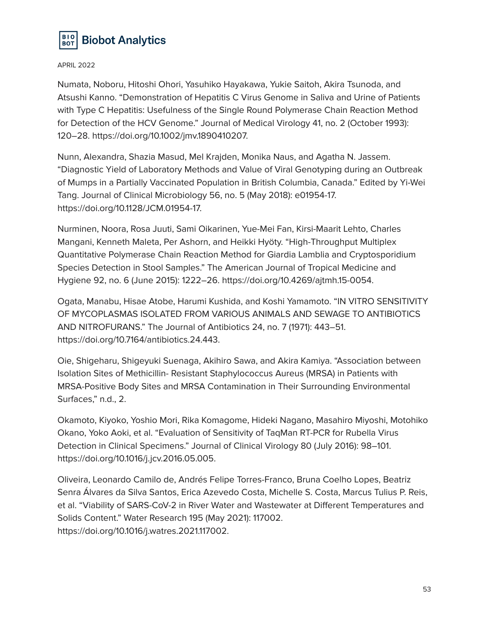

Numata, Noboru, Hitoshi Ohori, Yasuhiko Hayakawa, Yukie Saitoh, Akira Tsunoda, and Atsushi Kanno. "Demonstration of Hepatitis C Virus Genome in Saliva and Urine of Patients with Type C Hepatitis: Usefulness of the Single Round Polymerase Chain Reaction Method for Detection of the HCV Genome." Journal of Medical Virology 41, no. 2 (October 1993): 120–28. https://doi.org/10.1002/jmv.1890410207.

Nunn, Alexandra, Shazia Masud, Mel Krajden, Monika Naus, and Agatha N. Jassem. "Diagnostic Yield of Laboratory Methods and Value of Viral Genotyping during an Outbreak of Mumps in a Partially Vaccinated Population in British Columbia, Canada." Edited by Yi-Wei Tang. Journal of Clinical Microbiology 56, no. 5 (May 2018): e01954-17. https://doi.org/10.1128/JCM.01954-17.

Nurminen, Noora, Rosa Juuti, Sami Oikarinen, Yue-Mei Fan, Kirsi-Maarit Lehto, Charles Mangani, Kenneth Maleta, Per Ashorn, and Heikki Hyöty. "High-Throughput Multiplex Quantitative Polymerase Chain Reaction Method for Giardia Lamblia and Cryptosporidium Species Detection in Stool Samples." The American Journal of Tropical Medicine and Hygiene 92, no. 6 (June 2015): 1222–26. https://doi.org/10.4269/ajtmh.15-0054.

Ogata, Manabu, Hisae Atobe, Harumi Kushida, and Koshi Yamamoto. "IN VITRO SENSITIVITY OF MYCOPLASMAS ISOLATED FROM VARIOUS ANIMALS AND SEWAGE TO ANTIBIOTICS AND NITROFURANS." The Journal of Antibiotics 24, no. 7 (1971): 443–51. https://doi.org/10.7164/antibiotics.24.443.

Oie, Shigeharu, Shigeyuki Suenaga, Akihiro Sawa, and Akira Kamiya. "Association between Isolation Sites of Methicillin- Resistant Staphylococcus Aureus (MRSA) in Patients with MRSA-Positive Body Sites and MRSA Contamination in Their Surrounding Environmental Surfaces," n.d., 2.

Okamoto, Kiyoko, Yoshio Mori, Rika Komagome, Hideki Nagano, Masahiro Miyoshi, Motohiko Okano, Yoko Aoki, et al. "Evaluation of Sensitivity of TaqMan RT-PCR for Rubella Virus Detection in Clinical Specimens." Journal of Clinical Virology 80 (July 2016): 98–101. https://doi.org/10.1016/j.jcv.2016.05.005.

Oliveira, Leonardo Camilo de, Andrés Felipe Torres-Franco, Bruna Coelho Lopes, Beatriz Senra Álvares da Silva Santos, Erica Azevedo Costa, Michelle S. Costa, Marcus Tulius P. Reis, et al. "Viability of SARS-CoV-2 in River Water and Wastewater at Different Temperatures and Solids Content." Water Research 195 (May 2021): 117002. https://doi.org/10.1016/j.watres.2021.117002.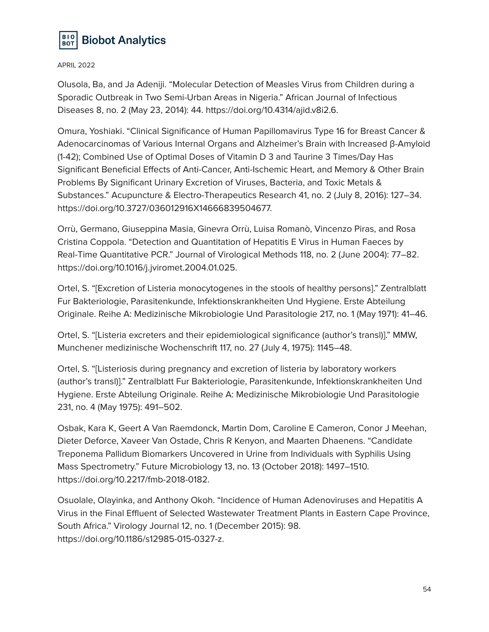

Olusola, Ba, and Ja Adeniji. "Molecular Detection of Measles Virus from Children during a Sporadic Outbreak in Two Semi-Urban Areas in Nigeria." African Journal of Infectious Diseases 8, no. 2 (May 23, 2014): 44. https://doi.org/10.4314/ajid.v8i2.6.

Omura, Yoshiaki. "Clinical Significance of Human Papillomavirus Type 16 for Breast Cancer & Adenocarcinomas of Various Internal Organs and Alzheimer's Brain with Increased β-Amyloid (1-42); Combined Use of Optimal Doses of Vitamin D 3 and Taurine 3 Times/Day Has Significant Beneficial Effects of Anti-Cancer, Anti-Ischemic Heart, and Memory & Other Brain Problems By Significant Urinary Excretion of Viruses, Bacteria, and Toxic Metals & Substances." Acupuncture & Electro-Therapeutics Research 41, no. 2 (July 8, 2016): 127–34. https://doi.org/10.3727/036012916X14666839504677.

Orrù, Germano, Giuseppina Masia, Ginevra Orrù, Luisa Romanò, Vincenzo Piras, and Rosa Cristina Coppola. "Detection and Quantitation of Hepatitis E Virus in Human Faeces by Real-Time Quantitative PCR." Journal of Virological Methods 118, no. 2 (June 2004): 77–82. https://doi.org/10.1016/j.jviromet.2004.01.025.

Ortel, S. "[Excretion of Listeria monocytogenes in the stools of healthy persons]." Zentralblatt Fur Bakteriologie, Parasitenkunde, Infektionskrankheiten Und Hygiene. Erste Abteilung Originale. Reihe A: Medizinische Mikrobiologie Und Parasitologie 217, no. 1 (May 1971): 41–46.

Ortel, S. "[Listeria excreters and their epidemiological significance (author's transl)]." MMW, Munchener medizinische Wochenschrift 117, no. 27 (July 4, 1975): 1145–48.

Ortel, S. "[Listeriosis during pregnancy and excretion of listeria by laboratory workers (author's transl)]." Zentralblatt Fur Bakteriologie, Parasitenkunde, Infektionskrankheiten Und Hygiene. Erste Abteilung Originale. Reihe A: Medizinische Mikrobiologie Und Parasitologie 231, no. 4 (May 1975): 491–502.

Osbak, Kara K, Geert A Van Raemdonck, Martin Dom, Caroline E Cameron, Conor J Meehan, Dieter Deforce, Xaveer Van Ostade, Chris R Kenyon, and Maarten Dhaenens. "Candidate Treponema Pallidum Biomarkers Uncovered in Urine from Individuals with Syphilis Using Mass Spectrometry." Future Microbiology 13, no. 13 (October 2018): 1497–1510. https://doi.org/10.2217/fmb-2018-0182.

Osuolale, Olayinka, and Anthony Okoh. "Incidence of Human Adenoviruses and Hepatitis A Virus in the Final Effluent of Selected Wastewater Treatment Plants in Eastern Cape Province, South Africa." Virology Journal 12, no. 1 (December 2015): 98. https://doi.org/10.1186/s12985-015-0327-z.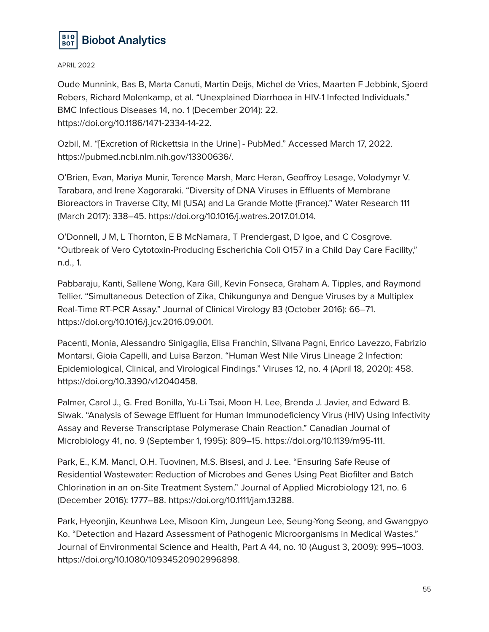

Oude Munnink, Bas B, Marta Canuti, Martin Deijs, Michel de Vries, Maarten F Jebbink, Sjoerd Rebers, Richard Molenkamp, et al. "Unexplained Diarrhoea in HIV-1 Infected Individuals." BMC Infectious Diseases 14, no. 1 (December 2014): 22. https://doi.org/10.1186/1471-2334-14-22.

Ozbil, M. "[Excretion of Rickettsia in the Urine] - PubMed." Accessed March 17, 2022. https://pubmed.ncbi.nlm.nih.gov/13300636/.

O'Brien, Evan, Mariya Munir, Terence Marsh, Marc Heran, Geoffroy Lesage, Volodymyr V. Tarabara, and Irene Xagoraraki. "Diversity of DNA Viruses in Effluents of Membrane Bioreactors in Traverse City, MI (USA) and La Grande Motte (France)." Water Research 111 (March 2017): 338–45. https://doi.org/10.1016/j.watres.2017.01.014.

O'Donnell, J M, L Thornton, E B McNamara, T Prendergast, D Igoe, and C Cosgrove. "Outbreak of Vero Cytotoxin-Producing Escherichia Coli O157 in a Child Day Care Facility," n.d., 1.

Pabbaraju, Kanti, Sallene Wong, Kara Gill, Kevin Fonseca, Graham A. Tipples, and Raymond Tellier. "Simultaneous Detection of Zika, Chikungunya and Dengue Viruses by a Multiplex Real-Time RT-PCR Assay." Journal of Clinical Virology 83 (October 2016): 66–71. https://doi.org/10.1016/j.jcv.2016.09.001.

Pacenti, Monia, Alessandro Sinigaglia, Elisa Franchin, Silvana Pagni, Enrico Lavezzo, Fabrizio Montarsi, Gioia Capelli, and Luisa Barzon. "Human West Nile Virus Lineage 2 Infection: Epidemiological, Clinical, and Virological Findings." Viruses 12, no. 4 (April 18, 2020): 458. https://doi.org/10.3390/v12040458.

Palmer, Carol J., G. Fred Bonilla, Yu-Li Tsai, Moon H. Lee, Brenda J. Javier, and Edward B. Siwak. "Analysis of Sewage Effluent for Human Immunodeficiency Virus (HIV) Using Infectivity Assay and Reverse Transcriptase Polymerase Chain Reaction." Canadian Journal of Microbiology 41, no. 9 (September 1, 1995): 809–15. https://doi.org/10.1139/m95-111.

Park, E., K.M. Mancl, O.H. Tuovinen, M.S. Bisesi, and J. Lee. "Ensuring Safe Reuse of Residential Wastewater: Reduction of Microbes and Genes Using Peat Biofilter and Batch Chlorination in an on-Site Treatment System." Journal of Applied Microbiology 121, no. 6 (December 2016): 1777–88. https://doi.org/10.1111/jam.13288.

Park, Hyeonjin, Keunhwa Lee, Misoon Kim, Jungeun Lee, Seung-Yong Seong, and Gwangpyo Ko. "Detection and Hazard Assessment of Pathogenic Microorganisms in Medical Wastes." Journal of Environmental Science and Health, Part A 44, no. 10 (August 3, 2009): 995–1003. https://doi.org/10.1080/10934520902996898.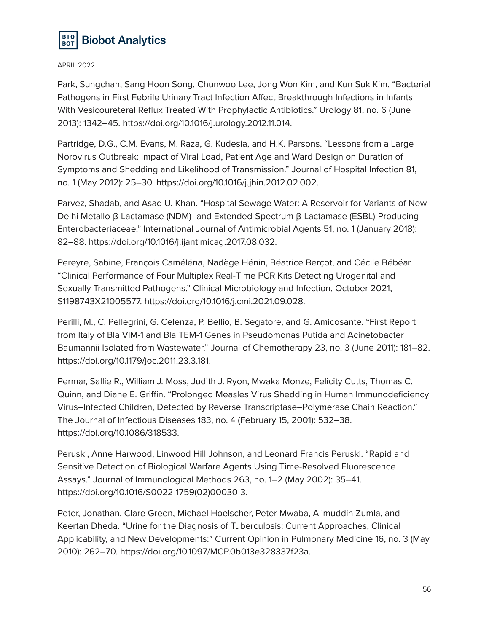

Park, Sungchan, Sang Hoon Song, Chunwoo Lee, Jong Won Kim, and Kun Suk Kim. "Bacterial Pathogens in First Febrile Urinary Tract Infection Affect Breakthrough Infections in Infants With Vesicoureteral Reflux Treated With Prophylactic Antibiotics." Urology 81, no. 6 (June 2013): 1342–45. https://doi.org/10.1016/j.urology.2012.11.014.

Partridge, D.G., C.M. Evans, M. Raza, G. Kudesia, and H.K. Parsons. "Lessons from a Large Norovirus Outbreak: Impact of Viral Load, Patient Age and Ward Design on Duration of Symptoms and Shedding and Likelihood of Transmission." Journal of Hospital Infection 81, no. 1 (May 2012): 25–30. https://doi.org/10.1016/j.jhin.2012.02.002.

Parvez, Shadab, and Asad U. Khan. "Hospital Sewage Water: A Reservoir for Variants of New Delhi Metallo-β-Lactamase (NDM)- and Extended-Spectrum β-Lactamase (ESBL)-Producing Enterobacteriaceae." International Journal of Antimicrobial Agents 51, no. 1 (January 2018): 82–88. https://doi.org/10.1016/j.ijantimicag.2017.08.032.

Pereyre, Sabine, François Caméléna, Nadège Hénin, Béatrice Berçot, and Cécile Bébéar. "Clinical Performance of Four Multiplex Real-Time PCR Kits Detecting Urogenital and Sexually Transmitted Pathogens." Clinical Microbiology and Infection, October 2021, S1198743X21005577. https://doi.org/10.1016/j.cmi.2021.09.028.

Perilli, M., C. Pellegrini, G. Celenza, P. Bellio, B. Segatore, and G. Amicosante. "First Report from Italy of Bla VIM-1 and Bla TEM-1 Genes in Pseudomonas Putida and Acinetobacter Baumannii Isolated from Wastewater." Journal of Chemotherapy 23, no. 3 (June 2011): 181–82. https://doi.org/10.1179/joc.2011.23.3.181.

Permar, Sallie R., William J. Moss, Judith J. Ryon, Mwaka Monze, Felicity Cutts, Thomas C. Quinn, and Diane E. Griffin. "Prolonged Measles Virus Shedding in Human Immunodeficiency Virus–Infected Children, Detected by Reverse Transcriptase–Polymerase Chain Reaction." The Journal of Infectious Diseases 183, no. 4 (February 15, 2001): 532–38. https://doi.org/10.1086/318533.

Peruski, Anne Harwood, Linwood Hill Johnson, and Leonard Francis Peruski. "Rapid and Sensitive Detection of Biological Warfare Agents Using Time-Resolved Fluorescence Assays." Journal of Immunological Methods 263, no. 1–2 (May 2002): 35–41. https://doi.org/10.1016/S0022-1759(02)00030-3.

Peter, Jonathan, Clare Green, Michael Hoelscher, Peter Mwaba, Alimuddin Zumla, and Keertan Dheda. "Urine for the Diagnosis of Tuberculosis: Current Approaches, Clinical Applicability, and New Developments:" Current Opinion in Pulmonary Medicine 16, no. 3 (May 2010): 262–70. https://doi.org/10.1097/MCP.0b013e328337f23a.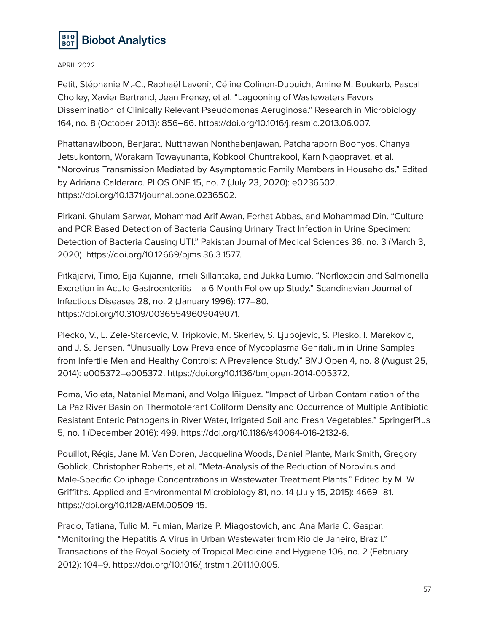

Petit, Stéphanie M.-C., Raphaël Lavenir, Céline Colinon-Dupuich, Amine M. Boukerb, Pascal Cholley, Xavier Bertrand, Jean Freney, et al. "Lagooning of Wastewaters Favors Dissemination of Clinically Relevant Pseudomonas Aeruginosa." Research in Microbiology 164, no. 8 (October 2013): 856–66. https://doi.org/10.1016/j.resmic.2013.06.007.

Phattanawiboon, Benjarat, Nutthawan Nonthabenjawan, Patcharaporn Boonyos, Chanya Jetsukontorn, Worakarn Towayunanta, Kobkool Chuntrakool, Karn Ngaopravet, et al. "Norovirus Transmission Mediated by Asymptomatic Family Members in Households." Edited by Adriana Calderaro. PLOS ONE 15, no. 7 (July 23, 2020): e0236502. https://doi.org/10.1371/journal.pone.0236502.

Pirkani, Ghulam Sarwar, Mohammad Arif Awan, Ferhat Abbas, and Mohammad Din. "Culture and PCR Based Detection of Bacteria Causing Urinary Tract Infection in Urine Specimen: Detection of Bacteria Causing UTI." Pakistan Journal of Medical Sciences 36, no. 3 (March 3, 2020). https://doi.org/10.12669/pjms.36.3.1577.

Pitkäjärvi, Timo, Eija Kujanne, Irmeli Sillantaka, and Jukka Lumio. "Norfloxacin and Salmonella Excretion in Acute Gastroenteritis – a 6-Month Follow-up Study." Scandinavian Journal of Infectious Diseases 28, no. 2 (January 1996): 177–80. https://doi.org/10.3109/00365549609049071.

Plecko, V., L. Zele-Starcevic, V. Tripkovic, M. Skerlev, S. Ljubojevic, S. Plesko, I. Marekovic, and J. S. Jensen. "Unusually Low Prevalence of Mycoplasma Genitalium in Urine Samples from Infertile Men and Healthy Controls: A Prevalence Study." BMJ Open 4, no. 8 (August 25, 2014): e005372–e005372. https://doi.org/10.1136/bmjopen-2014-005372.

Poma, Violeta, Nataniel Mamani, and Volga Iñiguez. "Impact of Urban Contamination of the La Paz River Basin on Thermotolerant Coliform Density and Occurrence of Multiple Antibiotic Resistant Enteric Pathogens in River Water, Irrigated Soil and Fresh Vegetables." SpringerPlus 5, no. 1 (December 2016): 499. https://doi.org/10.1186/s40064-016-2132-6.

Pouillot, Régis, Jane M. Van Doren, Jacquelina Woods, Daniel Plante, Mark Smith, Gregory Goblick, Christopher Roberts, et al. "Meta-Analysis of the Reduction of Norovirus and Male-Specific Coliphage Concentrations in Wastewater Treatment Plants." Edited by M. W. Griffiths. Applied and Environmental Microbiology 81, no. 14 (July 15, 2015): 4669–81. https://doi.org/10.1128/AEM.00509-15.

Prado, Tatiana, Tulio M. Fumian, Marize P. Miagostovich, and Ana Maria C. Gaspar. "Monitoring the Hepatitis A Virus in Urban Wastewater from Rio de Janeiro, Brazil." Transactions of the Royal Society of Tropical Medicine and Hygiene 106, no. 2 (February 2012): 104–9. https://doi.org/10.1016/j.trstmh.2011.10.005.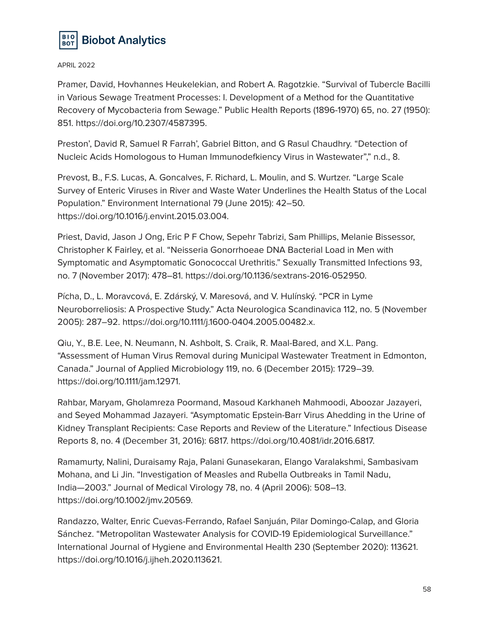

Pramer, David, Hovhannes Heukelekian, and Robert A. Ragotzkie. "Survival of Tubercle Bacilli in Various Sewage Treatment Processes: I. Development of a Method for the Quantitative Recovery of Mycobacteria from Sewage." Public Health Reports (1896-1970) 65, no. 27 (1950): 851. https://doi.org/10.2307/4587395.

Preston', David R, Samuel R Farrah', Gabriel Bitton, and G Rasul Chaudhry. "Detection of Nucleic Acids Homologous to Human Immunodefkiency Virus in Wastewater"," n.d., 8.

Prevost, B., F.S. Lucas, A. Goncalves, F. Richard, L. Moulin, and S. Wurtzer. "Large Scale Survey of Enteric Viruses in River and Waste Water Underlines the Health Status of the Local Population." Environment International 79 (June 2015): 42–50. https://doi.org/10.1016/j.envint.2015.03.004.

Priest, David, Jason J Ong, Eric P F Chow, Sepehr Tabrizi, Sam Phillips, Melanie Bissessor, Christopher K Fairley, et al. "Neisseria Gonorrhoeae DNA Bacterial Load in Men with Symptomatic and Asymptomatic Gonococcal Urethritis." Sexually Transmitted Infections 93, no. 7 (November 2017): 478–81. https://doi.org/10.1136/sextrans-2016-052950.

Pícha, D., L. Moravcová, E. Zdárský, V. Maresová, and V. Hulínský. "PCR in Lyme Neuroborreliosis: A Prospective Study." Acta Neurologica Scandinavica 112, no. 5 (November 2005): 287–92. https://doi.org/10.1111/j.1600-0404.2005.00482.x.

Qiu, Y., B.E. Lee, N. Neumann, N. Ashbolt, S. Craik, R. Maal-Bared, and X.L. Pang. "Assessment of Human Virus Removal during Municipal Wastewater Treatment in Edmonton, Canada." Journal of Applied Microbiology 119, no. 6 (December 2015): 1729–39. https://doi.org/10.1111/jam.12971.

Rahbar, Maryam, Gholamreza Poormand, Masoud Karkhaneh Mahmoodi, Aboozar Jazayeri, and Seyed Mohammad Jazayeri. "Asymptomatic Epstein-Barr Virus Ahedding in the Urine of Kidney Transplant Recipients: Case Reports and Review of the Literature." Infectious Disease Reports 8, no. 4 (December 31, 2016): 6817. https://doi.org/10.4081/idr.2016.6817.

Ramamurty, Nalini, Duraisamy Raja, Palani Gunasekaran, Elango Varalakshmi, Sambasivam Mohana, and Li Jin. "Investigation of Measles and Rubella Outbreaks in Tamil Nadu, India—2003." Journal of Medical Virology 78, no. 4 (April 2006): 508–13. https://doi.org/10.1002/jmv.20569.

Randazzo, Walter, Enric Cuevas-Ferrando, Rafael Sanjuán, Pilar Domingo-Calap, and Gloria Sánchez. "Metropolitan Wastewater Analysis for COVID-19 Epidemiological Surveillance." International Journal of Hygiene and Environmental Health 230 (September 2020): 113621. https://doi.org/10.1016/j.ijheh.2020.113621.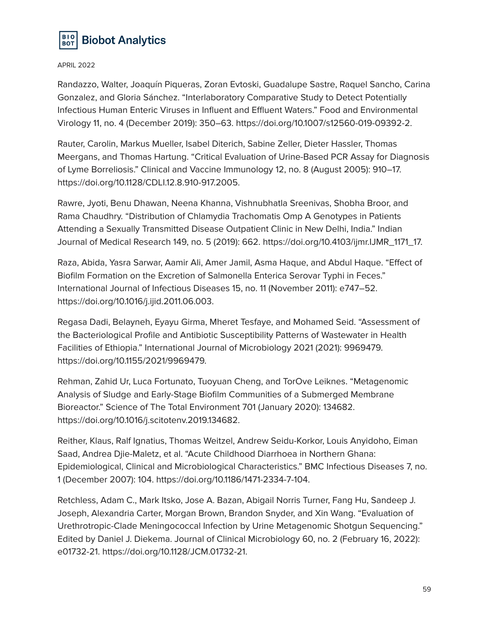

Randazzo, Walter, Joaquín Piqueras, Zoran Evtoski, Guadalupe Sastre, Raquel Sancho, Carina Gonzalez, and Gloria Sánchez. "Interlaboratory Comparative Study to Detect Potentially Infectious Human Enteric Viruses in Influent and Effluent Waters." Food and Environmental Virology 11, no. 4 (December 2019): 350–63. https://doi.org/10.1007/s12560-019-09392-2.

Rauter, Carolin, Markus Mueller, Isabel Diterich, Sabine Zeller, Dieter Hassler, Thomas Meergans, and Thomas Hartung. "Critical Evaluation of Urine-Based PCR Assay for Diagnosis of Lyme Borreliosis." Clinical and Vaccine Immunology 12, no. 8 (August 2005): 910–17. https://doi.org/10.1128/CDLI.12.8.910-917.2005.

Rawre, Jyoti, Benu Dhawan, Neena Khanna, Vishnubhatla Sreenivas, Shobha Broor, and Rama Chaudhry. "Distribution of Chlamydia Trachomatis Omp A Genotypes in Patients Attending a Sexually Transmitted Disease Outpatient Clinic in New Delhi, India." Indian Journal of Medical Research 149, no. 5 (2019): 662. https://doi.org/10.4103/ijmr.IJMR\_1171\_17.

Raza, Abida, Yasra Sarwar, Aamir Ali, Amer Jamil, Asma Haque, and Abdul Haque. "Effect of Biofilm Formation on the Excretion of Salmonella Enterica Serovar Typhi in Feces." International Journal of Infectious Diseases 15, no. 11 (November 2011): e747–52. https://doi.org/10.1016/j.ijid.2011.06.003.

Regasa Dadi, Belayneh, Eyayu Girma, Mheret Tesfaye, and Mohamed Seid. "Assessment of the Bacteriological Profile and Antibiotic Susceptibility Patterns of Wastewater in Health Facilities of Ethiopia." International Journal of Microbiology 2021 (2021): 9969479. https://doi.org/10.1155/2021/9969479.

Rehman, Zahid Ur, Luca Fortunato, Tuoyuan Cheng, and TorOve Leiknes. "Metagenomic Analysis of Sludge and Early-Stage Biofilm Communities of a Submerged Membrane Bioreactor." Science of The Total Environment 701 (January 2020): 134682. https://doi.org/10.1016/j.scitotenv.2019.134682.

Reither, Klaus, Ralf Ignatius, Thomas Weitzel, Andrew Seidu-Korkor, Louis Anyidoho, Eiman Saad, Andrea Djie-Maletz, et al. "Acute Childhood Diarrhoea in Northern Ghana: Epidemiological, Clinical and Microbiological Characteristics." BMC Infectious Diseases 7, no. 1 (December 2007): 104. https://doi.org/10.1186/1471-2334-7-104.

Retchless, Adam C., Mark Itsko, Jose A. Bazan, Abigail Norris Turner, Fang Hu, Sandeep J. Joseph, Alexandria Carter, Morgan Brown, Brandon Snyder, and Xin Wang. "Evaluation of Urethrotropic-Clade Meningococcal Infection by Urine Metagenomic Shotgun Sequencing." Edited by Daniel J. Diekema. Journal of Clinical Microbiology 60, no. 2 (February 16, 2022): e01732-21. https://doi.org/10.1128/JCM.01732-21.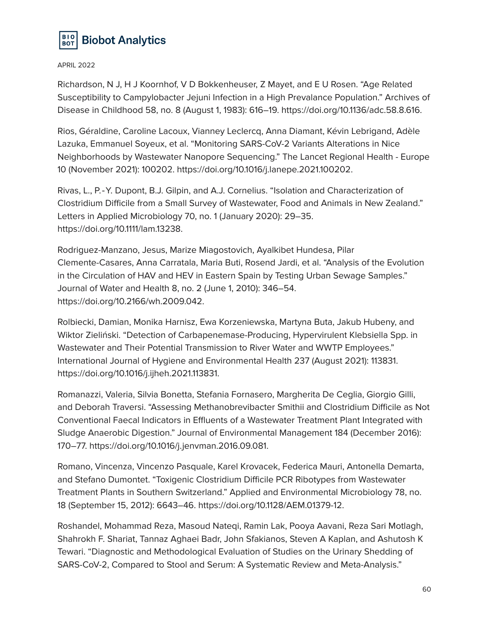

Richardson, N J, H J Koornhof, V D Bokkenheuser, Z Mayet, and E U Rosen. "Age Related Susceptibility to Campylobacter Jejuni Infection in a High Prevalance Population." Archives of Disease in Childhood 58, no. 8 (August 1, 1983): 616–19. https://doi.org/10.1136/adc.58.8.616.

Rios, Géraldine, Caroline Lacoux, Vianney Leclercq, Anna Diamant, Kévin Lebrigand, Adèle Lazuka, Emmanuel Soyeux, et al. "Monitoring SARS-CoV-2 Variants Alterations in Nice Neighborhoods by Wastewater Nanopore Sequencing." The Lancet Regional Health - Europe 10 (November 2021): 100202. https://doi.org/10.1016/j.lanepe.2021.100202.

Rivas, L., P.‐Y. Dupont, B.J. Gilpin, and A.J. Cornelius. "Isolation and Characterization of Clostridium Difficile from a Small Survey of Wastewater, Food and Animals in New Zealand." Letters in Applied Microbiology 70, no. 1 (January 2020): 29–35. https://doi.org/10.1111/lam.13238.

Rodriguez-Manzano, Jesus, Marize Miagostovich, Ayalkibet Hundesa, Pilar Clemente-Casares, Anna Carratala, Maria Buti, Rosend Jardi, et al. "Analysis of the Evolution in the Circulation of HAV and HEV in Eastern Spain by Testing Urban Sewage Samples." Journal of Water and Health 8, no. 2 (June 1, 2010): 346–54. https://doi.org/10.2166/wh.2009.042.

Rolbiecki, Damian, Monika Harnisz, Ewa Korzeniewska, Martyna Buta, Jakub Hubeny, and Wiktor Zieliński. "Detection of Carbapenemase-Producing, Hypervirulent Klebsiella Spp. in Wastewater and Their Potential Transmission to River Water and WWTP Employees." International Journal of Hygiene and Environmental Health 237 (August 2021): 113831. https://doi.org/10.1016/j.ijheh.2021.113831.

Romanazzi, Valeria, Silvia Bonetta, Stefania Fornasero, Margherita De Ceglia, Giorgio Gilli, and Deborah Traversi. "Assessing Methanobrevibacter Smithii and Clostridium Difficile as Not Conventional Faecal Indicators in Effluents of a Wastewater Treatment Plant Integrated with Sludge Anaerobic Digestion." Journal of Environmental Management 184 (December 2016): 170–77. https://doi.org/10.1016/j.jenvman.2016.09.081.

Romano, Vincenza, Vincenzo Pasquale, Karel Krovacek, Federica Mauri, Antonella Demarta, and Stefano Dumontet. "Toxigenic Clostridium Difficile PCR Ribotypes from Wastewater Treatment Plants in Southern Switzerland." Applied and Environmental Microbiology 78, no. 18 (September 15, 2012): 6643–46. https://doi.org/10.1128/AEM.01379-12.

Roshandel, Mohammad Reza, Masoud Nateqi, Ramin Lak, Pooya Aavani, Reza Sari Motlagh, Shahrokh F. Shariat, Tannaz Aghaei Badr, John Sfakianos, Steven A Kaplan, and Ashutosh K Tewari. "Diagnostic and Methodological Evaluation of Studies on the Urinary Shedding of SARS-CoV-2, Compared to Stool and Serum: A Systematic Review and Meta-Analysis."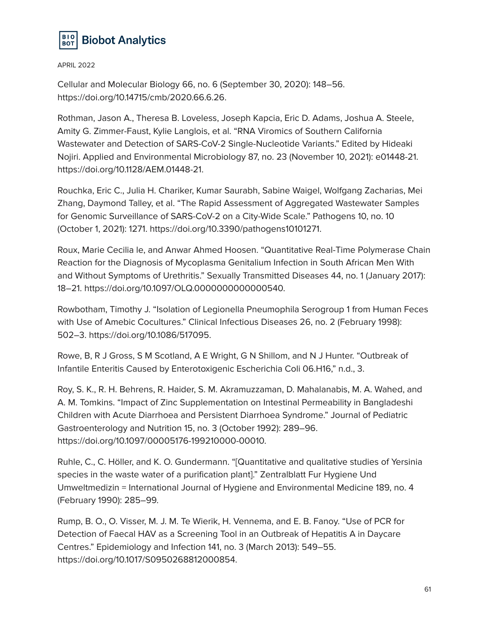

Cellular and Molecular Biology 66, no. 6 (September 30, 2020): 148–56. https://doi.org/10.14715/cmb/2020.66.6.26.

Rothman, Jason A., Theresa B. Loveless, Joseph Kapcia, Eric D. Adams, Joshua A. Steele, Amity G. Zimmer-Faust, Kylie Langlois, et al. "RNA Viromics of Southern California Wastewater and Detection of SARS-CoV-2 Single-Nucleotide Variants." Edited by Hideaki Nojiri. Applied and Environmental Microbiology 87, no. 23 (November 10, 2021): e01448-21. https://doi.org/10.1128/AEM.01448-21.

Rouchka, Eric C., Julia H. Chariker, Kumar Saurabh, Sabine Waigel, Wolfgang Zacharias, Mei Zhang, Daymond Talley, et al. "The Rapid Assessment of Aggregated Wastewater Samples for Genomic Surveillance of SARS-CoV-2 on a City-Wide Scale." Pathogens 10, no. 10 (October 1, 2021): 1271. https://doi.org/10.3390/pathogens10101271.

Roux, Marie Cecilia le, and Anwar Ahmed Hoosen. "Quantitative Real-Time Polymerase Chain Reaction for the Diagnosis of Mycoplasma Genitalium Infection in South African Men With and Without Symptoms of Urethritis." Sexually Transmitted Diseases 44, no. 1 (January 2017): 18–21. https://doi.org/10.1097/OLQ.0000000000000540.

Rowbotham, Timothy J. "Isolation of Legionella Pneumophila Serogroup 1 from Human Feces with Use of Amebic Cocultures." Clinical Infectious Diseases 26, no. 2 (February 1998): 502–3. https://doi.org/10.1086/517095.

Rowe, B, R J Gross, S M Scotland, A E Wright, G N Shillom, and N J Hunter. "Outbreak of Infantile Enteritis Caused by Enterotoxigenic Escherichia Coli 06.H16," n.d., 3.

Roy, S. K., R. H. Behrens, R. Haider, S. M. Akramuzzaman, D. Mahalanabis, M. A. Wahed, and A. M. Tomkins. "Impact of Zinc Supplementation on Intestinal Permeability in Bangladeshi Children with Acute Diarrhoea and Persistent Diarrhoea Syndrome." Journal of Pediatric Gastroenterology and Nutrition 15, no. 3 (October 1992): 289–96. https://doi.org/10.1097/00005176-199210000-00010.

Ruhle, C., C. Höller, and K. O. Gundermann. "[Quantitative and qualitative studies of Yersinia species in the waste water of a purification plant]." Zentralblatt Fur Hygiene Und Umweltmedizin = International Journal of Hygiene and Environmental Medicine 189, no. 4 (February 1990): 285–99.

Rump, B. O., O. Visser, M. J. M. Te Wierik, H. Vennema, and E. B. Fanoy. "Use of PCR for Detection of Faecal HAV as a Screening Tool in an Outbreak of Hepatitis A in Daycare Centres." Epidemiology and Infection 141, no. 3 (March 2013): 549–55. https://doi.org/10.1017/S0950268812000854.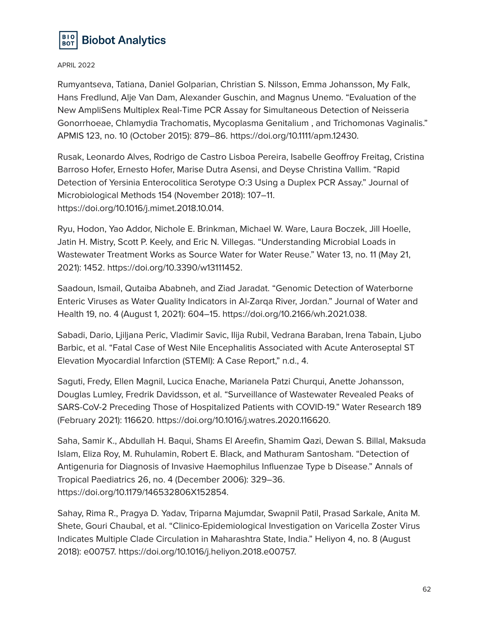

Rumyantseva, Tatiana, Daniel Golparian, Christian S. Nilsson, Emma Johansson, My Falk, Hans Fredlund, Alje Van Dam, Alexander Guschin, and Magnus Unemo. "Evaluation of the New AmpliSens Multiplex Real-Time PCR Assay for Simultaneous Detection of Neisseria Gonorrhoeae, Chlamydia Trachomatis, Mycoplasma Genitalium , and Trichomonas Vaginalis." APMIS 123, no. 10 (October 2015): 879–86. https://doi.org/10.1111/apm.12430.

Rusak, Leonardo Alves, Rodrigo de Castro Lisboa Pereira, Isabelle Geoffroy Freitag, Cristina Barroso Hofer, Ernesto Hofer, Marise Dutra Asensi, and Deyse Christina Vallim. "Rapid Detection of Yersinia Enterocolitica Serotype O:3 Using a Duplex PCR Assay." Journal of Microbiological Methods 154 (November 2018): 107–11. https://doi.org/10.1016/j.mimet.2018.10.014.

Ryu, Hodon, Yao Addor, Nichole E. Brinkman, Michael W. Ware, Laura Boczek, Jill Hoelle, Jatin H. Mistry, Scott P. Keely, and Eric N. Villegas. "Understanding Microbial Loads in Wastewater Treatment Works as Source Water for Water Reuse." Water 13, no. 11 (May 21, 2021): 1452. https://doi.org/10.3390/w13111452.

Saadoun, Ismail, Qutaiba Ababneh, and Ziad Jaradat. "Genomic Detection of Waterborne Enteric Viruses as Water Quality Indicators in Al-Zarqa River, Jordan." Journal of Water and Health 19, no. 4 (August 1, 2021): 604–15. https://doi.org/10.2166/wh.2021.038.

Sabadi, Dario, Ljiljana Peric, Vladimir Savic, Ilija Rubil, Vedrana Baraban, Irena Tabain, Ljubo Barbic, et al. "Fatal Case of West Nile Encephalitis Associated with Acute Anteroseptal ST Elevation Myocardial Infarction (STEMI): A Case Report," n.d., 4.

Saguti, Fredy, Ellen Magnil, Lucica Enache, Marianela Patzi Churqui, Anette Johansson, Douglas Lumley, Fredrik Davidsson, et al. "Surveillance of Wastewater Revealed Peaks of SARS-CoV-2 Preceding Those of Hospitalized Patients with COVID-19." Water Research 189 (February 2021): 116620. https://doi.org/10.1016/j.watres.2020.116620.

Saha, Samir K., Abdullah H. Baqui, Shams El Areefin, Shamim Qazi, Dewan S. Billal, Maksuda Islam, Eliza Roy, M. Ruhulamin, Robert E. Black, and Mathuram Santosham. "Detection of Antigenuria for Diagnosis of Invasive Haemophilus Influenzae Type b Disease." Annals of Tropical Paediatrics 26, no. 4 (December 2006): 329–36. https://doi.org/10.1179/146532806X152854.

Sahay, Rima R., Pragya D. Yadav, Triparna Majumdar, Swapnil Patil, Prasad Sarkale, Anita M. Shete, Gouri Chaubal, et al. "Clinico-Epidemiological Investigation on Varicella Zoster Virus Indicates Multiple Clade Circulation in Maharashtra State, India." Heliyon 4, no. 8 (August 2018): e00757. https://doi.org/10.1016/j.heliyon.2018.e00757.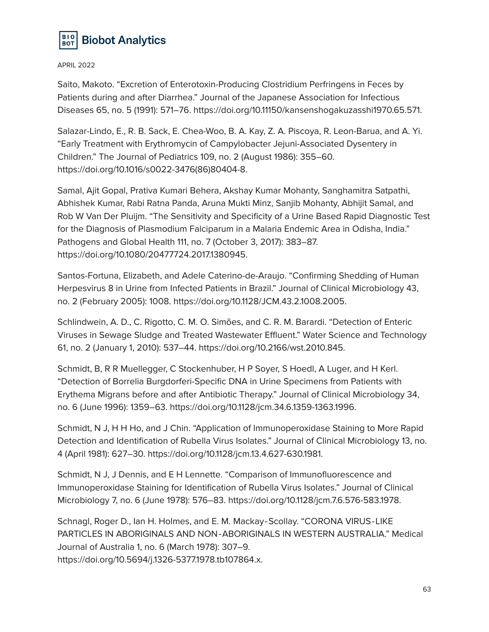

Saito, Makoto. "Excretion of Enterotoxin-Producing Clostridium Perfringens in Feces by Patients during and after Diarrhea." Journal of the Japanese Association for Infectious Diseases 65, no. 5 (1991): 571–76. https://doi.org/10.11150/kansenshogakuzasshi1970.65.571.

Salazar-Lindo, E., R. B. Sack, E. Chea-Woo, B. A. Kay, Z. A. Piscoya, R. Leon-Barua, and A. Yi. "Early Treatment with Erythromycin of Campylobacter Jejuni-Associated Dysentery in Children." The Journal of Pediatrics 109, no. 2 (August 1986): 355–60. https://doi.org/10.1016/s0022-3476(86)80404-8.

Samal, Ajit Gopal, Prativa Kumari Behera, Akshay Kumar Mohanty, Sanghamitra Satpathi, Abhishek Kumar, Rabi Ratna Panda, Aruna Mukti Minz, Sanjib Mohanty, Abhijit Samal, and Rob W Van Der Pluijm. "The Sensitivity and Specificity of a Urine Based Rapid Diagnostic Test for the Diagnosis of Plasmodium Falciparum in a Malaria Endemic Area in Odisha, India." Pathogens and Global Health 111, no. 7 (October 3, 2017): 383–87. https://doi.org/10.1080/20477724.2017.1380945.

Santos-Fortuna, Elizabeth, and Adele Caterino-de-Araujo. "Confirming Shedding of Human Herpesvirus 8 in Urine from Infected Patients in Brazil." Journal of Clinical Microbiology 43, no. 2 (February 2005): 1008. https://doi.org/10.1128/JCM.43.2.1008.2005.

Schlindwein, A. D., C. Rigotto, C. M. O. Simões, and C. R. M. Barardi. "Detection of Enteric Viruses in Sewage Sludge and Treated Wastewater Effluent." Water Science and Technology 61, no. 2 (January 1, 2010): 537–44. https://doi.org/10.2166/wst.2010.845.

Schmidt, B, R R Muellegger, C Stockenhuber, H P Soyer, S Hoedl, A Luger, and H Kerl. "Detection of Borrelia Burgdorferi-Specific DNA in Urine Specimens from Patients with Erythema Migrans before and after Antibiotic Therapy." Journal of Clinical Microbiology 34, no. 6 (June 1996): 1359–63. https://doi.org/10.1128/jcm.34.6.1359-1363.1996.

Schmidt, N J, H H Ho, and J Chin. "Application of Immunoperoxidase Staining to More Rapid Detection and Identification of Rubella Virus Isolates." Journal of Clinical Microbiology 13, no. 4 (April 1981): 627–30. https://doi.org/10.1128/jcm.13.4.627-630.1981.

Schmidt, N J, J Dennis, and E H Lennette. "Comparison of Immunofluorescence and Immunoperoxidase Staining for Identification of Rubella Virus Isolates." Journal of Clinical Microbiology 7, no. 6 (June 1978): 576–83. https://doi.org/10.1128/jcm.7.6.576-583.1978.

Schnagl, Roger D., Ian H. Holmes, and E. M. Mackay‐Scollay. "CORONA VIRUS‐LIKE PARTICLES IN ABORIGINALS AND NON‐ABORIGINALS IN WESTERN AUSTRALIA." Medical Journal of Australia 1, no. 6 (March 1978): 307–9.

https://doi.org/10.5694/j.1326-5377.1978.tb107864.x.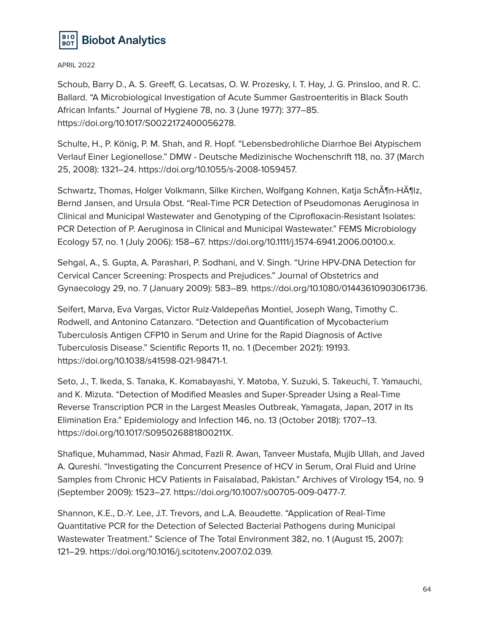

Schoub, Barry D., A. S. Greeff, G. Lecatsas, O. W. Prozesky, I. T. Hay, J. G. Prinsloo, and R. C. Ballard. "A Microbiological Investigation of Acute Summer Gastroenteritis in Black South African Infants." Journal of Hygiene 78, no. 3 (June 1977): 377–85. https://doi.org/10.1017/S0022172400056278.

Schulte, H., P. König, P. M. Shah, and R. Hopf. "Lebensbedrohliche Diarrhoe Bei Atypischem Verlauf Einer Legionellose." DMW - Deutsche Medizinische Wochenschrift 118, no. 37 (March 25, 2008): 1321–24. https://doi.org/10.1055/s-2008-1059457.

Schwartz, Thomas, Holger Volkmann, Silke Kirchen, Wolfgang Kohnen, Katja Sch $\tilde{A}$ ¶n-H $\tilde{A}$ ¶lz, Bernd Jansen, and Ursula Obst. "Real-Time PCR Detection of Pseudomonas Aeruginosa in Clinical and Municipal Wastewater and Genotyping of the Ciprofloxacin-Resistant Isolates: PCR Detection of P. Aeruginosa in Clinical and Municipal Wastewater." FEMS Microbiology Ecology 57, no. 1 (July 2006): 158–67. https://doi.org/10.1111/j.1574-6941.2006.00100.x.

Sehgal, A., S. Gupta, A. Parashari, P. Sodhani, and V. Singh. "Urine HPV-DNA Detection for Cervical Cancer Screening: Prospects and Prejudices." Journal of Obstetrics and Gynaecology 29, no. 7 (January 2009): 583–89. https://doi.org/10.1080/01443610903061736.

Seifert, Marva, Eva Vargas, Victor Ruiz-Valdepeñas Montiel, Joseph Wang, Timothy C. Rodwell, and Antonino Catanzaro. "Detection and Quantification of Mycobacterium Tuberculosis Antigen CFP10 in Serum and Urine for the Rapid Diagnosis of Active Tuberculosis Disease." Scientific Reports 11, no. 1 (December 2021): 19193. https://doi.org/10.1038/s41598-021-98471-1.

Seto, J., T. Ikeda, S. Tanaka, K. Komabayashi, Y. Matoba, Y. Suzuki, S. Takeuchi, T. Yamauchi, and K. Mizuta. "Detection of Modified Measles and Super-Spreader Using a Real-Time Reverse Transcription PCR in the Largest Measles Outbreak, Yamagata, Japan, 2017 in Its Elimination Era." Epidemiology and Infection 146, no. 13 (October 2018): 1707–13. https://doi.org/10.1017/S095026881800211X.

Shafique, Muhammad, Nasir Ahmad, Fazli R. Awan, Tanveer Mustafa, Mujib Ullah, and Javed A. Qureshi. "Investigating the Concurrent Presence of HCV in Serum, Oral Fluid and Urine Samples from Chronic HCV Patients in Faisalabad, Pakistan." Archives of Virology 154, no. 9 (September 2009): 1523–27. https://doi.org/10.1007/s00705-009-0477-7.

Shannon, K.E., D.-Y. Lee, J.T. Trevors, and L.A. Beaudette. "Application of Real-Time Quantitative PCR for the Detection of Selected Bacterial Pathogens during Municipal Wastewater Treatment." Science of The Total Environment 382, no. 1 (August 15, 2007): 121–29. https://doi.org/10.1016/j.scitotenv.2007.02.039.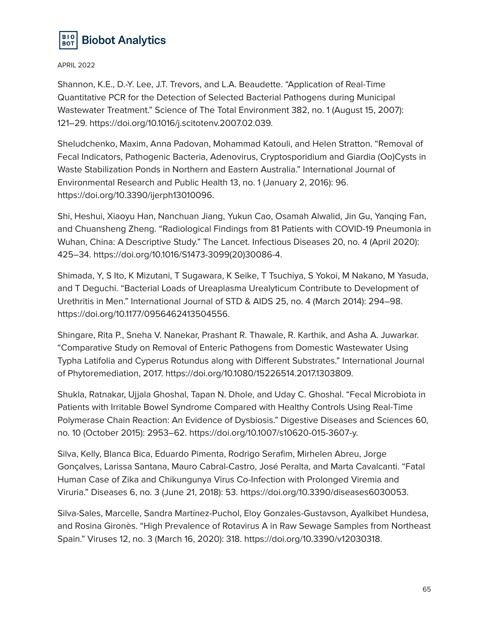

Shannon, K.E., D.-Y. Lee, J.T. Trevors, and L.A. Beaudette. "Application of Real-Time Quantitative PCR for the Detection of Selected Bacterial Pathogens during Municipal Wastewater Treatment." Science of The Total Environment 382, no. 1 (August 15, 2007): 121–29. https://doi.org/10.1016/j.scitotenv.2007.02.039.

Sheludchenko, Maxim, Anna Padovan, Mohammad Katouli, and Helen Stratton. "Removal of Fecal Indicators, Pathogenic Bacteria, Adenovirus, Cryptosporidium and Giardia (Oo)Cysts in Waste Stabilization Ponds in Northern and Eastern Australia." International Journal of Environmental Research and Public Health 13, no. 1 (January 2, 2016): 96. https://doi.org/10.3390/ijerph13010096.

Shi, Heshui, Xiaoyu Han, Nanchuan Jiang, Yukun Cao, Osamah Alwalid, Jin Gu, Yanqing Fan, and Chuansheng Zheng. "Radiological Findings from 81 Patients with COVID-19 Pneumonia in Wuhan, China: A Descriptive Study." The Lancet. Infectious Diseases 20, no. 4 (April 2020): 425–34. https://doi.org/10.1016/S1473-3099(20)30086-4.

Shimada, Y, S Ito, K Mizutani, T Sugawara, K Seike, T Tsuchiya, S Yokoi, M Nakano, M Yasuda, and T Deguchi. "Bacterial Loads of Ureaplasma Urealyticum Contribute to Development of Urethritis in Men." International Journal of STD & AIDS 25, no. 4 (March 2014): 294–98. https://doi.org/10.1177/0956462413504556.

Shingare, Rita P., Sneha V. Nanekar, Prashant R. Thawale, R. Karthik, and Asha A. Juwarkar. "Comparative Study on Removal of Enteric Pathogens from Domestic Wastewater Using Typha Latifolia and Cyperus Rotundus along with Different Substrates." International Journal of Phytoremediation, 2017. https://doi.org/10.1080/15226514.2017.1303809.

Shukla, Ratnakar, Ujjala Ghoshal, Tapan N. Dhole, and Uday C. Ghoshal. "Fecal Microbiota in Patients with Irritable Bowel Syndrome Compared with Healthy Controls Using Real-Time Polymerase Chain Reaction: An Evidence of Dysbiosis." Digestive Diseases and Sciences 60, no. 10 (October 2015): 2953–62. https://doi.org/10.1007/s10620-015-3607-y.

Silva, Kelly, Blanca Bica, Eduardo Pimenta, Rodrigo Serafim, Mirhelen Abreu, Jorge Gonçalves, Larissa Santana, Mauro Cabral-Castro, José Peralta, and Marta Cavalcanti. "Fatal Human Case of Zika and Chikungunya Virus Co-Infection with Prolonged Viremia and Viruria." Diseases 6, no. 3 (June 21, 2018): 53. https://doi.org/10.3390/diseases6030053.

Silva-Sales, Marcelle, Sandra Martínez-Puchol, Eloy Gonzales-Gustavson, Ayalkibet Hundesa, and Rosina Gironès. "High Prevalence of Rotavirus A in Raw Sewage Samples from Northeast Spain." Viruses 12, no. 3 (March 16, 2020): 318. https://doi.org/10.3390/v12030318.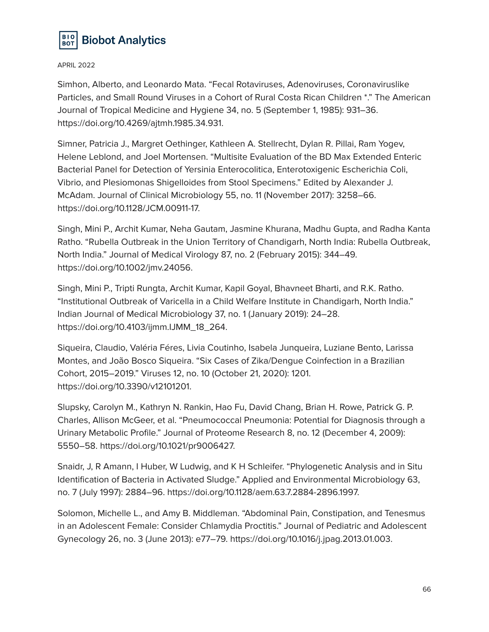

Simhon, Alberto, and Leonardo Mata. "Fecal Rotaviruses, Adenoviruses, Coronaviruslike Particles, and Small Round Viruses in a Cohort of Rural Costa Rican Children \*." The American Journal of Tropical Medicine and Hygiene 34, no. 5 (September 1, 1985): 931–36. https://doi.org/10.4269/ajtmh.1985.34.931.

Simner, Patricia J., Margret Oethinger, Kathleen A. Stellrecht, Dylan R. Pillai, Ram Yogev, Helene Leblond, and Joel Mortensen. "Multisite Evaluation of the BD Max Extended Enteric Bacterial Panel for Detection of Yersinia Enterocolitica, Enterotoxigenic Escherichia Coli, Vibrio, and Plesiomonas Shigelloides from Stool Specimens." Edited by Alexander J. McAdam. Journal of Clinical Microbiology 55, no. 11 (November 2017): 3258–66. https://doi.org/10.1128/JCM.00911-17.

Singh, Mini P., Archit Kumar, Neha Gautam, Jasmine Khurana, Madhu Gupta, and Radha Kanta Ratho. "Rubella Outbreak in the Union Territory of Chandigarh, North India: Rubella Outbreak, North India." Journal of Medical Virology 87, no. 2 (February 2015): 344–49. https://doi.org/10.1002/jmv.24056.

Singh, Mini P., Tripti Rungta, Archit Kumar, Kapil Goyal, Bhavneet Bharti, and R.K. Ratho. "Institutional Outbreak of Varicella in a Child Welfare Institute in Chandigarh, North India." Indian Journal of Medical Microbiology 37, no. 1 (January 2019): 24–28. https://doi.org/10.4103/ijmm.IJMM\_18\_264.

Siqueira, Claudio, Valéria Féres, Livia Coutinho, Isabela Junqueira, Luziane Bento, Larissa Montes, and João Bosco Siqueira. "Six Cases of Zika/Dengue Coinfection in a Brazilian Cohort, 2015–2019." Viruses 12, no. 10 (October 21, 2020): 1201. https://doi.org/10.3390/v12101201.

Slupsky, Carolyn M., Kathryn N. Rankin, Hao Fu, David Chang, Brian H. Rowe, Patrick G. P. Charles, Allison McGeer, et al. "Pneumococcal Pneumonia: Potential for Diagnosis through a Urinary Metabolic Profile." Journal of Proteome Research 8, no. 12 (December 4, 2009): 5550–58. https://doi.org/10.1021/pr9006427.

Snaidr, J, R Amann, I Huber, W Ludwig, and K H Schleifer. "Phylogenetic Analysis and in Situ Identification of Bacteria in Activated Sludge." Applied and Environmental Microbiology 63, no. 7 (July 1997): 2884–96. https://doi.org/10.1128/aem.63.7.2884-2896.1997.

Solomon, Michelle L., and Amy B. Middleman. "Abdominal Pain, Constipation, and Tenesmus in an Adolescent Female: Consider Chlamydia Proctitis." Journal of Pediatric and Adolescent Gynecology 26, no. 3 (June 2013): e77–79. https://doi.org/10.1016/j.jpag.2013.01.003.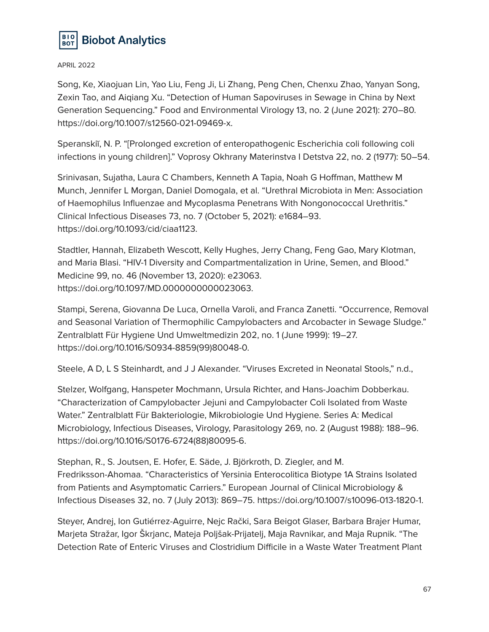

Song, Ke, Xiaojuan Lin, Yao Liu, Feng Ji, Li Zhang, Peng Chen, Chenxu Zhao, Yanyan Song, Zexin Tao, and Aiqiang Xu. "Detection of Human Sapoviruses in Sewage in China by Next Generation Sequencing." Food and Environmental Virology 13, no. 2 (June 2021): 270–80. https://doi.org/10.1007/s12560-021-09469-x.

Speranskiĭ, N. P. "[Prolonged excretion of enteropathogenic Escherichia coli following coli infections in young children]." Voprosy Okhrany Materinstva I Detstva 22, no. 2 (1977): 50–54.

Srinivasan, Sujatha, Laura C Chambers, Kenneth A Tapia, Noah G Hoffman, Matthew M Munch, Jennifer L Morgan, Daniel Domogala, et al. "Urethral Microbiota in Men: Association of Haemophilus Influenzae and Mycoplasma Penetrans With Nongonococcal Urethritis." Clinical Infectious Diseases 73, no. 7 (October 5, 2021): e1684–93. https://doi.org/10.1093/cid/ciaa1123.

Stadtler, Hannah, Elizabeth Wescott, Kelly Hughes, Jerry Chang, Feng Gao, Mary Klotman, and Maria Blasi. "HIV-1 Diversity and Compartmentalization in Urine, Semen, and Blood." Medicine 99, no. 46 (November 13, 2020): e23063. https://doi.org/10.1097/MD.0000000000023063.

Stampi, Serena, Giovanna De Luca, Ornella Varoli, and Franca Zanetti. "Occurrence, Removal and Seasonal Variation of Thermophilic Campylobacters and Arcobacter in Sewage Sludge." Zentralblatt Für Hygiene Und Umweltmedizin 202, no. 1 (June 1999): 19–27. https://doi.org/10.1016/S0934-8859(99)80048-0.

Steele, A D, L S Steinhardt, and J J Alexander. "Viruses Excreted in Neonatal Stools," n.d.,

Stelzer, Wolfgang, Hanspeter Mochmann, Ursula Richter, and Hans-Joachim Dobberkau. "Characterization of Campylobacter Jejuni and Campylobacter Coli Isolated from Waste Water." Zentralblatt Für Bakteriologie, Mikrobiologie Und Hygiene. Series A: Medical Microbiology, Infectious Diseases, Virology, Parasitology 269, no. 2 (August 1988): 188–96. https://doi.org/10.1016/S0176-6724(88)80095-6.

Stephan, R., S. Joutsen, E. Hofer, E. Säde, J. Björkroth, D. Ziegler, and M. Fredriksson-Ahomaa. "Characteristics of Yersinia Enterocolitica Biotype 1A Strains Isolated from Patients and Asymptomatic Carriers." European Journal of Clinical Microbiology & Infectious Diseases 32, no. 7 (July 2013): 869–75. https://doi.org/10.1007/s10096-013-1820-1.

Steyer, Andrej, Ion Gutiérrez-Aguirre, Nejc Rački, Sara Beigot Glaser, Barbara Brajer Humar, Marjeta Stražar, Igor Škrjanc, Mateja Poljšak-Prijatelj, Maja Ravnikar, and Maja Rupnik. "The Detection Rate of Enteric Viruses and Clostridium Difficile in a Waste Water Treatment Plant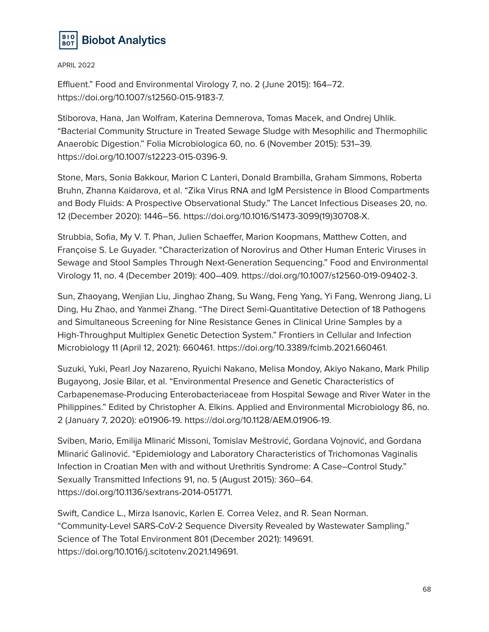

Effluent." Food and Environmental Virology 7, no. 2 (June 2015): 164–72. https://doi.org/10.1007/s12560-015-9183-7.

Stiborova, Hana, Jan Wolfram, Katerina Demnerova, Tomas Macek, and Ondrej Uhlik. "Bacterial Community Structure in Treated Sewage Sludge with Mesophilic and Thermophilic Anaerobic Digestion." Folia Microbiologica 60, no. 6 (November 2015): 531–39. https://doi.org/10.1007/s12223-015-0396-9.

Stone, Mars, Sonia Bakkour, Marion C Lanteri, Donald Brambilla, Graham Simmons, Roberta Bruhn, Zhanna Kaidarova, et al. "Zika Virus RNA and IgM Persistence in Blood Compartments and Body Fluids: A Prospective Observational Study." The Lancet Infectious Diseases 20, no. 12 (December 2020): 1446–56. https://doi.org/10.1016/S1473-3099(19)30708-X.

Strubbia, Sofia, My V. T. Phan, Julien Schaeffer, Marion Koopmans, Matthew Cotten, and Françoise S. Le Guyader. "Characterization of Norovirus and Other Human Enteric Viruses in Sewage and Stool Samples Through Next-Generation Sequencing." Food and Environmental Virology 11, no. 4 (December 2019): 400–409. https://doi.org/10.1007/s12560-019-09402-3.

Sun, Zhaoyang, Wenjian Liu, Jinghao Zhang, Su Wang, Feng Yang, Yi Fang, Wenrong Jiang, Li Ding, Hu Zhao, and Yanmei Zhang. "The Direct Semi-Quantitative Detection of 18 Pathogens and Simultaneous Screening for Nine Resistance Genes in Clinical Urine Samples by a High-Throughput Multiplex Genetic Detection System." Frontiers in Cellular and Infection Microbiology 11 (April 12, 2021): 660461. https://doi.org/10.3389/fcimb.2021.660461.

Suzuki, Yuki, Pearl Joy Nazareno, Ryuichi Nakano, Melisa Mondoy, Akiyo Nakano, Mark Philip Bugayong, Josie Bilar, et al. "Environmental Presence and Genetic Characteristics of Carbapenemase-Producing Enterobacteriaceae from Hospital Sewage and River Water in the Philippines." Edited by Christopher A. Elkins. Applied and Environmental Microbiology 86, no. 2 (January 7, 2020): e01906-19. https://doi.org/10.1128/AEM.01906-19.

Sviben, Mario, Emilija Mlinarić Missoni, Tomislav Meštrović, Gordana Vojnović, and Gordana Mlinarić Galinović. "Epidemiology and Laboratory Characteristics of Trichomonas Vaginalis Infection in Croatian Men with and without Urethritis Syndrome: A Case–Control Study." Sexually Transmitted Infections 91, no. 5 (August 2015): 360–64. https://doi.org/10.1136/sextrans-2014-051771.

Swift, Candice L., Mirza Isanovic, Karlen E. Correa Velez, and R. Sean Norman. "Community-Level SARS-CoV-2 Sequence Diversity Revealed by Wastewater Sampling." Science of The Total Environment 801 (December 2021): 149691. https://doi.org/10.1016/j.scitotenv.2021.149691.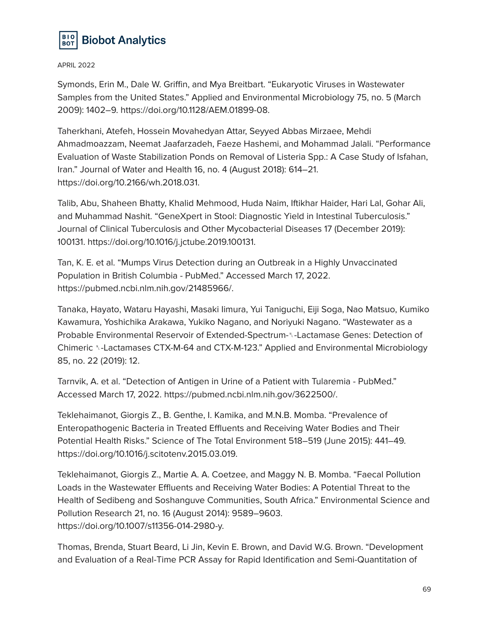

Symonds, Erin M., Dale W. Griffin, and Mya Breitbart. "Eukaryotic Viruses in Wastewater Samples from the United States." Applied and Environmental Microbiology 75, no. 5 (March 2009): 1402–9. https://doi.org/10.1128/AEM.01899-08.

Taherkhani, Atefeh, Hossein Movahedyan Attar, Seyyed Abbas Mirzaee, Mehdi Ahmadmoazzam, Neemat Jaafarzadeh, Faeze Hashemi, and Mohammad Jalali. "Performance Evaluation of Waste Stabilization Ponds on Removal of Listeria Spp.: A Case Study of Isfahan, Iran." Journal of Water and Health 16, no. 4 (August 2018): 614–21. https://doi.org/10.2166/wh.2018.031.

Talib, Abu, Shaheen Bhatty, Khalid Mehmood, Huda Naim, Iftikhar Haider, Hari Lal, Gohar Ali, and Muhammad Nashit. "GeneXpert in Stool: Diagnostic Yield in Intestinal Tuberculosis." Journal of Clinical Tuberculosis and Other Mycobacterial Diseases 17 (December 2019): 100131. https://doi.org/10.1016/j.jctube.2019.100131.

Tan, K. E. et al. "Mumps Virus Detection during an Outbreak in a Highly Unvaccinated Population in British Columbia - PubMed." Accessed March 17, 2022. https://pubmed.ncbi.nlm.nih.gov/21485966/.

Tanaka, Hayato, Wataru Hayashi, Masaki Iimura, Yui Taniguchi, Eiji Soga, Nao Matsuo, Kumiko Kawamura, Yoshichika Arakawa, Yukiko Nagano, and Noriyuki Nagano. "Wastewater as a Probable Environmental Reservoir of Extended-Spectrum-␤-Lactamase Genes: Detection of Chimeric ␤-Lactamases CTX-M-64 and CTX-M-123." Applied and Environmental Microbiology 85, no. 22 (2019): 12.

Tarnvik, A. et al. "Detection of Antigen in Urine of a Patient with Tularemia - PubMed." Accessed March 17, 2022. https://pubmed.ncbi.nlm.nih.gov/3622500/.

Teklehaimanot, Giorgis Z., B. Genthe, I. Kamika, and M.N.B. Momba. "Prevalence of Enteropathogenic Bacteria in Treated Effluents and Receiving Water Bodies and Their Potential Health Risks." Science of The Total Environment 518–519 (June 2015): 441–49. https://doi.org/10.1016/j.scitotenv.2015.03.019.

Teklehaimanot, Giorgis Z., Martie A. A. Coetzee, and Maggy N. B. Momba. "Faecal Pollution Loads in the Wastewater Effluents and Receiving Water Bodies: A Potential Threat to the Health of Sedibeng and Soshanguve Communities, South Africa." Environmental Science and Pollution Research 21, no. 16 (August 2014): 9589–9603. https://doi.org/10.1007/s11356-014-2980-y.

Thomas, Brenda, Stuart Beard, Li Jin, Kevin E. Brown, and David W.G. Brown. "Development and Evaluation of a Real-Time PCR Assay for Rapid Identification and Semi-Quantitation of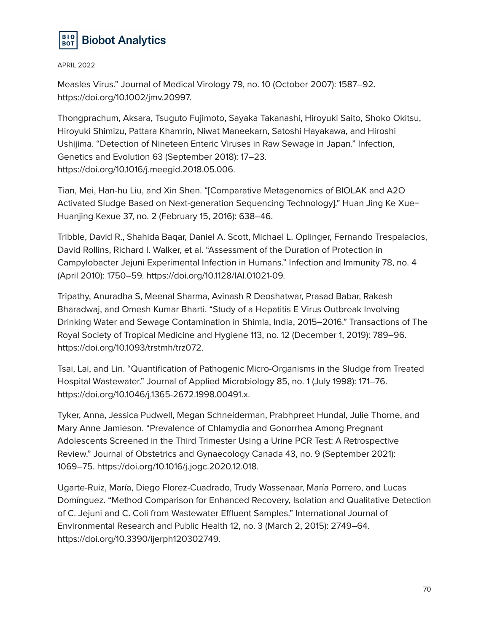

Measles Virus." Journal of Medical Virology 79, no. 10 (October 2007): 1587–92. https://doi.org/10.1002/jmv.20997.

Thongprachum, Aksara, Tsuguto Fujimoto, Sayaka Takanashi, Hiroyuki Saito, Shoko Okitsu, Hiroyuki Shimizu, Pattara Khamrin, Niwat Maneekarn, Satoshi Hayakawa, and Hiroshi Ushijima. "Detection of Nineteen Enteric Viruses in Raw Sewage in Japan." Infection, Genetics and Evolution 63 (September 2018): 17–23. https://doi.org/10.1016/j.meegid.2018.05.006.

Tian, Mei, Han-hu Liu, and Xin Shen. "[Comparative Metagenomics of BIOLAK and A2O Activated Sludge Based on Next-generation Sequencing Technology]." Huan Jing Ke Xue= Huanjing Kexue 37, no. 2 (February 15, 2016): 638–46.

Tribble, David R., Shahida Baqar, Daniel A. Scott, Michael L. Oplinger, Fernando Trespalacios, David Rollins, Richard I. Walker, et al. "Assessment of the Duration of Protection in Campylobacter Jejuni Experimental Infection in Humans." Infection and Immunity 78, no. 4 (April 2010): 1750–59. https://doi.org/10.1128/IAI.01021-09.

Tripathy, Anuradha S, Meenal Sharma, Avinash R Deoshatwar, Prasad Babar, Rakesh Bharadwaj, and Omesh Kumar Bharti. "Study of a Hepatitis E Virus Outbreak Involving Drinking Water and Sewage Contamination in Shimla, India, 2015–2016." Transactions of The Royal Society of Tropical Medicine and Hygiene 113, no. 12 (December 1, 2019): 789–96. https://doi.org/10.1093/trstmh/trz072.

Tsai, Lai, and Lin. "Quantification of Pathogenic Micro-Organisms in the Sludge from Treated Hospital Wastewater." Journal of Applied Microbiology 85, no. 1 (July 1998): 171–76. https://doi.org/10.1046/j.1365-2672.1998.00491.x.

Tyker, Anna, Jessica Pudwell, Megan Schneiderman, Prabhpreet Hundal, Julie Thorne, and Mary Anne Jamieson. "Prevalence of Chlamydia and Gonorrhea Among Pregnant Adolescents Screened in the Third Trimester Using a Urine PCR Test: A Retrospective Review." Journal of Obstetrics and Gynaecology Canada 43, no. 9 (September 2021): 1069–75. https://doi.org/10.1016/j.jogc.2020.12.018.

Ugarte-Ruiz, María, Diego Florez-Cuadrado, Trudy Wassenaar, María Porrero, and Lucas Domínguez. "Method Comparison for Enhanced Recovery, Isolation and Qualitative Detection of C. Jejuni and C. Coli from Wastewater Effluent Samples." International Journal of Environmental Research and Public Health 12, no. 3 (March 2, 2015): 2749–64. https://doi.org/10.3390/ijerph120302749.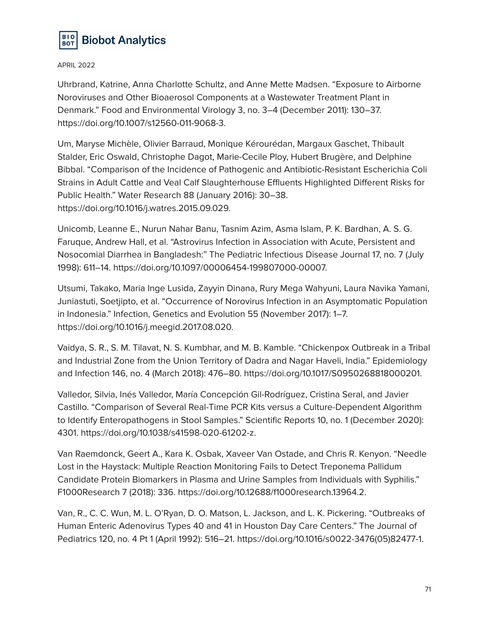

Uhrbrand, Katrine, Anna Charlotte Schultz, and Anne Mette Madsen. "Exposure to Airborne Noroviruses and Other Bioaerosol Components at a Wastewater Treatment Plant in Denmark." Food and Environmental Virology 3, no. 3–4 (December 2011): 130–37. https://doi.org/10.1007/s12560-011-9068-3.

Um, Maryse Michèle, Olivier Barraud, Monique Kérourédan, Margaux Gaschet, Thibault Stalder, Eric Oswald, Christophe Dagot, Marie-Cecile Ploy, Hubert Brugère, and Delphine Bibbal. "Comparison of the Incidence of Pathogenic and Antibiotic-Resistant Escherichia Coli Strains in Adult Cattle and Veal Calf Slaughterhouse Effluents Highlighted Different Risks for Public Health." Water Research 88 (January 2016): 30–38. https://doi.org/10.1016/j.watres.2015.09.029.

Unicomb, Leanne E., Nurun Nahar Banu, Tasnim Azim, Asma Islam, P. K. Bardhan, A. S. G. Faruque, Andrew Hall, et al. "Astrovirus Infection in Association with Acute, Persistent and Nosocomial Diarrhea in Bangladesh:" The Pediatric Infectious Disease Journal 17, no. 7 (July 1998): 611–14. https://doi.org/10.1097/00006454-199807000-00007.

Utsumi, Takako, Maria Inge Lusida, Zayyin Dinana, Rury Mega Wahyuni, Laura Navika Yamani, Juniastuti, Soetjipto, et al. "Occurrence of Norovirus Infection in an Asymptomatic Population in Indonesia." Infection, Genetics and Evolution 55 (November 2017): 1–7. https://doi.org/10.1016/j.meegid.2017.08.020.

Vaidya, S. R., S. M. Tilavat, N. S. Kumbhar, and M. B. Kamble. "Chickenpox Outbreak in a Tribal and Industrial Zone from the Union Territory of Dadra and Nagar Haveli, India." Epidemiology and Infection 146, no. 4 (March 2018): 476–80. https://doi.org/10.1017/S0950268818000201.

Valledor, Silvia, Inés Valledor, María Concepción Gil-Rodríguez, Cristina Seral, and Javier Castillo. "Comparison of Several Real-Time PCR Kits versus a Culture-Dependent Algorithm to Identify Enteropathogens in Stool Samples." Scientific Reports 10, no. 1 (December 2020): 4301. https://doi.org/10.1038/s41598-020-61202-z.

Van Raemdonck, Geert A., Kara K. Osbak, Xaveer Van Ostade, and Chris R. Kenyon. "Needle Lost in the Haystack: Multiple Reaction Monitoring Fails to Detect Treponema Pallidum Candidate Protein Biomarkers in Plasma and Urine Samples from Individuals with Syphilis." F1000Research 7 (2018): 336. https://doi.org/10.12688/f1000research.13964.2.

Van, R., C. C. Wun, M. L. O'Ryan, D. O. Matson, L. Jackson, and L. K. Pickering. "Outbreaks of Human Enteric Adenovirus Types 40 and 41 in Houston Day Care Centers." The Journal of Pediatrics 120, no. 4 Pt 1 (April 1992): 516–21. https://doi.org/10.1016/s0022-3476(05)82477-1.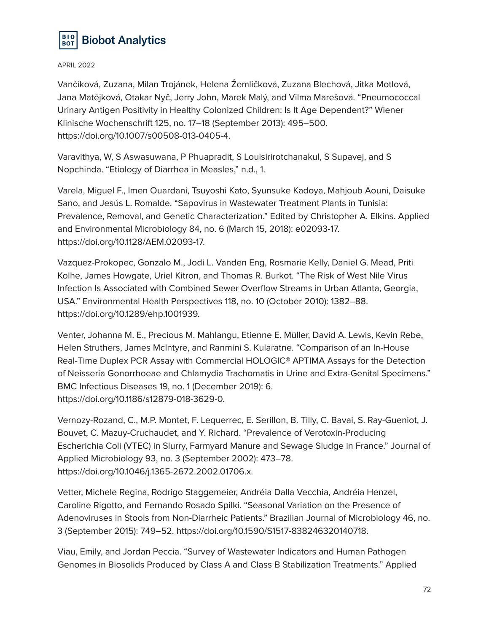

Vančíková, Zuzana, Milan Trojánek, Helena Žemličková, Zuzana Blechová, Jitka Motlová, Jana Matějková, Otakar Nyč, Jerry John, Marek Malý, and Vilma Marešová. "Pneumococcal Urinary Antigen Positivity in Healthy Colonized Children: Is It Age Dependent?" Wiener Klinische Wochenschrift 125, no. 17–18 (September 2013): 495–500. https://doi.org/10.1007/s00508-013-0405-4.

Varavithya, W, S Aswasuwana, P Phuapradit, S Louisirirotchanakul, S Supavej, and S Nopchinda. "Etiology of Diarrhea in Measles," n.d., 1.

Varela, Miguel F., Imen Ouardani, Tsuyoshi Kato, Syunsuke Kadoya, Mahjoub Aouni, Daisuke Sano, and Jesús L. Romalde. "Sapovirus in Wastewater Treatment Plants in Tunisia: Prevalence, Removal, and Genetic Characterization." Edited by Christopher A. Elkins. Applied and Environmental Microbiology 84, no. 6 (March 15, 2018): e02093-17. https://doi.org/10.1128/AEM.02093-17.

Vazquez-Prokopec, Gonzalo M., Jodi L. Vanden Eng, Rosmarie Kelly, Daniel G. Mead, Priti Kolhe, James Howgate, Uriel Kitron, and Thomas R. Burkot. "The Risk of West Nile Virus Infection Is Associated with Combined Sewer Overflow Streams in Urban Atlanta, Georgia, USA." Environmental Health Perspectives 118, no. 10 (October 2010): 1382–88. https://doi.org/10.1289/ehp.1001939.

Venter, Johanna M. E., Precious M. Mahlangu, Etienne E. Müller, David A. Lewis, Kevin Rebe, Helen Struthers, James McIntyre, and Ranmini S. Kularatne. "Comparison of an In-House Real-Time Duplex PCR Assay with Commercial HOLOGIC® APTIMA Assays for the Detection of Neisseria Gonorrhoeae and Chlamydia Trachomatis in Urine and Extra-Genital Specimens." BMC Infectious Diseases 19, no. 1 (December 2019): 6. https://doi.org/10.1186/s12879-018-3629-0.

Vernozy-Rozand, C., M.P. Montet, F. Lequerrec, E. Serillon, B. Tilly, C. Bavai, S. Ray-Gueniot, J. Bouvet, C. Mazuy-Cruchaudet, and Y. Richard. "Prevalence of Verotoxin-Producing Escherichia Coli (VTEC) in Slurry, Farmyard Manure and Sewage Sludge in France." Journal of Applied Microbiology 93, no. 3 (September 2002): 473–78. https://doi.org/10.1046/j.1365-2672.2002.01706.x.

Vetter, Michele Regina, Rodrigo Staggemeier, Andréia Dalla Vecchia, Andréia Henzel, Caroline Rigotto, and Fernando Rosado Spilki. "Seasonal Variation on the Presence of Adenoviruses in Stools from Non-Diarrheic Patients." Brazilian Journal of Microbiology 46, no. 3 (September 2015): 749–52. https://doi.org/10.1590/S1517-838246320140718.

Viau, Emily, and Jordan Peccia. "Survey of Wastewater Indicators and Human Pathogen Genomes in Biosolids Produced by Class A and Class B Stabilization Treatments." Applied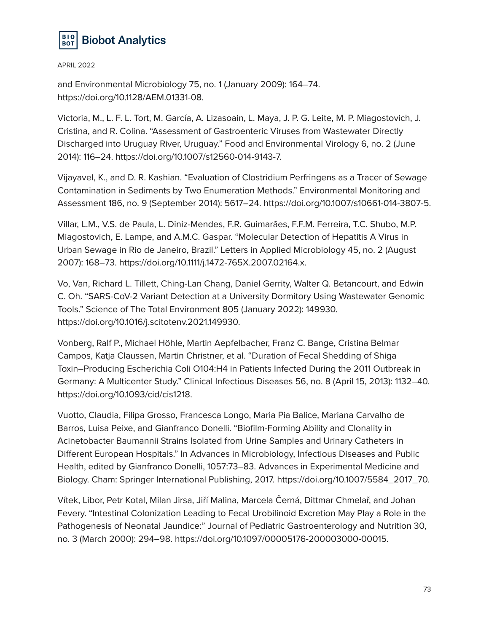

and Environmental Microbiology 75, no. 1 (January 2009): 164–74. https://doi.org/10.1128/AEM.01331-08.

Victoria, M., L. F. L. Tort, M. García, A. Lizasoain, L. Maya, J. P. G. Leite, M. P. Miagostovich, J. Cristina, and R. Colina. "Assessment of Gastroenteric Viruses from Wastewater Directly Discharged into Uruguay River, Uruguay." Food and Environmental Virology 6, no. 2 (June 2014): 116–24. https://doi.org/10.1007/s12560-014-9143-7.

Vijayavel, K., and D. R. Kashian. "Evaluation of Clostridium Perfringens as a Tracer of Sewage Contamination in Sediments by Two Enumeration Methods." Environmental Monitoring and Assessment 186, no. 9 (September 2014): 5617–24. https://doi.org/10.1007/s10661-014-3807-5.

Villar, L.M., V.S. de Paula, L. Diniz-Mendes, F.R. Guimarães, F.F.M. Ferreira, T.C. Shubo, M.P. Miagostovich, E. Lampe, and A.M.C. Gaspar. "Molecular Detection of Hepatitis A Virus in Urban Sewage in Rio de Janeiro, Brazil." Letters in Applied Microbiology 45, no. 2 (August 2007): 168–73. https://doi.org/10.1111/j.1472-765X.2007.02164.x.

Vo, Van, Richard L. Tillett, Ching-Lan Chang, Daniel Gerrity, Walter Q. Betancourt, and Edwin C. Oh. "SARS-CoV-2 Variant Detection at a University Dormitory Using Wastewater Genomic Tools." Science of The Total Environment 805 (January 2022): 149930. https://doi.org/10.1016/j.scitotenv.2021.149930.

Vonberg, Ralf P., Michael Höhle, Martin Aepfelbacher, Franz C. Bange, Cristina Belmar Campos, Katja Claussen, Martin Christner, et al. "Duration of Fecal Shedding of Shiga Toxin–Producing Escherichia Coli O104:H4 in Patients Infected During the 2011 Outbreak in Germany: A Multicenter Study." Clinical Infectious Diseases 56, no. 8 (April 15, 2013): 1132–40. https://doi.org/10.1093/cid/cis1218.

Vuotto, Claudia, Filipa Grosso, Francesca Longo, Maria Pia Balice, Mariana Carvalho de Barros, Luisa Peixe, and Gianfranco Donelli. "Biofilm-Forming Ability and Clonality in Acinetobacter Baumannii Strains Isolated from Urine Samples and Urinary Catheters in Different European Hospitals." In Advances in Microbiology, Infectious Diseases and Public Health, edited by Gianfranco Donelli, 1057:73–83. Advances in Experimental Medicine and Biology. Cham: Springer International Publishing, 2017. https://doi.org/10.1007/5584\_2017\_70.

Vítek, Libor, Petr Kotal, Milan Jirsa, Jiří Malina, Marcela Černá, Dittmar Chmelař, and Johan Fevery. "Intestinal Colonization Leading to Fecal Urobilinoid Excretion May Play a Role in the Pathogenesis of Neonatal Jaundice:" Journal of Pediatric Gastroenterology and Nutrition 30, no. 3 (March 2000): 294–98. https://doi.org/10.1097/00005176-200003000-00015.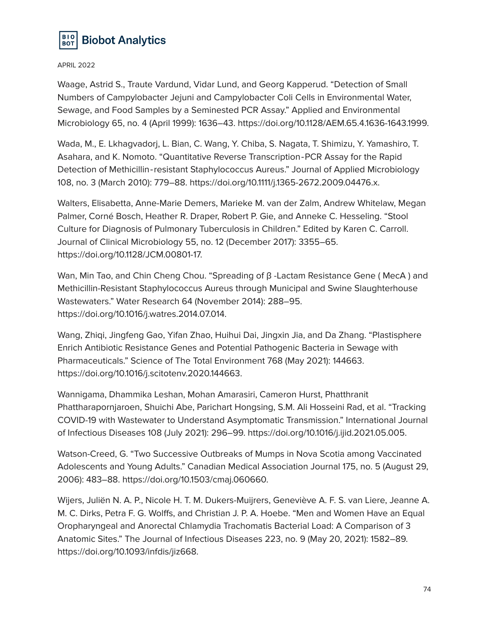

Waage, Astrid S., Traute Vardund, Vidar Lund, and Georg Kapperud. "Detection of Small Numbers of Campylobacter Jejuni and Campylobacter Coli Cells in Environmental Water, Sewage, and Food Samples by a Seminested PCR Assay." Applied and Environmental Microbiology 65, no. 4 (April 1999): 1636–43. https://doi.org/10.1128/AEM.65.4.1636-1643.1999.

Wada, M., E. Lkhagvadorj, L. Bian, C. Wang, Y. Chiba, S. Nagata, T. Shimizu, Y. Yamashiro, T. Asahara, and K. Nomoto. "Quantitative Reverse Transcription‐PCR Assay for the Rapid Detection of Methicillin‐resistant Staphylococcus Aureus." Journal of Applied Microbiology 108, no. 3 (March 2010): 779–88. https://doi.org/10.1111/j.1365-2672.2009.04476.x.

Walters, Elisabetta, Anne-Marie Demers, Marieke M. van der Zalm, Andrew Whitelaw, Megan Palmer, Corné Bosch, Heather R. Draper, Robert P. Gie, and Anneke C. Hesseling. "Stool Culture for Diagnosis of Pulmonary Tuberculosis in Children." Edited by Karen C. Carroll. Journal of Clinical Microbiology 55, no. 12 (December 2017): 3355–65. https://doi.org/10.1128/JCM.00801-17.

Wan, Min Tao, and Chin Cheng Chou. "Spreading of β -Lactam Resistance Gene ( MecA ) and Methicillin-Resistant Staphylococcus Aureus through Municipal and Swine Slaughterhouse Wastewaters." Water Research 64 (November 2014): 288–95. https://doi.org/10.1016/j.watres.2014.07.014.

Wang, Zhiqi, Jingfeng Gao, Yifan Zhao, Huihui Dai, Jingxin Jia, and Da Zhang. "Plastisphere Enrich Antibiotic Resistance Genes and Potential Pathogenic Bacteria in Sewage with Pharmaceuticals." Science of The Total Environment 768 (May 2021): 144663. https://doi.org/10.1016/j.scitotenv.2020.144663.

Wannigama, Dhammika Leshan, Mohan Amarasiri, Cameron Hurst, Phatthranit Phattharapornjaroen, Shuichi Abe, Parichart Hongsing, S.M. Ali Hosseini Rad, et al. "Tracking COVID-19 with Wastewater to Understand Asymptomatic Transmission." International Journal of Infectious Diseases 108 (July 2021): 296–99. https://doi.org/10.1016/j.ijid.2021.05.005.

Watson-Creed, G. "Two Successive Outbreaks of Mumps in Nova Scotia among Vaccinated Adolescents and Young Adults." Canadian Medical Association Journal 175, no. 5 (August 29, 2006): 483–88. https://doi.org/10.1503/cmaj.060660.

Wijers, Juliën N. A. P., Nicole H. T. M. Dukers-Muijrers, Geneviève A. F. S. van Liere, Jeanne A. M. C. Dirks, Petra F. G. Wolffs, and Christian J. P. A. Hoebe. "Men and Women Have an Equal Oropharyngeal and Anorectal Chlamydia Trachomatis Bacterial Load: A Comparison of 3 Anatomic Sites." The Journal of Infectious Diseases 223, no. 9 (May 20, 2021): 1582–89. https://doi.org/10.1093/infdis/jiz668.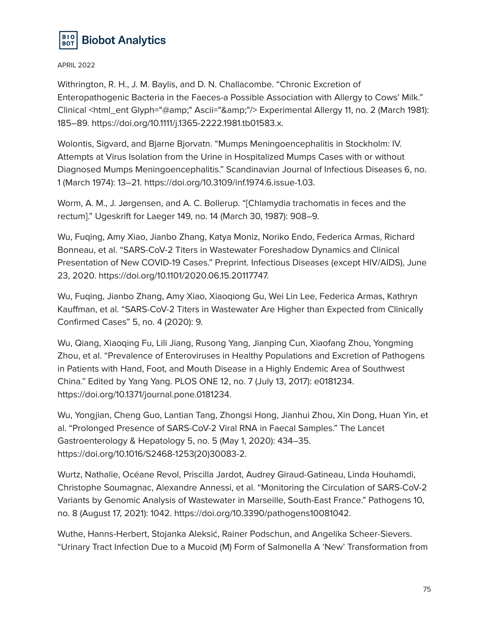

Withrington, R. H., J. M. Baylis, and D. N. Challacombe. "Chronic Excretion of Enteropathogenic Bacteria in the Faeces-a Possible Association with Allergy to Cows' Milk." Clinical <html\_ent Glyph="@amp;" Ascii="&amp;"/> Experimental Allergy 11, no. 2 (March 1981): 185–89. https://doi.org/10.1111/j.1365-2222.1981.tb01583.x.

Wolontis, Sigvard, and Bjarne Bjorvatn. "Mumps Meningoencephalitis in Stockholm: IV. Attempts at Virus Isolation from the Urine in Hospitalized Mumps Cases with or without Diagnosed Mumps Meningoencephalitis." Scandinavian Journal of Infectious Diseases 6, no. 1 (March 1974): 13–21. https://doi.org/10.3109/inf.1974.6.issue-1.03.

Worm, A. M., J. Jørgensen, and A. C. Bollerup. "[Chlamydia trachomatis in feces and the rectum]." Ugeskrift for Laeger 149, no. 14 (March 30, 1987): 908–9.

Wu, Fuqing, Amy Xiao, Jianbo Zhang, Katya Moniz, Noriko Endo, Federica Armas, Richard Bonneau, et al. "SARS-CoV-2 Titers in Wastewater Foreshadow Dynamics and Clinical Presentation of New COVID-19 Cases." Preprint. Infectious Diseases (except HIV/AIDS), June 23, 2020. https://doi.org/10.1101/2020.06.15.20117747.

Wu, Fuqing, Jianbo Zhang, Amy Xiao, Xiaoqiong Gu, Wei Lin Lee, Federica Armas, Kathryn Kauffman, et al. "SARS-CoV-2 Titers in Wastewater Are Higher than Expected from Clinically Confirmed Cases" 5, no. 4 (2020): 9.

Wu, Qiang, Xiaoqing Fu, Lili Jiang, Rusong Yang, Jianping Cun, Xiaofang Zhou, Yongming Zhou, et al. "Prevalence of Enteroviruses in Healthy Populations and Excretion of Pathogens in Patients with Hand, Foot, and Mouth Disease in a Highly Endemic Area of Southwest China." Edited by Yang Yang. PLOS ONE 12, no. 7 (July 13, 2017): e0181234. https://doi.org/10.1371/journal.pone.0181234.

Wu, Yongjian, Cheng Guo, Lantian Tang, Zhongsi Hong, Jianhui Zhou, Xin Dong, Huan Yin, et al. "Prolonged Presence of SARS-CoV-2 Viral RNA in Faecal Samples." The Lancet Gastroenterology & Hepatology 5, no. 5 (May 1, 2020): 434–35. https://doi.org/10.1016/S2468-1253(20)30083-2.

Wurtz, Nathalie, Océane Revol, Priscilla Jardot, Audrey Giraud-Gatineau, Linda Houhamdi, Christophe Soumagnac, Alexandre Annessi, et al. "Monitoring the Circulation of SARS-CoV-2 Variants by Genomic Analysis of Wastewater in Marseille, South-East France." Pathogens 10, no. 8 (August 17, 2021): 1042. https://doi.org/10.3390/pathogens10081042.

Wuthe, Hanns-Herbert, Stojanka Aleksić, Rainer Podschun, and Angelika Scheer-Sievers. "Urinary Tract Infection Due to a Mucoid (M) Form of Salmonella A 'New' Transformation from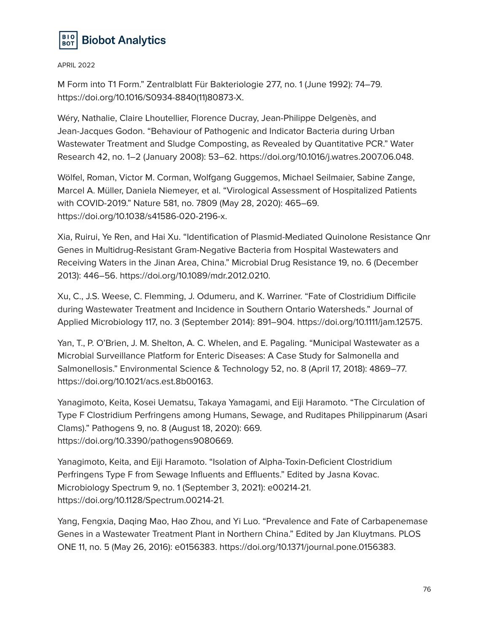

M Form into T1 Form." Zentralblatt Für Bakteriologie 277, no. 1 (June 1992): 74–79. https://doi.org/10.1016/S0934-8840(11)80873-X.

Wéry, Nathalie, Claire Lhoutellier, Florence Ducray, Jean-Philippe Delgenès, and Jean-Jacques Godon. "Behaviour of Pathogenic and Indicator Bacteria during Urban Wastewater Treatment and Sludge Composting, as Revealed by Quantitative PCR." Water Research 42, no. 1–2 (January 2008): 53–62. https://doi.org/10.1016/j.watres.2007.06.048.

Wölfel, Roman, Victor M. Corman, Wolfgang Guggemos, Michael Seilmaier, Sabine Zange, Marcel A. Müller, Daniela Niemeyer, et al. "Virological Assessment of Hospitalized Patients with COVID-2019." Nature 581, no. 7809 (May 28, 2020): 465–69. https://doi.org/10.1038/s41586-020-2196-x.

Xia, Ruirui, Ye Ren, and Hai Xu. "Identification of Plasmid-Mediated Quinolone Resistance Qnr Genes in Multidrug-Resistant Gram-Negative Bacteria from Hospital Wastewaters and Receiving Waters in the Jinan Area, China." Microbial Drug Resistance 19, no. 6 (December 2013): 446–56. https://doi.org/10.1089/mdr.2012.0210.

Xu, C., J.S. Weese, C. Flemming, J. Odumeru, and K. Warriner. "Fate of Clostridium Difficile during Wastewater Treatment and Incidence in Southern Ontario Watersheds." Journal of Applied Microbiology 117, no. 3 (September 2014): 891–904. https://doi.org/10.1111/jam.12575.

Yan, T., P. O'Brien, J. M. Shelton, A. C. Whelen, and E. Pagaling. "Municipal Wastewater as a Microbial Surveillance Platform for Enteric Diseases: A Case Study for Salmonella and Salmonellosis." Environmental Science & Technology 52, no. 8 (April 17, 2018): 4869–77. https://doi.org/10.1021/acs.est.8b00163.

Yanagimoto, Keita, Kosei Uematsu, Takaya Yamagami, and Eiji Haramoto. "The Circulation of Type F Clostridium Perfringens among Humans, Sewage, and Ruditapes Philippinarum (Asari Clams)." Pathogens 9, no. 8 (August 18, 2020): 669. https://doi.org/10.3390/pathogens9080669.

Yanagimoto, Keita, and Eiji Haramoto. "Isolation of Alpha-Toxin-Deficient Clostridium Perfringens Type F from Sewage Influents and Effluents." Edited by Jasna Kovac. Microbiology Spectrum 9, no. 1 (September 3, 2021): e00214-21. https://doi.org/10.1128/Spectrum.00214-21.

Yang, Fengxia, Daqing Mao, Hao Zhou, and Yi Luo. "Prevalence and Fate of Carbapenemase Genes in a Wastewater Treatment Plant in Northern China." Edited by Jan Kluytmans. PLOS ONE 11, no. 5 (May 26, 2016): e0156383. https://doi.org/10.1371/journal.pone.0156383.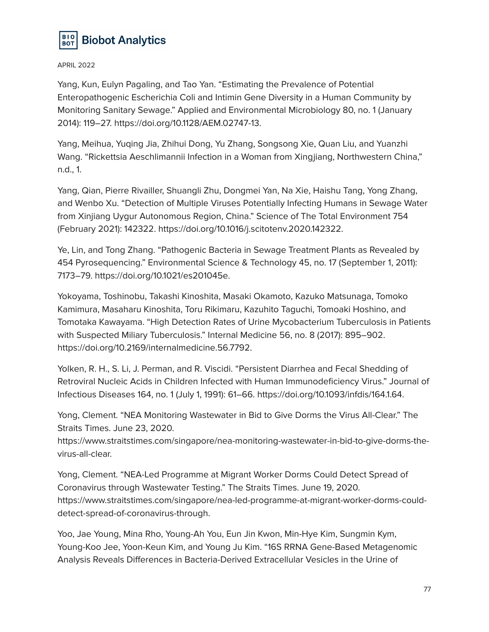

Yang, Kun, Eulyn Pagaling, and Tao Yan. "Estimating the Prevalence of Potential Enteropathogenic Escherichia Coli and Intimin Gene Diversity in a Human Community by Monitoring Sanitary Sewage." Applied and Environmental Microbiology 80, no. 1 (January 2014): 119–27. https://doi.org/10.1128/AEM.02747-13.

Yang, Meihua, Yuqing Jia, Zhihui Dong, Yu Zhang, Songsong Xie, Quan Liu, and Yuanzhi Wang. "Rickettsia Aeschlimannii Infection in a Woman from Xingjiang, Northwestern China," n.d., 1.

Yang, Qian, Pierre Rivailler, Shuangli Zhu, Dongmei Yan, Na Xie, Haishu Tang, Yong Zhang, and Wenbo Xu. "Detection of Multiple Viruses Potentially Infecting Humans in Sewage Water from Xinjiang Uygur Autonomous Region, China." Science of The Total Environment 754 (February 2021): 142322. https://doi.org/10.1016/j.scitotenv.2020.142322.

Ye, Lin, and Tong Zhang. "Pathogenic Bacteria in Sewage Treatment Plants as Revealed by 454 Pyrosequencing." Environmental Science & Technology 45, no. 17 (September 1, 2011): 7173–79. https://doi.org/10.1021/es201045e.

Yokoyama, Toshinobu, Takashi Kinoshita, Masaki Okamoto, Kazuko Matsunaga, Tomoko Kamimura, Masaharu Kinoshita, Toru Rikimaru, Kazuhito Taguchi, Tomoaki Hoshino, and Tomotaka Kawayama. "High Detection Rates of Urine Mycobacterium Tuberculosis in Patients with Suspected Miliary Tuberculosis." Internal Medicine 56, no. 8 (2017): 895–902. https://doi.org/10.2169/internalmedicine.56.7792.

Yolken, R. H., S. Li, J. Perman, and R. Viscidi. "Persistent Diarrhea and Fecal Shedding of Retroviral Nucleic Acids in Children Infected with Human Immunodeficiency Virus." Journal of Infectious Diseases 164, no. 1 (July 1, 1991): 61–66. https://doi.org/10.1093/infdis/164.1.64.

Yong, Clement. "NEA Monitoring Wastewater in Bid to Give Dorms the Virus All-Clear." The Straits Times. June 23, 2020.

https://www.straitstimes.com/singapore/nea-monitoring-wastewater-in-bid-to-give-dorms-thevirus-all-clear.

Yong, Clement. "NEA-Led Programme at Migrant Worker Dorms Could Detect Spread of Coronavirus through Wastewater Testing." The Straits Times. June 19, 2020. https://www.straitstimes.com/singapore/nea-led-programme-at-migrant-worker-dorms-coulddetect-spread-of-coronavirus-through.

Yoo, Jae Young, Mina Rho, Young-Ah You, Eun Jin Kwon, Min-Hye Kim, Sungmin Kym, Young-Koo Jee, Yoon-Keun Kim, and Young Ju Kim. "16S RRNA Gene-Based Metagenomic Analysis Reveals Differences in Bacteria-Derived Extracellular Vesicles in the Urine of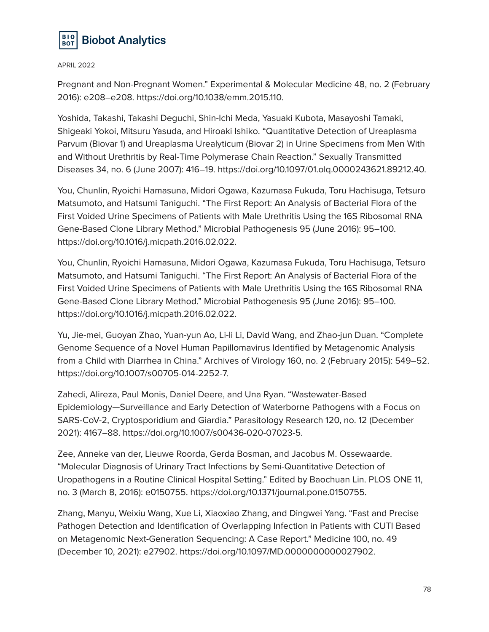

Pregnant and Non-Pregnant Women." Experimental & Molecular Medicine 48, no. 2 (February 2016): e208–e208. https://doi.org/10.1038/emm.2015.110.

Yoshida, Takashi, Takashi Deguchi, Shin-Ichi Meda, Yasuaki Kubota, Masayoshi Tamaki, Shigeaki Yokoi, Mitsuru Yasuda, and Hiroaki Ishiko. "Quantitative Detection of Ureaplasma Parvum (Biovar 1) and Ureaplasma Urealyticum (Biovar 2) in Urine Specimens from Men With and Without Urethritis by Real-Time Polymerase Chain Reaction." Sexually Transmitted Diseases 34, no. 6 (June 2007): 416–19. https://doi.org/10.1097/01.olq.0000243621.89212.40.

You, Chunlin, Ryoichi Hamasuna, Midori Ogawa, Kazumasa Fukuda, Toru Hachisuga, Tetsuro Matsumoto, and Hatsumi Taniguchi. "The First Report: An Analysis of Bacterial Flora of the First Voided Urine Specimens of Patients with Male Urethritis Using the 16S Ribosomal RNA Gene-Based Clone Library Method." Microbial Pathogenesis 95 (June 2016): 95–100. https://doi.org/10.1016/j.micpath.2016.02.022.

You, Chunlin, Ryoichi Hamasuna, Midori Ogawa, Kazumasa Fukuda, Toru Hachisuga, Tetsuro Matsumoto, and Hatsumi Taniguchi. "The First Report: An Analysis of Bacterial Flora of the First Voided Urine Specimens of Patients with Male Urethritis Using the 16S Ribosomal RNA Gene-Based Clone Library Method." Microbial Pathogenesis 95 (June 2016): 95–100. https://doi.org/10.1016/j.micpath.2016.02.022.

Yu, Jie-mei, Guoyan Zhao, Yuan-yun Ao, Li-li Li, David Wang, and Zhao-jun Duan. "Complete Genome Sequence of a Novel Human Papillomavirus Identified by Metagenomic Analysis from a Child with Diarrhea in China." Archives of Virology 160, no. 2 (February 2015): 549–52. https://doi.org/10.1007/s00705-014-2252-7.

Zahedi, Alireza, Paul Monis, Daniel Deere, and Una Ryan. "Wastewater-Based Epidemiology—Surveillance and Early Detection of Waterborne Pathogens with a Focus on SARS-CoV-2, Cryptosporidium and Giardia." Parasitology Research 120, no. 12 (December 2021): 4167–88. https://doi.org/10.1007/s00436-020-07023-5.

Zee, Anneke van der, Lieuwe Roorda, Gerda Bosman, and Jacobus M. Ossewaarde. "Molecular Diagnosis of Urinary Tract Infections by Semi-Quantitative Detection of Uropathogens in a Routine Clinical Hospital Setting." Edited by Baochuan Lin. PLOS ONE 11, no. 3 (March 8, 2016): e0150755. https://doi.org/10.1371/journal.pone.0150755.

Zhang, Manyu, Weixiu Wang, Xue Li, Xiaoxiao Zhang, and Dingwei Yang. "Fast and Precise Pathogen Detection and Identification of Overlapping Infection in Patients with CUTI Based on Metagenomic Next-Generation Sequencing: A Case Report." Medicine 100, no. 49 (December 10, 2021): e27902. https://doi.org/10.1097/MD.0000000000027902.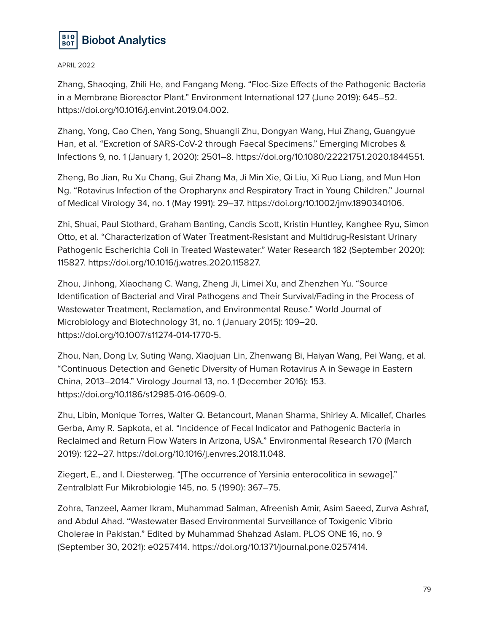

Zhang, Shaoqing, Zhili He, and Fangang Meng. "Floc-Size Effects of the Pathogenic Bacteria in a Membrane Bioreactor Plant." Environment International 127 (June 2019): 645–52. https://doi.org/10.1016/j.envint.2019.04.002.

Zhang, Yong, Cao Chen, Yang Song, Shuangli Zhu, Dongyan Wang, Hui Zhang, Guangyue Han, et al. "Excretion of SARS-CoV-2 through Faecal Specimens." Emerging Microbes & Infections 9, no. 1 (January 1, 2020): 2501–8. https://doi.org/10.1080/22221751.2020.1844551.

Zheng, Bo Jian, Ru Xu Chang, Gui Zhang Ma, Ji Min Xie, Qi Liu, Xi Ruo Liang, and Mun Hon Ng. "Rotavirus Infection of the Oropharynx and Respiratory Tract in Young Children." Journal of Medical Virology 34, no. 1 (May 1991): 29–37. https://doi.org/10.1002/jmv.1890340106.

Zhi, Shuai, Paul Stothard, Graham Banting, Candis Scott, Kristin Huntley, Kanghee Ryu, Simon Otto, et al. "Characterization of Water Treatment-Resistant and Multidrug-Resistant Urinary Pathogenic Escherichia Coli in Treated Wastewater." Water Research 182 (September 2020): 115827. https://doi.org/10.1016/j.watres.2020.115827.

Zhou, Jinhong, Xiaochang C. Wang, Zheng Ji, Limei Xu, and Zhenzhen Yu. "Source Identification of Bacterial and Viral Pathogens and Their Survival/Fading in the Process of Wastewater Treatment, Reclamation, and Environmental Reuse." World Journal of Microbiology and Biotechnology 31, no. 1 (January 2015): 109–20. https://doi.org/10.1007/s11274-014-1770-5.

Zhou, Nan, Dong Lv, Suting Wang, Xiaojuan Lin, Zhenwang Bi, Haiyan Wang, Pei Wang, et al. "Continuous Detection and Genetic Diversity of Human Rotavirus A in Sewage in Eastern China, 2013–2014." Virology Journal 13, no. 1 (December 2016): 153. https://doi.org/10.1186/s12985-016-0609-0.

Zhu, Libin, Monique Torres, Walter Q. Betancourt, Manan Sharma, Shirley A. Micallef, Charles Gerba, Amy R. Sapkota, et al. "Incidence of Fecal Indicator and Pathogenic Bacteria in Reclaimed and Return Flow Waters in Arizona, USA." Environmental Research 170 (March 2019): 122–27. https://doi.org/10.1016/j.envres.2018.11.048.

Ziegert, E., and I. Diesterweg. "[The occurrence of Yersinia enterocolitica in sewage]." Zentralblatt Fur Mikrobiologie 145, no. 5 (1990): 367–75.

Zohra, Tanzeel, Aamer Ikram, Muhammad Salman, Afreenish Amir, Asim Saeed, Zurva Ashraf, and Abdul Ahad. "Wastewater Based Environmental Surveillance of Toxigenic Vibrio Cholerae in Pakistan." Edited by Muhammad Shahzad Aslam. PLOS ONE 16, no. 9 (September 30, 2021): e0257414. https://doi.org/10.1371/journal.pone.0257414.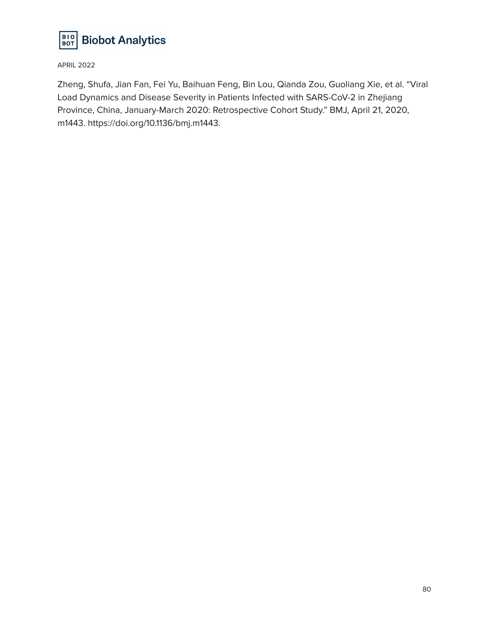

Zheng, Shufa, Jian Fan, Fei Yu, Baihuan Feng, Bin Lou, Qianda Zou, Guoliang Xie, et al. "Viral Load Dynamics and Disease Severity in Patients Infected with SARS-CoV-2 in Zhejiang Province, China, January-March 2020: Retrospective Cohort Study." BMJ, April 21, 2020, m1443. https://doi.org/10.1136/bmj.m1443.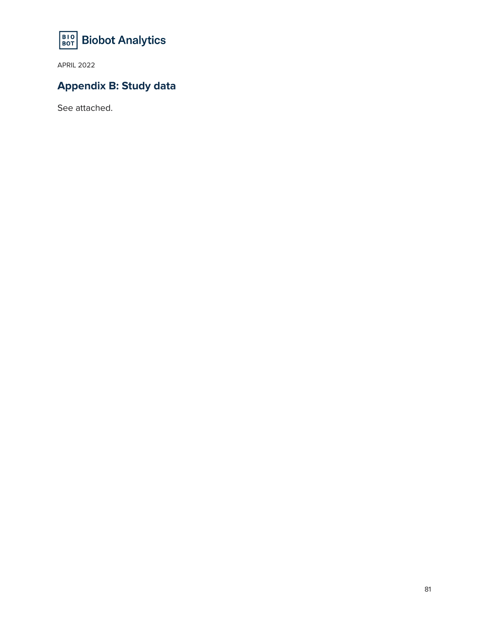

## **Appendix B: Study data**

See attached.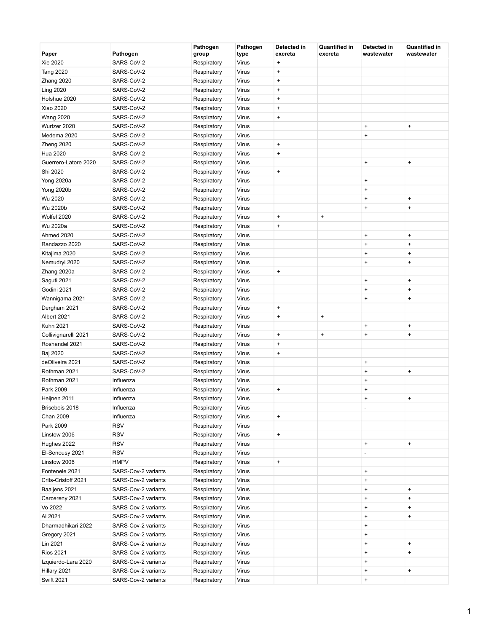| Paper                | Pathogen            | Pathogen<br>group | Pathogen<br>type | Detected in<br>excreta           | <b>Quantified in</b><br>excreta | Detected in<br>wastewater        | <b>Quantified in</b><br>wastewater |
|----------------------|---------------------|-------------------|------------------|----------------------------------|---------------------------------|----------------------------------|------------------------------------|
| Xie 2020             | SARS-CoV-2          | Respiratory       | Virus            | $\ddot{}$                        |                                 |                                  |                                    |
| <b>Tang 2020</b>     | SARS-CoV-2          | Respiratory       | Virus            | $\ddot{}$                        |                                 |                                  |                                    |
| Zhang 2020           | SARS-CoV-2          | Respiratory       | Virus            | $\ddot{}$                        |                                 |                                  |                                    |
| <b>Ling 2020</b>     | SARS-CoV-2          | Respiratory       | Virus            | $\begin{array}{c} + \end{array}$ |                                 |                                  |                                    |
| Holshue 2020         | SARS-CoV-2          | Respiratory       | Virus            | $\ddot{}$                        |                                 |                                  |                                    |
| Xiao 2020            | SARS-CoV-2          | Respiratory       | Virus            | $\ddot{}$                        |                                 |                                  |                                    |
| <b>Wang 2020</b>     | SARS-CoV-2          | Respiratory       | Virus            | $\ddot{}$                        |                                 |                                  |                                    |
| Wurtzer 2020         | SARS-CoV-2          | Respiratory       | Virus            |                                  |                                 | $\ddot{}$                        | $\ddot{}$                          |
| Medema 2020          | SARS-CoV-2          | Respiratory       | Virus            |                                  |                                 | $\begin{array}{c} + \end{array}$ |                                    |
| Zheng 2020           | SARS-CoV-2          | Respiratory       | Virus            | $\ddot{}$                        |                                 |                                  |                                    |
| Hua 2020             | SARS-CoV-2          | Respiratory       | Virus            | $\begin{array}{c} + \end{array}$ |                                 |                                  |                                    |
| Guerrero-Latore 2020 | SARS-CoV-2          | Respiratory       | Virus            |                                  |                                 | $\ddot{}$                        | $\begin{array}{c} + \end{array}$   |
| Shi 2020             | SARS-CoV-2          | Respiratory       | Virus            | $\begin{array}{c} + \end{array}$ |                                 |                                  |                                    |
| <b>Yong 2020a</b>    | SARS-CoV-2          | Respiratory       | Virus            |                                  |                                 | $\ddot{}$                        |                                    |
| <b>Yong 2020b</b>    | SARS-CoV-2          | Respiratory       | Virus            |                                  |                                 | $\ddot{}$                        |                                    |
| Wu 2020              | SARS-CoV-2          | Respiratory       | Virus            |                                  |                                 | $\ddot{}$                        | $\ddot{}$                          |
| Wu 2020b             | SARS-CoV-2          | Respiratory       | Virus            |                                  |                                 | $\ddot{}$                        | $\ddot{}$                          |
| Wolfel 2020          | SARS-CoV-2          | Respiratory       | Virus            | $\ddot{}$                        | $\ddot{}$                       |                                  |                                    |
| Wu 2020a             | SARS-CoV-2          | Respiratory       | Virus            | $\ddot{}$                        |                                 |                                  |                                    |
| Ahmed 2020           | SARS-CoV-2          | Respiratory       | Virus            |                                  |                                 | $\ddot{}$                        | $\pmb{+}$                          |
| Randazzo 2020        | SARS-CoV-2          | Respiratory       | Virus            |                                  |                                 | $\ddot{}$                        | $\ddot{}$                          |
| Kitajima 2020        | SARS-CoV-2          | Respiratory       | Virus            |                                  |                                 | $\begin{array}{c} + \end{array}$ | $\ddot{}$                          |
| Nemudryi 2020        | SARS-CoV-2          | Respiratory       | Virus            |                                  |                                 | $\ddot{}$                        | $\begin{array}{c} + \end{array}$   |
| Zhang 2020a          | SARS-CoV-2          | Respiratory       | Virus            | $\pmb{+}$                        |                                 |                                  |                                    |
| Saguti 2021          | SARS-CoV-2          | Respiratory       | Virus            |                                  |                                 | $\ddot{}$                        | $\ddot{}$                          |
| Godini 2021          | SARS-CoV-2          | Respiratory       | Virus            |                                  |                                 | $\ddot{}$                        | $\ddot{}$                          |
| Wannigama 2021       | SARS-CoV-2          | Respiratory       | Virus            |                                  |                                 | $\ddot{}$                        | $\ddot{}$                          |
| Dergham 2021         | SARS-CoV-2          | Respiratory       | Virus            | $\ddot{}$                        |                                 |                                  |                                    |
| Albert 2021          | SARS-CoV-2          | Respiratory       | Virus            | $\ddot{}$                        | $\ddot{}$                       |                                  |                                    |
| <b>Kuhn 2021</b>     | SARS-CoV-2          | Respiratory       | Virus            |                                  |                                 | $\ddot{}$                        | $\ddot{}$                          |
| Collivignarelli 2021 | SARS-CoV-2          | Respiratory       | Virus            | $\ddot{}$                        | $\ddot{}$                       | $\ddot{}$                        | $\ddot{}$                          |
| Roshandel 2021       | SARS-CoV-2          | Respiratory       | Virus            | $\ddot{}$                        |                                 |                                  |                                    |
| Baj 2020             | SARS-CoV-2          | Respiratory       | Virus            | $\ddot{}$                        |                                 |                                  |                                    |
| deOliveira 2021      | SARS-CoV-2          | Respiratory       | Virus            |                                  |                                 | $\ddot{}$                        |                                    |
| Rothman 2021         | SARS-CoV-2          | Respiratory       | Virus            |                                  |                                 | $\ddot{}$                        | $\ddot{}$                          |
| Rothman 2021         | Influenza           | Respiratory       | Virus            |                                  |                                 | $\ddot{}$                        |                                    |
| Park 2009            | Influenza           | Respiratory       | Virus            | $\ddot{}$                        |                                 | $\ddot{}$                        |                                    |
| Heijnen 2011         | Influenza           | Respiratory       | Virus            |                                  |                                 | $\ddot{}$                        | $\ddot{}$                          |
| Brisebois 2018       | Influenza           | Respiratory       | Virus            |                                  |                                 | $\frac{1}{2}$                    |                                    |
| Chan 2009            | Influenza           | Respiratory       | Virus            | $\pmb{+}$                        |                                 |                                  |                                    |
| Park 2009            | <b>RSV</b>          | Respiratory       | Virus            |                                  |                                 |                                  |                                    |
| Linstow 2006         | <b>RSV</b>          | Respiratory       | Virus            | $\ddot{}$                        |                                 |                                  |                                    |
| Hughes 2022          | <b>RSV</b>          | Respiratory       | Virus            |                                  |                                 | $\begin{array}{c} + \end{array}$ | $\begin{array}{c} + \end{array}$   |
| El-Senousy 2021      | <b>RSV</b>          | Respiratory       | Virus            |                                  |                                 |                                  |                                    |
| Linstow 2006         | <b>HMPV</b>         | Respiratory       | Virus            | $\ddot{}$                        |                                 |                                  |                                    |
| Fontenele 2021       | SARS-Cov-2 variants | Respiratory       | Virus            |                                  |                                 | $\ddot{}$                        |                                    |
| Crits-Cristoff 2021  | SARS-Cov-2 variants | Respiratory       | Virus            |                                  |                                 | $\ddot{}$                        |                                    |
| Baaijens 2021        | SARS-Cov-2 variants | Respiratory       | Virus            |                                  |                                 | $\begin{array}{c} + \end{array}$ | $\ddot{}$                          |
| Carcereny 2021       | SARS-Cov-2 variants | Respiratory       | Virus            |                                  |                                 | $\ddot{}$                        | $\ddot{}$                          |
| Vo 2022              | SARS-Cov-2 variants | Respiratory       | Virus            |                                  |                                 | $\begin{array}{c} + \end{array}$ | $\ddot{}$                          |
| Ai 2021              | SARS-Cov-2 variants | Respiratory       | Virus            |                                  |                                 | $\begin{array}{c} + \end{array}$ | $\ddot{}$                          |
| Dharmadhikari 2022   | SARS-Cov-2 variants | Respiratory       | Virus            |                                  |                                 | $\ddot{}$                        |                                    |
| Gregory 2021         | SARS-Cov-2 variants | Respiratory       | Virus            |                                  |                                 | $\ddot{}$                        |                                    |
| Lin 2021             | SARS-Cov-2 variants | Respiratory       | Virus            |                                  |                                 | $\ddot{}$                        | $\ddot{}$                          |
| <b>Rios 2021</b>     | SARS-Cov-2 variants | Respiratory       | Virus            |                                  |                                 | $\begin{array}{c} + \end{array}$ | $\ddot{}$                          |
| Izquierdo-Lara 2020  | SARS-Cov-2 variants | Respiratory       | Virus            |                                  |                                 | $\begin{array}{c} + \end{array}$ |                                    |
| Hillary 2021         | SARS-Cov-2 variants | Respiratory       | Virus            |                                  |                                 | $\begin{array}{c} + \end{array}$ | $\begin{array}{c} + \end{array}$   |
| <b>Swift 2021</b>    | SARS-Cov-2 variants | Respiratory       | Virus            |                                  |                                 | $\ddot{}$                        |                                    |
|                      |                     |                   |                  |                                  |                                 |                                  |                                    |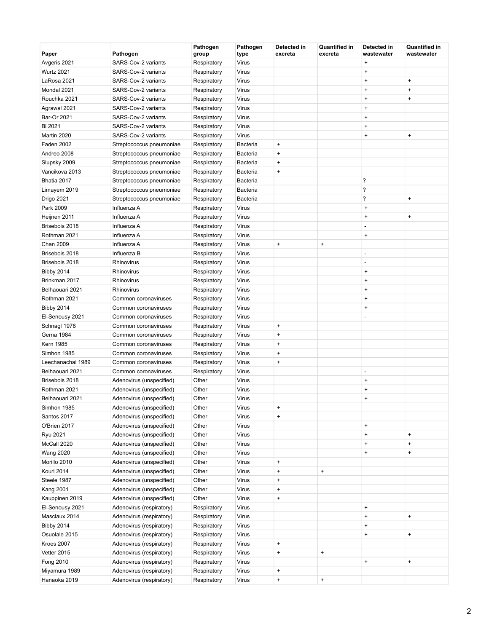| Paper             | Pathogen                 | Pathogen<br>group | Pathogen<br>type | Detected in<br>excreta | <b>Quantified in</b><br>excreta | Detected in<br>wastewater        | <b>Quantified in</b><br>wastewater |
|-------------------|--------------------------|-------------------|------------------|------------------------|---------------------------------|----------------------------------|------------------------------------|
| Avgeris 2021      | SARS-Cov-2 variants      | Respiratory       | Virus            |                        |                                 | $\ddot{}$                        |                                    |
| <b>Wurtz 2021</b> | SARS-Cov-2 variants      | Respiratory       | Virus            |                        |                                 | $\ddot{}$                        |                                    |
| LaRosa 2021       | SARS-Cov-2 variants      | Respiratory       | Virus            |                        |                                 | $\ddot{}$                        | $\begin{array}{c} + \end{array}$   |
| Mondal 2021       | SARS-Cov-2 variants      | Respiratory       | Virus            |                        |                                 | $\ddot{}$                        | $\ddot{}$                          |
| Rouchka 2021      | SARS-Cov-2 variants      | Respiratory       | Virus            |                        |                                 | $\ddot{}$                        | $\ddot{}$                          |
| Agrawal 2021      | SARS-Cov-2 variants      | Respiratory       | Virus            |                        |                                 | $\ddot{}$                        |                                    |
| Bar-Or 2021       | SARS-Cov-2 variants      | Respiratory       | Virus            |                        |                                 | $\ddot{}$                        |                                    |
| Bi 2021           | SARS-Cov-2 variants      | Respiratory       | Virus            |                        |                                 | $\ddot{}$                        |                                    |
| Martin 2020       | SARS-Cov-2 variants      | Respiratory       | Virus            |                        |                                 | $\ddot{}$                        | $\begin{array}{c} + \end{array}$   |
| Faden 2002        | Streptococcus pneumoniae | Respiratory       | Bacteria         | $\ddot{}$              |                                 |                                  |                                    |
| Andreo 2008       | Streptococcus pneumoniae | Respiratory       | <b>Bacteria</b>  | $\pmb{+}$              |                                 |                                  |                                    |
| Slupsky 2009      | Streptococcus pneumoniae | Respiratory       | Bacteria         | $\pmb{+}$              |                                 |                                  |                                    |
| Vancikova 2013    | Streptococcus pneumoniae | Respiratory       | Bacteria         | $\pmb{+}$              |                                 |                                  |                                    |
| Bhatia 2017       | Streptococcus pneumoniae | Respiratory       | Bacteria         |                        |                                 | ?                                |                                    |
| Limayem 2019      | Streptococcus pneumoniae | Respiratory       | <b>Bacteria</b>  |                        |                                 | ?                                |                                    |
| Drigo 2021        | Streptococcus pneumoniae | Respiratory       | Bacteria         |                        |                                 | ?                                | $\ddot{}$                          |
| Park 2009         | Influenza A              | Respiratory       | Virus            |                        |                                 | $\ddot{}$                        |                                    |
| Heijnen 2011      | Influenza A              | Respiratory       | Virus            |                        |                                 | $\ddot{}$                        | $\ddot{}$                          |
| Brisebois 2018    | Influenza A              | Respiratory       | Virus            |                        |                                 | L                                |                                    |
| Rothman 2021      | Influenza A              | Respiratory       | Virus            |                        |                                 | $\ddot{}$                        |                                    |
| <b>Chan 2009</b>  | Influenza A              | Respiratory       | Virus            | $\pmb{+}$              | $\pmb{+}$                       |                                  |                                    |
| Brisebois 2018    | Influenza B              | Respiratory       | Virus            |                        |                                 | $\overline{\phantom{a}}$         |                                    |
| Brisebois 2018    | Rhinovirus               | Respiratory       | Virus            |                        |                                 | $\overline{a}$                   |                                    |
| <b>Bibby 2014</b> | Rhinovirus               | Respiratory       | Virus            |                        |                                 | $\ddot{}$                        |                                    |
| Brinkman 2017     | Rhinovirus               | Respiratory       | Virus            |                        |                                 | $\ddot{}$                        |                                    |
| Belhaouari 2021   | Rhinovirus               | Respiratory       | Virus            |                        |                                 | $\ddot{}$                        |                                    |
| Rothman 2021      | Common coronaviruses     | Respiratory       | Virus            |                        |                                 | $\ddot{}$                        |                                    |
| <b>Bibby 2014</b> | Common coronaviruses     | Respiratory       | Virus            |                        |                                 | $\ddot{}$                        |                                    |
| El-Senousy 2021   | Common coronaviruses     | Respiratory       | Virus            |                        |                                 | ÷,                               |                                    |
| Schnagl 1978      | Common coronaviruses     | Respiratory       | Virus            | $\ddot{}$              |                                 |                                  |                                    |
| Gerna 1984        | Common coronaviruses     | Respiratory       | Virus            | $\ddot{}$              |                                 |                                  |                                    |
| <b>Kern 1985</b>  | Common coronaviruses     | Respiratory       | Virus            | $\pmb{+}$              |                                 |                                  |                                    |
| Simhon 1985       | Common coronaviruses     | Respiratory       | Virus            | $\ddot{}$              |                                 |                                  |                                    |
| Leechanachai 1989 | Common coronaviruses     | Respiratory       | Virus            | $\ddot{}$              |                                 |                                  |                                    |
| Belhaouari 2021   | Common coronaviruses     | Respiratory       | Virus            |                        |                                 | $\overline{\phantom{a}}$         |                                    |
| Brisebois 2018    | Adenovirus (unspecified) | Other             | Virus            |                        |                                 | $\ddot{}$                        |                                    |
| Rothman 2021      | Adenovirus (unspecified) | Other             | Virus            |                        |                                 | $\ddot{}$                        |                                    |
| Belhaouari 2021   | Adenovirus (unspecified) | Other             | Virus            |                        |                                 | $\ddot{}$                        |                                    |
| Simhon 1985       | Adenovirus (unspecified) | Other             | Virus            | $\ddot{}$              |                                 |                                  |                                    |
| Santos 2017       | Adenovirus (unspecified) | Other             | Virus            | $\pmb{+}$              |                                 |                                  |                                    |
| O'Brien 2017      | Adenovirus (unspecified) | Other             | Virus            |                        |                                 | $\begin{array}{c} + \end{array}$ |                                    |
| Ryu 2021          | Adenovirus (unspecified) | Other             | Virus            |                        |                                 | $\begin{array}{c} + \end{array}$ | $\begin{array}{c} + \end{array}$   |
| McCall 2020       | Adenovirus (unspecified) | Other             | Virus            |                        |                                 | $\begin{array}{c} + \end{array}$ | $\ddot{}$                          |
| <b>Wang 2020</b>  | Adenovirus (unspecified) | Other             | Virus            |                        |                                 | $\ddot{}$                        | $\ddot{}$                          |
| Morillo 2010      | Adenovirus (unspecified) | Other             | Virus            | $\pmb{+}$              |                                 |                                  |                                    |
| Kouri 2014        | Adenovirus (unspecified) | Other             | Virus            | $\ddot{}$              | $\pmb{+}$                       |                                  |                                    |
| Steele 1987       | Adenovirus (unspecified) | Other             | Virus            | $\ddot{}$              |                                 |                                  |                                    |
| <b>Kang 2001</b>  | Adenovirus (unspecified) | Other             | Virus            | $\pmb{+}$              |                                 |                                  |                                    |
| Kauppinen 2019    | Adenovirus (unspecified) | Other             | Virus            | $\ddot{}$              |                                 |                                  |                                    |
| El-Senousy 2021   | Adenovirus (respiratory) | Respiratory       | Virus            |                        |                                 | $\pmb{+}$                        |                                    |
| Masclaux 2014     | Adenovirus (respiratory) | Respiratory       | Virus            |                        |                                 | $\ddot{}$                        | $\begin{array}{c} + \end{array}$   |
| <b>Bibby 2014</b> | Adenovirus (respiratory) | Respiratory       | Virus            |                        |                                 | $\ddot{}$                        |                                    |
| Osuolale 2015     | Adenovirus (respiratory) | Respiratory       | Virus            |                        |                                 | $\begin{array}{c} + \end{array}$ | $\ddot{}$                          |
| Kroes 2007        | Adenovirus (respiratory) | Respiratory       | Virus            | $\ddot{}$              |                                 |                                  |                                    |
| Vetter 2015       | Adenovirus (respiratory) | Respiratory       | Virus            | $\ddot{}$              | $\ddot{}$                       |                                  |                                    |
| Fong 2010         | Adenovirus (respiratory) | Respiratory       | Virus            |                        |                                 | $\begin{array}{c} + \end{array}$ | $\begin{array}{c} + \end{array}$   |
| Miyamura 1989     | Adenovirus (respiratory) | Respiratory       | Virus            | $\pmb{+}$              |                                 |                                  |                                    |
| Hanaoka 2019      | Adenovirus (respiratory) | Respiratory       | Virus            | $\ddot{}$              | $\ddot{}$                       |                                  |                                    |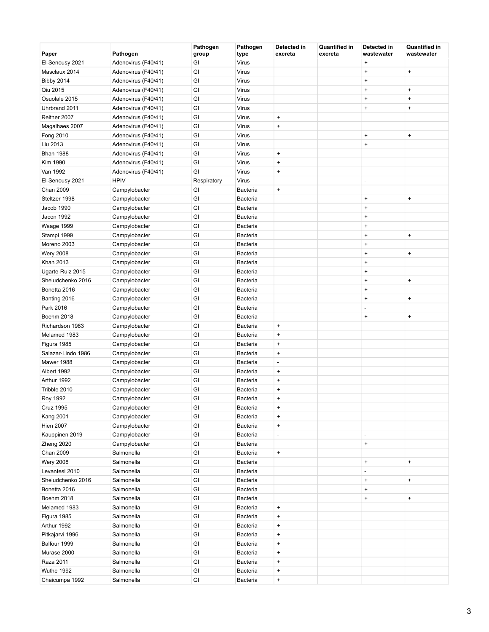| Paper              | Pathogen            | Pathogen<br>group | Pathogen<br>type | Detected in<br>excreta           | <b>Quantified in</b><br>excreta | Detected in<br>wastewater        | <b>Quantified in</b><br>wastewater |
|--------------------|---------------------|-------------------|------------------|----------------------------------|---------------------------------|----------------------------------|------------------------------------|
| El-Senousy 2021    | Adenovirus (F40/41) | GI                | Virus            |                                  |                                 | $\ddot{}$                        |                                    |
| Masclaux 2014      | Adenovirus (F40/41) | GI                | Virus            |                                  |                                 | $\ddot{}$                        | $\begin{array}{c} + \end{array}$   |
| <b>Bibby 2014</b>  | Adenovirus (F40/41) | GI                | Virus            |                                  |                                 | $\ddot{}$                        |                                    |
| Qiu 2015           | Adenovirus (F40/41) | GI                | Virus            |                                  |                                 | $\ddot{}$                        | $\begin{array}{c} + \end{array}$   |
| Osuolale 2015      | Adenovirus (F40/41) | GI                | Virus            |                                  |                                 | $\ddot{}$                        | $\begin{array}{c} + \end{array}$   |
| Uhrbrand 2011      | Adenovirus (F40/41) | GI                | Virus            |                                  |                                 | $\ddot{}$                        | $\ddot{}$                          |
| Reither 2007       | Adenovirus (F40/41) | GI                | Virus            | $\ddot{}$                        |                                 |                                  |                                    |
| Magalhaes 2007     | Adenovirus (F40/41) | GI                | Virus            | $\begin{array}{c} + \end{array}$ |                                 |                                  |                                    |
| Fong 2010          | Adenovirus (F40/41) | GI                | Virus            |                                  |                                 | $\ddot{}$                        | $\ddot{}$                          |
| Liu 2013           | Adenovirus (F40/41) | GI                | Virus            |                                  |                                 | $\ddot{}$                        |                                    |
| <b>Bhan 1988</b>   | Adenovirus (F40/41) | GI                | Virus            | $\ddot{}$                        |                                 |                                  |                                    |
| Kim 1990           | Adenovirus (F40/41) | GI                | Virus            | $\begin{array}{c} + \end{array}$ |                                 |                                  |                                    |
| Van 1992           | Adenovirus (F40/41) | GI                | Virus            | $\begin{array}{c} + \end{array}$ |                                 |                                  |                                    |
| El-Senousy 2021    | <b>HPIV</b>         | Respiratory       | Virus            |                                  |                                 | $\overline{\phantom{a}}$         |                                    |
| <b>Chan 2009</b>   | Campylobacter       | GI                | Bacteria         | $\begin{array}{c} + \end{array}$ |                                 |                                  |                                    |
| Steltzer 1998      | Campylobacter       | GI                | <b>Bacteria</b>  |                                  |                                 | $\ddot{}$                        | $\begin{array}{c} + \end{array}$   |
| Jacob 1990         | Campylobacter       | GI                | Bacteria         |                                  |                                 | $\ddot{}$                        |                                    |
| Jacon 1992         | Campylobacter       | GI                | <b>Bacteria</b>  |                                  |                                 | $\ddot{}$                        |                                    |
| Waage 1999         | Campylobacter       | GI                | Bacteria         |                                  |                                 | $\ddot{}$                        |                                    |
| Stampi 1999        | Campylobacter       | GI                | Bacteria         |                                  |                                 | $\ddot{}$                        | $\ddot{}$                          |
| Moreno 2003        | Campylobacter       | GI                | Bacteria         |                                  |                                 | $\ddot{}$                        |                                    |
| <b>Wery 2008</b>   | Campylobacter       | GI                | Bacteria         |                                  |                                 | $\ddot{}$                        | $\ddot{}$                          |
| Khan 2013          | Campylobacter       | GI                | Bacteria         |                                  |                                 | $\ddot{}$                        |                                    |
| Ugarte-Ruiz 2015   | Campylobacter       | GI                | Bacteria         |                                  |                                 | $\ddot{}$                        |                                    |
| Sheludchenko 2016  | Campylobacter       | GI                | Bacteria         |                                  |                                 | $\ddot{}$                        | $\begin{array}{c} + \end{array}$   |
| Bonetta 2016       | Campylobacter       | GI                | Bacteria         |                                  |                                 | $\ddot{}$                        |                                    |
| Banting 2016       | Campylobacter       | GI                | Bacteria         |                                  |                                 | $\ddot{}$                        | $\ddot{}$                          |
| Park 2016          | Campylobacter       | GI                | Bacteria         |                                  |                                 | ÷,                               |                                    |
| Boehm 2018         | Campylobacter       | GI                | Bacteria         |                                  |                                 | $\ddot{}$                        | $\begin{array}{c} + \end{array}$   |
| Richardson 1983    | Campylobacter       | GI                | Bacteria         | $\begin{array}{c} + \end{array}$ |                                 |                                  |                                    |
| Melamed 1983       | Campylobacter       | GI                | Bacteria         | $\begin{array}{c} + \end{array}$ |                                 |                                  |                                    |
| Figura 1985        | Campylobacter       | GI                | Bacteria         | $\begin{array}{c} + \end{array}$ |                                 |                                  |                                    |
| Salazar-Lindo 1986 | Campylobacter       | GI                | Bacteria         | $\begin{array}{c} + \end{array}$ |                                 |                                  |                                    |
| Mawer 1988         | Campylobacter       | GI                | <b>Bacteria</b>  | ÷,                               |                                 |                                  |                                    |
| Albert 1992        | Campylobacter       | GI                | Bacteria         | $\ddot{}$                        |                                 |                                  |                                    |
| Arthur 1992        | Campylobacter       | GI                | Bacteria         | $\ddot{}$                        |                                 |                                  |                                    |
| Tribble 2010       | Campylobacter       | GI                | Bacteria         | $\begin{array}{c} + \end{array}$ |                                 |                                  |                                    |
| Roy 1992           | Campylobacter       | GI                | Bacteria         | $\ddot{}$                        |                                 |                                  |                                    |
| <b>Cruz 1995</b>   | Campylobacter       | GI                | Bacteria         | $\ddot{}$                        |                                 |                                  |                                    |
| <b>Kang 2001</b>   | Campylobacter       | GI                | Bacteria         | $\pmb{+}$                        |                                 |                                  |                                    |
| <b>Hien 2007</b>   | Campylobacter       | GI                | Bacteria         | $\pmb{+}$                        |                                 |                                  |                                    |
| Kauppinen 2019     | Campylobacter       | GI                | <b>Bacteria</b>  | $\qquad \qquad \blacksquare$     |                                 | $\overline{\phantom{a}}$         |                                    |
| Zheng 2020         | Campylobacter       | GI                | <b>Bacteria</b>  |                                  |                                 | $\begin{array}{c} + \end{array}$ |                                    |
| Chan 2009          | Salmonella          | GI                | <b>Bacteria</b>  | $\ddot{}$                        |                                 |                                  |                                    |
| <b>Wery 2008</b>   | Salmonella          | GI                | Bacteria         |                                  |                                 | $\pmb{+}$                        | $\pmb{+}$                          |
| Levantesi 2010     | Salmonella          | GI                | <b>Bacteria</b>  |                                  |                                 | L.                               |                                    |
| Sheludchenko 2016  | Salmonella          | GI                | Bacteria         |                                  |                                 | $\ddot{}$                        | $\ddot{}$                          |
| Bonetta 2016       | Salmonella          | GI                | Bacteria         |                                  |                                 | $\ddot{}$                        |                                    |
| Boehm 2018         | Salmonella          | GI                | <b>Bacteria</b>  |                                  |                                 | $\ddot{}$                        | $\begin{array}{c} + \end{array}$   |
| Melamed 1983       | Salmonella          | GI                | Bacteria         | $\pmb{+}$                        |                                 |                                  |                                    |
| Figura 1985        | Salmonella          | GI                | <b>Bacteria</b>  | $\ddot{}$                        |                                 |                                  |                                    |
| Arthur 1992        | Salmonella          | GI                | <b>Bacteria</b>  | $\ddot{}$                        |                                 |                                  |                                    |
| Pitkajarvi 1996    | Salmonella          | GI                | <b>Bacteria</b>  | $\pmb{+}$                        |                                 |                                  |                                    |
| Balfour 1999       | Salmonella          | GI                | Bacteria         | $\ddot{}$                        |                                 |                                  |                                    |
| Murase 2000        | Salmonella          | GI                | Bacteria         | $\pmb{+}$                        |                                 |                                  |                                    |
| Raza 2011          | Salmonella          | GI                | Bacteria         | $\begin{array}{c} + \end{array}$ |                                 |                                  |                                    |
| Wuthe 1992         | Salmonella          | GI                | Bacteria         | $\begin{array}{c} + \end{array}$ |                                 |                                  |                                    |
| Chaicumpa 1992     | Salmonella          | GI                | <b>Bacteria</b>  | $\ddot{}$                        |                                 |                                  |                                    |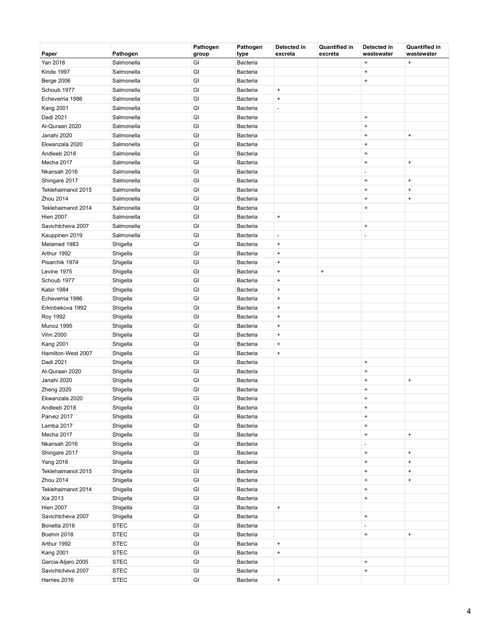| Paper              | Pathogen    | Pathogen<br>group | Pathogen<br>type | Detected in<br>excreta           | <b>Quantified in</b><br>excreta | Detected in<br>wastewater        | <b>Quantified in</b><br>wastewater |
|--------------------|-------------|-------------------|------------------|----------------------------------|---------------------------------|----------------------------------|------------------------------------|
| Yan 2018           | Salmonella  | GI                | Bacteria         |                                  |                                 | $\ddot{}$                        | $\begin{array}{c} + \end{array}$   |
| Kinde 1997         | Salmonella  | GI                | Bacteria         |                                  |                                 | $\ddot{}$                        |                                    |
| <b>Berge 2006</b>  | Salmonella  | GI                | Bacteria         |                                  |                                 | $\ddot{}$                        |                                    |
| Schoub 1977        | Salmonella  | GI                | Bacteria         | $\ddot{}$                        |                                 |                                  |                                    |
| Echeverria 1986    | Salmonella  | GI                | Bacteria         | $\ddot{}$                        |                                 |                                  |                                    |
| <b>Kang 2001</b>   | Salmonella  | GI                | Bacteria         | $\qquad \qquad \blacksquare$     |                                 |                                  |                                    |
| Dadi 2021          | Salmonella  | GI                | Bacteria         |                                  |                                 | $\ddot{}$                        |                                    |
| Al-Quraan 2020     | Salmonella  | GI                | Bacteria         |                                  |                                 | $\pmb{+}$                        |                                    |
| Janahi 2020        | Salmonella  | GI                | Bacteria         |                                  |                                 | $\ddot{}$                        | $\begin{array}{c} + \end{array}$   |
| Ekwanzala 2020     | Salmonella  | GI                | Bacteria         |                                  |                                 | $\ddot{}$                        |                                    |
| Andleeb 2018       | Salmonella  | GI                | Bacteria         |                                  |                                 | $\ddot{}$                        |                                    |
| Mecha 2017         | Salmonella  | GI                | Bacteria         |                                  |                                 | $\ddot{}$                        | $\begin{array}{c} + \end{array}$   |
| Nkansah 2016       | Salmonella  | GI                | Bacteria         |                                  |                                 | ÷,                               |                                    |
| Shingare 2017      | Salmonella  | GI                | Bacteria         |                                  |                                 | $\begin{array}{c} + \end{array}$ | $\begin{array}{c} + \end{array}$   |
| Teklehaimanot 2015 | Salmonella  | GI                | Bacteria         |                                  |                                 | $\ddot{}$                        | $\begin{array}{c} + \end{array}$   |
| Zhou 2014          | Salmonella  | GI                | Bacteria         |                                  |                                 | $\ddot{}$                        | $\ddot{}$                          |
| Teklehaimanot 2014 | Salmonella  | GI                | Bacteria         |                                  |                                 | $\ddot{}$                        |                                    |
| <b>Hien 2007</b>   | Salmonella  | GI                | Bacteria         | $\begin{array}{c} + \end{array}$ |                                 |                                  |                                    |
| Savichtcheva 2007  | Salmonella  | GI                | Bacteria         |                                  |                                 | $\ddot{}$                        |                                    |
| Kauppinen 2019     | Salmonella  | GI                | Bacteria         | $\qquad \qquad \blacksquare$     |                                 | $\overline{a}$                   |                                    |
| Melamed 1983       | Shigella    | GI                | Bacteria         | $\ddot{}$                        |                                 |                                  |                                    |
| Arthur 1992        | Shigella    | GI                | Bacteria         | $\ddot{}$                        |                                 |                                  |                                    |
| Pisarchik 1974     | Shigella    | GI                | Bacteria         | $\ddot{}$                        |                                 |                                  |                                    |
| Levine 1975        | Shigella    | GI                | Bacteria         | $\ddot{}$                        | $\pmb{+}$                       |                                  |                                    |
| Schoub 1977        | Shigella    | GI                | Bacteria         | $\begin{array}{c} + \end{array}$ |                                 |                                  |                                    |
| Kabir 1984         | Shigella    | GI                | Bacteria         | $\ddot{}$                        |                                 |                                  |                                    |
| Echeverria 1986    | Shigella    | GI                | Bacteria         | $\ddot{}$                        |                                 |                                  |                                    |
| Erkinbekova 1992   | Shigella    | GI                | Bacteria         | $\ddot{}$                        |                                 |                                  |                                    |
| <b>Roy 1992</b>    | Shigella    | GI                | Bacteria         | $\ddot{}$                        |                                 |                                  |                                    |
| Munoz 1995         | Shigella    | GI                | Bacteria         | $\begin{array}{c} + \end{array}$ |                                 |                                  |                                    |
| <b>Vihn 2000</b>   | Shigella    | GI                | Bacteria         | $\ddot{}$                        |                                 |                                  |                                    |
| <b>Kang 2001</b>   | Shigella    | GI                | Bacteria         | $\ddot{}$                        |                                 |                                  |                                    |
| Hamilton-West 2007 | Shigella    | GI                | Bacteria         | $\ddot{}$                        |                                 |                                  |                                    |
| Dadi 2021          | Shigella    | GI                | Bacteria         |                                  |                                 | $\ddot{}$                        |                                    |
| Al-Quraan 2020     | Shigella    | GI                | Bacteria         |                                  |                                 | $\ddot{}$                        |                                    |
| Janahi 2020        | Shigella    | GI                | Bacteria         |                                  |                                 | $\ddot{}$                        | $\ddot{}$                          |
| Zheng 2020         | Shigella    | GI                | Bacteria         |                                  |                                 | $\ddot{}$                        |                                    |
| Ekwanzala 2020     | Shigella    | GI                | Bacteria         |                                  |                                 | $\ddot{}$                        |                                    |
| Andleeb 2018       | Shigella    | GI                | Bacteria         |                                  |                                 | $\ddot{}$                        |                                    |
| Parvez 2017        | Shigella    | GI                | Bacteria         |                                  |                                 | $\begin{array}{c} + \end{array}$ |                                    |
| Lamba 2017         | Shigella    | GI                | Bacteria         |                                  |                                 | $\ddot{}$                        |                                    |
| Mecha 2017         | Shigella    | $\mathsf{GI}$     | <b>Bacteria</b>  |                                  |                                 | $\begin{array}{c} + \end{array}$ | $\ddot{}$                          |
| Nkansah 2016       | Shigella    | GI                | Bacteria         |                                  |                                 | ÷,                               |                                    |
| Shingare 2017      | Shigella    | GI                | <b>Bacteria</b>  |                                  |                                 | $\pmb{+}$                        | $\pmb{+}$                          |
| <b>Yang 2016</b>   | Shigella    | GI                | Bacteria         |                                  |                                 | $\ddot{}$                        | $\pmb{+}$                          |
| Teklehaimanot 2015 | Shigella    | GI                | <b>Bacteria</b>  |                                  |                                 | $\ddot{}$                        | $\ddot{}$                          |
| Zhou 2014          | Shigella    | GI                | Bacteria         |                                  |                                 | $\pmb{+}$                        | $\ddot{}$                          |
| Teklehaimanot 2014 | Shigella    | GI                | Bacteria         |                                  |                                 | $\ddot{}$                        |                                    |
| Xia 2013           | Shigella    | GI                | <b>Bacteria</b>  |                                  |                                 | $\ddot{}$                        |                                    |
| <b>Hien 2007</b>   | Shigella    | GI                | Bacteria         | $\ddot{}$                        |                                 |                                  |                                    |
| Savichtcheva 2007  | Shigella    | GI                | <b>Bacteria</b>  |                                  |                                 | $\begin{array}{c} + \end{array}$ |                                    |
| Bonetta 2016       | <b>STEC</b> | GI                | <b>Bacteria</b>  |                                  |                                 |                                  |                                    |
| Boehm 2018         | <b>STEC</b> | GI                | <b>Bacteria</b>  |                                  |                                 | $\pmb{+}$                        | $\pmb{+}$                          |
| Arthur 1992        | <b>STEC</b> | GI                | Bacteria         | $\pmb{+}$                        |                                 |                                  |                                    |
| <b>Kang 2001</b>   | <b>STEC</b> | GI                | Bacteria         | $\ddot{}$                        |                                 |                                  |                                    |
| Garcia-Aljaro 2005 | <b>STEC</b> | GI                | Bacteria         |                                  |                                 | $\ddot{}$                        |                                    |
| Savichtcheva 2007  | <b>STEC</b> | GI                | Bacteria         |                                  |                                 | $\ddot{}$                        |                                    |
| Harries 2016       | <b>STEC</b> | $\mathsf{GI}$     | Bacteria         | $\ddot{}$                        |                                 |                                  |                                    |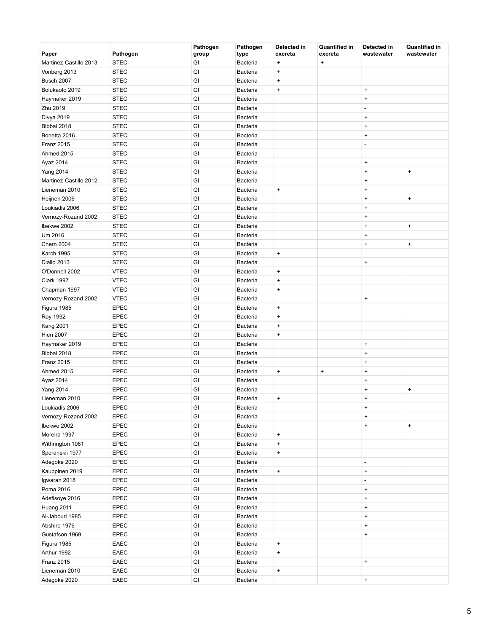| Paper                  | Pathogen    | Pathogen<br>group | Pathogen<br>type | Detected in<br>excreta           | <b>Quantified in</b><br>excreta | Detected in<br>wastewater        | <b>Quantified in</b><br>wastewater |
|------------------------|-------------|-------------------|------------------|----------------------------------|---------------------------------|----------------------------------|------------------------------------|
| Martinez-Castillo 2013 | <b>STEC</b> | GI                | Bacteria         | $\bf{+}$                         | $\bf{+}$                        |                                  |                                    |
| Vonberg 2013           | <b>STEC</b> | GI                | Bacteria         | $\bf{+}$                         |                                 |                                  |                                    |
| Busch 2007             | <b>STEC</b> | GI                | Bacteria         | $\bf{+}$                         |                                 |                                  |                                    |
| Bolukaoto 2019         | <b>STEC</b> | GI                | Bacteria         | $\bf{+}$                         |                                 | $\begin{array}{c} + \end{array}$ |                                    |
| Haymaker 2019          | <b>STEC</b> | GI                | Bacteria         |                                  |                                 | $\pmb{+}$                        |                                    |
| Zhu 2019               | <b>STEC</b> | GI                | <b>Bacteria</b>  |                                  |                                 | $\overline{a}$                   |                                    |
| Divya 2019             | <b>STEC</b> | GI                | Bacteria         |                                  |                                 | $\pmb{+}$                        |                                    |
| Bibbal 2018            | <b>STEC</b> | GI                | Bacteria         |                                  |                                 | $\pmb{+}$                        |                                    |
| Bonetta 2016           | <b>STEC</b> | GI                | Bacteria         |                                  |                                 | $\begin{array}{c} + \end{array}$ |                                    |
| Franz 2015             | <b>STEC</b> | GI                | Bacteria         |                                  |                                 | $\overline{a}$                   |                                    |
| Ahmed 2015             | <b>STEC</b> | GI                | Bacteria         | $\qquad \qquad \blacksquare$     |                                 | $\overline{a}$                   |                                    |
| Ayaz 2014              | <b>STEC</b> | GI                | Bacteria         |                                  |                                 | $\begin{array}{c} + \end{array}$ |                                    |
| <b>Yang 2014</b>       | <b>STEC</b> | GI                | Bacteria         |                                  |                                 | $\begin{array}{c} + \end{array}$ | $\begin{array}{c} + \end{array}$   |
| Martinez-Castillo 2012 | <b>STEC</b> | GI                | Bacteria         |                                  |                                 | $\begin{array}{c} + \end{array}$ |                                    |
| Lieneman 2010          | <b>STEC</b> | GI                | Bacteria         | $\pmb{+}$                        |                                 | $\pmb{+}$                        |                                    |
| Heijnen 2006           | <b>STEC</b> | GI                | <b>Bacteria</b>  |                                  |                                 | $\pmb{+}$                        | $\pmb{+}$                          |
| Loukiadis 2006         | <b>STEC</b> | GI                | Bacteria         |                                  |                                 | $\ddot{}$                        |                                    |
| Vernozy-Rozand 2002    | <b>STEC</b> | GI                | Bacteria         |                                  |                                 | $\pmb{+}$                        |                                    |
| Ibekwe 2002            | <b>STEC</b> | GI                | Bacteria         |                                  |                                 | $\begin{array}{c} + \end{array}$ | $\begin{array}{c} + \end{array}$   |
| Um 2016                | <b>STEC</b> | GI                | Bacteria         |                                  |                                 | $\pmb{+}$                        |                                    |
| <b>Chern 2004</b>      | <b>STEC</b> | GI                | Bacteria         |                                  |                                 | $\pmb{+}$                        | $\pmb{+}$                          |
| Karch 1995             | <b>STEC</b> | GI                | Bacteria         | $\begin{array}{c} + \end{array}$ |                                 |                                  |                                    |
| Diallo 2013            | <b>STEC</b> | GI                | Bacteria         |                                  |                                 | $\begin{array}{c} + \end{array}$ |                                    |
| O'Donnell 2002         | <b>VTEC</b> | GI                | Bacteria         | $\bf{+}$                         |                                 |                                  |                                    |
| <b>Clark 1997</b>      | <b>VTEC</b> | GI                | Bacteria         | $\bf{+}$                         |                                 |                                  |                                    |
| Chapman 1997           | <b>VTEC</b> | GI                | Bacteria         | $\bf{+}$                         |                                 |                                  |                                    |
| Vernozy-Rozand 2002    | <b>VTEC</b> | GI                | Bacteria         |                                  |                                 | $\pmb{+}$                        |                                    |
| Figura 1985            | <b>EPEC</b> | GI                | Bacteria         | $\bf{+}$                         |                                 |                                  |                                    |
| <b>Roy 1992</b>        | <b>EPEC</b> | GI                | Bacteria         | $\bf{+}$                         |                                 |                                  |                                    |
| <b>Kang 2001</b>       | <b>EPEC</b> | GI                | Bacteria         | $\begin{array}{c} + \end{array}$ |                                 |                                  |                                    |
| <b>Hien 2007</b>       | <b>EPEC</b> | GI                | Bacteria         | $\bf{+}$                         |                                 |                                  |                                    |
| Haymaker 2019          | <b>EPEC</b> | GI                | Bacteria         |                                  |                                 | $\pmb{+}$                        |                                    |
| Bibbal 2018            | <b>EPEC</b> | GI                | Bacteria         |                                  |                                 | $\pmb{+}$                        |                                    |
| Franz 2015             | <b>EPEC</b> | GI                | Bacteria         |                                  |                                 | $\pmb{+}$                        |                                    |
| Ahmed 2015             | <b>EPEC</b> | GI                | Bacteria         | $\pmb{+}$                        | $\pmb{+}$                       | $\pmb{+}$                        |                                    |
| Ayaz 2014              | <b>EPEC</b> | GI                | Bacteria         |                                  |                                 | $\ddot{}$                        |                                    |
| <b>Yang 2014</b>       | <b>EPEC</b> | GI                | <b>Bacteria</b>  |                                  |                                 | $\begin{array}{c} + \end{array}$ | $\begin{array}{c} + \end{array}$   |
| Lieneman 2010          | <b>EPEC</b> | GI                | Bacteria         | $\ddot{}$                        |                                 | $\ddot{}$                        |                                    |
| Loukiadis 2006         | <b>EPEC</b> | GI                | <b>Bacteria</b>  |                                  |                                 | $\begin{array}{c} + \end{array}$ |                                    |
| Vernozy-Rozand 2002    | <b>EPEC</b> | GI                | Bacteria         |                                  |                                 | $\pmb{+}$                        |                                    |
| Ibekwe 2002            | EPEC        | GI                | Bacteria         |                                  |                                 | $\pmb{+}$                        | $\boldsymbol{+}$                   |
| Moreira 1997           | EPEC        | GI                | <b>Bacteria</b>  | $\begin{array}{c} + \end{array}$ |                                 |                                  |                                    |
| Withrington 1981       | <b>EPEC</b> | GI                | Bacteria         | $\bf{+}$                         |                                 |                                  |                                    |
| Speranskii 1977        | EPEC        | GI                | Bacteria         | $\pmb{+}$                        |                                 |                                  |                                    |
| Adegoke 2020           | EPEC        | GI                | Bacteria         |                                  |                                 | $\overline{a}$                   |                                    |
| Kauppinen 2019         | EPEC        | GI                | <b>Bacteria</b>  | $\pmb{+}$                        |                                 | $\pmb{+}$                        |                                    |
| Igwaran 2018           | EPEC        | GI                | Bacteria         |                                  |                                 | ÷,                               |                                    |
| Poma 2016              | <b>EPEC</b> | GI                | Bacteria         |                                  |                                 | $\pmb{+}$                        |                                    |
| Adefisoye 2016         | EPEC        | GI                | Bacteria         |                                  |                                 | $\pmb{+}$                        |                                    |
| Huang 2011             | EPEC        | GI                | Bacteria         |                                  |                                 | $\pmb{+}$                        |                                    |
| Al-Jabouri 1985        | EPEC        | GI                | <b>Bacteria</b>  |                                  |                                 | $\pmb{+}$                        |                                    |
| Abshire 1976           | EPEC        | GI                | Bacteria         |                                  |                                 | $\pmb{+}$                        |                                    |
| Gustafson 1969         | EPEC        | GI                | Bacteria         |                                  |                                 | $\pmb{+}$                        |                                    |
| Figura 1985            | EAEC        | GI                | Bacteria         | $\pmb{+}$                        |                                 |                                  |                                    |
| Arthur 1992            | EAEC        | GI                | Bacteria         | $\pmb{+}$                        |                                 |                                  |                                    |
| Franz 2015             | EAEC        | GI                | Bacteria         |                                  |                                 | $\boldsymbol{+}$                 |                                    |
| Lieneman 2010          | EAEC        | GI                | Bacteria         | $\pmb{+}$                        |                                 |                                  |                                    |
| Adegoke 2020           | EAEC        | GI                | Bacteria         |                                  |                                 | $\pmb{+}$                        |                                    |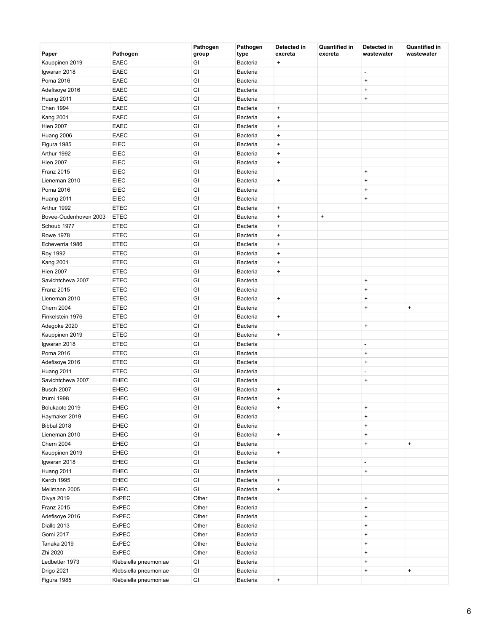| Paper                 | Pathogen              | Pathogen<br>group | Pathogen<br>type | Detected in<br>excreta           | <b>Quantified in</b><br>excreta | Detected in<br>wastewater | <b>Quantified in</b><br>wastewater |
|-----------------------|-----------------------|-------------------|------------------|----------------------------------|---------------------------------|---------------------------|------------------------------------|
| Kauppinen 2019        | <b>EAEC</b>           | GI                | Bacteria         | $\begin{array}{c} + \end{array}$ |                                 |                           |                                    |
| Igwaran 2018          | EAEC                  | GI                | Bacteria         |                                  |                                 | ÷,                        |                                    |
| Poma 2016             | EAEC                  | GI                | Bacteria         |                                  |                                 | $\ddot{}$                 |                                    |
| Adefisoye 2016        | EAEC                  | GI                | Bacteria         |                                  |                                 | $\bf +$                   |                                    |
| Huang 2011            | EAEC                  | GI                | Bacteria         |                                  |                                 | $\bf +$                   |                                    |
| Chan 1994             | EAEC                  | GI                | Bacteria         | $\bf{+}$                         |                                 |                           |                                    |
| <b>Kang 2001</b>      | EAEC                  | GI                | Bacteria         | $\ddot{}$                        |                                 |                           |                                    |
| <b>Hien 2007</b>      | <b>EAEC</b>           | GI                | Bacteria         | $\ddot{}$                        |                                 |                           |                                    |
| Huang 2006            | EAEC                  | GI                | Bacteria         | $\begin{array}{c} + \end{array}$ |                                 |                           |                                    |
| Figura 1985           | EIEC                  | GI                | Bacteria         | $\begin{array}{c} + \end{array}$ |                                 |                           |                                    |
| Arthur 1992           | EIEC                  | GI                | Bacteria         | $\begin{array}{c} + \end{array}$ |                                 |                           |                                    |
| <b>Hien 2007</b>      | EIEC                  | GI                | Bacteria         | $\begin{array}{c} + \end{array}$ |                                 |                           |                                    |
| Franz 2015            | EIEC                  | GI                | Bacteria         |                                  |                                 | $\bf +$                   |                                    |
| Lieneman 2010         | EIEC                  | GI                | Bacteria         | $\ddot{}$                        |                                 | $\bf +$                   |                                    |
| Poma 2016             | EIEC                  | GI                | Bacteria         |                                  |                                 | $\bf +$                   |                                    |
| Huang 2011            | EIEC                  | GI                | Bacteria         |                                  |                                 | $\bf +$                   |                                    |
| Arthur 1992           | <b>ETEC</b>           | GI                | Bacteria         | $\bf{+}$                         |                                 |                           |                                    |
| Bovee-Oudenhoven 2003 | <b>ETEC</b>           | GI                | Bacteria         | $\ddot{}$                        | $\bf{+}$                        |                           |                                    |
| Schoub 1977           | <b>ETEC</b>           | GI                | Bacteria         | $\begin{array}{c} + \end{array}$ |                                 |                           |                                    |
| <b>Rowe 1978</b>      | <b>ETEC</b>           | GI                | Bacteria         | $\begin{array}{c} + \end{array}$ |                                 |                           |                                    |
| Echeverria 1986       | <b>ETEC</b>           | GI                | Bacteria         | $\begin{array}{c} + \end{array}$ |                                 |                           |                                    |
| <b>Roy 1992</b>       | <b>ETEC</b>           | GI                | Bacteria         | $\ddot{}$                        |                                 |                           |                                    |
| <b>Kang 2001</b>      | <b>ETEC</b>           | GI                | Bacteria         | $\ddot{}$                        |                                 |                           |                                    |
| <b>Hien 2007</b>      | <b>ETEC</b>           | GI                | Bacteria         | $\begin{array}{c} + \end{array}$ |                                 |                           |                                    |
| Savichtcheva 2007     | <b>ETEC</b>           | GI                | Bacteria         |                                  |                                 | $\bf{+}$                  |                                    |
| Franz 2015            | <b>ETEC</b>           | GI                | Bacteria         |                                  |                                 | $\bf{+}$                  |                                    |
| Lieneman 2010         | <b>ETEC</b>           | GI                | Bacteria         | $\bf{+}$                         |                                 | $\bf{+}$                  |                                    |
| <b>Chern 2004</b>     | ETEC                  | GI                | Bacteria         |                                  |                                 | $\bf{+}$                  | $\bf{+}$                           |
| Finkelstein 1976      | <b>ETEC</b>           | GI                | Bacteria         | $\bf{+}$                         |                                 |                           |                                    |
| Adegoke 2020          | <b>ETEC</b>           | GI                | Bacteria         |                                  |                                 | $\bf{+}$                  |                                    |
| Kauppinen 2019        | <b>ETEC</b>           | GI                | <b>Bacteria</b>  | $\bf{+}$                         |                                 |                           |                                    |
| Igwaran 2018          | <b>ETEC</b>           | GI                | Bacteria         |                                  |                                 | $\overline{\phantom{a}}$  |                                    |
| Poma 2016             | <b>ETEC</b>           | GI                | Bacteria         |                                  |                                 | $\bf{+}$                  |                                    |
| Adefisoye 2016        | <b>ETEC</b>           | GI                | Bacteria         |                                  |                                 | $\bf{+}$                  |                                    |
| Huang 2011            | <b>ETEC</b>           | GI                | Bacteria         |                                  |                                 | $\overline{\phantom{a}}$  |                                    |
| Savichtcheva 2007     | <b>EHEC</b>           | GI                | Bacteria         |                                  |                                 | $\bf{+}$                  |                                    |
| Busch 2007            | <b>EHEC</b>           | GI                | Bacteria         | $\bf{+}$                         |                                 |                           |                                    |
| Izumi 1998            | <b>EHEC</b>           | GI                | Bacteria         | $\ddot{}$                        |                                 |                           |                                    |
| Bolukaoto 2019        | <b>EHEC</b>           | GI                | Bacteria         | $\pmb{+}$                        |                                 | $\bf{+}$                  |                                    |
| Haymaker 2019         | <b>EHEC</b>           | GI                | Bacteria         |                                  |                                 | $\bf{+}$                  |                                    |
| Bibbal 2018           | EHEC                  | GI                | Bacteria         |                                  |                                 | $\ddot{}$                 |                                    |
| Lieneman 2010         | <b>EHEC</b>           | GI                | Bacteria         | $\bf{+}$                         |                                 | $\ddot{}$                 |                                    |
| <b>Chern 2004</b>     | <b>EHEC</b>           | GI                | Bacteria         |                                  |                                 | $\boldsymbol{+}$          | $\ddot{}$                          |
| Kauppinen 2019        | <b>EHEC</b>           | GI                | Bacteria         | $\bf{+}$                         |                                 |                           |                                    |
| Igwaran 2018          | <b>EHEC</b>           | $\mathsf{GI}$     | Bacteria         |                                  |                                 | $\overline{\phantom{a}}$  |                                    |
| Huang 2011            | <b>EHEC</b>           | GI                | Bacteria         |                                  |                                 | $\bf{+}$                  |                                    |
| Karch 1995            | <b>EHEC</b>           | GI                | Bacteria         | $\bf{+}$                         |                                 |                           |                                    |
| Mellmann 2005         | EHEC                  | GI                | Bacteria         | $\pmb{+}$                        |                                 |                           |                                    |
| Divya 2019            | <b>ExPEC</b>          | Other             | Bacteria         |                                  |                                 | $\bf{+}$                  |                                    |
| Franz 2015            | ExPEC                 | Other             | Bacteria         |                                  |                                 | $\bf{+}$                  |                                    |
| Adefisoye 2016        | ExPEC                 | Other             | Bacteria         |                                  |                                 | $\ddot{}$                 |                                    |
| Diallo 2013           | <b>ExPEC</b>          | Other             | Bacteria         |                                  |                                 | $\bf{+}$                  |                                    |
| Gomi 2017             | ExPEC                 | Other             | Bacteria         |                                  |                                 | $\bf{+}$                  |                                    |
| Tanaka 2019           | <b>ExPEC</b>          | Other             | Bacteria         |                                  |                                 | $\ddot{}$                 |                                    |
| Zhi 2020              | <b>ExPEC</b>          | Other             | Bacteria         |                                  |                                 | $\ddot{}$                 |                                    |
| Ledbetter 1973        | Klebsiella pneumoniae | GI                | Bacteria         |                                  |                                 | $\bf{+}$                  |                                    |
| Drigo 2021            | Klebsiella pneumoniae | GI                | Bacteria         |                                  |                                 | $\boldsymbol{+}$          | $\boldsymbol{+}$                   |
| Figura 1985           | Klebsiella pneumoniae | GI                | Bacteria         | $\pm$                            |                                 |                           |                                    |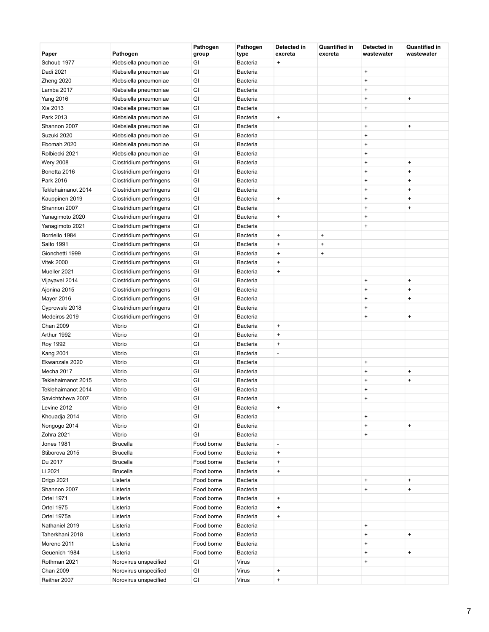| Paper              | Pathogen                | Pathogen<br>group | Pathogen<br>type | Detected in<br>excreta           | <b>Quantified in</b><br>excreta | Detected in<br>wastewater        | Quantified in<br>wastewater      |
|--------------------|-------------------------|-------------------|------------------|----------------------------------|---------------------------------|----------------------------------|----------------------------------|
| Schoub 1977        | Klebsiella pneumoniae   | GI                | Bacteria         | $\bf{+}$                         |                                 |                                  |                                  |
| Dadi 2021          | Klebsiella pneumoniae   | GI                | Bacteria         |                                  |                                 | $\begin{array}{c} + \end{array}$ |                                  |
| Zheng 2020         | Klebsiella pneumoniae   | GI                | <b>Bacteria</b>  |                                  |                                 | $\ddot{}$                        |                                  |
| Lamba 2017         | Klebsiella pneumoniae   | GI                | Bacteria         |                                  |                                 | $\ddot{}$                        |                                  |
| <b>Yang 2016</b>   | Klebsiella pneumoniae   | GI                | Bacteria         |                                  |                                 | $\ddot{}$                        | $\ddot{}$                        |
| Xia 2013           | Klebsiella pneumoniae   | GI                | Bacteria         |                                  |                                 | $\ddot{}$                        |                                  |
| Park 2013          | Klebsiella pneumoniae   | GI                | Bacteria         | $\bf{+}$                         |                                 |                                  |                                  |
| Shannon 2007       | Klebsiella pneumoniae   | GI                | <b>Bacteria</b>  |                                  |                                 | $\ddot{}$                        | $\begin{array}{c} + \end{array}$ |
| Suzuki 2020        | Klebsiella pneumoniae   | GI                | Bacteria         |                                  |                                 | $\begin{array}{c} + \end{array}$ |                                  |
| Ebomah 2020        | Klebsiella pneumoniae   | GI                | Bacteria         |                                  |                                 | $\ddot{}$                        |                                  |
| Rolbiecki 2021     | Klebsiella pneumoniae   | GI                | Bacteria         |                                  |                                 | $\ddot{}$                        |                                  |
| <b>Wery 2008</b>   | Clostridium perfringens | GI                | Bacteria         |                                  |                                 | $\ddot{}$                        | $\ddot{}$                        |
| Bonetta 2016       | Clostridium perfringens | GI                | <b>Bacteria</b>  |                                  |                                 | $\ddot{}$                        | $\begin{array}{c} + \end{array}$ |
| Park 2016          | Clostridium perfringens | GI                | Bacteria         |                                  |                                 | $\ddot{}$                        | $\ddot{}$                        |
| Teklehaimanot 2014 | Clostridium perfringens | GI                | Bacteria         |                                  |                                 | $\ddot{}$                        | $\ddot{}$                        |
| Kauppinen 2019     | Clostridium perfringens | GI                | Bacteria         | $\bf{+}$                         |                                 | $\ddot{}$                        | $\ddot{}$                        |
| Shannon 2007       | Clostridium perfringens | GI                | Bacteria         |                                  |                                 | $\ddot{}$                        | $\ddot{}$                        |
| Yanagimoto 2020    | Clostridium perfringens | GI                | Bacteria         | $\bf{+}$                         |                                 | $\begin{array}{c} + \end{array}$ |                                  |
| Yanagimoto 2021    | Clostridium perfringens | GI                | Bacteria         |                                  |                                 | $\begin{array}{c} + \end{array}$ |                                  |
| Borriello 1984     | Clostridium perfringens | GI                | Bacteria         | $\bf{+}$                         | $\pmb{+}$                       |                                  |                                  |
| Saito 1991         | Clostridium perfringens | GI                | Bacteria         | $\begin{array}{c} + \end{array}$ | $\ddot{}$                       |                                  |                                  |
| Gionchetti 1999    | Clostridium perfringens | GI                | <b>Bacteria</b>  | $\begin{array}{c} + \end{array}$ | $\bf{+}$                        |                                  |                                  |
| <b>Vitek 2000</b>  | Clostridium perfringens | GI                | Bacteria         | $\ddot{}$                        |                                 |                                  |                                  |
| Mueller 2021       | Clostridium perfringens | GI                | Bacteria         | $\begin{array}{c} + \end{array}$ |                                 |                                  |                                  |
| Vijayavel 2014     | Clostridium perfringens | GI                | Bacteria         |                                  |                                 | $\ddot{}$                        | $\ddot{}$                        |
| Ajonina 2015       | Clostridium perfringens | GI                | Bacteria         |                                  |                                 | $\ddot{}$                        | $\ddot{}$                        |
| Mayer 2016         | Clostridium perfringens | GI                | <b>Bacteria</b>  |                                  |                                 | $\ddot{}$                        | $\ddot{}$                        |
| Cyprowski 2018     | Clostridium perfringens | GI                | Bacteria         |                                  |                                 | $\ddot{}$                        |                                  |
| Medeiros 2019      | Clostridium perfringens | GI                | Bacteria         |                                  |                                 | $\ddot{}$                        | $\ddot{}$                        |
| Chan 2009          | Vibrio                  | GI                | Bacteria         | $\bf{+}$                         |                                 |                                  |                                  |
| Arthur 1992        | Vibrio                  | GI                | Bacteria         | $\begin{array}{c} + \end{array}$ |                                 |                                  |                                  |
| <b>Roy 1992</b>    | Vibrio                  | GI                | Bacteria         | $\bf{+}$                         |                                 |                                  |                                  |
| <b>Kang 2001</b>   | Vibrio                  | GI                | Bacteria         | $\overline{a}$                   |                                 |                                  |                                  |
| Ekwanzala 2020     | Vibrio                  | GI                | Bacteria         |                                  |                                 | $\ddot{}$                        |                                  |
| Mecha 2017         | Vibrio                  | GI                | Bacteria         |                                  |                                 | $\ddot{}$                        | $\ddot{}$                        |
| Teklehaimanot 2015 | Vibrio                  | GI                | Bacteria         |                                  |                                 | $\ddot{}$                        | $\ddot{}$                        |
| Teklehaimanot 2014 | Vibrio                  | GI                | Bacteria         |                                  |                                 | $\ddot{}$                        |                                  |
| Savichtcheva 2007  | Vibrio                  | GI                | Bacteria         |                                  |                                 | $\ddot{}$                        |                                  |
| Levine 2012        | Vibrio                  | GI                | <b>Bacteria</b>  | $\ddot{}$                        |                                 |                                  |                                  |
| Khouadja 2014      | Vibrio                  | GI                | Bacteria         |                                  |                                 | $\ddot{}$                        |                                  |
| Nongogo 2014       | Vibrio                  | GI                | Bacteria         |                                  |                                 | $\ddot{}$                        | $\begin{array}{c} + \end{array}$ |
| Zohra 2021         | Vibrio                  | GI                | Bacteria         |                                  |                                 | $\ddot{}$                        |                                  |
| <b>Jones 1981</b>  | <b>Brucella</b>         | Food borne        | Bacteria         | $\overline{a}$                   |                                 |                                  |                                  |
| Stiborova 2015     | <b>Brucella</b>         | Food borne        | Bacteria         | $\pmb{+}$                        |                                 |                                  |                                  |
| Du 2017            | <b>Brucella</b>         | Food borne        | Bacteria         | $\pmb{+}$                        |                                 |                                  |                                  |
| Li 2021            | <b>Brucella</b>         | Food borne        | <b>Bacteria</b>  | $\pmb{+}$                        |                                 |                                  |                                  |
| Drigo 2021         | Listeria                | Food borne        | Bacteria         |                                  |                                 | $\ddot{}$                        | $\ddot{}$                        |
| Shannon 2007       | Listeria                | Food borne        | Bacteria         |                                  |                                 | $\ddot{}$                        | $\ddot{}$                        |
| <b>Ortel 1971</b>  | Listeria                | Food borne        | Bacteria         | $\pmb{+}$                        |                                 |                                  |                                  |
| <b>Ortel 1975</b>  | Listeria                | Food borne        | Bacteria         | $\pmb{+}$                        |                                 |                                  |                                  |
| Ortel 1975a        | Listeria                | Food borne        | <b>Bacteria</b>  | $\begin{array}{c} + \end{array}$ |                                 |                                  |                                  |
| Nathaniel 2019     | Listeria                | Food borne        | Bacteria         |                                  |                                 | $\ddot{}$                        |                                  |
| Taherkhani 2018    | Listeria                | Food borne        | Bacteria         |                                  |                                 | $\ddot{}$                        | $\ddot{}$                        |
| Moreno 2011        | Listeria                | Food borne        | Bacteria         |                                  |                                 | $\ddot{}$                        |                                  |
| Geuenich 1984      | Listeria                | Food borne        | Bacteria         |                                  |                                 | $\ddot{}$                        | $\ddot{}$                        |
| Rothman 2021       | Norovirus unspecified   | GI                | Virus            |                                  |                                 | $\ddot{}$                        |                                  |
| Chan 2009          | Norovirus unspecified   | GI                | Virus            | $\begin{array}{c} + \end{array}$ |                                 |                                  |                                  |
| Reither 2007       | Norovirus unspecified   | GI                | Virus            | $\pmb{+}$                        |                                 |                                  |                                  |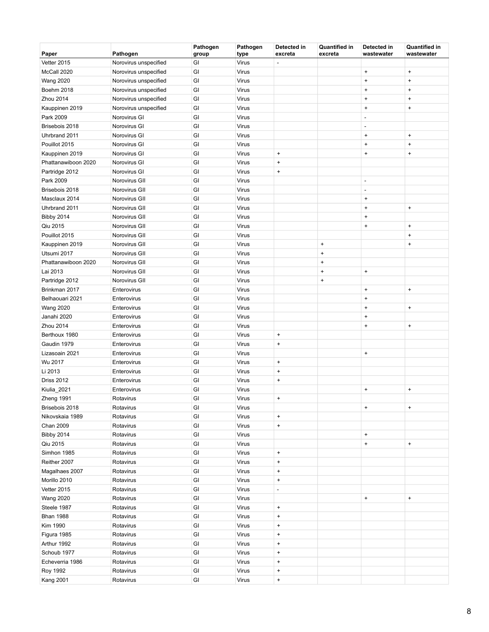| Paper               | Pathogen              | Pathogen<br>group | Pathogen<br>type | Detected in<br>excreta           | <b>Quantified in</b><br>excreta  | Detected in<br>wastewater        | <b>Quantified in</b><br>wastewater |
|---------------------|-----------------------|-------------------|------------------|----------------------------------|----------------------------------|----------------------------------|------------------------------------|
| Vetter 2015         | Norovirus unspecified | GI                | Virus            | L,                               |                                  |                                  |                                    |
| McCall 2020         | Norovirus unspecified | GI                | Virus            |                                  |                                  | $\ddot{}$                        | $\ddot{}$                          |
| <b>Wang 2020</b>    | Norovirus unspecified | GI                | Virus            |                                  |                                  | $\ddot{}$                        | $\ddot{}$                          |
| Boehm 2018          | Norovirus unspecified | GI                | Virus            |                                  |                                  | $\ddot{}$                        | $\ddot{}$                          |
| Zhou 2014           | Norovirus unspecified | GI                | Virus            |                                  |                                  | $\ddot{}$                        | $\begin{array}{c} + \end{array}$   |
| Kauppinen 2019      | Norovirus unspecified | GI                | Virus            |                                  |                                  | $\ddot{}$                        | $\ddot{}$                          |
| Park 2009           | Norovirus GI          | GI                | Virus            |                                  |                                  | $\overline{a}$                   |                                    |
| Brisebois 2018      | Norovirus GI          | GI                | Virus            |                                  |                                  | L,                               |                                    |
| Uhrbrand 2011       | Norovirus GI          | GI                | Virus            |                                  |                                  | $\ddot{}$                        | $\ddot{}$                          |
| Pouillot 2015       | Norovirus GI          | GI                | <b>Virus</b>     |                                  |                                  | $\ddot{}$                        | $\ddot{}$                          |
| Kauppinen 2019      | Norovirus GI          | GI                | Virus            | $\ddot{}$                        |                                  | $\ddot{}$                        | $\ddot{}$                          |
| Phattanawiboon 2020 | Norovirus GI          | GI                | Virus            | $\pmb{+}$                        |                                  |                                  |                                    |
| Partridge 2012      | Norovirus GI          | GI                | Virus            | $\ddot{}$                        |                                  |                                  |                                    |
| Park 2009           | Norovirus GII         | GI                | Virus            |                                  |                                  | $\overline{\phantom{a}}$         |                                    |
| Brisebois 2018      | Norovirus GII         | GI                | Virus            |                                  |                                  | ÷,                               |                                    |
| Masclaux 2014       | Norovirus GII         | GI                | Virus            |                                  |                                  | $\ddot{}$                        |                                    |
| Uhrbrand 2011       | Norovirus GII         | GI                | Virus            |                                  |                                  | $\ddot{}$                        | $\ddot{}$                          |
| <b>Bibby 2014</b>   | Norovirus GII         | GI                | Virus            |                                  |                                  | $\ddot{}$                        |                                    |
| Qiu 2015            | Norovirus GII         | GI                | <b>Virus</b>     |                                  |                                  | $\ddot{}$                        | $\ddot{}$                          |
| Pouillot 2015       | Norovirus GII         | GI                | Virus            |                                  |                                  |                                  | $\ddot{}$                          |
| Kauppinen 2019      | Norovirus GII         | GI                | Virus            |                                  | $\bf{+}$                         |                                  | $\ddot{}$                          |
| Utsumi 2017         | Norovirus GII         | GI                | Virus            |                                  | $\ddot{}$                        |                                  |                                    |
| Phattanawiboon 2020 | Norovirus GII         | GI                | Virus            |                                  | $\ddot{}$                        |                                  |                                    |
| Lai 2013            | Norovirus GII         | GI                | Virus            |                                  | $\ddot{}$                        | $\ddot{}$                        |                                    |
| Partridge 2012      | Norovirus GII         | GI                | Virus            |                                  | $\begin{array}{c} + \end{array}$ |                                  |                                    |
| Brinkman 2017       | Enterovirus           | GI                | Virus            |                                  |                                  | $\ddot{}$                        | $\ddot{}$                          |
| Belhaouari 2021     | Enterovirus           | GI                | Virus            |                                  |                                  | $\ddot{}$                        |                                    |
| <b>Wang 2020</b>    | Enterovirus           | GI                | Virus            |                                  |                                  | $\ddot{}$                        | $\pmb{+}$                          |
| Janahi 2020         | Enterovirus           | GI                | Virus            |                                  |                                  | $\ddot{}$                        |                                    |
| Zhou 2014           | Enterovirus           | GI                | Virus            |                                  |                                  | $\ddot{}$                        | $\ddot{}$                          |
| Berthoux 1980       | Enterovirus           | GI                | Virus            | $\pmb{+}$                        |                                  |                                  |                                    |
| Gaudin 1979         | Enterovirus           | GI                | Virus            | $\ddot{}$                        |                                  |                                  |                                    |
| Lizasoain 2021      | Enterovirus           | GI                | Virus            |                                  |                                  | $\ddot{}$                        |                                    |
| Wu 2017             | Enterovirus           | GI                | Virus            | $\begin{array}{c} + \end{array}$ |                                  |                                  |                                    |
| Li 2013             | Enterovirus           | GI                | Virus            | $\pmb{+}$                        |                                  |                                  |                                    |
| <b>Driss 2012</b>   | Enterovirus           | GI                | Virus            | $\ddot{}$                        |                                  |                                  |                                    |
| Kiulia_2021         | Enterovirus           | GI                | Virus            |                                  |                                  | $\ddot{}$                        | $\ddot{}$                          |
| Zheng 1991          | Rotavirus             | GI                | Virus            | $\begin{array}{c} + \end{array}$ |                                  |                                  |                                    |
| Brisebois 2018      | Rotavirus             | GI                | Virus            |                                  |                                  | $+$                              | $\ddot{}$                          |
| Nikovskaia 1989     | Rotavirus             | GI                | Virus            | $\ddot{}$                        |                                  |                                  |                                    |
| Chan 2009           | Rotavirus             | GI                | Virus            | $\pmb{+}$                        |                                  |                                  |                                    |
| <b>Bibby 2014</b>   | Rotavirus             | GI                | Virus            |                                  |                                  | $\bf{+}$                         |                                    |
| Qiu 2015            | Rotavirus             | GI                | Virus            |                                  |                                  | $\ddot{}$                        | $\pmb{+}$                          |
| Simhon 1985         | Rotavirus             | GI                | Virus            | $\ddot{}$                        |                                  |                                  |                                    |
| Reither 2007        | Rotavirus             | GI                | Virus            | $\pmb{+}$                        |                                  |                                  |                                    |
| Magalhaes 2007      | Rotavirus             | GI                | Virus            | $\ddot{}$                        |                                  |                                  |                                    |
| Morillo 2010        | Rotavirus             | GI                | Virus            | $\begin{array}{c} + \end{array}$ |                                  |                                  |                                    |
| Vetter 2015         | Rotavirus             | GI                | Virus            | $\overline{a}$                   |                                  |                                  |                                    |
| <b>Wang 2020</b>    | Rotavirus             | GI                | Virus            |                                  |                                  | $\begin{array}{c} + \end{array}$ | $\begin{array}{c} + \end{array}$   |
| Steele 1987         | Rotavirus             | GI                | Virus            | $\pmb{+}$                        |                                  |                                  |                                    |
| <b>Bhan 1988</b>    | Rotavirus             | GI                | Virus            | $\pmb{+}$                        |                                  |                                  |                                    |
| Kim 1990            | Rotavirus             | GI                | Virus            | $\begin{array}{c} + \end{array}$ |                                  |                                  |                                    |
| Figura 1985         | Rotavirus             | GI                | Virus            | $\pmb{+}$                        |                                  |                                  |                                    |
| Arthur 1992         | Rotavirus             | GI                | Virus            | $\ddot{}$                        |                                  |                                  |                                    |
| Schoub 1977         | Rotavirus             | GI                | Virus            | $\pmb{+}$                        |                                  |                                  |                                    |
| Echeverria 1986     | Rotavirus             | GI                | Virus            | $\ddot{}$                        |                                  |                                  |                                    |
| <b>Roy 1992</b>     | Rotavirus             | GI                | Virus            | $\ddot{}$                        |                                  |                                  |                                    |
| <b>Kang 2001</b>    | Rotavirus             | GI                | Virus            | $\ddot{}$                        |                                  |                                  |                                    |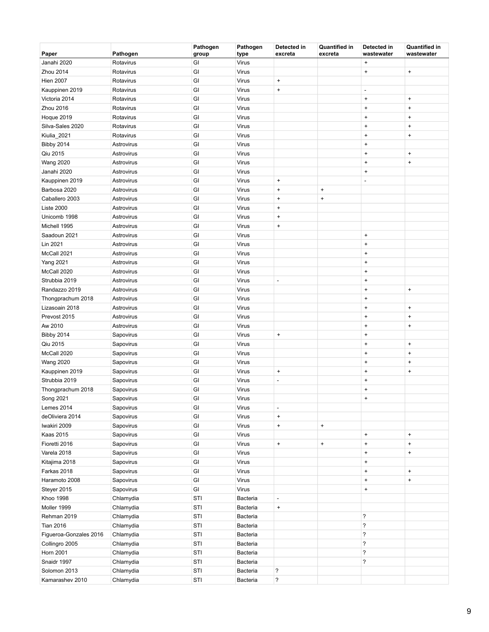| Paper                  | Pathogen   | Pathogen<br>group | Pathogen<br>type | Detected in<br>excreta       | <b>Quantified in</b><br>excreta | Detected in<br>wastewater | <b>Quantified in</b><br>wastewater |
|------------------------|------------|-------------------|------------------|------------------------------|---------------------------------|---------------------------|------------------------------------|
| Janahi 2020            | Rotavirus  | GI                | Virus            |                              |                                 | $\ddot{}$                 |                                    |
| Zhou 2014              | Rotavirus  | GI                | Virus            |                              |                                 | $\ddot{}$                 | $\pmb{+}$                          |
| <b>Hien 2007</b>       | Rotavirus  | GI                | Virus            | $\ddot{}$                    |                                 |                           |                                    |
| Kauppinen 2019         | Rotavirus  | GI                | Virus            | $\ddot{}$                    |                                 | $\overline{\phantom{a}}$  |                                    |
| Victoria 2014          | Rotavirus  | GI                | Virus            |                              |                                 | $\ddot{}$                 | $\begin{array}{c} + \end{array}$   |
| Zhou 2016              | Rotavirus  | GI                | Virus            |                              |                                 | $\ddot{}$                 | $\ddot{}$                          |
| Hoque 2019             | Rotavirus  | GI                | Virus            |                              |                                 | $\ddot{}$                 | $\begin{array}{c} + \end{array}$   |
| Silva-Sales 2020       | Rotavirus  | GI                | Virus            |                              |                                 | $\ddot{}$                 | $\ddot{}$                          |
| Kiulia_2021            | Rotavirus  | GI                | Virus            |                              |                                 | $\ddot{}$                 | $\ddot{}$                          |
| <b>Bibby 2014</b>      | Astrovirus | GI                | Virus            |                              |                                 | $\ddot{}$                 |                                    |
| Qiu 2015               | Astrovirus | GI                | Virus            |                              |                                 | $\ddot{}$                 | $\ddot{}$                          |
| <b>Wang 2020</b>       | Astrovirus | GI                | Virus            |                              |                                 | $\ddot{}$                 | $\ddot{}$                          |
| Janahi 2020            | Astrovirus | GI                | Virus            |                              |                                 | $\ddot{}$                 |                                    |
| Kauppinen 2019         | Astrovirus | GI                | Virus            | $\pmb{+}$                    |                                 | ÷,                        |                                    |
| Barbosa 2020           | Astrovirus | GI                | Virus            | $\pmb{+}$                    | $\bf{+}$                        |                           |                                    |
| Caballero 2003         | Astrovirus | GI                | Virus            | $\ddot{}$                    | $\ddot{}$                       |                           |                                    |
| Liste 2000             | Astrovirus | GI                | Virus            | $\ddot{}$                    |                                 |                           |                                    |
| Unicomb 1998           | Astrovirus | GI                | Virus            | $\bf{+}$                     |                                 |                           |                                    |
| Michell 1995           | Astrovirus | GI                | Virus            | $\pmb{+}$                    |                                 |                           |                                    |
| Saadoun 2021           | Astrovirus | GI                | Virus            |                              |                                 | $\ddot{}$                 |                                    |
| Lin 2021               | Astrovirus | GI                | Virus            |                              |                                 | $\ddot{}$                 |                                    |
| McCall 2021            | Astrovirus | GI                | Virus            |                              |                                 | $\ddot{}$                 |                                    |
| <b>Yang 2021</b>       | Astrovirus | GI                | Virus            |                              |                                 | $\ddot{}$                 |                                    |
| McCall 2020            | Astrovirus | GI                | Virus            |                              |                                 | $\ddot{}$                 |                                    |
| Strubbia 2019          | Astrovirus | GI                | Virus            | $\qquad \qquad \blacksquare$ |                                 | $\ddot{}$                 |                                    |
| Randazzo 2019          | Astrovirus | GI                | Virus            |                              |                                 | $\ddot{}$                 | $\pmb{+}$                          |
| Thongprachum 2018      | Astrovirus | GI                | Virus            |                              |                                 | $\ddot{}$                 |                                    |
| Lizasoain 2018         | Astrovirus | GI                | Virus            |                              |                                 | $\ddot{}$                 | $\begin{array}{c} + \end{array}$   |
| Prevost 2015           | Astrovirus | GI                | Virus            |                              |                                 | $\ddot{}$                 | $\ddot{}$                          |
| Aw 2010                | Astrovirus | GI                | Virus            |                              |                                 | $\ddot{}$                 | $\ddot{}$                          |
| <b>Bibby 2014</b>      | Sapovirus  | GI                | Virus            | $\pmb{+}$                    |                                 | $\ddot{}$                 |                                    |
| Qiu 2015               | Sapovirus  | GI                | Virus            |                              |                                 | $\ddot{}$                 | $\begin{array}{c} + \end{array}$   |
| McCall 2020            | Sapovirus  | GI                | Virus            |                              |                                 | $\ddot{}$                 | $\begin{array}{c} + \end{array}$   |
| <b>Wang 2020</b>       | Sapovirus  | GI                | Virus            |                              |                                 | $\ddot{}$                 | $\ddot{}$                          |
| Kauppinen 2019         | Sapovirus  | GI                | Virus            | $\pmb{+}$                    |                                 | $\ddot{}$                 | $\ddot{}$                          |
| Strubbia 2019          | Sapovirus  | GI                | Virus            | $\overline{a}$               |                                 | $\ddot{}$                 |                                    |
| Thongprachum 2018      | Sapovirus  | GI                | Virus            |                              |                                 | $\ddot{}$                 |                                    |
| Song 2021              | Sapovirus  | GI                | Virus            |                              |                                 | $\ddot{}$                 |                                    |
| Lemes 2014             | Sapovirus  | GI                | Virus            | $\overline{\phantom{a}}$     |                                 |                           |                                    |
| deOliviera 2014        | Sapovirus  | GI                | Virus            | $\ddot{}$                    |                                 |                           |                                    |
| Iwakiri 2009           | Sapovirus  | GI                | Virus            | $\ddot{}$                    | $\pmb{+}$                       |                           |                                    |
| <b>Kaas 2015</b>       | Sapovirus  | GI                | Virus            |                              |                                 | $\bf{+}$                  | $\pmb{+}$                          |
| Fioretti 2016          | Sapovirus  | GI                | Virus            | $\pmb{+}$                    | $\pmb{+}$                       | $\ddot{}$                 | $\ddot{}$                          |
| Varela 2018            | Sapovirus  | GI                | Virus            |                              |                                 | $\ddot{}$                 | $\begin{array}{c} + \end{array}$   |
| Kitajima 2018          | Sapovirus  | GI                | Virus            |                              |                                 | $\ddot{}$                 |                                    |
| Farkas 2018            | Sapovirus  | GI                | Virus            |                              |                                 | $\ddot{}$                 | $\ddot{}$                          |
| Haramoto 2008          | Sapovirus  | GI                | Virus            |                              |                                 | $\ddot{}$                 | $\ddot{}$                          |
| Steyer 2015            | Sapovirus  | GI                | Virus            |                              |                                 | $\pmb{+}$                 |                                    |
| Khoo 1998              | Chlamydia  | STI               | Bacteria         | $\overline{\phantom{m}}$     |                                 |                           |                                    |
| Moller 1999            | Chlamydia  | STI               | Bacteria         | $\ddot{}$                    |                                 |                           |                                    |
| Rehman 2019            | Chlamydia  | STI               | <b>Bacteria</b>  |                              |                                 | ?                         |                                    |
| <b>Tian 2016</b>       | Chlamydia  | STI               | <b>Bacteria</b>  |                              |                                 | ?                         |                                    |
| Figueroa-Gonzales 2016 | Chlamydia  | STI               | <b>Bacteria</b>  |                              |                                 | ?                         |                                    |
| Collingro 2005         | Chlamydia  | STI               | Bacteria         |                              |                                 | ?                         |                                    |
| Horn 2001              | Chlamydia  | STI               | Bacteria         |                              |                                 | ?                         |                                    |
| Snaidr 1997            | Chlamydia  | STI               | Bacteria         |                              |                                 | ?                         |                                    |
| Solomon 2013           | Chlamydia  | STI               | Bacteria         | $\overline{\phantom{a}}$     |                                 |                           |                                    |
| Kamarashev 2010        | Chlamydia  | STI               | Bacteria         | $\overline{\phantom{a}}$     |                                 |                           |                                    |
|                        |            |                   |                  |                              |                                 |                           |                                    |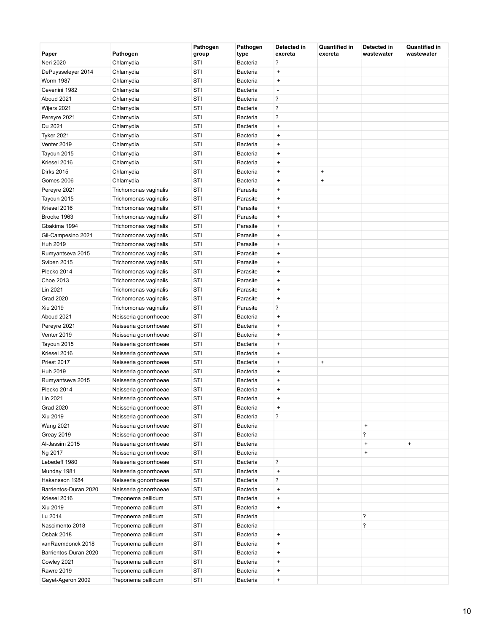| Paper                 | Pathogen              | Pathogen<br>group | Pathogen<br>type | Detected in<br>excreta           | <b>Quantified in</b><br>excreta | Detected in<br>wastewater        | <b>Quantified in</b><br>wastewater |
|-----------------------|-----------------------|-------------------|------------------|----------------------------------|---------------------------------|----------------------------------|------------------------------------|
| Neri 2020             | Chlamydia             | STI               | <b>Bacteria</b>  | $\overline{\phantom{a}}$         |                                 |                                  |                                    |
| DePuysseleyer 2014    | Chlamydia             | STI               | Bacteria         | $\ddot{}$                        |                                 |                                  |                                    |
| <b>Worm 1987</b>      | Chlamydia             | STI               | <b>Bacteria</b>  | $\ddot{}$                        |                                 |                                  |                                    |
| Cevenini 1982         | Chlamydia             | STI               | <b>Bacteria</b>  | $\overline{\phantom{a}}$         |                                 |                                  |                                    |
| Aboud 2021            | Chlamydia             | STI               | <b>Bacteria</b>  | $\overline{\phantom{a}}$         |                                 |                                  |                                    |
| Wijers 2021           | Chlamydia             | STI               | Bacteria         | ?                                |                                 |                                  |                                    |
| Pereyre 2021          | Chlamydia             | STI               | <b>Bacteria</b>  | $\overline{\phantom{a}}$         |                                 |                                  |                                    |
| Du 2021               | Chlamydia             | STI               | <b>Bacteria</b>  | $\ddot{}$                        |                                 |                                  |                                    |
| <b>Tyker 2021</b>     | Chlamydia             | STI               | Bacteria         | $\ddot{}$                        |                                 |                                  |                                    |
| Venter 2019           | Chlamydia             | STI               | Bacteria         | $\begin{array}{c} + \end{array}$ |                                 |                                  |                                    |
| Tayoun 2015           | Chlamydia             | STI               | <b>Bacteria</b>  | $\ddot{}$                        |                                 |                                  |                                    |
| Kriesel 2016          | Chlamydia             | STI               | <b>Bacteria</b>  | $\ddot{}$                        |                                 |                                  |                                    |
| <b>Dirks 2015</b>     | Chlamydia             | STI               | <b>Bacteria</b>  | $\ddot{}$                        | $\ddot{}$                       |                                  |                                    |
| <b>Gomes 2006</b>     | Chlamydia             | STI               | <b>Bacteria</b>  | $\ddot{}$                        | $\ddot{}$                       |                                  |                                    |
| Pereyre 2021          | Trichomonas vaginalis | STI               | Parasite         | $\ddot{}$                        |                                 |                                  |                                    |
| Tayoun 2015           | Trichomonas vaginalis | STI               | Parasite         | $\ddot{}$                        |                                 |                                  |                                    |
| Kriesel 2016          | Trichomonas vaginalis | STI               | Parasite         | $\ddot{}$                        |                                 |                                  |                                    |
| Brooke 1963           | Trichomonas vaginalis | STI               | Parasite         | $\ddot{}$                        |                                 |                                  |                                    |
| Gbakima 1994          | Trichomonas vaginalis | STI               | Parasite         | $\ddot{}$                        |                                 |                                  |                                    |
| Gil-Campesino 2021    | Trichomonas vaginalis | STI               | Parasite         | $\begin{array}{c} + \end{array}$ |                                 |                                  |                                    |
| Huh 2019              | Trichomonas vaginalis | STI               | Parasite         | $\ddot{}$                        |                                 |                                  |                                    |
| Rumyantseva 2015      | Trichomonas vaginalis | STI               | Parasite         | $\ddot{}$                        |                                 |                                  |                                    |
| Sviben 2015           | Trichomonas vaginalis | STI               | Parasite         | $\ddot{}$                        |                                 |                                  |                                    |
| Plecko 2014           | Trichomonas vaginalis | STI               | Parasite         | $\ddot{}$                        |                                 |                                  |                                    |
| Choe 2013             | Trichomonas vaginalis | STI               | Parasite         | $\ddot{}$                        |                                 |                                  |                                    |
| Lin 2021              | Trichomonas vaginalis | STI               | Parasite         | $\ddot{}$                        |                                 |                                  |                                    |
| <b>Grad 2020</b>      | Trichomonas vaginalis | STI               | Parasite         | $\ddot{}$                        |                                 |                                  |                                    |
| Xiu 2019              | Trichomonas vaginalis | STI               | Parasite         | ?                                |                                 |                                  |                                    |
| Aboud 2021            | Neisseria gonorrhoeae | STI               | Bacteria         | $\ddot{}$                        |                                 |                                  |                                    |
| Pereyre 2021          | Neisseria gonorrhoeae | STI               | <b>Bacteria</b>  | $\ddot{}$                        |                                 |                                  |                                    |
| Venter 2019           | Neisseria gonorrhoeae | STI               | <b>Bacteria</b>  | $\ddot{}$                        |                                 |                                  |                                    |
| Tayoun 2015           | Neisseria gonorrhoeae | STI               | <b>Bacteria</b>  | $\ddot{}$                        |                                 |                                  |                                    |
| Kriesel 2016          | Neisseria gonorrhoeae | STI               | <b>Bacteria</b>  | $\ddot{}$                        |                                 |                                  |                                    |
| Priest 2017           | Neisseria gonorrhoeae | STI               | <b>Bacteria</b>  | $\ddot{}$                        | $\ddot{}$                       |                                  |                                    |
| Huh 2019              | Neisseria gonorrhoeae | STI               | Bacteria         | $\ddot{}$                        |                                 |                                  |                                    |
| Rumyantseva 2015      | Neisseria gonorrhoeae | STI               | <b>Bacteria</b>  | $\ddot{}$                        |                                 |                                  |                                    |
| Plecko 2014           | Neisseria gonorrhoeae | STI               | <b>Bacteria</b>  | $\ddot{}$                        |                                 |                                  |                                    |
| Lin 2021              | Neisseria gonorrhoeae | STI               | <b>Bacteria</b>  | $\begin{array}{c} + \end{array}$ |                                 |                                  |                                    |
| <b>Grad 2020</b>      | Neisseria gonorrhoeae | STI               | Bacteria         | $\pmb{+}$                        |                                 |                                  |                                    |
| Xiu 2019              | Neisseria gonorrhoeae | STI               | Bacteria         | ?                                |                                 |                                  |                                    |
| <b>Wang 2021</b>      | Neisseria gonorrhoeae | STI               | Bacteria         |                                  |                                 | $\begin{array}{c} + \end{array}$ |                                    |
| <b>Greay 2019</b>     | Neisseria gonorrhoeae | STI               | Bacteria         |                                  |                                 | $\overline{\phantom{a}}$         |                                    |
| Al-Jassim 2015        | Neisseria gonorrhoeae | STI               | Bacteria         |                                  |                                 | $\begin{array}{c} + \end{array}$ | $\pmb{+}$                          |
| Ng 2017               | Neisseria gonorrhoeae | STI               | Bacteria         |                                  |                                 | $\begin{array}{c} + \end{array}$ |                                    |
| Lebedeff 1980         | Neisseria gonorrhoeae | STI               | Bacteria         | $\overline{\phantom{a}}$         |                                 |                                  |                                    |
| Munday 1981           | Neisseria gonorrhoeae | STI               | Bacteria         | $\ddot{}$                        |                                 |                                  |                                    |
| Hakansson 1984        | Neisseria gonorrhoeae | STI               | Bacteria         | ?                                |                                 |                                  |                                    |
| Barrientos-Duran 2020 | Neisseria gonorrhoeae | STI               | Bacteria         | $\ddot{}$                        |                                 |                                  |                                    |
| Kriesel 2016          | Treponema pallidum    | STI               | Bacteria         | $\ddot{}$                        |                                 |                                  |                                    |
| Xiu 2019              | Treponema pallidum    | STI               | <b>Bacteria</b>  | $\pmb{+}$                        |                                 |                                  |                                    |
| Lu 2014               | Treponema pallidum    | STI               | Bacteria         |                                  |                                 | ?                                |                                    |
| Nascimento 2018       | Treponema pallidum    | STI               | Bacteria         |                                  |                                 | $\overline{\phantom{a}}$         |                                    |
| Osbak 2018            | Treponema pallidum    | STI               | Bacteria         | $\bf{+}$                         |                                 |                                  |                                    |
| vanRaemdonck 2018     | Treponema pallidum    | STI               | Bacteria         | $\ddot{}$                        |                                 |                                  |                                    |
| Barrientos-Duran 2020 | Treponema pallidum    | STI               | Bacteria         | $\ddot{}$                        |                                 |                                  |                                    |
| Cowley 2021           | Treponema pallidum    | STI               | Bacteria         | $\ddot{}$                        |                                 |                                  |                                    |
| <b>Rawre 2019</b>     | Treponema pallidum    | STI               | Bacteria         | $\ddot{}$                        |                                 |                                  |                                    |
| Gayet-Ageron 2009     | Treponema pallidum    | STI               | Bacteria         | $\pmb{+}$                        |                                 |                                  |                                    |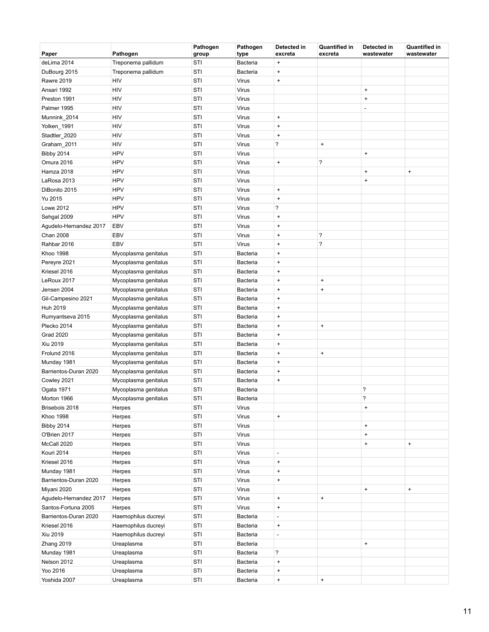| Paper                  | Pathogen             | Pathogen<br>group | Pathogen<br>type | Detected in<br>excreta           | <b>Quantified in</b><br>excreta | Detected in<br>wastewater        | Quantified in<br>wastewater      |
|------------------------|----------------------|-------------------|------------------|----------------------------------|---------------------------------|----------------------------------|----------------------------------|
| deLima 2014            | Treponema pallidum   | STI               | Bacteria         | $\ddot{}$                        |                                 |                                  |                                  |
| DuBourg 2015           | Treponema pallidum   | STI               | Bacteria         | $\pmb{+}$                        |                                 |                                  |                                  |
| <b>Rawre 2019</b>      | HIV                  | STI               | Virus            | $\ddot{}$                        |                                 |                                  |                                  |
| Ansari 1992            | HIV                  | STI               | Virus            |                                  |                                 | $\begin{array}{c} + \end{array}$ |                                  |
| Preston 1991           | HIV                  | STI               | <b>Virus</b>     |                                  |                                 | $\ddot{}$                        |                                  |
| Palmer 1995            | HIV                  | STI               | Virus            |                                  |                                 | $\overline{a}$                   |                                  |
| Munnink_2014           | HIV                  | STI               | <b>Virus</b>     | $\ddot{}$                        |                                 |                                  |                                  |
| Yolken_1991            | HIV                  | STI               | <b>Virus</b>     | $\ddot{}$                        |                                 |                                  |                                  |
| Stadtler_2020          | HIV                  | STI               | <b>Virus</b>     | $\begin{array}{c} + \end{array}$ |                                 |                                  |                                  |
| Graham 2011            | HIV                  | STI               | Virus            | ?                                | $\pmb{+}$                       |                                  |                                  |
| <b>Bibby 2014</b>      | <b>HPV</b>           | STI               | Virus            |                                  |                                 | $\ddot{}$                        |                                  |
| Omura 2016             | <b>HPV</b>           | STI               | Virus            | $\ddot{}$                        | ?                               |                                  |                                  |
| Hamza 2018             | <b>HPV</b>           | STI               | <b>Virus</b>     |                                  |                                 | $\begin{array}{c} + \end{array}$ | $\begin{array}{c} + \end{array}$ |
| LaRosa 2013            | <b>HPV</b>           | STI               | <b>Virus</b>     |                                  |                                 | $\begin{array}{c} + \end{array}$ |                                  |
| DiBonito 2015          | <b>HPV</b>           | STI               | <b>Virus</b>     | $\pmb{+}$                        |                                 |                                  |                                  |
| Yu 2015                | <b>HPV</b>           | STI               | Virus            | $\ddot{}$                        |                                 |                                  |                                  |
| <b>Lowe 2012</b>       | <b>HPV</b>           | STI               | <b>Virus</b>     | ?                                |                                 |                                  |                                  |
| Sehgal 2009            | <b>HPV</b>           | STI               | Virus            | $\begin{array}{c} + \end{array}$ |                                 |                                  |                                  |
| Agudelo-Hernandez 2017 | EBV                  | STI               | Virus            | $\ddot{}$                        |                                 |                                  |                                  |
| <b>Chan 2008</b>       | <b>EBV</b>           | STI               | Virus            | $\ddot{}$                        | ?                               |                                  |                                  |
| Rahbar 2016            | <b>EBV</b>           | STI               | <b>Virus</b>     | $\ddot{}$                        | ?                               |                                  |                                  |
| <b>Khoo 1998</b>       | Mycoplasma genitalus | STI               | Bacteria         | $\ddot{}$                        |                                 |                                  |                                  |
| Pereyre 2021           | Mycoplasma genitalus | STI               | Bacteria         | $\ddot{}$                        |                                 |                                  |                                  |
| Kriesel 2016           | Mycoplasma genitalus | STI               | Bacteria         | $\ddot{}$                        |                                 |                                  |                                  |
| LeRoux 2017            | Mycoplasma genitalus | STI               | Bacteria         | $\ddot{}$                        | $\ddot{}$                       |                                  |                                  |
| Jensen 2004            | Mycoplasma genitalus | STI               | Bacteria         | $\ddot{}$                        | $\ddot{}$                       |                                  |                                  |
| Gil-Campesino 2021     | Mycoplasma genitalus | STI               | Bacteria         | $\pmb{+}$                        |                                 |                                  |                                  |
| Huh 2019               | Mycoplasma genitalus | STI               | Bacteria         | $\ddot{}$                        |                                 |                                  |                                  |
| Rumyantseva 2015       | Mycoplasma genitalus | STI               | Bacteria         | $\ddot{}$                        |                                 |                                  |                                  |
| Plecko 2014            | Mycoplasma genitalus | STI               | Bacteria         | $\begin{array}{c} + \end{array}$ | $\pmb{+}$                       |                                  |                                  |
| <b>Grad 2020</b>       | Mycoplasma genitalus | STI               | Bacteria         | $\ddot{}$                        |                                 |                                  |                                  |
| Xiu 2019               | Mycoplasma genitalus | STI               | Bacteria         | $\ddot{}$                        |                                 |                                  |                                  |
| Frolund 2016           | Mycoplasma genitalus | STI               | Bacteria         | $\ddot{}$                        | $\ddot{}$                       |                                  |                                  |
| Munday 1981            | Mycoplasma genitalus | STI               | Bacteria         | $\pmb{+}$                        |                                 |                                  |                                  |
| Barrientos-Duran 2020  | Mycoplasma genitalus | STI               | Bacteria         | $\ddot{}$                        |                                 |                                  |                                  |
| Cowley 2021            | Mycoplasma genitalus | STI               | Bacteria         | $\ddot{}$                        |                                 |                                  |                                  |
| Ogata 1971             | Mycoplasma genitalus | STI               | Bacteria         |                                  |                                 | ?                                |                                  |
| Morton 1966            | Mycoplasma genitalus | STI               | Bacteria         |                                  |                                 | 2                                |                                  |
| Brisebois 2018         | Herpes               | STI               | Virus            |                                  |                                 | $\begin{array}{c} + \end{array}$ |                                  |
| Khoo 1998              | Herpes               | STI               | Virus            | $\begin{array}{c} + \end{array}$ |                                 |                                  |                                  |
| <b>Bibby 2014</b>      | Herpes               | STI               | Virus            |                                  |                                 | $\pmb{+}$                        |                                  |
| O'Brien 2017           | Herpes               | STI               | Virus            |                                  |                                 | $\ddot{}$                        |                                  |
| McCall 2020            | Herpes               | STI               | Virus            |                                  |                                 | $\ddot{}$                        | $\begin{array}{c} + \end{array}$ |
| Kouri 2014             | Herpes               | STI               | Virus            | $\overline{a}$                   |                                 |                                  |                                  |
| Kriesel 2016           | Herpes               | STI               | Virus            | $\ddot{}$                        |                                 |                                  |                                  |
| Munday 1981            | Herpes               | STI               | Virus            | $\ddot{}$                        |                                 |                                  |                                  |
| Barrientos-Duran 2020  | Herpes               | STI               | Virus            | $\begin{array}{c} + \end{array}$ |                                 |                                  |                                  |
| Miyani 2020            | Herpes               | STI               | Virus            |                                  |                                 | $\begin{array}{c} + \end{array}$ | $\begin{array}{c} + \end{array}$ |
| Agudelo-Hernandez 2017 | Herpes               | STI               | Virus            | $\pmb{+}$                        | $\ddot{}$                       |                                  |                                  |
| Santos-Fortuna 2005    | Herpes               | STI               | Virus            | $\pmb{+}$                        |                                 |                                  |                                  |
| Barrientos-Duran 2020  | Haemophilus ducreyi  | STI               | Bacteria         | ÷,                               |                                 |                                  |                                  |
| Kriesel 2016           | Haemophilus ducreyi  | STI               | <b>Bacteria</b>  | $\pmb{+}$                        |                                 |                                  |                                  |
| Xiu 2019               | Haemophilus ducreyi  | STI               | <b>Bacteria</b>  | $\overline{a}$                   |                                 |                                  |                                  |
| Zhang 2019             | Ureaplasma           | STI               | Bacteria         |                                  |                                 | $\ddot{}$                        |                                  |
| Munday 1981            | Ureaplasma           | STI               | Bacteria         | ?                                |                                 |                                  |                                  |
| Nelson 2012            | Ureaplasma           | STI               | Bacteria         | $\ddot{}$                        |                                 |                                  |                                  |
| Yoo 2016               | Ureaplasma           | STI               | Bacteria         | $\ddot{}$                        |                                 |                                  |                                  |
| Yoshida 2007           | Ureaplasma           | STI               | Bacteria         | $\ddot{}$                        | $\ddot{}$                       |                                  |                                  |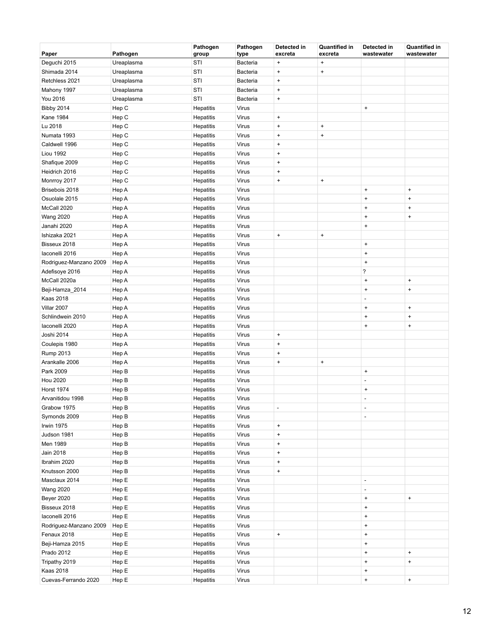| Paper                  | Pathogen   | Pathogen<br>group | Pathogen<br>type | Detected in<br>excreta       | <b>Quantified in</b><br>excreta | Detected in<br>wastewater        | <b>Quantified in</b><br>wastewater |
|------------------------|------------|-------------------|------------------|------------------------------|---------------------------------|----------------------------------|------------------------------------|
| Deguchi 2015           | Ureaplasma | STI               | Bacteria         | $\ddot{}$                    | $\ddot{}$                       |                                  |                                    |
| Shimada 2014           | Ureaplasma | STI               | Bacteria         | $\bf{+}$                     | $\pmb{+}$                       |                                  |                                    |
| Retchless 2021         | Ureaplasma | STI               | Bacteria         | $\bf{+}$                     |                                 |                                  |                                    |
| Mahony 1997            | Ureaplasma | STI               | Bacteria         | $\bf{+}$                     |                                 |                                  |                                    |
| You 2016               | Ureaplasma | STI               | Bacteria         | $\bf{+}$                     |                                 |                                  |                                    |
| <b>Bibby 2014</b>      | Hep C      | Hepatitis         | Virus            |                              |                                 | $\pmb{+}$                        |                                    |
| <b>Kane 1984</b>       | Hep C      | Hepatitis         | Virus            | $\pmb{+}$                    |                                 |                                  |                                    |
| Lu 2018                | Hep C      | Hepatitis         | Virus            | $\bf{+}$                     | $\pmb{+}$                       |                                  |                                    |
| Numata 1993            | Hep C      | Hepatitis         | Virus            | $\bf{+}$                     | $\bf{+}$                        |                                  |                                    |
| Caldwell 1996          | Hep C      | Hepatitis         | Virus            | $\bf{+}$                     |                                 |                                  |                                    |
| <b>Liou 1992</b>       | Hep C      | Hepatitis         | Virus            | $\bf{+}$                     |                                 |                                  |                                    |
| Shafique 2009          | Hep C      | Hepatitis         | Virus            | $\bf{+}$                     |                                 |                                  |                                    |
| Heidrich 2016          | Hep C      | Hepatitis         | Virus            | $\bf{+}$                     |                                 |                                  |                                    |
| Monrroy 2017           | Hep C      | Hepatitis         | Virus            | $\bf{+}$                     | $\bf{+}$                        |                                  |                                    |
| Brisebois 2018         | Hep A      | Hepatitis         | Virus            |                              |                                 | $\pmb{+}$                        | $\pmb{+}$                          |
| Osuolale 2015          | Hep A      | Hepatitis         | Virus            |                              |                                 | $\ddot{}$                        | $\ddot{}$                          |
| McCall 2020            | Hep A      | Hepatitis         | Virus            |                              |                                 | $\ddot{}$                        | $\ddot{}$                          |
| <b>Wang 2020</b>       | Hep A      | Hepatitis         | Virus            |                              |                                 | $\begin{array}{c} + \end{array}$ | $\pmb{+}$                          |
| Janahi 2020            | Hep A      | Hepatitis         | Virus            |                              |                                 | $\pmb{+}$                        |                                    |
| Ishizaka 2021          | Hep A      | Hepatitis         | Virus            | $\pmb{+}$                    | $\pmb{+}$                       |                                  |                                    |
| Bisseux 2018           | Hep A      | Hepatitis         | Virus            |                              |                                 | $\pmb{+}$                        |                                    |
| laconelli 2016         | Hep A      | Hepatitis         | Virus            |                              |                                 | $\pmb{+}$                        |                                    |
| Rodriguez-Manzano 2009 | Hep A      | Hepatitis         | Virus            |                              |                                 | $\begin{array}{c} + \end{array}$ |                                    |
| Adefisoye 2016         | Hep A      | Hepatitis         | Virus            |                              |                                 | $\overline{\phantom{a}}$         |                                    |
| McCall 2020a           | Hep A      | Hepatitis         | Virus            |                              |                                 | $\ddot{}$                        | $\ddot{}$                          |
| Beji-Hamza_2014        | Hep A      | Hepatitis         | Virus            |                              |                                 | $\ddot{}$                        | $\pmb{+}$                          |
| <b>Kaas 2018</b>       | Hep A      | Hepatitis         | Virus            |                              |                                 | ÷,                               |                                    |
| Villar 2007            | Hep A      | Hepatitis         | Virus            |                              |                                 | $\begin{array}{c} + \end{array}$ | $\begin{array}{c} + \end{array}$   |
| Schlindwein 2010       | Hep A      | Hepatitis         | Virus            |                              |                                 | $\begin{array}{c} + \end{array}$ | $\begin{array}{c} + \end{array}$   |
| laconelli 2020         | Hep A      | Hepatitis         | Virus            |                              |                                 | $\ddot{}$                        | $\ddot{}$                          |
| Joshi 2014             | Hep A      | Hepatitis         | Virus            | $\bf{+}$                     |                                 |                                  |                                    |
| Coulepis 1980          | Hep A      | Hepatitis         | Virus            | $\bf{+}$                     |                                 |                                  |                                    |
| Rump 2013              | Hep A      | Hepatitis         | Virus            | $\bf{+}$                     |                                 |                                  |                                    |
| Arankalle 2006         | Hep A      | Hepatitis         | Virus            | $\pmb{+}$                    | $\pmb{+}$                       |                                  |                                    |
| Park 2009              | Hep B      | Hepatitis         | Virus            |                              |                                 | $\pmb{+}$                        |                                    |
| <b>Hou 2020</b>        | Hep B      | Hepatitis         | Virus            |                              |                                 | L,                               |                                    |
| <b>Horst 1974</b>      | Hep B      | Hepatitis         | Virus            |                              |                                 | $\begin{array}{c} + \end{array}$ |                                    |
| Arvanitidou 1998       | Hep B      | Hepatitis         | Virus            |                              |                                 |                                  |                                    |
| Grabow 1975            | Hep B      | Hepatitis         | Virus            | $\qquad \qquad \blacksquare$ |                                 | ۰                                |                                    |
| Symonds 2009           | Hep B      | Hepatitis         | Virus            |                              |                                 | $\overline{a}$                   |                                    |
| Irwin 1975             | Hep B      | Hepatitis         | Virus            | $\pmb{+}$                    |                                 |                                  |                                    |
| Judson 1981            | Hep B      | Hepatitis         | Virus            | $\bf{+}$                     |                                 |                                  |                                    |
| Men 1989               | Hep B      | Hepatitis         | Virus            | $\pmb{+}$                    |                                 |                                  |                                    |
| Jain 2018              | Hep B      | Hepatitis         | Virus            | $\pmb{+}$                    |                                 |                                  |                                    |
| Ibrahim 2020           | Hep B      | Hepatitis         | Virus            | $\pmb{+}$                    |                                 |                                  |                                    |
| Knutsson 2000          | Hep B      | Hepatitis         | Virus            | $\pmb{+}$                    |                                 |                                  |                                    |
| Masclaux 2014          | Hep E      | Hepatitis         | Virus            |                              |                                 | $\blacksquare$                   |                                    |
| <b>Wang 2020</b>       | Hep E      | Hepatitis         | Virus            |                              |                                 | $\overline{a}$                   |                                    |
| <b>Beyer 2020</b>      | Hep E      | Hepatitis         | Virus            |                              |                                 | $\pmb{+}$                        | $\begin{array}{c} + \end{array}$   |
| Bisseux 2018           | Hep E      | Hepatitis         | Virus            |                              |                                 | $\pmb{+}$                        |                                    |
| laconelli 2016         | Hep E      | Hepatitis         | Virus            |                              |                                 | $\pmb{+}$                        |                                    |
| Rodriguez-Manzano 2009 | Hep E      | Hepatitis         | Virus            |                              |                                 | $\pmb{+}$                        |                                    |
| Fenaux 2018            | Hep E      | Hepatitis         | Virus            | $\pmb{+}$                    |                                 | $\pmb{+}$                        |                                    |
| Beji-Hamza 2015        | Hep E      | Hepatitis         | Virus            |                              |                                 | $\pmb{+}$                        |                                    |
| Prado 2012             | Hep E      | Hepatitis         | Virus            |                              |                                 | $\pmb{+}$                        | $\pmb{+}$                          |
| Tripathy 2019          | Hep E      | Hepatitis         | Virus            |                              |                                 | $\begin{array}{c} + \end{array}$ | $\pmb{+}$                          |
| <b>Kaas 2018</b>       | Hep E      | Hepatitis         | Virus            |                              |                                 | $\begin{array}{c} + \end{array}$ |                                    |
| Cuevas-Ferrando 2020   | Hep E      | Hepatitis         | Virus            |                              |                                 | $\pmb{+}$                        | $\pmb{+}$                          |
|                        |            |                   |                  |                              |                                 |                                  |                                    |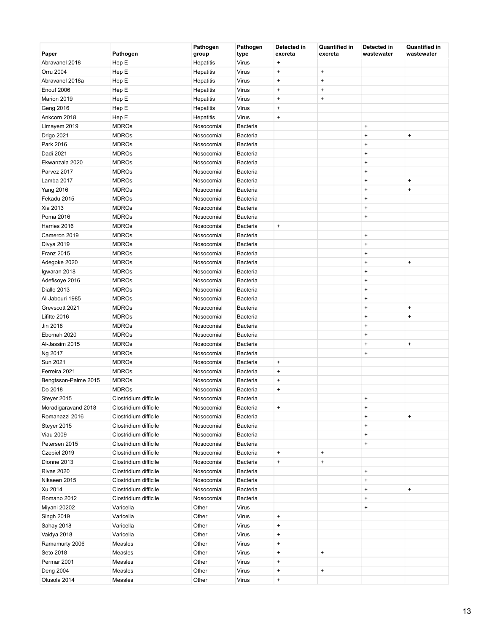| Paper                | Pathogen              | Pathogen<br>group | Pathogen<br>type | Detected in<br>excreta           | <b>Quantified in</b><br>excreta | Detected in<br>wastewater        | <b>Quantified in</b><br>wastewater |
|----------------------|-----------------------|-------------------|------------------|----------------------------------|---------------------------------|----------------------------------|------------------------------------|
| Abravanel 2018       | Hep E                 | Hepatitis         | <b>Virus</b>     | $\ddot{}$                        |                                 |                                  |                                    |
| Orru 2004            | Hep E                 | Hepatitis         | Virus            | $\ddot{}$                        | $\pmb{+}$                       |                                  |                                    |
| Abravanel 2018a      | Hep E                 | Hepatitis         | Virus            | $\ddot{}$                        | $\pmb{+}$                       |                                  |                                    |
| Enouf 2006           | Hep E                 | <b>Hepatitis</b>  | Virus            | $\ddot{}$                        | $\pmb{+}$                       |                                  |                                    |
| Marion 2019          | Hep E                 | Hepatitis         | Virus            | $\pmb{+}$                        | $\pmb{+}$                       |                                  |                                    |
| Geng 2016            | Hep E                 | Hepatitis         | Virus            | $\ddot{}$                        |                                 |                                  |                                    |
| Ankcorn 2018         | Hep E                 | Hepatitis         | Virus            | $\begin{array}{c} + \end{array}$ |                                 |                                  |                                    |
| Limayem 2019         | <b>MDROs</b>          | Nosocomial        | Bacteria         |                                  |                                 | $\ddot{}$                        |                                    |
| Drigo 2021           | <b>MDROs</b>          | Nosocomial        | Bacteria         |                                  |                                 | $\ddot{}$                        | $\begin{array}{c} + \end{array}$   |
| Park 2016            | <b>MDROs</b>          | Nosocomial        | Bacteria         |                                  |                                 | $\ddot{}$                        |                                    |
| Dadi 2021            | <b>MDROs</b>          | Nosocomial        | Bacteria         |                                  |                                 | $\ddot{}$                        |                                    |
| Ekwanzala 2020       | <b>MDROs</b>          | Nosocomial        | Bacteria         |                                  |                                 | $\begin{array}{c} + \end{array}$ |                                    |
| Parvez 2017          | <b>MDROs</b>          | Nosocomial        | Bacteria         |                                  |                                 | $\ddot{}$                        |                                    |
| Lamba 2017           | <b>MDROs</b>          | Nosocomial        | Bacteria         |                                  |                                 | $\ddot{}$                        | $\ddot{}$                          |
| <b>Yang 2016</b>     | <b>MDROs</b>          | Nosocomial        | <b>Bacteria</b>  |                                  |                                 | $\ddot{}$                        | $\ddot{}$                          |
| Fekadu 2015          | <b>MDROs</b>          | Nosocomial        | Bacteria         |                                  |                                 | $\ddot{}$                        |                                    |
| Xia 2013             | <b>MDROs</b>          | Nosocomial        | Bacteria         |                                  |                                 | $\ddot{}$                        |                                    |
| Poma 2016            | <b>MDROs</b>          | Nosocomial        | Bacteria         |                                  |                                 | $\begin{array}{c} + \end{array}$ |                                    |
| Harries 2016         | <b>MDROs</b>          | Nosocomial        | Bacteria         | $\pmb{+}$                        |                                 |                                  |                                    |
| Cameron 2019         | <b>MDROs</b>          | Nosocomial        | Bacteria         |                                  |                                 | $\begin{array}{c} + \end{array}$ |                                    |
| Divya 2019           | <b>MDROs</b>          | Nosocomial        | Bacteria         |                                  |                                 | $\ddot{}$                        |                                    |
| <b>Franz 2015</b>    | <b>MDROs</b>          | Nosocomial        | <b>Bacteria</b>  |                                  |                                 | $\begin{array}{c} + \end{array}$ |                                    |
| Adegoke 2020         | <b>MDROs</b>          | Nosocomial        | Bacteria         |                                  |                                 | $\ddot{}$                        | $\begin{array}{c} + \end{array}$   |
| Igwaran 2018         | <b>MDROs</b>          | Nosocomial        | Bacteria         |                                  |                                 | $\ddot{}$                        |                                    |
| Adefisoye 2016       | <b>MDROs</b>          | Nosocomial        | <b>Bacteria</b>  |                                  |                                 | $\ddot{}$                        |                                    |
| Diallo 2013          | <b>MDROs</b>          | Nosocomial        | Bacteria         |                                  |                                 | $\ddot{}$                        |                                    |
| Al-Jabouri 1985      | <b>MDROs</b>          | Nosocomial        | <b>Bacteria</b>  |                                  |                                 | $\begin{array}{c} + \end{array}$ |                                    |
| Grevscott 2021       | <b>MDROs</b>          | Nosocomial        | Bacteria         |                                  |                                 | $\ddot{}$                        | $\begin{array}{c} + \end{array}$   |
| Lifitte 2016         | <b>MDROs</b>          | Nosocomial        | Bacteria         |                                  |                                 | $\ddot{}$                        | $\ddot{}$                          |
| Jin 2018             | <b>MDROs</b>          | Nosocomial        | Bacteria         |                                  |                                 | $\ddot{}$                        |                                    |
| Ebomah 2020          | <b>MDROs</b>          | Nosocomial        | Bacteria         |                                  |                                 | $\begin{array}{c} + \end{array}$ |                                    |
| Al-Jassim 2015       | <b>MDROs</b>          | Nosocomial        | Bacteria         |                                  |                                 | $\ddot{}$                        | $\begin{array}{c} + \end{array}$   |
| Ng 2017              | <b>MDROs</b>          | Nosocomial        | Bacteria         |                                  |                                 | $\ddot{}$                        |                                    |
| Sun 2021             | <b>MDROs</b>          | Nosocomial        | <b>Bacteria</b>  | $\ddot{}$                        |                                 |                                  |                                    |
| Ferreira 2021        | <b>MDROs</b>          | Nosocomial        | Bacteria         | $\ddot{}$                        |                                 |                                  |                                    |
| Bengtsson-Palme 2015 | <b>MDROs</b>          | Nosocomial        | Bacteria         | $\ddot{}$                        |                                 |                                  |                                    |
| Do 2018              | <b>MDROs</b>          | Nosocomial        | Bacteria         | $\ddot{}$                        |                                 |                                  |                                    |
| Steyer 2015          | Clostridium difficile | Nosocomial        | <b>Bacteria</b>  |                                  |                                 | $\ddot{}$                        |                                    |
| Moradigaravand 2018  | Clostridium difficile | Nosocomial        | Bacteria         | $\ddot{}$                        |                                 | $\ddot{}$                        |                                    |
| Romanazzi 2016       | Clostridium difficile | Nosocomial        | Bacteria         |                                  |                                 | $\ddot{}$                        | $\begin{array}{c} + \end{array}$   |
| Steyer 2015          | Clostridium difficile | Nosocomial        | Bacteria         |                                  |                                 | $\begin{array}{c} + \end{array}$ |                                    |
| <b>Viau 2009</b>     | Clostridium difficile | Nosocomial        | Bacteria         |                                  |                                 | $\ddot{}$                        |                                    |
| Petersen 2015        | Clostridium difficile | Nosocomial        | Bacteria         |                                  |                                 | $\ddot{}$                        |                                    |
| Czepiel 2019         | Clostridium difficile | Nosocomial        | Bacteria         | $\pmb{+}$                        | $\pmb{+}$                       |                                  |                                    |
| Dionne 2013          | Clostridium difficile | Nosocomial        | Bacteria         | $\ddot{}$                        | $\pmb{+}$                       |                                  |                                    |
| <b>Rivas 2020</b>    | Clostridium difficile | Nosocomial        | Bacteria         |                                  |                                 | $\ddot{}$                        |                                    |
| Nikaeen 2015         | Clostridium difficile | Nosocomial        | Bacteria         |                                  |                                 | $\begin{array}{c} + \end{array}$ |                                    |
| Xu 2014              | Clostridium difficile | Nosocomial        | Bacteria         |                                  |                                 | $\begin{array}{c} + \end{array}$ | $\begin{array}{c} + \end{array}$   |
| Romano 2012          | Clostridium difficile | Nosocomial        | Bacteria         |                                  |                                 | $\ddot{}$                        |                                    |
| Miyani 20202         | Varicella             | Other             | Virus            |                                  |                                 | $\ddot{}$                        |                                    |
| <b>Singh 2019</b>    | Varicella             | Other             | Virus            | $\ddot{}$                        |                                 |                                  |                                    |
| Sahay 2018           | Varicella             | Other             | Virus            | $\pmb{+}$                        |                                 |                                  |                                    |
| Vaidya 2018          | Varicella             | Other             | Virus            | $\ddot{}$                        |                                 |                                  |                                    |
| Ramamurty 2006       | Measles               | Other             | Virus            | $\ddot{}$                        |                                 |                                  |                                    |
| Seto 2018            | Measles               | Other             | Virus            | $\ddot{}$                        | $\pmb{+}$                       |                                  |                                    |
| Permar 2001          | Measles               | Other             | Virus            | $\ddot{}$                        |                                 |                                  |                                    |
| Deng 2004            | Measles               | Other             | Virus            | $\pmb{+}$                        | $\pmb{+}$                       |                                  |                                    |
| Olusola 2014         | Measles               | Other             | Virus            | $\pmb{+}$                        |                                 |                                  |                                    |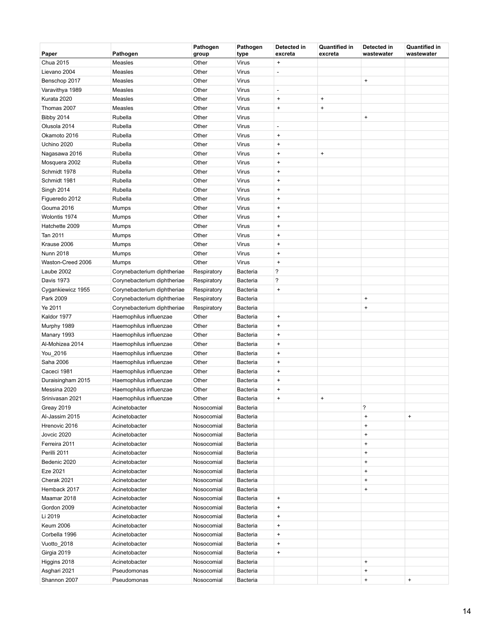| Paper             | Pathogen                    | Pathogen<br>group | Pathogen<br>type | Detected in<br>excreta           | <b>Quantified in</b><br>excreta | Detected in<br>wastewater        | <b>Quantified in</b><br>wastewater |
|-------------------|-----------------------------|-------------------|------------------|----------------------------------|---------------------------------|----------------------------------|------------------------------------|
| Chua 2015         | Measles                     | Other             | Virus            | $\bf{+}$                         |                                 |                                  |                                    |
| Lievano 2004      | Measles                     | Other             | Virus            | ÷,                               |                                 |                                  |                                    |
| Benschop 2017     | Measles                     | Other             | Virus            |                                  |                                 | $\pmb{+}$                        |                                    |
| Varavithya 1989   | Measles                     | Other             | Virus            | ÷,                               |                                 |                                  |                                    |
| Kurata 2020       | Measles                     | Other             | Virus            | $\begin{array}{c} + \end{array}$ | $\pmb{+}$                       |                                  |                                    |
| Thomas 2007       | Measles                     | Other             | Virus            | $\bf{+}$                         | $\bf{+}$                        |                                  |                                    |
| <b>Bibby 2014</b> | Rubella                     | Other             | Virus            |                                  |                                 | $\pmb{+}$                        |                                    |
| Olusola 2014      | Rubella                     | Other             | Virus            | ÷,                               |                                 |                                  |                                    |
| Okamoto 2016      | Rubella                     | Other             | Virus            | $\bf{+}$                         |                                 |                                  |                                    |
| Uchino 2020       | Rubella                     | Other             | Virus            | $\bf{+}$                         |                                 |                                  |                                    |
| Nagasawa 2016     | Rubella                     | Other             | Virus            | $\bf{+}$                         | $\pmb{+}$                       |                                  |                                    |
| Mosquera 2002     | Rubella                     | Other             | Virus            | $\begin{array}{c} + \end{array}$ |                                 |                                  |                                    |
| Schmidt 1978      | Rubella                     | Other             | Virus            | $\bf{+}$                         |                                 |                                  |                                    |
| Schmidt 1981      | Rubella                     | Other             | Virus            | $\bf{+}$                         |                                 |                                  |                                    |
| <b>Singh 2014</b> | Rubella                     | Other             | Virus            | $\bf{+}$                         |                                 |                                  |                                    |
| Figueredo 2012    | Rubella                     | Other             | Virus            | $\bf{+}$                         |                                 |                                  |                                    |
| Gouma 2016        | Mumps                       | Other             | Virus            | $\ddot{}$                        |                                 |                                  |                                    |
| Wolontis 1974     | Mumps                       | Other             | Virus            | $\bf{+}$                         |                                 |                                  |                                    |
| Hatchette 2009    | Mumps                       | Other             | Virus            | $\bf{+}$                         |                                 |                                  |                                    |
| Tan 2011          | Mumps                       | Other             | Virus            | $\bf{+}$                         |                                 |                                  |                                    |
| Krause 2006       | Mumps                       | Other             | Virus            | $\bf{+}$                         |                                 |                                  |                                    |
| <b>Nunn 2018</b>  | Mumps                       | Other             | Virus            | $\bf{+}$                         |                                 |                                  |                                    |
| Waston-Creed 2006 | Mumps                       | Other             | Virus            | $\ddot{}$                        |                                 |                                  |                                    |
| Laube 2002        | Corynebacterium diphtheriae | Respiratory       | Bacteria         | $\overline{\phantom{a}}$         |                                 |                                  |                                    |
| <b>Davis 1973</b> | Corynebacterium diphtheriae | Respiratory       | Bacteria         | $\overline{\phantom{a}}$         |                                 |                                  |                                    |
| Cygankiewicz 1955 | Corynebacterium diphtheriae | Respiratory       | Bacteria         | $\pmb{+}$                        |                                 |                                  |                                    |
| Park 2009         | Corynebacterium diphtheriae | Respiratory       | Bacteria         |                                  |                                 | $\pmb{+}$                        |                                    |
| Ye 2011           | Corynebacterium diphtheriae | Respiratory       | Bacteria         |                                  |                                 | $\begin{array}{c} + \end{array}$ |                                    |
| Kaldor 1977       | Haemophilus influenzae      | Other             | Bacteria         | $\bf{+}$                         |                                 |                                  |                                    |
| Murphy 1989       | Haemophilus influenzae      | Other             | Bacteria         | $\bf{+}$                         |                                 |                                  |                                    |
| Manary 1993       | Haemophilus influenzae      | Other             | Bacteria         | $\begin{array}{c} + \end{array}$ |                                 |                                  |                                    |
| Al-Mohizea 2014   | Haemophilus influenzae      | Other             | Bacteria         | $\bf{+}$                         |                                 |                                  |                                    |
| You_2016          | Haemophilus influenzae      | Other             | Bacteria         | $\bf{+}$                         |                                 |                                  |                                    |
| Saha 2006         | Haemophilus influenzae      | Other             | Bacteria         | $\bf{+}$                         |                                 |                                  |                                    |
| Caceci 1981       | Haemophilus influenzae      | Other             | Bacteria         | $\bf{+}$                         |                                 |                                  |                                    |
| Duraisingham 2015 | Haemophilus influenzae      | Other             | Bacteria         | $\begin{array}{c} + \end{array}$ |                                 |                                  |                                    |
| Messina 2020      | Haemophilus influenzae      | Other             | Bacteria         | $\bf{+}$                         |                                 |                                  |                                    |
| Srinivasan 2021   | Haemophilus influenzae      | Other             | Bacteria         | $\ddot{}$                        | $\pmb{+}$                       |                                  |                                    |
| <b>Greay 2019</b> | Acinetobacter               | Nosocomial        | Bacteria         |                                  |                                 | ?                                |                                    |
| Al-Jassim 2015    | Acinetobacter               | Nosocomial        | Bacteria         |                                  |                                 | $\ddot{}$                        | $\pmb{+}$                          |
| Hrenovic 2016     | Acinetobacter               | Nosocomial        | Bacteria         |                                  |                                 | $\ddot{}$                        |                                    |
| Jovcic 2020       | Acinetobacter               | Nosocomial        | Bacteria         |                                  |                                 | $\begin{array}{c} + \end{array}$ |                                    |
| Ferreira 2011     | Acinetobacter               | Nosocomial        | Bacteria         |                                  |                                 | $\ddot{}$                        |                                    |
| Perilli 2011      | Acinetobacter               | Nosocomial        | Bacteria         |                                  |                                 | $\ddot{}$                        |                                    |
| Bedenic 2020      | Acinetobacter               | Nosocomial        | Bacteria         |                                  |                                 | $\ddot{}$                        |                                    |
| Eze 2021          | Acinetobacter               | Nosocomial        | Bacteria         |                                  |                                 | $\pmb{+}$                        |                                    |
| Cherak 2021       | Acinetobacter               | Nosocomial        | Bacteria         |                                  |                                 | $\begin{array}{c} + \end{array}$ |                                    |
| Hemback 2017      | Acinetobacter               | Nosocomial        | Bacteria         |                                  |                                 | $\pmb{+}$                        |                                    |
| Maamar 2018       | Acinetobacter               | Nosocomial        | Bacteria         | $\begin{array}{c} + \end{array}$ |                                 |                                  |                                    |
| Gordon 2009       | Acinetobacter               | Nosocomial        | Bacteria         | $\bf{+}$                         |                                 |                                  |                                    |
| Li 2019           | Acinetobacter               | Nosocomial        | Bacteria         | $\begin{array}{c} + \end{array}$ |                                 |                                  |                                    |
| <b>Keum 2006</b>  | Acinetobacter               | Nosocomial        | Bacteria         | $\begin{array}{c} + \end{array}$ |                                 |                                  |                                    |
| Corbella 1996     | Acinetobacter               | Nosocomial        | Bacteria         | $\ddot{}$                        |                                 |                                  |                                    |
| Vuotto_2018       | Acinetobacter               | Nosocomial        | Bacteria         | $\begin{array}{c} + \end{array}$ |                                 |                                  |                                    |
| Girgia 2019       | Acinetobacter               | Nosocomial        | Bacteria         | $\ddot{}$                        |                                 |                                  |                                    |
| Higgins 2018      | Acinetobacter               | Nosocomial        | Bacteria         |                                  |                                 | $\ddot{}$                        |                                    |
| Asghari 2021      | Pseudomonas                 | Nosocomial        | Bacteria         |                                  |                                 | $\begin{array}{c} + \end{array}$ |                                    |
| Shannon 2007      | Pseudomonas                 | Nosocomial        | <b>Bacteria</b>  |                                  |                                 | $\pmb{+}$                        | $\begin{array}{c} + \end{array}$   |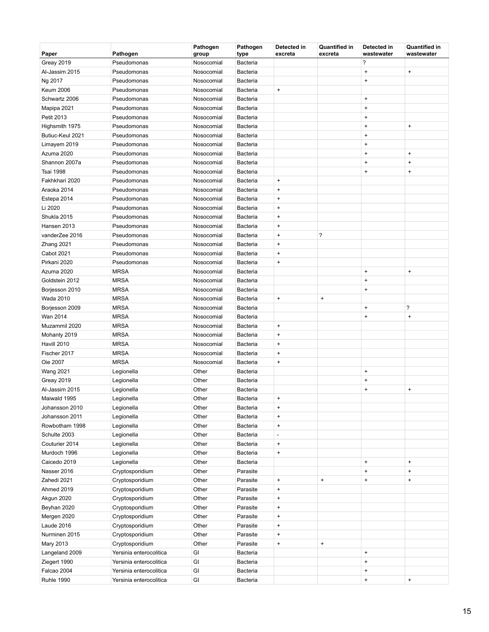| Paper             | Pathogen                | Pathogen<br>group | Pathogen<br>type | Detected in<br>excreta           | <b>Quantified in</b><br>excreta | Detected in<br>wastewater | <b>Quantified in</b><br>wastewater |
|-------------------|-------------------------|-------------------|------------------|----------------------------------|---------------------------------|---------------------------|------------------------------------|
| Greay 2019        | Pseudomonas             | Nosocomial        | Bacteria         |                                  |                                 | ?                         |                                    |
| Al-Jassim 2015    | Pseudomonas             | Nosocomial        | Bacteria         |                                  |                                 | $\ddot{}$                 | $\ddot{}$                          |
| Ng 2017           | Pseudomonas             | Nosocomial        | Bacteria         |                                  |                                 | $\ddot{}$                 |                                    |
| <b>Keum 2006</b>  | Pseudomonas             | Nosocomial        | <b>Bacteria</b>  | $\pmb{+}$                        |                                 |                           |                                    |
| Schwartz 2006     | Pseudomonas             | Nosocomial        | <b>Bacteria</b>  |                                  |                                 | $\ddot{}$                 |                                    |
| Mapipa 2021       | Pseudomonas             | Nosocomial        | <b>Bacteria</b>  |                                  |                                 | $\ddot{}$                 |                                    |
| Petit 2013        | Pseudomonas             | Nosocomial        | Bacteria         |                                  |                                 | $\ddot{}$                 |                                    |
| Highsmith 1975    | Pseudomonas             | Nosocomial        | Bacteria         |                                  |                                 | $\ddot{}$                 | $\ddot{}$                          |
| Butiuc-Keul 2021  | Pseudomonas             | Nosocomial        | Bacteria         |                                  |                                 | $\ddot{}$                 |                                    |
| Limayem 2019      | Pseudomonas             | Nosocomial        | Bacteria         |                                  |                                 | $\ddot{}$                 |                                    |
| Azuma 2020        | Pseudomonas             | Nosocomial        | Bacteria         |                                  |                                 | $\ddot{}$                 | $\ddot{}$                          |
| Shannon 2007a     | Pseudomonas             | Nosocomial        | Bacteria         |                                  |                                 | $\ddot{}$                 | $\begin{array}{c} + \end{array}$   |
| <b>Tsai 1998</b>  | Pseudomonas             | Nosocomial        | <b>Bacteria</b>  |                                  |                                 | $\ddot{}$                 | $\begin{array}{c} + \end{array}$   |
| Fakhkhari 2020    | Pseudomonas             | Nosocomial        | Bacteria         | $\pmb{+}$                        |                                 |                           |                                    |
| Araoka 2014       | Pseudomonas             | Nosocomial        | Bacteria         | $\ddot{}$                        |                                 |                           |                                    |
| Estepa 2014       | Pseudomonas             | Nosocomial        | Bacteria         | $\ddot{}$                        |                                 |                           |                                    |
| Li 2020           | Pseudomonas             | Nosocomial        | <b>Bacteria</b>  | $\ddot{}$                        |                                 |                           |                                    |
| Shukla 2015       | Pseudomonas             | Nosocomial        | <b>Bacteria</b>  | $\ddot{}$                        |                                 |                           |                                    |
| Hansen 2013       | Pseudomonas             | Nosocomial        | Bacteria         | $\ddot{}$                        |                                 |                           |                                    |
| vanderZee 2016    | Pseudomonas             | Nosocomial        | Bacteria         | $\ddot{}$                        | ?                               |                           |                                    |
| Zhang 2021        | Pseudomonas             | Nosocomial        | Bacteria         | $\ddot{}$                        |                                 |                           |                                    |
| <b>Cabot 2021</b> | Pseudomonas             | Nosocomial        | Bacteria         | $\ddot{}$                        |                                 |                           |                                    |
| Pirkani 2020      | Pseudomonas             | Nosocomial        | <b>Bacteria</b>  | $\pmb{+}$                        |                                 |                           |                                    |
| Azuma 2020        | <b>MRSA</b>             | Nosocomial        | <b>Bacteria</b>  |                                  |                                 | $\ddot{}$                 | $\ddot{}$                          |
| Goldstein 2012    | <b>MRSA</b>             | Nosocomial        | <b>Bacteria</b>  |                                  |                                 | $\ddot{}$                 |                                    |
| Borjesson 2010    | <b>MRSA</b>             | Nosocomial        | Bacteria         |                                  |                                 | $\ddot{}$                 |                                    |
| Wada 2010         | <b>MRSA</b>             | Nosocomial        | Bacteria         | $\pmb{+}$                        | $\bf{+}$                        |                           |                                    |
| Borjesson 2009    | <b>MRSA</b>             | Nosocomial        | Bacteria         |                                  |                                 | $\ddot{}$                 | ?                                  |
| Wan 2014          | <b>MRSA</b>             | Nosocomial        | Bacteria         |                                  |                                 | $\ddot{}$                 | $\ddot{}$                          |
| Muzammil 2020     | <b>MRSA</b>             | Nosocomial        | Bacteria         | $\pmb{+}$                        |                                 |                           |                                    |
| Mohanty 2019      | <b>MRSA</b>             | Nosocomial        | Bacteria         | $\ddot{}$                        |                                 |                           |                                    |
| Havill 2010       | <b>MRSA</b>             | Nosocomial        | Bacteria         | $\ddot{}$                        |                                 |                           |                                    |
| Fischer 2017      | <b>MRSA</b>             | Nosocomial        | <b>Bacteria</b>  | $\ddot{}$                        |                                 |                           |                                    |
| Oie 2007          | <b>MRSA</b>             | Nosocomial        | <b>Bacteria</b>  | $\ddot{}$                        |                                 |                           |                                    |
| <b>Wang 2021</b>  | Legionella              | Other             | Bacteria         |                                  |                                 | $\ddot{}$                 |                                    |
| Greay 2019        | Legionella              | Other             | Bacteria         |                                  |                                 | $\ddot{}$                 |                                    |
| Al-Jassim 2015    | Legionella              | Other             | <b>Bacteria</b>  |                                  |                                 | $\ddot{}$                 | $\ddot{}$                          |
| Maiwald 1995      | Legionella              | Other             | <b>Bacteria</b>  | $\ddot{}$                        |                                 |                           |                                    |
| Johansson 2010    | Legionella              | Other             | Bacteria         | $\ddot{}$                        |                                 |                           |                                    |
| Johansson 2011    | Legionella              | Other             | Bacteria         | $\begin{array}{c} + \end{array}$ |                                 |                           |                                    |
| Rowbotham 1998    | Legionella              | Other             | Bacteria         | $\pmb{+}$                        |                                 |                           |                                    |
| Schulte 2003      | Legionella              | Other             | Bacteria         | ÷,                               |                                 |                           |                                    |
| Couturier 2014    | Legionella              | Other             | Bacteria         | $\pmb{+}$                        |                                 |                           |                                    |
| Murdoch 1996      | Legionella              | Other             | Bacteria         | $\pmb{+}$                        |                                 |                           |                                    |
| Caicedo 2019      | Legionella              | Other             | Bacteria         |                                  |                                 | $\ddot{}$                 | $\pmb{+}$                          |
| Nasser 2016       | Cryptosporidium         | Other             | Parasite         |                                  |                                 | $\ddot{}$                 | $\ddot{}$                          |
| Zahedi 2021       | Cryptosporidium         | Other             | Parasite         | $\ddot{}$                        | $\ddot{}$                       | $\ddot{}$                 | $\ddot{}$                          |
| Ahmed 2019        | Cryptosporidium         | Other             | Parasite         | $\begin{array}{c} + \end{array}$ |                                 |                           |                                    |
| Akgun 2020        | Cryptosporidium         | Other             | Parasite         | $\begin{array}{c} + \end{array}$ |                                 |                           |                                    |
| Beyhan 2020       | Cryptosporidium         | Other             | Parasite         | $\pmb{+}$                        |                                 |                           |                                    |
| Mergen 2020       | Cryptosporidium         | Other             | Parasite         | $\begin{array}{c} + \end{array}$ |                                 |                           |                                    |
| Laude 2016        | Cryptosporidium         | Other             | Parasite         | $\pmb{+}$                        |                                 |                           |                                    |
| Nurminen 2015     | Cryptosporidium         | Other             | Parasite         | $\pmb{+}$                        |                                 |                           |                                    |
| Mary 2013         | Cryptosporidium         | Other             | Parasite         | $\ddot{}$                        | $\pmb{+}$                       |                           |                                    |
| Langeland 2009    | Yersinia enterocolitica | GI                | Bacteria         |                                  |                                 | $\ddot{}$                 |                                    |
| Ziegert 1990      | Yersinia enterocolitica | GI                | Bacteria         |                                  |                                 | $\pmb{+}$                 |                                    |
| Falcao 2004       | Yersinia enterocolitica | GI                | Bacteria         |                                  |                                 | $\ddot{}$                 |                                    |
| <b>Ruhle 1990</b> | Yersinia enterocolitica | GI                | Bacteria         |                                  |                                 | $\ddot{}$                 | $\boldsymbol{+}$                   |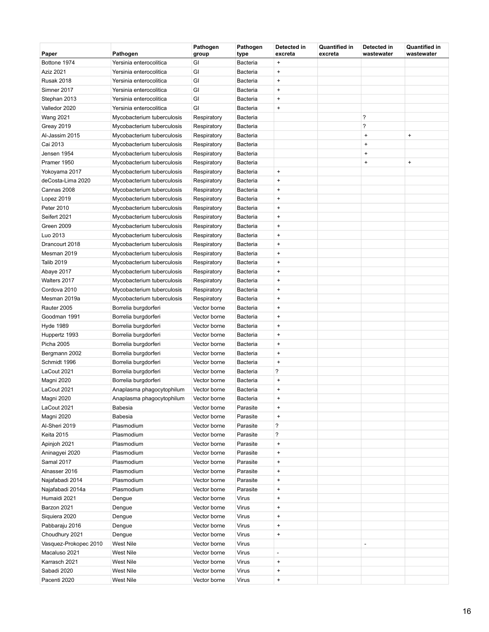| Paper                 | Pathogen                   | Pathogen<br>group | Pathogen<br>type | Detected in<br>excreta           | <b>Quantified in</b><br>excreta | Detected in<br>wastewater | Quantified in<br>wastewater      |
|-----------------------|----------------------------|-------------------|------------------|----------------------------------|---------------------------------|---------------------------|----------------------------------|
| Bottone 1974          | Yersinia enterocolitica    | GI                | <b>Bacteria</b>  | $\begin{array}{c} + \end{array}$ |                                 |                           |                                  |
| Aziz 2021             | Yersinia enterocolitica    | GI                | <b>Bacteria</b>  | $\begin{array}{c} + \end{array}$ |                                 |                           |                                  |
| <b>Rusak 2018</b>     | Yersinia enterocolitica    | GI                | <b>Bacteria</b>  | $\bf{+}$                         |                                 |                           |                                  |
| Simner 2017           | Yersinia enterocolitica    | GI                | <b>Bacteria</b>  | $\begin{array}{c} + \end{array}$ |                                 |                           |                                  |
| Stephan 2013          | Yersinia enterocolitica    | GI                | Bacteria         | $\begin{array}{c} + \end{array}$ |                                 |                           |                                  |
| Valledor 2020         | Yersinia enterocolitica    | GI                | <b>Bacteria</b>  | $\begin{array}{c} + \end{array}$ |                                 |                           |                                  |
| <b>Wang 2021</b>      | Mycobacterium tuberculosis | Respiratory       | <b>Bacteria</b>  |                                  |                                 | ?                         |                                  |
| Greay 2019            | Mycobacterium tuberculosis | Respiratory       | <b>Bacteria</b>  |                                  |                                 | ?                         |                                  |
| Al-Jassim 2015        | Mycobacterium tuberculosis | Respiratory       | <b>Bacteria</b>  |                                  |                                 | $\ddot{}$                 | $\begin{array}{c} + \end{array}$ |
| Cai 2013              | Mycobacterium tuberculosis | Respiratory       | <b>Bacteria</b>  |                                  |                                 | $\ddot{}$                 |                                  |
| Jensen 1954           | Mycobacterium tuberculosis | Respiratory       | <b>Bacteria</b>  |                                  |                                 | $\ddot{}$                 |                                  |
| Pramer 1950           | Mycobacterium tuberculosis | Respiratory       | <b>Bacteria</b>  |                                  |                                 | $\ddot{}$                 | $\ddot{}$                        |
| Yokoyama 2017         | Mycobacterium tuberculosis | Respiratory       | <b>Bacteria</b>  | $\bf{+}$                         |                                 |                           |                                  |
| deCosta-Lima 2020     | Mycobacterium tuberculosis | Respiratory       | <b>Bacteria</b>  | $\bf{+}$                         |                                 |                           |                                  |
| Cannas 2008           | Mycobacterium tuberculosis | Respiratory       | <b>Bacteria</b>  | $\bf{+}$                         |                                 |                           |                                  |
| Lopez 2019            | Mycobacterium tuberculosis | Respiratory       | Bacteria         | $\bf{+}$                         |                                 |                           |                                  |
| Peter 2010            | Mycobacterium tuberculosis | Respiratory       | <b>Bacteria</b>  | $\ddot{}$                        |                                 |                           |                                  |
| Seifert 2021          | Mycobacterium tuberculosis | Respiratory       | Bacteria         | $\begin{array}{c} + \end{array}$ |                                 |                           |                                  |
| Green 2009            | Mycobacterium tuberculosis | Respiratory       | <b>Bacteria</b>  | $\begin{array}{c} + \end{array}$ |                                 |                           |                                  |
| Luo 2013              | Mycobacterium tuberculosis | Respiratory       | <b>Bacteria</b>  | $\begin{array}{c} + \end{array}$ |                                 |                           |                                  |
| Drancourt 2018        | Mycobacterium tuberculosis | Respiratory       | <b>Bacteria</b>  | $\begin{array}{c} + \end{array}$ |                                 |                           |                                  |
| Mesman 2019           | Mycobacterium tuberculosis | Respiratory       | <b>Bacteria</b>  | $\bf{+}$                         |                                 |                           |                                  |
| <b>Talib 2019</b>     | Mycobacterium tuberculosis | Respiratory       | <b>Bacteria</b>  | $\begin{array}{c} + \end{array}$ |                                 |                           |                                  |
| Abaye 2017            | Mycobacterium tuberculosis | Respiratory       | <b>Bacteria</b>  | $\begin{array}{c} + \end{array}$ |                                 |                           |                                  |
| Walters 2017          | Mycobacterium tuberculosis | Respiratory       | <b>Bacteria</b>  | $\begin{array}{c} + \end{array}$ |                                 |                           |                                  |
| Cordova 2010          | Mycobacterium tuberculosis | Respiratory       | <b>Bacteria</b>  | $\begin{array}{c} + \end{array}$ |                                 |                           |                                  |
| Mesman 2019a          | Mycobacterium tuberculosis | Respiratory       | <b>Bacteria</b>  | $\bf{+}$                         |                                 |                           |                                  |
| Rauter 2005           | Borrelia burgdorferi       | Vector borne      | <b>Bacteria</b>  | $\begin{array}{c} + \end{array}$ |                                 |                           |                                  |
| Goodman 1991          | Borrelia burgdorferi       | Vector borne      | <b>Bacteria</b>  | $\begin{array}{c} + \end{array}$ |                                 |                           |                                  |
| <b>Hyde 1989</b>      | Borrelia burgdorferi       | Vector borne      | <b>Bacteria</b>  | $\begin{array}{c} + \end{array}$ |                                 |                           |                                  |
| Huppertz 1993         | Borrelia burgdorferi       | Vector borne      | <b>Bacteria</b>  | $\begin{array}{c} + \end{array}$ |                                 |                           |                                  |
| Picha 2005            | Borrelia burgdorferi       | Vector borne      | <b>Bacteria</b>  | $\bf{+}$                         |                                 |                           |                                  |
| Bergmann 2002         | Borrelia burgdorferi       | Vector borne      | <b>Bacteria</b>  | $\bf{+}$                         |                                 |                           |                                  |
| Schmidt 1996          | Borrelia burgdorferi       | Vector borne      | <b>Bacteria</b>  | $\begin{array}{c} + \end{array}$ |                                 |                           |                                  |
| LaCout 2021           | Borrelia burgdorferi       | Vector borne      | <b>Bacteria</b>  | ?                                |                                 |                           |                                  |
| Magni 2020            | Borrelia burgdorferi       | Vector borne      | <b>Bacteria</b>  | $\pmb{+}$                        |                                 |                           |                                  |
| LaCout 2021           | Anaplasma phagocytophilum  | Vector borne      | Bacteria         | $\begin{array}{c} + \end{array}$ |                                 |                           |                                  |
| Magni 2020            | Anaplasma phagocytophilum  | Vector borne      | <b>Bacteria</b>  | $\begin{array}{c} + \end{array}$ |                                 |                           |                                  |
| LaCout 2021           | <b>Babesia</b>             | Vector borne      | Parasite         | $\pmb{+}$                        |                                 |                           |                                  |
| Magni 2020            | <b>Babesia</b>             | Vector borne      | Parasite         | $\ddot{}$                        |                                 |                           |                                  |
| Al-Sheri 2019         | Plasmodium                 | Vector borne      | Parasite         | ?                                |                                 |                           |                                  |
| <b>Keita 2015</b>     | Plasmodium                 | Vector borne      | Parasite         | ?                                |                                 |                           |                                  |
| Apinjoh 2021          | Plasmodium                 | Vector borne      | Parasite         | $\pmb{+}$                        |                                 |                           |                                  |
| Aninagyei 2020        | Plasmodium                 | Vector borne      | Parasite         | $\pmb{+}$                        |                                 |                           |                                  |
| Samal 2017            | Plasmodium                 | Vector borne      | Parasite         | $\pmb{+}$                        |                                 |                           |                                  |
| Alnasser 2016         | Plasmodium                 | Vector borne      | Parasite         | $\bf{+}$                         |                                 |                           |                                  |
| Najafabadi 2014       | Plasmodium                 | Vector borne      | Parasite         | $\pmb{+}$                        |                                 |                           |                                  |
| Najafabadi 2014a      | Plasmodium                 | Vector borne      | Parasite         | $\pmb{+}$                        |                                 |                           |                                  |
| Humaidi 2021          | Dengue                     | Vector borne      | Virus            | $\ddot{}$                        |                                 |                           |                                  |
| Barzon 2021           | Dengue                     | Vector borne      | Virus            | $\bf{+}$                         |                                 |                           |                                  |
| Siquiera 2020         | Dengue                     | Vector borne      | Virus            | $\bf{+}$                         |                                 |                           |                                  |
| Pabbaraju 2016        | Dengue                     | Vector borne      | Virus            | $\pmb{+}$                        |                                 |                           |                                  |
| Choudhury 2021        | Dengue                     | Vector borne      | Virus            | $\pmb{+}$                        |                                 |                           |                                  |
| Vasquez-Prokopec 2010 | West Nile                  | Vector borne      | Virus            |                                  |                                 |                           |                                  |
| Macaluso 2021         | West Nile                  | Vector borne      | Virus            | $\overline{a}$                   |                                 |                           |                                  |
| Karrasch 2021         | West Nile                  | Vector borne      | Virus            | $\pmb{+}$                        |                                 |                           |                                  |
| Sabadi 2020           | West Nile                  | Vector borne      | Virus            | $\begin{array}{c} + \end{array}$ |                                 |                           |                                  |
| Pacenti 2020          | West Nile                  | Vector borne      | Virus            | $\pmb{+}$                        |                                 |                           |                                  |